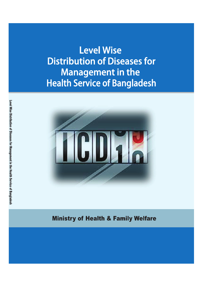**Level Wise Distribution of Diseases for Management in the Health Service of Bangladesh** 



**Ministry of Health & Family Welfare**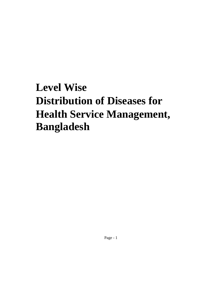# **Level Wise Distribution of Diseases for Health Service Management, Bangladesh**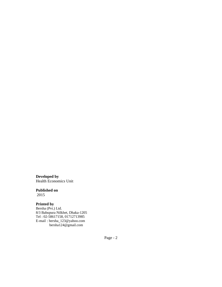**Developed by**  Health Economics Unit

#### **Published on**

2015

### **Printed by**

Bersha (Pvt.) Ltd. 8/3 Babupura Nilkhet, Dhaka-1205 Tel : 02-58617158, 01712713985 E-mail : bersha\_123@yahoo.com bersha124@gmail.com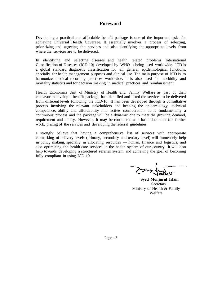## **Foreword**

Developing a practical and affordable benefit package is one of the important tasks for achieving Universal Health Coverage. It essentially involves a process of selecting, prioritizing and agreeing the services and also identifying the appropriate levels from where the services are to be delivered.

In identifying and selecting diseases and health related problems, International Classification of Diseases (ICD-10) developed by WHO is being used worldwide. ICD is a global standard diagnostic classification for all general epidemiological functions, specially for health management purposes and clinical use. The main purpose of ICD is to harmonize medical recording practices worldwide. It is also used for morbidity and mortality statistics and for decision making in medical practices and reimbursement.

Health Economics Unit of Ministry of Health and Family Welfare as part of their endeavor to develop a benefit package, has identified and listed the services to be delivered from different levels following the ICD-10. It has been developed through a consultative process involving the relevant stakeholders and keeping the epidemiology, technical competence, ability and affordability into active consideration. It is fundamentally a continuous process and the package will be a dynamic one to meet the growing demand, requirement and ability. However, it may be considered as a basic document for further work, pricing of the services and developing the referral guidelines.

I strongly believe that having a comprehensive list of services with appropriate earmarking of delivery levels (primary, secondary and tertiary level) will immensely help in policy making, specially in allocating resources — human, finance and logistics, and also optimizing the health care services in the health system of our country. It will also help towards developing a structured referral system and achieving the goal of becoming fully compliant in using ICD-10.

**Syed Monjurul Islam**  Secretary Ministry of Health & Family Welfare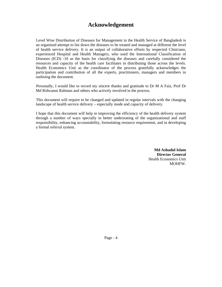## **Acknowledgement**

Level Wise Distribution of Diseases for Management in the Health Service of Bangladesh is an organized attempt to list down the diseases to be treated and managed at different the level of health service delivery. It is an output of collaborative efforts by respected Clinicians, experienced Hospital and Health Managers, who used the International Classification of Diseases (ICD) -10 as the basis for classifying the diseases and carefully considered the resources and capacity of the health care facilitates in distributing those across the levels. Health Economics Unit as the coordinator of the process gratefully acknowledges the participation and contribution of all the experts, practitioners, managers and members in outlining the document.

Personally, I would like to record my sincere thanks and gratitude to Dr M A Faiz, Prof Dr Md Ridwanur Rahman and others who actively involved in the process.

This document will require to be changed and updated in regular intervals with the changing landscape of health service delivery – especially mode and capacity of delivery.

I hope that this document will help in improving the efficiency of the health delivery system through a number of ways specially in better understating of the organizational and staff responsibility, enhancing accountability, formulating resource requirement, and in developing a formal referral system.

> **Md Ashadul Islam Director General**  Health Economics Unit MOHFW.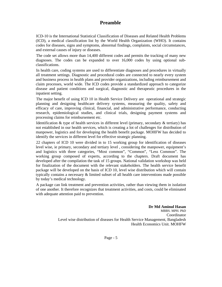## **Preamble**

ICD-10 is the International Statistical Classification of Diseases and Related Health Problems (ICD), a medical classification list by the World Health Organization (WHO). It contains codes for diseases, signs and symptoms, abnormal findings, complaints, social circumstances, and external causes of injury or diseases.

The code set allows more than 14,400 different codes and permits the tracking of many new diagnoses. The codes can be expanded to over 16,000 codes by using optional subclassifications.

In health care, coding systems are used to differentiate diagnoses and procedures in virtually all treatment settings. Diagnostic and procedural codes are connected to nearly every system and business process in health plans and provider organizations, including reimbursement and claim processes, world wide. The ICD codes provide a standardized approach to categorize disease and patient conditions and surgical, diagnostic and therapeutic procedures in the inpatient setting.

The major benefit of using ICD 10 in Health Service Delivery are operational and strategic planning and designing healthcare delivery systems, measuring the quality, safety and efficacy of care, improving clinical, financial, and administrative performance, conducting research, epidemiological studies, and clinical trials, designing payment systems and processing claims for reimbursement etc.

Identification  $\&$  type of health services in different level (primary, secondary  $\&$  tertiary) has not established in our health services, which is creating a lot of challenges for distribution of manpower, logistics and for developing the health benefit package. MOHFW has decided to identify the services in different level for effective strategic planning.

22 chapters of ICD 10 were divided in to 15 working group for identification of diseases level wise, ie primary, secondary and tertiary level , considering the manpower, equipment's and logistics with three categories, "Most common", "Common", "Less Common". The working group composed of experts, according to the chapters. Draft document has developed after the compilation the task of 15 groups. National validation workshop was held for finalization of the document with the relevant stakeholders. The health service benefit package will be developed on the basis of ICD 10, level wise distribution which will contain typically contains a necessary & limited subset of all health care interventions made possible by today's medical technology.

A package can link treatment and prevention activities, rather than viewing them in isolation of one another. It therefore recognizes that treatment activities, and costs, could be eliminated with adequate attention paid to prevention.

> **Dr Md Aminul Hasan**  MBBS. MPH. PhD Coordinator Level wise distribution of diseases for Health Service Management, Bangladesh Health Economics Unit. MOHFW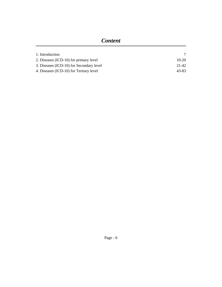| 1. Introduction                          |         |
|------------------------------------------|---------|
| 2. Diseases (ICD-10) for primary level   | $10-20$ |
| 3. Diseases (ICD-10) for Secondary level | 21-42   |
| 4. Diseases (ICD-10) for Tertiary level  | 43-83   |
|                                          |         |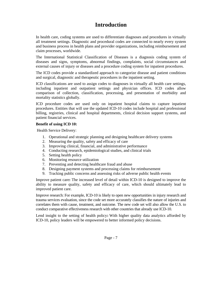## **Introduction**

In health care, coding systems are used to differentiate diagnoses and procedures in virtually all treatment settings. Diagnostic and procedural codes are connected to nearly every system and business process in health plans and provider organizations, including reimbursement and claim processes, worldwide.

The International Statistical Classification of Diseases is a diagnosis coding system of diseases and signs, symptoms, abnormal findings, complaints, social circumstances and external causes of injury or diseases and a procedure coding system for inpatient procedures.

The ICD codes provide a standardized approach to categorize disease and patient conditions and surgical, diagnostic and therapeutic procedures in the inpatient setting.

ICD classifications are used to assign codes to diagnoses in virtually all health care settings, including inpatient and outpatient settings and physician offices. ICD codes allow comparison of collection, classification, processing, and presentation of morbidity and mortality statistics globally.

ICD procedure codes are used only on inpatient hospital claims to capture inpatient procedures. Entities that will use the updated ICD-10 codes include hospital and professional billing, registries, clinical and hospital departments, clinical decision support systems, and patient financial services.

#### **Benefit of using ICD 10:**

Health Service Delivery:

- 1. Operational and strategic planning and designing healthcare delivery systems
- 2. Measuring the quality, safety and efficacy of care
- 3. Improving clinical, financial, and administrative performance
- 4. Conducting research, epidemiological studies, and clinical trials
- 5. Setting health policy
- 6. Monitoring resource utilization
- 7. Preventing and detecting healthcare fraud and abuse
- 8. Designing payment systems and processing claims for reimbursement
- 9. Tracking public concerns and assessing risks of adverse public health events

Improve patient care**:** The increased level of detail within ICD-10 is designed to improve the ability to measure quality, safety and efficacy of care, which should ultimately lead to improved patient care.

Improve research: For example, ICD-10 is likely to open new opportunities in injury research and trauma services evaluation, since the code set more accurately classifies the nature of injuries and correlates them with cause, treatment, and outcome. The new code set will also allow the U.S. to conduct comparative effectiveness research with other countries that already use ICD-10.

Lend insight to the setting of health policy**:** With higher quality data analytics afforded by ICD-10, policy leaders will be empowered to better informed policy decisions.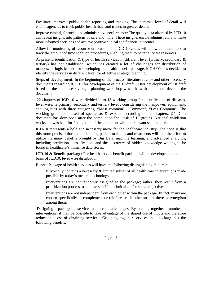Facilitate improved public health reporting and tracking: The increased level of detail will enable agencies to track public health risks and trends in greater detail.

Improve clinical, financial and administrative performance**:** The quality data afforded by ICD-10 can reveal insights into patterns of care and more. These insights enable administrators to make more informed decisions and achieve positive clinical and financial outcomes.

Allow for monitoring of resource utilization**:** The ICD-10 codes will allow administrators to track the amount of time spent on procedures, enabling them to better allocate resources.

At present, identification & type of health services in different level (primary, secondary & tertiary) has not established, which has created a lot of challenges for distribution of manpower, logistics and for developing the health benefit package. MOHFW has decided to identify the services in different level for effective strategic planning.

Steps of development: In the beginning of the process, literature review and other necessary documents regarding ICD 10 for development of the 1<sup>st</sup> draft . After development of 1st draft based on the literature review, a planning workshop was held with the aim to develop the document.

 22 chapters of ICD 10 were divided in to 15 working group for identification of diseases, level wise, ie primary, secondary and tertiary level , considering the manpower, equipments and logistics with three categories, "Most common", "Common", "Less Common". The working group composed of specialists  $\&$  experts, according to the chapters.  $2<sup>nd</sup>$  Draft document has developed after the compilation the task of 15 groups. National validation workshop was held for finalization of the document with the relevant stakeholders.

ICD-10 represents a bold and necessary move for the healthcare industry. The hope is that this more precise information detailing patient maladies and treatments will fuel the effort to utilize the many benefits brought by Big Data, machine learning, and advanced analytics, including prediction, classification, and the discovery of hidden knowledge waiting to be found in healthcare's immense data stores.

**ICD 10 & Benefit package:** The health service benefit package will be developed on the basis of ICD10, level wise distribution.

Benefit Package of health services will have the following distinguishing features:

- It typically contains a necessary & limited subset of all health care interventions made possible by today's medical technology.
- Interventions are not randomly assigned to the package; rather, they result from a prioritization process to achieve specific technical and/or social objectives.
- Interventions are not independent from each other within the package. In fact, many are chosen specifically to complement or reinforce each other so that there is synergism among them.

 Designing a package of services has certain advantages. By pooling together a number of interventions, it may be possible to take advantage of the shared use of inputs and therefore reduce the cost of obtaining services. Grouping together services in a package has the following benefits: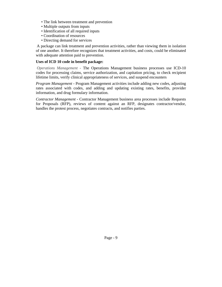- The link between treatment and prevention
- Multiple outputs from inputs
- Identification of all required inputs
- Coordination of resources
- Directing demand for services

 A package can link treatment and prevention activities, rather than viewing them in isolation of one another. It therefore recognizes that treatment activities, and costs, could be eliminated with adequate attention paid to prevention.

#### **Uses of ICD 10 code in benefit package:**

*Operations Management* - The Operations Management business processes use ICD-10 codes for processing claims, service authorization, and capitation pricing, to check recipient lifetime limits, verify clinical appropriateness of services, and suspend encounters

*Program Management* - Program Management activities include adding new codes, adjusting rates associated with codes, and adding and updating existing rates, benefits, provider information, and drug formulary information.

*Contractor Management* - Contractor Management business area processes include Requests for Proposals (RFP), reviews of content against an RFP, designates contractor/vendor, handles the protest process, negotiates contracts, and notifies parties.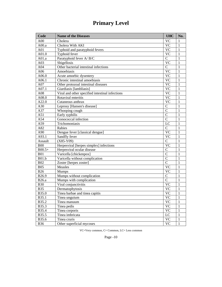## **Primary Level**

| Code         | <b>Name of the Diseases</b>                     | <b>UHC</b>    | No.          |
|--------------|-------------------------------------------------|---------------|--------------|
| A00          | Cholera                                         | <b>VC</b>     | 1            |
| A00.a        | Cholera With AKI                                | <b>VC</b>     | $\mathbf{1}$ |
| A01          | Typhoid and paratyphoid fevers                  | <b>VC</b>     | 1            |
| A01.0        | Typhoid fever                                   | <b>VC</b>     | 1            |
| A01.a        | Paratyphoid fever A/B/C                         | $\mathbf C$   | 1            |
| A03          | Shigellosis                                     | <b>VC</b>     | 1            |
| A04          | Other bacterial intestinal infections           | $\mathbf C$   | 1            |
| A06          | Amoebiasis                                      | <b>VC</b>     | 1            |
| A06.0        | Acute amoebic dysentery                         | <b>VC</b>     | 1            |
| A06.1        | Chronic intestinal amoebiasis                   | <b>VC</b>     | 1            |
| A07          | Other protozoal intestinal diseases             | <b>VC</b>     | 1            |
| A07.1        | Giardiasis [lambliasis]                         | <b>VC</b>     | 1            |
| A08          | Viral and other specified intestinal infections | <b>VC</b>     | 1            |
| A08.0        | Rotaviral enteritis                             | <b>VC</b>     | 1            |
| A22.0        | Cutaneous anthrax                               | <b>VC</b>     | 1            |
| A30          | Leprosy [Hansen's disease]                      | $\mathbf C$   | 1            |
| A37          | Whooping cough                                  | $\mathcal{C}$ | 1            |
| A51          | Early syphilis                                  | $\mathcal{C}$ | 1            |
| A54          | Gonococcal infection                            | $\mathbf C$   | 1            |
| A59          | Trichomoniasis                                  | LC            | 1            |
| A82          | Rabies                                          | $\mathbf C$   | 1            |
| A90          | Dengue fever [classical dengue]                 | <b>VC</b>     | 1            |
| A93.1        | Sandfly fever                                   | <b>VC</b>     | 1            |
| Assault      | $(X85-Y09)$                                     | $\mathbf C$   | 1            |
| <b>B00</b>   | Herpesviral [herpes simplex] infections         | <b>VC</b>     | 1            |
| $B00.5+$     | Herpesviral ocular disease                      | $\mathbf C$   | 1            |
| <b>B01</b>   | Varicella [chickenpox]                          | $\mathcal{C}$ | 1            |
| <b>B01.b</b> | Varicella without complication                  | $\mathcal{C}$ | 1            |
| <b>B02</b>   | Zoster [herpes zoster]                          | $\mathsf{C}$  | 1            |
| <b>B05</b>   | Measles                                         | <b>VC</b>     | 1            |
| <b>B26</b>   | Mumps                                           | <b>VC</b>     | 1            |
| B26.9        | Mumps without complication                      | $\mathbf C$   | 1            |
| <b>B26.a</b> | Mumps with complication                         | $\mathbf C$   | 1            |
| <b>B30</b>   | Viral conjunctivitis                            | <b>VC</b>     | 1            |
| <b>B35</b>   | Dermatophytosis                                 | <b>VC</b>     | 1            |
| B35.0        | Tinea barbae and tinea capitis                  | <b>VC</b>     | 1            |
| B35.1        | Tinea unguium                                   | <b>VC</b>     | 1            |
| B35.2        | Tinea manuum                                    | <b>VC</b>     | $\mathbf{1}$ |
| B35.3        | Tinea pedis                                     | <b>VC</b>     | 1            |
| B35.4        | Tinea corporis                                  | <b>VC</b>     | 1            |
| B35.5        | Tinea imbricata                                 | LC            | 1            |
| B35.6        | Tinea cruris                                    | <b>VC</b>     | 1            |
| <b>B36</b>   | Other superficial mycoses                       | <b>VC</b>     | 1            |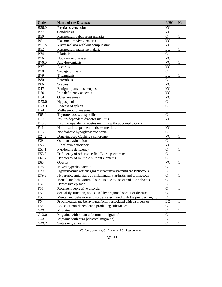| <b>VC</b><br>B36.0<br>Pityriasis versicolor<br>1<br><b>VC</b><br><b>B37</b><br>Candidiasis<br>$\mathbf{1}$<br>$\mathbf C$<br><b>B50</b><br>Plasmodium falciparum malaria<br>1<br>$\overline{VC}$<br><b>B51</b><br>$\mathbf{1}$<br>Plasmodium vivax malaria<br><b>VC</b><br><b>B51.b</b><br>$\mathbf{1}$<br>Vivax malaria withlout complication<br><b>B52</b><br>LC<br>$\mathbf{1}$<br>Plasmodium malariae malaria<br>$\mathbf C$<br><b>B74</b><br>$\mathbf{1}$<br>Filariasis<br>$\overline{VC}$<br><b>B76</b><br>$\mathbf{1}$<br>Hookworm diseases<br><b>VC</b><br>B76.0<br>$\mathbf{1}$<br>Ancylostomiasis<br><b>VC</b><br><b>B77</b><br>$\mathbf{1}$<br>Ascariasis<br>$\mathbf C$<br><b>B78</b><br>$\mathbf{1}$<br>Strongyloidiasis<br>LC<br><b>B79</b><br>$\mathbf{1}$<br>Trichuriasis<br>$\mathbf C$<br><b>B80</b><br>$\mathbf{1}$<br>Enterobiasis<br>$\overline{VC}$<br><b>B86</b><br>$\mathbf{1}$<br>Scabies<br>$\overline{VC}$<br>D17<br>$\mathbf{1}$<br>Benign lipomatous neoplasm<br><b>VC</b><br>D50<br>$\mathbf{1}$<br>Iron deficiency anaemia<br><b>VC</b><br>D64<br>$\mathbf{1}$<br>Other anaemias<br>$\mathbf C$<br>D73.0<br>$\mathbf{1}$<br>Hyposplenism<br>$\overline{C}$<br>D73.3<br>$\mathbf{1}$<br>Abscess of spleen<br>D74<br>Methaemoglobinaemia<br>LC<br>$\mathbf{1}$<br>$\mathbf C$<br>E05.9<br>$\mathbf{1}$<br>Thyrotoxicosis, unspecified<br>$\overline{VC}$<br>$\mathbf{1}$<br>E10<br>Insulin-dependent diabetes mellitus<br>E10.9<br>Insulin-dependent diabetes mellitus without complications<br>LC<br>$\mathbf{1}$<br>E11<br>Non-insulin-dependent diabetes mellitus<br><b>VC</b><br>$\mathbf{1}$<br>$\mathbf C$<br>E15<br>$\mathbf{1}$<br>Nondiabetic hypoglycaemic coma<br>$\overline{VC}$<br>E24.2<br>Drug-induced Cushing's syndrome<br>$\mathbf{1}$<br>$\overline{C}$<br>E28<br>$\mathbf{1}$<br>Ovarian dysfunction<br>$\overline{VC}$<br>E53.0<br>Riboflavin deficiency<br>$\mathbf{1}$<br>$\overline{C}$<br>E53.1<br>$\mathbf{1}$<br>Pyridoxine deficiency<br>$\overline{C}$<br>E53.8<br>Deficiency of other specified B group vitamins<br>$\mathbf{1}$<br>$\overline{C}$<br>E61.7<br>Deficiency of multiple nutrient elements<br>$\mathbf{1}$<br><b>VC</b><br>$\mathbf{1}$<br>E66<br>Obesity<br>Mixed hyperlipidaemia<br>$\overline{C}$<br>E78.2<br>$\mathbf{1}$<br>$\overline{C}$<br>E79.0<br>Hyperuricaemia without signs of inflammatory arthritis and tophaceous<br>$\mathbf{1}$<br>$\mathcal{C}$<br>E79.a<br>Hyperuricaemia signs of inflammatory arthritis and tophaceous<br>1<br>$\overline{C}$<br>F18<br>Mental and behavioural disorders due to use of volatile solvents<br>$\mathbf{1}$<br>F32<br>Depressive episode<br>$\mathsf{C}$<br>1<br>$\overline{C}$<br>Recurrent depressive disorder<br>$\mathbf{1}$<br>F33<br>$\overline{C}$<br>F52<br>Sexual dysfunction, not caused by organic disorder or disease<br>1<br>$\overline{C}$<br>F53<br>Mental and behavioural disorders associated with the puerperium, not<br>1<br>F54<br>LC<br>Psychological and behavioural factors associated with disorders or<br>1<br>$\mathcal{C}$<br>F55<br>Abuse of non-dependence-producing substances<br>1<br>$\overline{C}$<br>G43<br>Migraine<br>1<br>$\overline{C}$<br>G43.0<br>1<br>Migraine without aura [common migraine]<br>$\overline{C}$<br>G43.1<br>Migraine with aura [classical migraine]<br>$\mathbf{1}$<br>$\mathbf C$<br>G43.2<br>Status migrainosus<br>$\mathbf{1}$ | Code | <b>Name of the Diseases</b> | <b>UHC</b> | No. |
|-----------------------------------------------------------------------------------------------------------------------------------------------------------------------------------------------------------------------------------------------------------------------------------------------------------------------------------------------------------------------------------------------------------------------------------------------------------------------------------------------------------------------------------------------------------------------------------------------------------------------------------------------------------------------------------------------------------------------------------------------------------------------------------------------------------------------------------------------------------------------------------------------------------------------------------------------------------------------------------------------------------------------------------------------------------------------------------------------------------------------------------------------------------------------------------------------------------------------------------------------------------------------------------------------------------------------------------------------------------------------------------------------------------------------------------------------------------------------------------------------------------------------------------------------------------------------------------------------------------------------------------------------------------------------------------------------------------------------------------------------------------------------------------------------------------------------------------------------------------------------------------------------------------------------------------------------------------------------------------------------------------------------------------------------------------------------------------------------------------------------------------------------------------------------------------------------------------------------------------------------------------------------------------------------------------------------------------------------------------------------------------------------------------------------------------------------------------------------------------------------------------------------------------------------------------------------------------------------------------------------------------------------------------------------------------------------------------------------------------------------------------------------------------------------------------------------------------------------------------------------------------------------------------------------------------------------------------------------------------------------------------------------------------------------------------------------------------------------------------------------------------------------------------------------------------------------------------------------------------------------------------------------------------------------------------------------------------------------------------------------------------------------------------------------|------|-----------------------------|------------|-----|
|                                                                                                                                                                                                                                                                                                                                                                                                                                                                                                                                                                                                                                                                                                                                                                                                                                                                                                                                                                                                                                                                                                                                                                                                                                                                                                                                                                                                                                                                                                                                                                                                                                                                                                                                                                                                                                                                                                                                                                                                                                                                                                                                                                                                                                                                                                                                                                                                                                                                                                                                                                                                                                                                                                                                                                                                                                                                                                                                                                                                                                                                                                                                                                                                                                                                                                                                                                                                                       |      |                             |            |     |
|                                                                                                                                                                                                                                                                                                                                                                                                                                                                                                                                                                                                                                                                                                                                                                                                                                                                                                                                                                                                                                                                                                                                                                                                                                                                                                                                                                                                                                                                                                                                                                                                                                                                                                                                                                                                                                                                                                                                                                                                                                                                                                                                                                                                                                                                                                                                                                                                                                                                                                                                                                                                                                                                                                                                                                                                                                                                                                                                                                                                                                                                                                                                                                                                                                                                                                                                                                                                                       |      |                             |            |     |
|                                                                                                                                                                                                                                                                                                                                                                                                                                                                                                                                                                                                                                                                                                                                                                                                                                                                                                                                                                                                                                                                                                                                                                                                                                                                                                                                                                                                                                                                                                                                                                                                                                                                                                                                                                                                                                                                                                                                                                                                                                                                                                                                                                                                                                                                                                                                                                                                                                                                                                                                                                                                                                                                                                                                                                                                                                                                                                                                                                                                                                                                                                                                                                                                                                                                                                                                                                                                                       |      |                             |            |     |
|                                                                                                                                                                                                                                                                                                                                                                                                                                                                                                                                                                                                                                                                                                                                                                                                                                                                                                                                                                                                                                                                                                                                                                                                                                                                                                                                                                                                                                                                                                                                                                                                                                                                                                                                                                                                                                                                                                                                                                                                                                                                                                                                                                                                                                                                                                                                                                                                                                                                                                                                                                                                                                                                                                                                                                                                                                                                                                                                                                                                                                                                                                                                                                                                                                                                                                                                                                                                                       |      |                             |            |     |
|                                                                                                                                                                                                                                                                                                                                                                                                                                                                                                                                                                                                                                                                                                                                                                                                                                                                                                                                                                                                                                                                                                                                                                                                                                                                                                                                                                                                                                                                                                                                                                                                                                                                                                                                                                                                                                                                                                                                                                                                                                                                                                                                                                                                                                                                                                                                                                                                                                                                                                                                                                                                                                                                                                                                                                                                                                                                                                                                                                                                                                                                                                                                                                                                                                                                                                                                                                                                                       |      |                             |            |     |
|                                                                                                                                                                                                                                                                                                                                                                                                                                                                                                                                                                                                                                                                                                                                                                                                                                                                                                                                                                                                                                                                                                                                                                                                                                                                                                                                                                                                                                                                                                                                                                                                                                                                                                                                                                                                                                                                                                                                                                                                                                                                                                                                                                                                                                                                                                                                                                                                                                                                                                                                                                                                                                                                                                                                                                                                                                                                                                                                                                                                                                                                                                                                                                                                                                                                                                                                                                                                                       |      |                             |            |     |
|                                                                                                                                                                                                                                                                                                                                                                                                                                                                                                                                                                                                                                                                                                                                                                                                                                                                                                                                                                                                                                                                                                                                                                                                                                                                                                                                                                                                                                                                                                                                                                                                                                                                                                                                                                                                                                                                                                                                                                                                                                                                                                                                                                                                                                                                                                                                                                                                                                                                                                                                                                                                                                                                                                                                                                                                                                                                                                                                                                                                                                                                                                                                                                                                                                                                                                                                                                                                                       |      |                             |            |     |
|                                                                                                                                                                                                                                                                                                                                                                                                                                                                                                                                                                                                                                                                                                                                                                                                                                                                                                                                                                                                                                                                                                                                                                                                                                                                                                                                                                                                                                                                                                                                                                                                                                                                                                                                                                                                                                                                                                                                                                                                                                                                                                                                                                                                                                                                                                                                                                                                                                                                                                                                                                                                                                                                                                                                                                                                                                                                                                                                                                                                                                                                                                                                                                                                                                                                                                                                                                                                                       |      |                             |            |     |
|                                                                                                                                                                                                                                                                                                                                                                                                                                                                                                                                                                                                                                                                                                                                                                                                                                                                                                                                                                                                                                                                                                                                                                                                                                                                                                                                                                                                                                                                                                                                                                                                                                                                                                                                                                                                                                                                                                                                                                                                                                                                                                                                                                                                                                                                                                                                                                                                                                                                                                                                                                                                                                                                                                                                                                                                                                                                                                                                                                                                                                                                                                                                                                                                                                                                                                                                                                                                                       |      |                             |            |     |
|                                                                                                                                                                                                                                                                                                                                                                                                                                                                                                                                                                                                                                                                                                                                                                                                                                                                                                                                                                                                                                                                                                                                                                                                                                                                                                                                                                                                                                                                                                                                                                                                                                                                                                                                                                                                                                                                                                                                                                                                                                                                                                                                                                                                                                                                                                                                                                                                                                                                                                                                                                                                                                                                                                                                                                                                                                                                                                                                                                                                                                                                                                                                                                                                                                                                                                                                                                                                                       |      |                             |            |     |
|                                                                                                                                                                                                                                                                                                                                                                                                                                                                                                                                                                                                                                                                                                                                                                                                                                                                                                                                                                                                                                                                                                                                                                                                                                                                                                                                                                                                                                                                                                                                                                                                                                                                                                                                                                                                                                                                                                                                                                                                                                                                                                                                                                                                                                                                                                                                                                                                                                                                                                                                                                                                                                                                                                                                                                                                                                                                                                                                                                                                                                                                                                                                                                                                                                                                                                                                                                                                                       |      |                             |            |     |
|                                                                                                                                                                                                                                                                                                                                                                                                                                                                                                                                                                                                                                                                                                                                                                                                                                                                                                                                                                                                                                                                                                                                                                                                                                                                                                                                                                                                                                                                                                                                                                                                                                                                                                                                                                                                                                                                                                                                                                                                                                                                                                                                                                                                                                                                                                                                                                                                                                                                                                                                                                                                                                                                                                                                                                                                                                                                                                                                                                                                                                                                                                                                                                                                                                                                                                                                                                                                                       |      |                             |            |     |
|                                                                                                                                                                                                                                                                                                                                                                                                                                                                                                                                                                                                                                                                                                                                                                                                                                                                                                                                                                                                                                                                                                                                                                                                                                                                                                                                                                                                                                                                                                                                                                                                                                                                                                                                                                                                                                                                                                                                                                                                                                                                                                                                                                                                                                                                                                                                                                                                                                                                                                                                                                                                                                                                                                                                                                                                                                                                                                                                                                                                                                                                                                                                                                                                                                                                                                                                                                                                                       |      |                             |            |     |
|                                                                                                                                                                                                                                                                                                                                                                                                                                                                                                                                                                                                                                                                                                                                                                                                                                                                                                                                                                                                                                                                                                                                                                                                                                                                                                                                                                                                                                                                                                                                                                                                                                                                                                                                                                                                                                                                                                                                                                                                                                                                                                                                                                                                                                                                                                                                                                                                                                                                                                                                                                                                                                                                                                                                                                                                                                                                                                                                                                                                                                                                                                                                                                                                                                                                                                                                                                                                                       |      |                             |            |     |
|                                                                                                                                                                                                                                                                                                                                                                                                                                                                                                                                                                                                                                                                                                                                                                                                                                                                                                                                                                                                                                                                                                                                                                                                                                                                                                                                                                                                                                                                                                                                                                                                                                                                                                                                                                                                                                                                                                                                                                                                                                                                                                                                                                                                                                                                                                                                                                                                                                                                                                                                                                                                                                                                                                                                                                                                                                                                                                                                                                                                                                                                                                                                                                                                                                                                                                                                                                                                                       |      |                             |            |     |
|                                                                                                                                                                                                                                                                                                                                                                                                                                                                                                                                                                                                                                                                                                                                                                                                                                                                                                                                                                                                                                                                                                                                                                                                                                                                                                                                                                                                                                                                                                                                                                                                                                                                                                                                                                                                                                                                                                                                                                                                                                                                                                                                                                                                                                                                                                                                                                                                                                                                                                                                                                                                                                                                                                                                                                                                                                                                                                                                                                                                                                                                                                                                                                                                                                                                                                                                                                                                                       |      |                             |            |     |
|                                                                                                                                                                                                                                                                                                                                                                                                                                                                                                                                                                                                                                                                                                                                                                                                                                                                                                                                                                                                                                                                                                                                                                                                                                                                                                                                                                                                                                                                                                                                                                                                                                                                                                                                                                                                                                                                                                                                                                                                                                                                                                                                                                                                                                                                                                                                                                                                                                                                                                                                                                                                                                                                                                                                                                                                                                                                                                                                                                                                                                                                                                                                                                                                                                                                                                                                                                                                                       |      |                             |            |     |
|                                                                                                                                                                                                                                                                                                                                                                                                                                                                                                                                                                                                                                                                                                                                                                                                                                                                                                                                                                                                                                                                                                                                                                                                                                                                                                                                                                                                                                                                                                                                                                                                                                                                                                                                                                                                                                                                                                                                                                                                                                                                                                                                                                                                                                                                                                                                                                                                                                                                                                                                                                                                                                                                                                                                                                                                                                                                                                                                                                                                                                                                                                                                                                                                                                                                                                                                                                                                                       |      |                             |            |     |
|                                                                                                                                                                                                                                                                                                                                                                                                                                                                                                                                                                                                                                                                                                                                                                                                                                                                                                                                                                                                                                                                                                                                                                                                                                                                                                                                                                                                                                                                                                                                                                                                                                                                                                                                                                                                                                                                                                                                                                                                                                                                                                                                                                                                                                                                                                                                                                                                                                                                                                                                                                                                                                                                                                                                                                                                                                                                                                                                                                                                                                                                                                                                                                                                                                                                                                                                                                                                                       |      |                             |            |     |
|                                                                                                                                                                                                                                                                                                                                                                                                                                                                                                                                                                                                                                                                                                                                                                                                                                                                                                                                                                                                                                                                                                                                                                                                                                                                                                                                                                                                                                                                                                                                                                                                                                                                                                                                                                                                                                                                                                                                                                                                                                                                                                                                                                                                                                                                                                                                                                                                                                                                                                                                                                                                                                                                                                                                                                                                                                                                                                                                                                                                                                                                                                                                                                                                                                                                                                                                                                                                                       |      |                             |            |     |
|                                                                                                                                                                                                                                                                                                                                                                                                                                                                                                                                                                                                                                                                                                                                                                                                                                                                                                                                                                                                                                                                                                                                                                                                                                                                                                                                                                                                                                                                                                                                                                                                                                                                                                                                                                                                                                                                                                                                                                                                                                                                                                                                                                                                                                                                                                                                                                                                                                                                                                                                                                                                                                                                                                                                                                                                                                                                                                                                                                                                                                                                                                                                                                                                                                                                                                                                                                                                                       |      |                             |            |     |
|                                                                                                                                                                                                                                                                                                                                                                                                                                                                                                                                                                                                                                                                                                                                                                                                                                                                                                                                                                                                                                                                                                                                                                                                                                                                                                                                                                                                                                                                                                                                                                                                                                                                                                                                                                                                                                                                                                                                                                                                                                                                                                                                                                                                                                                                                                                                                                                                                                                                                                                                                                                                                                                                                                                                                                                                                                                                                                                                                                                                                                                                                                                                                                                                                                                                                                                                                                                                                       |      |                             |            |     |
|                                                                                                                                                                                                                                                                                                                                                                                                                                                                                                                                                                                                                                                                                                                                                                                                                                                                                                                                                                                                                                                                                                                                                                                                                                                                                                                                                                                                                                                                                                                                                                                                                                                                                                                                                                                                                                                                                                                                                                                                                                                                                                                                                                                                                                                                                                                                                                                                                                                                                                                                                                                                                                                                                                                                                                                                                                                                                                                                                                                                                                                                                                                                                                                                                                                                                                                                                                                                                       |      |                             |            |     |
|                                                                                                                                                                                                                                                                                                                                                                                                                                                                                                                                                                                                                                                                                                                                                                                                                                                                                                                                                                                                                                                                                                                                                                                                                                                                                                                                                                                                                                                                                                                                                                                                                                                                                                                                                                                                                                                                                                                                                                                                                                                                                                                                                                                                                                                                                                                                                                                                                                                                                                                                                                                                                                                                                                                                                                                                                                                                                                                                                                                                                                                                                                                                                                                                                                                                                                                                                                                                                       |      |                             |            |     |
|                                                                                                                                                                                                                                                                                                                                                                                                                                                                                                                                                                                                                                                                                                                                                                                                                                                                                                                                                                                                                                                                                                                                                                                                                                                                                                                                                                                                                                                                                                                                                                                                                                                                                                                                                                                                                                                                                                                                                                                                                                                                                                                                                                                                                                                                                                                                                                                                                                                                                                                                                                                                                                                                                                                                                                                                                                                                                                                                                                                                                                                                                                                                                                                                                                                                                                                                                                                                                       |      |                             |            |     |
|                                                                                                                                                                                                                                                                                                                                                                                                                                                                                                                                                                                                                                                                                                                                                                                                                                                                                                                                                                                                                                                                                                                                                                                                                                                                                                                                                                                                                                                                                                                                                                                                                                                                                                                                                                                                                                                                                                                                                                                                                                                                                                                                                                                                                                                                                                                                                                                                                                                                                                                                                                                                                                                                                                                                                                                                                                                                                                                                                                                                                                                                                                                                                                                                                                                                                                                                                                                                                       |      |                             |            |     |
|                                                                                                                                                                                                                                                                                                                                                                                                                                                                                                                                                                                                                                                                                                                                                                                                                                                                                                                                                                                                                                                                                                                                                                                                                                                                                                                                                                                                                                                                                                                                                                                                                                                                                                                                                                                                                                                                                                                                                                                                                                                                                                                                                                                                                                                                                                                                                                                                                                                                                                                                                                                                                                                                                                                                                                                                                                                                                                                                                                                                                                                                                                                                                                                                                                                                                                                                                                                                                       |      |                             |            |     |
|                                                                                                                                                                                                                                                                                                                                                                                                                                                                                                                                                                                                                                                                                                                                                                                                                                                                                                                                                                                                                                                                                                                                                                                                                                                                                                                                                                                                                                                                                                                                                                                                                                                                                                                                                                                                                                                                                                                                                                                                                                                                                                                                                                                                                                                                                                                                                                                                                                                                                                                                                                                                                                                                                                                                                                                                                                                                                                                                                                                                                                                                                                                                                                                                                                                                                                                                                                                                                       |      |                             |            |     |
|                                                                                                                                                                                                                                                                                                                                                                                                                                                                                                                                                                                                                                                                                                                                                                                                                                                                                                                                                                                                                                                                                                                                                                                                                                                                                                                                                                                                                                                                                                                                                                                                                                                                                                                                                                                                                                                                                                                                                                                                                                                                                                                                                                                                                                                                                                                                                                                                                                                                                                                                                                                                                                                                                                                                                                                                                                                                                                                                                                                                                                                                                                                                                                                                                                                                                                                                                                                                                       |      |                             |            |     |
|                                                                                                                                                                                                                                                                                                                                                                                                                                                                                                                                                                                                                                                                                                                                                                                                                                                                                                                                                                                                                                                                                                                                                                                                                                                                                                                                                                                                                                                                                                                                                                                                                                                                                                                                                                                                                                                                                                                                                                                                                                                                                                                                                                                                                                                                                                                                                                                                                                                                                                                                                                                                                                                                                                                                                                                                                                                                                                                                                                                                                                                                                                                                                                                                                                                                                                                                                                                                                       |      |                             |            |     |
|                                                                                                                                                                                                                                                                                                                                                                                                                                                                                                                                                                                                                                                                                                                                                                                                                                                                                                                                                                                                                                                                                                                                                                                                                                                                                                                                                                                                                                                                                                                                                                                                                                                                                                                                                                                                                                                                                                                                                                                                                                                                                                                                                                                                                                                                                                                                                                                                                                                                                                                                                                                                                                                                                                                                                                                                                                                                                                                                                                                                                                                                                                                                                                                                                                                                                                                                                                                                                       |      |                             |            |     |
|                                                                                                                                                                                                                                                                                                                                                                                                                                                                                                                                                                                                                                                                                                                                                                                                                                                                                                                                                                                                                                                                                                                                                                                                                                                                                                                                                                                                                                                                                                                                                                                                                                                                                                                                                                                                                                                                                                                                                                                                                                                                                                                                                                                                                                                                                                                                                                                                                                                                                                                                                                                                                                                                                                                                                                                                                                                                                                                                                                                                                                                                                                                                                                                                                                                                                                                                                                                                                       |      |                             |            |     |
|                                                                                                                                                                                                                                                                                                                                                                                                                                                                                                                                                                                                                                                                                                                                                                                                                                                                                                                                                                                                                                                                                                                                                                                                                                                                                                                                                                                                                                                                                                                                                                                                                                                                                                                                                                                                                                                                                                                                                                                                                                                                                                                                                                                                                                                                                                                                                                                                                                                                                                                                                                                                                                                                                                                                                                                                                                                                                                                                                                                                                                                                                                                                                                                                                                                                                                                                                                                                                       |      |                             |            |     |
|                                                                                                                                                                                                                                                                                                                                                                                                                                                                                                                                                                                                                                                                                                                                                                                                                                                                                                                                                                                                                                                                                                                                                                                                                                                                                                                                                                                                                                                                                                                                                                                                                                                                                                                                                                                                                                                                                                                                                                                                                                                                                                                                                                                                                                                                                                                                                                                                                                                                                                                                                                                                                                                                                                                                                                                                                                                                                                                                                                                                                                                                                                                                                                                                                                                                                                                                                                                                                       |      |                             |            |     |
|                                                                                                                                                                                                                                                                                                                                                                                                                                                                                                                                                                                                                                                                                                                                                                                                                                                                                                                                                                                                                                                                                                                                                                                                                                                                                                                                                                                                                                                                                                                                                                                                                                                                                                                                                                                                                                                                                                                                                                                                                                                                                                                                                                                                                                                                                                                                                                                                                                                                                                                                                                                                                                                                                                                                                                                                                                                                                                                                                                                                                                                                                                                                                                                                                                                                                                                                                                                                                       |      |                             |            |     |
|                                                                                                                                                                                                                                                                                                                                                                                                                                                                                                                                                                                                                                                                                                                                                                                                                                                                                                                                                                                                                                                                                                                                                                                                                                                                                                                                                                                                                                                                                                                                                                                                                                                                                                                                                                                                                                                                                                                                                                                                                                                                                                                                                                                                                                                                                                                                                                                                                                                                                                                                                                                                                                                                                                                                                                                                                                                                                                                                                                                                                                                                                                                                                                                                                                                                                                                                                                                                                       |      |                             |            |     |
|                                                                                                                                                                                                                                                                                                                                                                                                                                                                                                                                                                                                                                                                                                                                                                                                                                                                                                                                                                                                                                                                                                                                                                                                                                                                                                                                                                                                                                                                                                                                                                                                                                                                                                                                                                                                                                                                                                                                                                                                                                                                                                                                                                                                                                                                                                                                                                                                                                                                                                                                                                                                                                                                                                                                                                                                                                                                                                                                                                                                                                                                                                                                                                                                                                                                                                                                                                                                                       |      |                             |            |     |
|                                                                                                                                                                                                                                                                                                                                                                                                                                                                                                                                                                                                                                                                                                                                                                                                                                                                                                                                                                                                                                                                                                                                                                                                                                                                                                                                                                                                                                                                                                                                                                                                                                                                                                                                                                                                                                                                                                                                                                                                                                                                                                                                                                                                                                                                                                                                                                                                                                                                                                                                                                                                                                                                                                                                                                                                                                                                                                                                                                                                                                                                                                                                                                                                                                                                                                                                                                                                                       |      |                             |            |     |
|                                                                                                                                                                                                                                                                                                                                                                                                                                                                                                                                                                                                                                                                                                                                                                                                                                                                                                                                                                                                                                                                                                                                                                                                                                                                                                                                                                                                                                                                                                                                                                                                                                                                                                                                                                                                                                                                                                                                                                                                                                                                                                                                                                                                                                                                                                                                                                                                                                                                                                                                                                                                                                                                                                                                                                                                                                                                                                                                                                                                                                                                                                                                                                                                                                                                                                                                                                                                                       |      |                             |            |     |
|                                                                                                                                                                                                                                                                                                                                                                                                                                                                                                                                                                                                                                                                                                                                                                                                                                                                                                                                                                                                                                                                                                                                                                                                                                                                                                                                                                                                                                                                                                                                                                                                                                                                                                                                                                                                                                                                                                                                                                                                                                                                                                                                                                                                                                                                                                                                                                                                                                                                                                                                                                                                                                                                                                                                                                                                                                                                                                                                                                                                                                                                                                                                                                                                                                                                                                                                                                                                                       |      |                             |            |     |
|                                                                                                                                                                                                                                                                                                                                                                                                                                                                                                                                                                                                                                                                                                                                                                                                                                                                                                                                                                                                                                                                                                                                                                                                                                                                                                                                                                                                                                                                                                                                                                                                                                                                                                                                                                                                                                                                                                                                                                                                                                                                                                                                                                                                                                                                                                                                                                                                                                                                                                                                                                                                                                                                                                                                                                                                                                                                                                                                                                                                                                                                                                                                                                                                                                                                                                                                                                                                                       |      |                             |            |     |
|                                                                                                                                                                                                                                                                                                                                                                                                                                                                                                                                                                                                                                                                                                                                                                                                                                                                                                                                                                                                                                                                                                                                                                                                                                                                                                                                                                                                                                                                                                                                                                                                                                                                                                                                                                                                                                                                                                                                                                                                                                                                                                                                                                                                                                                                                                                                                                                                                                                                                                                                                                                                                                                                                                                                                                                                                                                                                                                                                                                                                                                                                                                                                                                                                                                                                                                                                                                                                       |      |                             |            |     |
|                                                                                                                                                                                                                                                                                                                                                                                                                                                                                                                                                                                                                                                                                                                                                                                                                                                                                                                                                                                                                                                                                                                                                                                                                                                                                                                                                                                                                                                                                                                                                                                                                                                                                                                                                                                                                                                                                                                                                                                                                                                                                                                                                                                                                                                                                                                                                                                                                                                                                                                                                                                                                                                                                                                                                                                                                                                                                                                                                                                                                                                                                                                                                                                                                                                                                                                                                                                                                       |      |                             |            |     |
|                                                                                                                                                                                                                                                                                                                                                                                                                                                                                                                                                                                                                                                                                                                                                                                                                                                                                                                                                                                                                                                                                                                                                                                                                                                                                                                                                                                                                                                                                                                                                                                                                                                                                                                                                                                                                                                                                                                                                                                                                                                                                                                                                                                                                                                                                                                                                                                                                                                                                                                                                                                                                                                                                                                                                                                                                                                                                                                                                                                                                                                                                                                                                                                                                                                                                                                                                                                                                       |      |                             |            |     |
|                                                                                                                                                                                                                                                                                                                                                                                                                                                                                                                                                                                                                                                                                                                                                                                                                                                                                                                                                                                                                                                                                                                                                                                                                                                                                                                                                                                                                                                                                                                                                                                                                                                                                                                                                                                                                                                                                                                                                                                                                                                                                                                                                                                                                                                                                                                                                                                                                                                                                                                                                                                                                                                                                                                                                                                                                                                                                                                                                                                                                                                                                                                                                                                                                                                                                                                                                                                                                       |      |                             |            |     |
|                                                                                                                                                                                                                                                                                                                                                                                                                                                                                                                                                                                                                                                                                                                                                                                                                                                                                                                                                                                                                                                                                                                                                                                                                                                                                                                                                                                                                                                                                                                                                                                                                                                                                                                                                                                                                                                                                                                                                                                                                                                                                                                                                                                                                                                                                                                                                                                                                                                                                                                                                                                                                                                                                                                                                                                                                                                                                                                                                                                                                                                                                                                                                                                                                                                                                                                                                                                                                       |      |                             |            |     |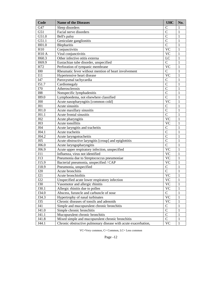| Code               | <b>Name of the Diseases</b>                                    | <b>UHC</b>      | No.          |
|--------------------|----------------------------------------------------------------|-----------------|--------------|
| G47                | Sleep disorders                                                | $\mathcal{C}$   | 1            |
| G51                | Facial nerve disorders                                         | $\overline{C}$  | 1            |
| G51.0              | Bell's palsy                                                   | $\mathcal{C}$   | 1            |
| G51.1              | Geniculate ganglionitis                                        | $\overline{C}$  | $\mathbf{1}$ |
| H01.0              | Blepharitis                                                    | $\overline{C}$  | 1            |
| H10                | Conjunctivitis                                                 | $\overline{VC}$ | $\mathbf{1}$ |
| <b>H10 A</b>       | Viral conjunctivitis                                           | <b>VC</b>       | 1            |
| H60.3              | Other infective otitis externa                                 | LC              | 1            |
| H69.9              | Eustachian tube disorder, unspecified                          | $\mathbf C$     | 1            |
| H72                | Perforation of tympanic membrane                               | $\overline{VC}$ | $\mathbf{1}$ |
| <b>I00</b>         | Rheumatic fever without mention of heart involvement           | $\mathbf C$     | $\mathbf{1}$ |
| I11                | Hypertensive heart disease                                     | $\overline{VC}$ | $\mathbf{1}$ |
| I47                | Paroxysmal tachycardia                                         | $\overline{C}$  | $\mathbf{1}$ |
| I51.7              | Cardiomegaly                                                   | $\overline{C}$  | $\mathbf{1}$ |
| I70                | Atherosclerosis                                                | $\overline{C}$  | $\mathbf{1}$ |
| <b>I88</b>         | Nonspecific lymphadenitis                                      | $\overline{C}$  | $\mathbf{1}$ |
| I89.0              | Lymphoedema, not elsewhere classified                          | $\overline{C}$  | $\mathbf{1}$ |
| J00                | Acute nasopharyngitis [common cold]                            | $\overline{VC}$ | 1            |
| J01                | Acute sinusitis                                                | $\overline{C}$  | $\mathbf{1}$ |
| J01.0              | Acute maxillary sinusitis                                      | $\overline{C}$  | $\mathbf{1}$ |
| J01.1              | Acute frontal sinusitis                                        | $\overline{C}$  | $\mathbf{1}$ |
| J02                | Acute pharyngitis                                              | $\overline{VC}$ | $\mathbf{1}$ |
| J03                | Acute tonsillitis                                              | <b>VC</b>       | 1            |
| J04                | Acute laryngitis and tracheitis                                | $\overline{C}$  | $\mathbf{1}$ |
| J04.1              | Acute tracheitis                                               | $\overline{C}$  | $\mathbf{1}$ |
| J04.2              | Acute laryngotracheitis                                        | $\overline{C}$  | $\mathbf{1}$ |
| J05                | Acute obstructive laryngitis [croup] and epiglottitis          | $\overline{C}$  | $\mathbf{1}$ |
| $\overline{J}06.0$ | Acute laryngopharyngitis                                       | $\overline{C}$  | 1            |
| J06.9              | Acute upper respiratory infection, unspecified                 | $\overline{VC}$ | $\mathbf{1}$ |
| J11                | Influenza, virus not identified                                | $\overline{VC}$ | $\mathbf{1}$ |
| J13                | Pneumonia due to Streptococcus pneumoniae                      | <b>VC</b>       | 1            |
| J15.9              | Bacterial pneumonia, unspecified / CAP                         | <b>VC</b>       | 1            |
| J18.9              | Pneumonia, unspecified                                         | $\mathbf C$     | $\mathbf{1}$ |
| J20                | Acute bronchitis                                               | $\overline{C}$  | 1            |
| J21                | Acute bronchiolitis                                            | <b>VC</b>       | 1            |
| J22                | Unspecified acute lower respiratory infection                  | <b>VC</b>       | $\mathbf{1}$ |
| J30                | Vasomotor and allergic rhinitis                                | <b>VC</b>       | 1            |
| J30.1              | Allergic rhinitis due to pollen                                | <b>VC</b>       | 1            |
| J34.0              | Abscess, furuncle and carbuncle of nose                        | $\mathbf C$     | $\mathbf{1}$ |
| J34.3              | Hypertrophy of nasal turbinates                                | $\overline{VC}$ | 1            |
| J35                | Chronic diseases of tonsils and adenoids                       | <b>VC</b>       | 1            |
| J41                | Simple and mucopurulent chronic bronchitis                     | $\mathsf{C}$    | 1            |
| J41.0              | Simple chronic bronchitis                                      | $\overline{C}$  | 1            |
| J41.1              | Mucopurulent chronic bronchitis                                | $\overline{C}$  | 1            |
| J41.8              | Mixed simple and mucopurulent chronic bronchitis               | $\overline{C}$  | $\mathbf{1}$ |
| J44.1              | Chronic obstructive pulmonary disease with acute exacerbation, | $\overline{VC}$ | $\mathbf{1}$ |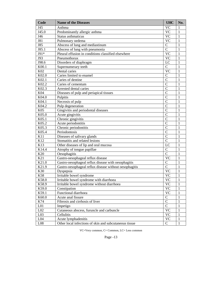| Code            | <b>Name of the Diseases</b>                            | <b>UHC</b>      | No.          |
|-----------------|--------------------------------------------------------|-----------------|--------------|
| J45             | Asthma                                                 | <b>VC</b>       | 1            |
| J45.0           | Predominantly allergic asthma                          | <b>VC</b>       | $\mathbf{1}$ |
| J46             | Status asthmaticus                                     | <b>VC</b>       | 1            |
| <b>J81</b>      | Pulmonary oedema                                       | <b>VC</b>       | 1            |
| <b>J85</b>      | Abscess of lung and mediastinum                        | $\mathbf C$     | 1            |
| J85.1           | Abscess of lung with pneumonia                         | $\overline{C}$  | 1            |
| J91*            | Pleural effusion in conditions classified elsewhere    | $\overline{VC}$ | $\mathbf{1}$ |
| J93             | Pneumothorax                                           | <b>VC</b>       | 1            |
| J98.6           | Disorders of diaphragm                                 | LC              | $\mathbf{1}$ |
| K00.1           | Supernumerary teeth                                    | $\mathbf C$     | $\mathbf{1}$ |
| K02             | Dental caries                                          | $\overline{VC}$ | $\mathbf{1}$ |
| K02.0           | Caries limited to enamel                               | $\overline{C}$  | $\mathbf{1}$ |
| K02.1           | Caries of dentine                                      | $\overline{C}$  | $\mathbf{1}$ |
| K02.2           | Caries of cementum                                     | $\overline{C}$  | $\mathbf{1}$ |
| K02.3           | Arrested dental caries                                 | $\overline{C}$  | 1            |
| K04             | Diseases of pulp and periapical tissues                | $\overline{C}$  | $\mathbf{1}$ |
| K04.0           | Pulpitis                                               | $\overline{C}$  | 1            |
| K04.1           | Necrosis of pulp                                       | $\overline{C}$  | 1            |
| K04.2           | Pulp degeneration                                      | $\overline{C}$  | 1            |
| K05             | Gingivitis and periodontal diseases                    | $\overline{C}$  | 1            |
| K05.0           | Acute gingivitis                                       | $\overline{C}$  | 1            |
| K05.1           | Chronic gingivitis                                     | $\overline{C}$  | 1            |
| K05.2           | Acute periodontitis                                    | $\overline{C}$  | 1            |
| K05.3           | Chronic periodontitis                                  | $\overline{C}$  | 1            |
| K05.4           | Periodontosis                                          | $\overline{C}$  | 1            |
| K11             | Diseases of salivary glands                            | $\overline{C}$  | 1            |
| K12             | Stomatitis and related lesions                         | $\overline{C}$  | 1            |
| K13             | Other diseases of lip and oral mucosa                  | LC              | 1            |
| K14.4           | Atrophy of tongue papillae                             | $\mathbf C$     | $\mathbf{1}$ |
| K20             | Oesophagitis                                           | $\overline{C}$  | $\mathbf{1}$ |
| K21             | Gastro-oesophageal reflux disease                      | <b>VC</b>       | $\mathbf{1}$ |
| K21.0           | Gastro-oesophageal reflux disease with oesophagitis    | $\mathbf C$     | $\mathbf{1}$ |
| K21.9           | Gastro-oesophageal reflux disease without oesophagitis | $\overline{C}$  | $\mathbf{1}$ |
| K30             | Dyspepsia                                              | $\overline{VC}$ | 1            |
| K58             | Irritable bowel syndrome                               | <b>VC</b>       | 1            |
| K58.0           | Irritable bowel syndrome with diarrhoea                | <b>VC</b>       | $\mathbf{1}$ |
| K58.9           | Irritable bowel syndrome without diarrhoea             | <b>VC</b>       | $\mathbf{1}$ |
| K59.0           | Constipation                                           | <b>VC</b>       | 1            |
| K59.1           | Functional diarrhoea                                   | <b>VC</b>       | 1            |
| K60.0           | Acute anal fissure                                     | $\mathbf C$     | $\mathbf{1}$ |
| K74             | Fibrosis and cirrhosis of liver                        | $\overline{C}$  | $\mathbf{1}$ |
| L <sub>01</sub> | Impetigo                                               | $\overline{C}$  | $\mathbf{1}$ |
| L02             | Cutaneous abscess, furuncle and carbuncle              | $\overline{VC}$ | $\mathbf{1}$ |
| L <sub>03</sub> | Cellulitis                                             | <b>VC</b>       | 1            |
| L04             | Acute lymphadenitis                                    | <b>VC</b>       | $\mathbf{1}$ |
| L08             | Other local infections of skin and subcutaneous tissue | $\mathbf C$     | $\mathbf{1}$ |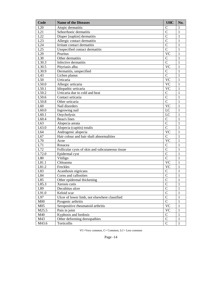| Code              | <b>Name of the Diseases</b>                      | <b>UHC</b>     | No.          |
|-------------------|--------------------------------------------------|----------------|--------------|
| L20               | Atopic dermatitis                                | $\mathsf{C}$   | 1            |
| L21               | Seborrhoeic dermatitis                           | $\overline{C}$ | 1            |
| L22               | Diaper [napkin] dermatitis                       | $\overline{C}$ | 1            |
| L23               | Allergic contact dermatitis                      | $\overline{C}$ | 1            |
| L24               | Irritant contact dermatitis                      | $\overline{C}$ | 1            |
| L25               | Unspecified contact dermatitis                   | $\overline{C}$ | 1            |
| L29               | Pruritus                                         | <b>VC</b>      | 1            |
| L30               | Other dermatitis                                 | $\mathbf C$    | 1            |
| L <sub>30.3</sub> | Infective dermatitis                             | $\overline{C}$ | 1            |
| L30.5             | Pityriasis alba                                  | <b>VC</b>      | 1            |
| L30.9             | Dermatitis, unspecified                          | $\mathbf C$    | 1            |
| L43               | Lichen planus                                    | $\overline{C}$ | 1            |
| L50               | Urticaria                                        | <b>VC</b>      | 1            |
| L50.0             | Allergic urticaria                               | <b>VC</b>      | 1            |
| L50.1             | Idiopathic urticaria                             | <b>VC</b>      | 1            |
| L50.2             | Urticaria due to cold and heat                   | $\mathbf C$    | 1            |
| L50.6             | Contact urticaria                                | $\overline{C}$ | 1            |
| L50.8             | Other urticaria                                  | $\overline{C}$ | 1            |
| L60               | Nail disorders                                   | <b>VC</b>      | 1            |
| L60.0             | Ingrowing nail                                   | LC             | 1            |
| L60.1             | Onycholysis                                      | LC             | 1            |
| L60.4             | Beau's lines                                     | $\mathbf C$    | 1            |
| L63               | Alopecia areata                                  | $\overline{C}$ | 1            |
| L63.0             | Alopecia (capitis) totalis                       | $\overline{C}$ | 1            |
| L64               | Androgenic alopecia                              | <b>VC</b>      | 1            |
| L67               | Hair colour and hair shaft abnormalities         | $\mathcal{C}$  | 1            |
| L70               | Acne                                             | <b>VC</b>      | 1            |
| L71               | Rosacea                                          | $\mathbf C$    | 1            |
| L72               | Follicular cysts of skin and subcutaneous tissue | $\overline{C}$ | 1            |
| L72.0             | Epidermal cyst                                   | $\overline{C}$ | 1            |
| L80               | Vitiligo                                         | $\overline{C}$ | 1            |
| L81.1             | Chloasma                                         | <b>VC</b>      | 1            |
| L81.2             | Freckles                                         | <b>VC</b>      | 1            |
| L83               | Acanthosis nigricans                             | $\mathbf C$    | 1            |
| L84               | Corns and callosities                            | $\overline{C}$ | 1            |
| L85               | Other epidermal thickening                       | $\overline{C}$ | 1            |
| L85.3             | Xerosis cutis                                    | $\mathbf C$    | 1            |
| L89               | Decubitus ulcer                                  | $\overline{C}$ | 1            |
| L91.0             | Keloid scar                                      | $\mathcal{C}$  | 1            |
| L97               | Ulcer of lower limb, not elsewhere classified    | $\mathcal{C}$  | 1            |
| M <sub>00</sub>   | Pyogenic arthritis                               | $\overline{C}$ | 1            |
| M <sub>05</sub>   | Seropositive rheumatoid arthritis                | <b>VC</b>      | 1            |
| M25.5             | Pain in joint                                    | <b>VC</b>      | 1            |
| M40               | Kyphosis and lordosis                            | $\mathbf C$    | 1            |
| M43               | Other deforming dorsopathies                     | $\overline{C}$ | 1            |
| M43.6             | Torticollis                                      | $\mathbf C$    | $\mathbf{1}$ |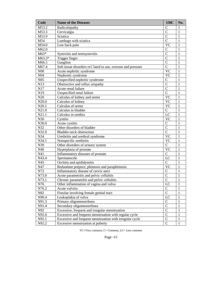| Code                | <b>Name of the Diseases</b>                                  | <b>UHC</b>      | No.          |
|---------------------|--------------------------------------------------------------|-----------------|--------------|
| $\overline{M}$ 53.2 | Radiculopathy                                                | $\mathcal{C}$   | 1            |
| M53.3               | Cervicalgia                                                  | $\overline{C}$  | $\mathbf{1}$ |
| M53.9               | Sciatica                                                     | $\overline{C}$  | 1            |
| M54                 | Lumbago with sciatica                                        | $\overline{C}$  | $\mathbf{1}$ |
| M54.0               | Low back pain                                                | $\overline{VC}$ | 1            |
| M62.0               |                                                              | $\mathcal{C}$   | $\mathbf{1}$ |
| M63*                | Synovitis and tenosynovitis                                  | $\overline{C}$  | $\mathbf{1}$ |
| M63.3*              | Trigger finger                                               | $\overline{C}$  | $\mathbf{1}$ |
| M66.5               | Ganglion                                                     | $\overline{C}$  | $\mathbf{1}$ |
| M67.4               | Soft tissue disorders re1`lated to use, overuse and pressure | $\overline{C}$  | $\mathbf{1}$ |
| N <sub>00</sub>     | Acute nephritic syndrome                                     | $\overline{VC}$ | $\mathbf{1}$ |
| N <sub>04</sub>     | Nephrotic syndrome                                           | <b>VC</b>       | 1            |
| N05                 | Unspecified nephritic syndrome                               | $\mathsf{C}$    | $\mathbf{1}$ |
| N13                 | Obstructive and reflux uropathy                              | $\overline{C}$  | $\mathbf{1}$ |
| N17                 | Acute renal failure                                          | $\overline{C}$  | $\mathbf{1}$ |
| N19                 | Unspecified renal failure                                    | $\overline{C}$  | $\mathbf{1}$ |
| N20                 | Calculus of kidney and ureter                                | $\overline{VC}$ | $\mathbf{1}$ |
| N20.0               | Calculus of kidney                                           | <b>VC</b>       | $\mathbf{1}$ |
| N20.1               | Calculus of ureter                                           | <b>VC</b>       | $\mathbf{1}$ |
| N21.0               | Calculus in bladder                                          | $\overline{C}$  | $\mathbf{1}$ |
| N21.1               | Calculus in urethra                                          | LC              | $\mathbf{1}$ |
| N30                 | Cystitis                                                     | <b>VC</b>       | $\mathbf{1}$ |
| N30.0               | Acute cystitis                                               | $\mathsf{C}$    | $\mathbf{1}$ |
| N32                 | Other disorders of bladder                                   | $\overline{C}$  | $\mathbf{1}$ |
| N32.0               | Bladder-neck obstruction                                     | $\overline{C}$  | $\mathbf{1}$ |
| N34                 | Urethritis and urethral syndrome                             | $\overline{VC}$ | $\mathbf{1}$ |
| N34.1               | Nonspecific urethritis                                       | <b>VC</b>       | $\mathbf{1}$ |
| N39                 | Other disorders of urinary system                            | $\overline{C}$  | $\mathbf{1}$ |
| N40                 | Hyperplasia of prostate                                      | $\overline{VC}$ | $\mathbf{1}$ |
| N41                 | Inflammatory diseases of prostate                            | $\mathbf C$     | $\mathbf{1}$ |
| N43.4               | Spermatocele                                                 | LC              | $\mathbf{1}$ |
| N45                 | Orchitis and epididymitis                                    | $\mathbf C$     | $\mathbf{1}$ |
| N47                 | Redundant prepuce, phimosis and paraphimosis                 | <b>VC</b>       | $\mathbf{1}$ |
| N72                 | Inflammatory disease of cervix uteri                         | $\mathsf{C}$    | 1            |
| N73.0               | Acute parametritis and pelvic cellulitis                     | $\mathcal{C}$   | 1            |
| N73.1               | Chronic parametritis and pelvic cellulitis                   | $\overline{C}$  | $\mathbf{1}$ |
| N76                 | Other inflammation of vagina and vulva                       | LC              | 1            |
| N76.2               | Acute vulvitis                                               | $\mathbf C$     | $\mathbf{1}$ |
| N82                 | Fistulae involving female genital tract                      | $\overline{C}$  | 1            |
| N90.4               | Leukoplakia of vulva                                         | LC              | 1            |
| N91.3               | Primary oligomenorrhoea                                      | $\mathcal{C}$   | 1            |
| N91.4               | Secondary oligomenorrhoea                                    | $\overline{C}$  | 1            |
| $\rm N92$           | Excessive, frequent and irregular menstruation               | $\overline{C}$  | 1            |
| N92.0               | Excessive and frequent menstruation with regular cycle       | $\overline{C}$  | $\mathbf{1}$ |
| N92.1               | Excessive and frequent menstruation with irregular cycle     | $\overline{C}$  | $\mathbf{1}$ |
| N92.2               | Excessive menstruation at puberty                            | $\mathbf C$     | $\mathbf{1}$ |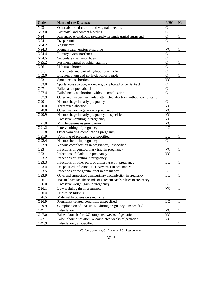| Code              | <b>Name of the Diseases</b>                                           | <b>UHC</b>             | No.          |
|-------------------|-----------------------------------------------------------------------|------------------------|--------------|
| N93               | Other abnormal uterine and vaginal bleeding                           | $\mathcal{C}$          | 1            |
| N93.0             | Postcoital and contact bleeding                                       | $\overline{C}$         | $\mathbf{1}$ |
| N94               | Pain and other conditions associated with female genital organs and   | $\overline{C}$         | $\mathbf{1}$ |
| N94.1             | Dyspareunia                                                           | $\overline{C}$         | $\mathbf{1}$ |
| N94.2             | Vaginismus                                                            | LC                     | $\mathbf{1}$ |
| N94.3             | Premenstrual tension syndrome                                         | <b>VC</b>              | $\mathbf{1}$ |
| N94.4             | Primary dysmenorrhoea                                                 | $\mathcal{C}$          | $\mathbf{1}$ |
| N94.5             | Secondary dysmenorrhoea                                               | $\overline{C}$         | $\mathbf{1}$ |
| N95.2             | Postmenopausal atrophic vaginitis                                     | $\overline{C}$         | $\mathbf{1}$ |
| N96               | Habitual aborter                                                      | $\overline{C}$         | $\mathbf{1}$ |
| O01.1             | Incomplete and partial hydatidiform mole                              | $\overline{C}$         | $\mathbf{1}$ |
| O02.0             | Blighted ovum and nonhydatidiform mole                                | $\overline{C}$         | $\mathbf{1}$ |
| O03               | Spontaneous abortion                                                  | $\overline{\text{VC}}$ | $\mathbf{1}$ |
| O03.0             | Spontaneous abortion, incomplete, complicated by genital tract        | $\mathcal{C}$          | $\mathbf{1}$ |
| O07               | Failed attempted abortion                                             | $\overline{C}$         | $\mathbf{1}$ |
| O07.4             | Failed medical abortion, without complication                         | $\overline{C}$         | $\mathbf{1}$ |
| O07.9             | Other and unspecified failed attempted abortion, without complication | LC                     | $\mathbf{1}$ |
| O20               | Haemorrhage in early pregnancy                                        | $\mathbf C$            | $\mathbf{1}$ |
| O20.0             | Threatened abortion                                                   | $\overline{VC}$        | $\mathbf{1}$ |
| O20.8             | Other haemorrhage in early pregnancy                                  | <b>VC</b>              | $\mathbf{1}$ |
| O20.9             | Haemorrhage in early pregnancy, unspecified                           | <b>VC</b>              | $\mathbf{1}$ |
| O21               | Excessive vomiting in pregnancy                                       | <b>VC</b>              | $\mathbf{1}$ |
| O21.0             | Mild hyperemesis gravidarum                                           | <b>VC</b>              | $\mathbf{1}$ |
| O21.2             | Late vomiting of pregnancy                                            | LC                     | $\mathbf{1}$ |
| O21.8             | Other vomiting complicating pregnancy                                 | LC                     | $\mathbf{1}$ |
| O21.9             | Vomiting of pregnancy, unspecified                                    | LC                     | $\mathbf{1}$ |
| O22.4             | Haemorrhoids in pregnancy                                             | $\mathbf C$            | $\mathbf{1}$ |
| O22.9             | Venous complication in pregnancy, unspecified                         | LC                     | $\mathbf{1}$ |
| O23               | Infections of genitourinary tract in pregnancy                        | <b>VC</b>              | $\mathbf{1}$ |
| O23.1             | Infections of bladder in pregnancy                                    | <b>VC</b>              | $\mathbf{1}$ |
| O23.2             | Infections of urethra in pregnancy                                    | LC                     | $\mathbf{1}$ |
| O23.3             | Infections of other parts of urinary tract in pregnancy               | LC                     | $\mathbf{1}$ |
| O23.4             | Unspecified infection of urinary tract in pregnancy                   | LC                     | $\mathbf{1}$ |
| O23.5             | Infections of the genital tract in pregnancy                          | $\mathbf C$            | $\mathbf{1}$ |
| O23.9             | Other and unspecified genitourinary tract infection in pregnancy      | LC                     | $\mathbf{1}$ |
| O <sub>26</sub>   | Maternal care for other conditions predominantly related to pregnancy | LC                     | $\mathbf{1}$ |
| O26.0             | Excessive weight gain in pregnancy                                    | $\mathbf C$            | $\mathbf{1}$ |
| O26.1             | Low weight gain in pregnancy                                          | $\overline{VC}$        | $\mathbf{1}$ |
| O26.4             | Herpes gestationis                                                    | LC                     | $\mathbf{1}$ |
| O26.5             | Maternal hypotension syndrome                                         | LC                     | $\mathbf 1$  |
| O <sub>26.9</sub> | Pregnancy-related condition, unspecified                              | LC                     | $\mathbf 1$  |
| O29.9             | Complication of anaesthesia during pregnancy, unspecified             | LC                     | $\mathbf 1$  |
| O47               | False labour                                                          | $\overline{VC}$        | $\mathbf 1$  |
| O47.0             | False labour before 37 completed weeks of gestation                   | $\overline{VC}$        | $\mathbf 1$  |
| O47.1             | False labour at or after 37 completed weeks of gestation              | $\overline{VC}$        | $\mathbf{1}$ |
| O47.9             | False labour, unspecified                                             | LC                     | $\mathbf{1}$ |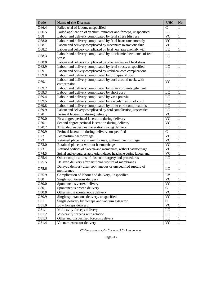| Code  | <b>Name of the Diseases</b>                                                | <b>UHC</b>     | No.          |
|-------|----------------------------------------------------------------------------|----------------|--------------|
| O66.4 | Failed trial of labour, unspecified                                        | $\mathbf C$    | 1            |
| O66.5 | Failed application of vacuum extractor and forceps, unspecified            | LC             | 1            |
| O68   | Labour and delivery complicated by fetal stress [distress]                 | <b>VC</b>      | 1            |
| O68.0 | Labour and delivery complicated by fetal heart rate anomaly                | <b>VC</b>      | 1            |
| O68.1 | Labour and delivery complicated by meconium in amniotic fluid              | <b>VC</b>      | $\mathbf{1}$ |
| O68.2 | Labour and delivery complicated by fetal heart rate anomaly with           | LC             | $\mathbf{1}$ |
| O68.3 | Labour and delivery complicated by biochemical evidence of fetal<br>stress | LC             | $\mathbf{1}$ |
| O68.8 | Labour and delivery complicated by other evidence of fetal stress          | LC             | $\mathbf{1}$ |
| O68.9 | Labour and delivery complicated by fetal stress, unspecified               | LC             | $\mathbf{1}$ |
| O69   | Labour and delivery complicated by umbilical cord complications            | LC             | $\mathbf{1}$ |
| O69.0 | Labour and delivery complicated by prolapse of cord                        | LC             | $\mathbf{1}$ |
| O69.1 | Labour and delivery complicated by cord around neck, with<br>compression   | <b>VC</b>      | $\mathbf{1}$ |
| O69.2 | Labour and delivery complicated by other cord entanglement                 | LC             | $\mathbf{1}$ |
| O69.3 | Labour and delivery complicated by short cord                              | $_{\text{LC}}$ | $\mathbf{1}$ |
| O69.4 | Labour and delivery complicated by vasa praevia                            | $_{\text{LC}}$ | 1            |
| O69.5 | Labour and delivery complicated by vascular lesion of cord                 | LC             | 1            |
| O69.8 | Labour and delivery complicated by other cord complications                | LC             | 1            |
| O69.9 | Labour and delivery complicated by cord complication, unspecified          | LC             | 1            |
| O70   | Perineal laceration during delivery                                        | VC             | $\mathbf{1}$ |
| O70.0 | First degree perineal laceration during delivery                           | <b>VC</b>      | 1            |
| O70.1 | Second degree perineal laceration during delivery                          | <b>VC</b>      | 1            |
| O70.2 | Third degree perineal laceration during delivery                           | LC             | 1            |
| O70.9 | Perineal laceration during delivery, unspecified                           | $\mathbf C$    | $\mathbf{1}$ |
| O72   | Postpartum haemorrhage                                                     | <b>VC</b>      | $\mathbf{1}$ |
| O73   | Retained placenta and membranes, without haemorrhage                       | <b>VC</b>      | 1            |
| O73.0 | Retained placenta without haemorrhage                                      | <b>VC</b>      | 1            |
| O73.1 | Retained portions of placenta and membranes, without haemorrhage           | <b>VC</b>      | 1            |
| O74.5 | Spinal and epidural anaesthesia-induced headache during labour and         | <b>VC</b>      | 1            |
| O75.4 | Other complications of obstetric surgery and procedures                    | LC             | $\mathbf{1}$ |
| O75.5 | Delayed delivery after artificial rupture of membranes                     | LC             | $\mathbf{1}$ |
| O75.6 | Delayed delivery after spontaneous or unspecified rupture of<br>membranes  | LC             | $\mathbf{1}$ |
| O75.9 | Complication of labour and delivery, unspecified                           | LV             | 1            |
| O80   | Single spontaneous delivery                                                | <b>VC</b>      | 1            |
| O80.0 | Spontaneous vertex delivery                                                | <b>VC</b>      | 1            |
| O80.1 | Spontaneous breech delivery                                                | $\mathbf C$    | 1            |
| O80.8 | Other single spontaneous delivery                                          | <b>VC</b>      | 1            |
| O80.9 | Single spontaneous delivery, unspecified                                   | <b>VC</b>      | 1            |
| O81   | Single delivery by forceps and vacuum extractor                            | $\mathbf C$    | 1            |
| O81.0 | Low forceps delivery                                                       | <b>VC</b>      | 1            |
| O81.1 | Mid-cavity forceps delivery                                                | LC             | 1            |
| O81.2 | Mid-cavity forceps with rotation                                           | LC             | 1            |
| O81.3 | Other and unspecified forceps delivery                                     | LC             | 1            |
| O81.4 | Vacuum extractor delivery                                                  | <b>VC</b>      | 1            |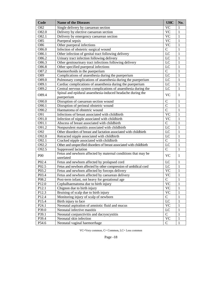| Code              | <b>Name of the Diseases</b>                                          | <b>UHC</b>    | No.          |
|-------------------|----------------------------------------------------------------------|---------------|--------------|
| O82               | Single delivery by caesarean section                                 | <b>VC</b>     | 1            |
| O82.0             | Delivery by elective caesarean section                               | <b>VC</b>     | $\mathbf{1}$ |
| O <sub>82.1</sub> | Delivery by emergency caesarean section                              | <b>VC</b>     | $\mathbf{1}$ |
| O85               | Puerperal sepsis                                                     | <b>VC</b>     | $\mathbf{1}$ |
| O86               | Other puerperal infections                                           | <b>VC</b>     | $\mathbf{1}$ |
| O86.0             | Infection of obstetric surgical wound                                | $\mathbf C$   | $\mathbf{1}$ |
| O86.1             | Other infection of genital tract following delivery                  | LC            | $\mathbf{1}$ |
| O86.2             | Urinary tract infection following delivery                           | LC            | $\mathbf{1}$ |
| O86.3             | Other genitourinary tract infections following delivery              | LC            | $\mathbf{1}$ |
| O86.8             | Other specified puerperal infections                                 | LC            | $\mathbf{1}$ |
| O87.2             | Haemorrhoids in the puerperium                                       | $\mathbf C$   | $\mathbf{1}$ |
| O89               | Complications of anaesthesia during the puerperium                   | LC            | $\mathbf{1}$ |
| O89.0             | Pulmonary complications of anaesthesia during the puerperium         | LC            | $\mathbf{1}$ |
| O89.1             | Cardiac complications of anaesthesia during the puerperium           | LC            | $\mathbf{1}$ |
| O89.2             | Central nervous system complications of anaesthesia during the       | LC            | $\mathbf{1}$ |
|                   | Spinal and epidural anaesthesia-induced headache during the          |               |              |
| O89.4             | puerperium                                                           | <b>VC</b>     | $\mathbf{1}$ |
| O90.0             | Disruption of caesarean section wound                                | $\mathcal{C}$ | 1            |
| O90.1             | Disruption of perineal obstetric wound                               | $\mathcal{C}$ | 1            |
| O90.2             | Haematoma of obstetric wound                                         | $\mathcal{C}$ | $\mathbf{1}$ |
| O91               | Infections of breast associated with childbirth                      | <b>VC</b>     | $\mathbf{1}$ |
| O91.0             | Infection of nipple associated with childbirth                       | <b>VC</b>     | $\mathbf{1}$ |
| O91.1             | Abscess of breast associated with childbirth                         | $\mathbf C$   | $\mathbf{1}$ |
| O91.2             | Nonpurulent mastitis associated with childbirth                      | LC            | $\mathbf{1}$ |
| O92               | Other disorders of breast and lactation associated with childbirth   | LC            | $\mathbf{1}$ |
| O92.0             | Retracted nipple associated with childbirth                          | LC            | $\mathbf{1}$ |
| O92.1             | Cracked nipple associated with childbirth                            | $\mathbf C$   | $\mathbf{1}$ |
| O92.2             | Other and unspecified disorders of breast associated with childbirth | LC            | $\mathbf{1}$ |
| O92.5             | Suppressed lactation                                                 | $\mathsf{C}$  | $\mathbf{1}$ |
|                   | Fetus and newborn affected by maternal conditions that may be        |               |              |
| P <sub>00</sub>   | unrelated                                                            | <b>VC</b>     | $\mathbf{1}$ |
| P02.4             | Fetus and newborn affected by prolapsed cord                         | LC            | 1            |
| P <sub>02.5</sub> | Fetus and newborn affected by other compression of umbilical cord    | LC            | $\mathbf{1}$ |
| P03.2             | Fetus and newborn affected by forceps delivery                       | <b>VC</b>     | 1            |
| P03.4             | Fetus and newborn affected by caesarean delivery                     | <b>VC</b>     | 1            |
| P08.2             | Post-term infant, not heavy for gestational age                      | $\mathbf C$   | 1            |
| P12.0             | Cephalhaematoma due to birth injury                                  | VC            | 1            |
| P12.1             | Chignon due to birth injury                                          | <b>VC</b>     | 1            |
| P12.3             | Bruising of scalp due to birth injury                                | <b>VC</b>     | $\mathbf{1}$ |
| P12.4             | Monitoring injury of scalp of newborn                                | $\mathbf C$   | $\mathbf{1}$ |
| P15.4             | Birth injury to face                                                 | LC            | $\mathbf{1}$ |
| P <sub>24.1</sub> | Neonatal aspiration of amniotic fluid and mucus                      | <b>VC</b>     | $\mathbf{1}$ |
| P39.0             | Neonatal infective mastitis                                          | LC            | 1            |
| P39.1             | Neonatal conjunctivitis and dacryocystitis                           | $\mathbf C$   | $\mathbf{1}$ |
| P39.4             | Neonatal skin infection                                              | <b>VC</b>     | $\mathbf{1}$ |
| P54.6             | Neonatal vaginal haemorrhage                                         | $\mathbf C$   | $\mathbf{1}$ |
|                   |                                                                      |               |              |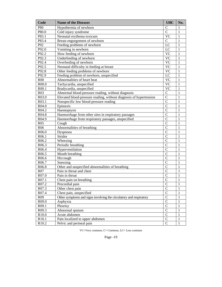| Code               | <b>Name of the Diseases</b>                                        | <b>UHC</b>     | No. |
|--------------------|--------------------------------------------------------------------|----------------|-----|
| P80                | Hypothermia of newborn                                             | $\mathsf{C}$   | 1   |
| P80.0              | Cold injury syndrome                                               | $\overline{C}$ | 1   |
| P83.1              | Neonatal erythema toxicum                                          | <b>VC</b>      | 1   |
| P83.4              | Breast engorgement of newborn                                      | $\mathcal{C}$  | 1   |
| P92                | Feeding problems of newborn                                        | LC             | 1   |
| P92.0              | Vomiting in newborn                                                | LC             | 1   |
| P92.2              | Slow feeding of newborn                                            | <b>VC</b>      | 1   |
| P92.3              | Underfeeding of newborn                                            | <b>VC</b>      | 1   |
| P92.4              | Overfeeding of newborn                                             | <b>VC</b>      | 1   |
| P92.5              | Neonatal difficulty in feeding at breast                           | <b>VC</b>      | 1   |
| P92.8              | Other feeding problems of newborn                                  | <b>VC</b>      | 1   |
| P92.9              | Feeding problem of newborn, unspecified                            | LC             | 1   |
| <b>R00</b>         | Abnormalities of heart beat                                        | <b>VC</b>      | 1   |
| R <sub>00.0</sub>  | Tachycardia, unspecified                                           | <b>VC</b>      | 1   |
| R <sub>00.1</sub>  | Bradycardia, unspecified                                           | <b>VC</b>      | 1   |
| R <sub>03</sub>    | Abnormal blood-pressure reading, without diagnosis                 | $\mathcal{C}$  | 1   |
| R <sub>0</sub> 3.0 | Elevated blood-pressure reading, without diagnosis of hypertension | $\overline{C}$ | 1   |
| R03.1              | Nonspecific low blood-pressure reading                             | $\overline{C}$ | 1   |
| R <sub>04.0</sub>  | Epistaxis                                                          | $\overline{C}$ | 1   |
| R04.2              | Haemoptysis                                                        | $\overline{C}$ | 1   |
| R04.8              | Haemorrhage from other sites in respiratory passages               | $\overline{C}$ | 1   |
| R04.9              | Haemorrhage from respiratory passages, unspecified                 | $\overline{C}$ | 1   |
| <b>R05</b>         | Cough                                                              | $\overline{C}$ | 1   |
| <b>R06</b>         | Abnormalities of breathing                                         | $\overline{C}$ | 1   |
| R <sub>06.0</sub>  | Dyspnoea                                                           | $\overline{C}$ | 1   |
| R <sub>06.1</sub>  | Stridor                                                            | $\overline{C}$ | 1   |
| R <sub>06.2</sub>  | Wheezing                                                           | $\overline{C}$ | 1   |
| R <sub>06.3</sub>  | Periodic breathing                                                 | $\overline{C}$ | 1   |
| R <sub>06.4</sub>  | Hyperventilation                                                   | $\overline{C}$ | 1   |
| R <sub>06.5</sub>  | Mouth breathing                                                    | $\overline{C}$ | 1   |
| R06.6              | Hiccough                                                           | $\overline{C}$ | 1   |
| R <sub>06.7</sub>  | Sneezing                                                           | $\overline{C}$ | 1   |
| R <sub>06.8</sub>  | Other and unspecified abnormalities of breathing                   | $\overline{C}$ | 1   |
| <b>R07</b>         | Pain in throat and chest                                           | $\overline{C}$ | 1   |
| R <sub>07.0</sub>  | Pain in throat                                                     | $\mathcal{C}$  | 1   |
| R07.1              | Chest pain on breathing                                            | $\overline{C}$ | 1   |
| R07.2              | Precordial pain                                                    | $\mathbf C$    | 1   |
| R07.3              | Other chest pain                                                   | $\overline{C}$ | 1   |
| R07.4              | Chest pain, unspecified                                            | $\mathcal{C}$  | 1   |
| R <sub>09</sub>    | Other symptoms and signs involving the circulatory and respiratory | $\overline{C}$ | 1   |
| R09.0              | Asphyxia                                                           | $\mathcal{C}$  | 1   |
| R09.1              | Pleurisy                                                           | $\mathcal{C}$  | 1   |
| R09.3              | Abnormal sputum                                                    | $\mathcal{C}$  | 1   |
| R <sub>10.0</sub>  | Acute abdomen                                                      | $\overline{C}$ | 1   |
| R10.1              | Pain localized to upper abdomen                                    | $\overline{C}$ | 1   |
| R10.2              | Pelvic and perineal pain                                           | $\overline{C}$ | 1   |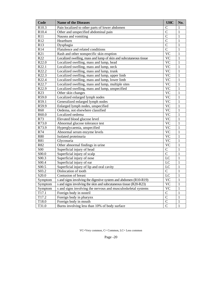| Code               | <b>Name of the Diseases</b>                                       | <b>UHC</b>                      | No.          |
|--------------------|-------------------------------------------------------------------|---------------------------------|--------------|
| R <sub>10.3</sub>  | Pain localized to other parts of lower abdomen                    | C                               | 1            |
| R10.4              | Other and unspecified abdominal pain                              | $\mathcal{C}$                   | $\mathbf{1}$ |
| R11                | Nausea and vomiting                                               | $\overline{C}$                  | $\mathbf{1}$ |
| R12                | Heartburn                                                         | $\overline{C}$                  | $\mathbf{1}$ |
| R13                | Dysphagia                                                         | $\overline{C}$                  | 1            |
| R14                | Flatulence and related conditions                                 | $\overline{C}$                  | 1            |
| R21                | Rash and other nonspecific skin eruption                          | $\overline{VC}$                 | 1            |
| R <sub>22</sub>    | Localized swelling, mass and lump of skin and subcutaneous tissue | <b>VC</b>                       | 1            |
| R22.0              | Localized swelling, mass and lump, head                           | $\overline{VC}$                 | $\mathbf{1}$ |
| R22.1              | Localized swelling, mass and lump, neck                           | $\overline{VC}$                 | 1            |
| R22.2              | Localized swelling, mass and lump, trunk                          | $\overline{VC}$                 | $\mathbf{1}$ |
| R22.3              | Localized swelling, mass and lump, upper limb                     | <b>VC</b>                       | 1            |
| R22.4              | Localized swelling, mass and lump, lower limb                     | $\overline{\text{VC}}$          | $\mathbf{1}$ |
| R22.7              | Localized swelling, mass and lump, multiple sites                 | $\overline{VC}$                 | $\mathbf{1}$ |
| R22.9              | Localized swelling, mass and lump, unspecified                    | $\overline{VC}$                 | $\mathbf{1}$ |
| R23                | Other skin changes                                                | $\overline{\text{VC}}$          | 1            |
| R59.0              | Localized enlarged lymph nodes                                    | <b>VC</b>                       | 1            |
| R59.1              | Generalized enlarged lymph nodes                                  | $\overline{VC}$                 | $\mathbf{1}$ |
| R59.9              | Enlarged lymph nodes, unspecified                                 | $\overline{\rm \overline{v}}$ C | 1            |
| R60                | Oedema, not elsewhere classified                                  | $\overline{VC}$                 | 1            |
| R60.0              | Localized oedema                                                  | $\overline{VC}$                 | 1            |
| R73                | Elevated blood glucose level                                      | $\overline{VC}$                 | $\mathbf{1}$ |
| R73.0              | Abnormal glucose tolerance test                                   | <b>VC</b>                       | 1            |
| R73.9              | Hyperglycaemia, unspecified                                       | $\overline{VC}$                 | $\mathbf{1}$ |
| R74                | Abnormal serum enzyme levels                                      | $\overline{VC}$                 | $\mathbf{1}$ |
| <b>R80</b>         | Isolated proteinuria                                              | $\overline{VC}$                 | $\mathbf{1}$ |
| R81                | Glycosuria                                                        | $\overline{VC}$                 | 1            |
| R82                | Other abnormal findings in urine                                  | <b>VC</b>                       | $\mathbf{1}$ |
| S <sub>00</sub>    | Superficial injury of head                                        | $\overline{C}$                  | $\mathbf{1}$ |
| S00.0              | Superficial injury of scalp                                       | $\overline{C}$                  | 1            |
| S00.3              | Superficial injury of nose                                        | LC                              | $\mathbf{1}$ |
| $S00.\overline{4}$ | Superficial injury of ear                                         | $\overline{LC}$                 | $\mathbf{1}$ |
| S00.5              | Superficial injury of lip and oral cavity                         | LC                              | $\mathbf{1}$ |
| $S$ 03.2           | Dislocation of tooth                                              | $\mathbf C$                     | 1            |
| S <sub>20.0</sub>  | Contusion of breast                                               | $\overline{LC}$                 | $\mathbf{1}$ |
| Symptom            | s and signs involving the digestive system and abdomen (R10-R19)  | $\overline{VC}$                 | $\mathbf{1}$ |
| Symptom            | s and signs involving the skin and subcutaneous tissue (R20-R23)  | $\overline{VC}$                 | $\mathbf{1}$ |
| Symptom            | s and signs involving the nervous and musculoskeletal systems     | $\overline{\text{VC}}$          | 1            |
| T17.1              | Foreign body in nostril                                           | $\mathcal{C}$                   | 1            |
| T17.2              | Foreign body in pharynx                                           | $\overline{C}$                  | 1            |
| T18.0              | Foreign body in mouth                                             | $\overline{C}$                  | 1            |
| T31.0              | Burns involving less than 10% of body surface                     | $\overline{C}$                  | $\mathbf{1}$ |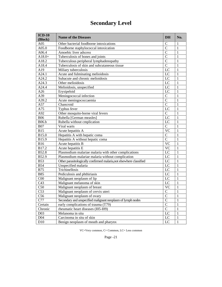# **Secondary Level**

| $ICD-10$                            | <b>Name of the Diseases</b>                                         | <b>DH</b>      | No.          |
|-------------------------------------|---------------------------------------------------------------------|----------------|--------------|
| (Block)                             |                                                                     |                |              |
| A05                                 | Other bacterial foodborne intoxications                             | $\mathbf C$    | $\mathbf{1}$ |
| A05.0                               | Foodborne staphylococcal intoxication                               | $\overline{C}$ | $\mathbf{1}$ |
| A06.4                               | Amoebic liver adscess                                               | $\overline{C}$ | $\mathbf{1}$ |
| $A18.0+$                            | Tuberculosis of bones and joints                                    | $\overline{C}$ | $\mathbf{1}$ |
| A18.2                               | Tuberculous peripheral lymphadenopathy                              | $\overline{C}$ | $\mathbf{1}$ |
| A18.4                               | Tuberculosis of skin and subcutaneous tissue                        | $\overline{C}$ | $\mathbf{1}$ |
| A19                                 | Miliary tuberculosis                                                | LC             | $\mathbf{1}$ |
| A24.1                               | Acute and fulminating melioidosis                                   | LC             | $\mathbf{1}$ |
| A24.2                               | Subacute and chronic melioidosis                                    | LC             | $\mathbf{1}$ |
| A24.3                               | Other melioidosis                                                   | LC             | $\mathbf{1}$ |
| A24.4                               | Melioidosis, unspecified                                            | LC             | $\mathbf{1}$ |
| A26                                 | Erysipeloid                                                         | LC             | $\mathbf{1}$ |
| A39                                 | Meningococcal infection                                             | $\overline{C}$ | $\mathbf{1}$ |
| A39.2                               | Acute meningococcaemia                                              | $\overline{C}$ | $\mathbf{1}$ |
| A57                                 | Chancroid                                                           | $\overline{C}$ | $\mathbf{1}$ |
| A75                                 | Typhus fever                                                        | LC             | $\mathbf{1}$ |
| A92                                 | Other mosquito-borne viral fevers                                   | $\overline{C}$ | $\mathbf{1}$ |
| <b>B06</b>                          | Rubella [German measles]                                            | LC             | $\mathbf{1}$ |
| <b>B06.b</b>                        | Rubella without emplication                                         | LC             | $\mathbf{1}$ |
| <b>B07</b>                          | Viral warts                                                         | $\overline{C}$ | $\mathbf{1}$ |
| <b>B15</b>                          | Acute hepatitis A                                                   | <b>VC</b>      | 1            |
| B15.0                               | Hepatitis A with hepatic coma                                       | $\mathsf{C}$   | $\mathbf{1}$ |
| B15.9                               | Hepatitis A without hepatic coma                                    | $\overline{C}$ | $\mathbf{1}$ |
| <b>B16</b>                          | Acute hepatitis B                                                   | <b>VC</b>      | $\mathbf{1}$ |
| B17.2                               | Acute hepatitis E                                                   | <b>VC</b>      | $\mathbf{1}$ |
| <b>B52.8</b>                        | Plasmodium malariae malaria with other complications                | LC             | $\mathbf{1}$ |
| B52.9                               | Plasmodium malariae malaria without complication                    | LC             | $\mathbf{1}$ |
| <b>B53</b>                          | Other parasitologically confirmed malaria, not elsewhere classified | LC             | $\mathbf{1}$ |
| <b>B54</b>                          | Unspecified malaria                                                 | LC             | $\mathbf{1}$ |
| <b>B75</b>                          | Trichinellosis                                                      | LC             | $\mathbf{1}$ |
| <b>B85</b>                          | Pediculosis and phthiriasis                                         | LC             | $\mathbf{1}$ |
| C <sub>00</sub>                     | Malignant neoplasm of lip                                           | LC             | $\mathbf{1}$ |
| C43                                 | Malignant melanoma of skin                                          | LC             | $\mathbf{1}$ |
| C50                                 | Malignant neoplasm of breast                                        | <b>VC</b>      | 1            |
| $C5\overline{3}$                    | Malignant neoplasm of cervix uteri                                  | $\mathbf C$    | 1            |
| $\underline{\overline{\text{C56}}}$ | Malignant neoplasm of ovary                                         | $\overline{C}$ | $\mathbf 1$  |
| C77                                 | Secondary and unspecified malignant neoplasm of lymph nodes         | $\overline{C}$ | 1            |
| Certain                             | early complications of trauma (T79)                                 | $\overline{C}$ | 1            |
| Chronic                             | rheumatic heart diseases (I05-I09)                                  | $\mathsf{C}$   | $\mathbf{1}$ |
| D <sub>03</sub>                     | Melanoma in situ                                                    | LC             | 1            |
| D <sub>04</sub>                     | Carcinoma in situ of skin                                           | LC             | $\mathbf{1}$ |
| D10                                 | Benign neoplasm of mouth and pharynx                                | LC             | $\mathbf{1}$ |

VC=Very common, C= Common, LC= Less common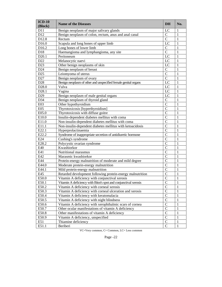| $ICD-10$<br>(Block) | <b>Name of the Diseases</b>                                     | <b>DH</b>      | No.          |
|---------------------|-----------------------------------------------------------------|----------------|--------------|
| D <sub>11</sub>     | Benign neoplasm of major salivary glands                        | LC             | 1            |
| D12                 | Benign neoplasm of colon, rectum, anus and anal canal           | $\mathbf C$    | 1            |
| D12.8               | Rectum                                                          | $\overline{C}$ | 1            |
| D16.0               | Scapula and long bones of upper limb                            | LC             | $\mathbf{1}$ |
| D16.2               | Long bones of lower limb                                        | $\mathcal{C}$  | 1            |
| D18                 | Haemangioma and lymphangioma, any site                          | $\overline{C}$ | 1            |
| D <sub>20.1</sub>   | Peritoneum                                                      | LC             | 1            |
| D22                 | Melanocytic naevi                                               | LC             | $\mathbf{1}$ |
| D <sub>23</sub>     | Other benign neoplasms of skin                                  | LC             | $\mathbf{1}$ |
| D <sub>24</sub>     | Benign neoplasm of breast                                       | $\overline{C}$ | 1            |
| D25                 | Leiomyoma of uterus                                             | $\overline{C}$ | 1            |
| D27                 | Benign neoplasm of ovary                                        | $\mathcal{C}$  | 1            |
| D28                 | Benign neoplasm of other and unspecified female genital organs  | LC             | $\mathbf{1}$ |
| D28.0               | Vulva                                                           | LC             | $\mathbf{1}$ |
| D28.1               | Vagina                                                          | LC             | $\mathbf{1}$ |
| D29                 | Benign neoplasm of male genital organs                          | LC             | $\mathbf{1}$ |
| D34                 | Benign neoplasm of thyroid gland                                | $\overline{C}$ | 1            |
| E03                 | Other hypothyroidism                                            | $\overline{C}$ | 1            |
| E05                 | Thyrotoxicosis [hyperthyroidism]                                | $\overline{C}$ | 1            |
| E05.0               | Thyrotoxicosis with diffuse goitre                              | $\overline{C}$ | 1            |
| E10.0               | Insulin-dependent diabetes mellitus with coma                   | $\overline{C}$ | 1            |
| E11.0               | Non-insulin-dependent diabetes mellitus with coma               | $\overline{C}$ | 1            |
| E11.1               | Non-insulin-dependent diabetes mellitus with ketoacidosis       | $\overline{C}$ | $\mathbf{1}$ |
| E22.1               | Hyperprolactinaemia                                             | $\overline{C}$ | 1            |
| E22.2               | Syndrome of inappropriate secretion of antidiuretic hormone     | $\overline{C}$ | 1            |
| E24                 | Cushing's syndrome                                              | $\overline{C}$ | 1            |
| E28.2               | Polycystic ovarian syndrome                                     | $\mathcal{C}$  | 1            |
| E40                 | Kwashiorkor                                                     | $\mathcal{C}$  | 1            |
| E41                 | Nutritional marasmus                                            | $\overline{C}$ | 1            |
| E42                 | Marasmic kwashiorkor                                            | $\overline{C}$ | 1            |
| E44                 | Protein-energy malnutrition of moderate and mild degree         | $\overline{C}$ | 1            |
| E44.0               | Moderate protein-energy malnutrition                            | $\overline{C}$ | 1            |
| E44.1               | Mild protein-energy malnutrition                                | $\mathcal{C}$  | $\mathbf{1}$ |
| E45                 | Retarded development following protein-energy malnutrition      | $\overline{C}$ | 1            |
| E50.0               | Vitamin A deficiency with conjunctival xerosis                  | $\mathcal{C}$  | $\mathbf{1}$ |
| E50.1               | Vitamin A deficiency with Bitot's spot and conjunctival xerosis | $\mathbf C$    | $\,1$        |
| E50.2               | Vitamin A deficiency with corneal xerosis                       | $\overline{C}$ | $\mathbf{1}$ |
| E50.3               | Vitamin A deficiency with corneal ulceration and xerosis        | $\mathbf C$    | $\mathbf{1}$ |
| E50.4               | Vitamin A deficiency with keratomalacia                         | $\mathcal{C}$  | 1            |
| E50.5               | Vitamin A deficiency with night blindness                       | $\mathcal{C}$  | 1            |
| E50.6               | Vitamin A deficiency with xerophthalmic scars of cornea         | $\mathbf C$    | 1            |
| E50.7               | Other ocular manifestations of vitamin A deficiency             | $\mathcal{C}$  | 1            |
| E50.8               | Other manifestations of vitamin A deficiency                    | $\mathcal{C}$  | 1            |
| E50.9               | Vitamin A deficiency, unspecified                               | $\mathbf C$    | 1            |
| E51                 | Thiamine deficiency                                             | $\mathbf C$    | $\mathbf{1}$ |
| E51.1               | Beriberi                                                        | $\mathcal{C}$  | $\mathbf{1}$ |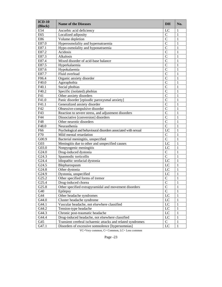| $ICD-10$<br>(Block) | <b>Name of the Diseases</b>                                    | DH             | No.          |
|---------------------|----------------------------------------------------------------|----------------|--------------|
| E54                 | Ascorbic acid deficiency                                       | LC             | 1            |
| E65                 | Localized adiposity                                            | $\mathbf C$    | 1            |
| E86                 | Volume depletion                                               | $\overline{C}$ | 1            |
| E87.0               | Hyperosmolality and hypernatraemia                             | $\overline{C}$ | 1            |
| E87.1               | Hypo-osmolality and hyponatraemia                              | $\overline{C}$ | 1            |
| E87.2               | Acidosis                                                       | $\overline{C}$ | 1            |
| E87.3               | Alkalosis                                                      | $\overline{C}$ | 1            |
| E87.4               | Mixed disorder of acid-base balance                            | $\overline{C}$ | 1            |
| E87.5               | Hyperkalaemia                                                  | $\overline{C}$ | 1            |
| E87.6               | Hypokalaemia                                                   | $\overline{C}$ | 1            |
| E87.7               | Fluid overload                                                 | $\overline{C}$ | 1            |
| F06.4               | Organic anxiety disorder                                       | $\overline{C}$ | 1            |
| F40.0               | Agoraphobia                                                    | $\overline{C}$ | 1            |
| F40.1               | Social phobias                                                 | $\overline{C}$ | $\mathbf{1}$ |
| F40.2               | Specific (isolated) phobias                                    | $\overline{C}$ | 1            |
| F41                 | Other anxiety disorders                                        | $\overline{C}$ | 1            |
| F41.0               | Panic disorder [episodic paroxysmal anxiety]                   | $\overline{C}$ | 1            |
| F41.1               | Generalized anxiety disorder                                   | $\overline{C}$ | 1            |
| F42                 | Obsessive-compulsive disorder                                  | $\overline{C}$ | 1            |
| F43                 | Reaction to severe stress, and adjustment disorders            | $\overline{C}$ | 1            |
| F44                 | Dissociative [conversion] disorders                            | $\overline{C}$ | 1            |
| F48                 | Other neurotic disorders                                       | $\overline{C}$ | 1            |
| F48.0               | Neurasthenia                                                   | $\overline{C}$ | $\mathbf{1}$ |
| F66                 | Psychological and behavioural disorders associated with sexual | LC             | 1            |
| F70                 | Mild mental retardation                                        | $\mathbf C$    | 1            |
| G00.9               | Bacterial meningitis, unspecified                              | $\overline{C}$ | 1            |
| G03                 | Meningitis due to other and unspecified causes                 | LC             | 1            |
| G03.0               | Nonpyogenic meningitis                                         | LC             | $\mathbf{1}$ |
| G24.0               | Drug-induced dystonia                                          | $\overline{C}$ | 1            |
| G24.3               | Spasmodic torticollis                                          | $\overline{C}$ | $\mathbf{1}$ |
| G24.4               | Idiopathic orofacial dystonia                                  | LC             | 1            |
| G24.5               | Blepharospasm                                                  | LC             | $\mathbf{1}$ |
| G24.8               | Other dystonia                                                 | LC             | $\mathbf{1}$ |
| G24.9               | Dystonia, unspecified                                          | LC             | 1            |
| G25.2               | Other specified forms of tremor                                | $\mathsf{C}$   | $\mathbf{1}$ |
| G25.4               | Drug-induced chorea                                            | $\overline{C}$ | $\,1$        |
| G25.8               | Other specified extrapyramidal and movement disorders          | $\overline{C}$ | 1            |
| G40                 | Epilepsy                                                       | $\mathsf{C}$   | 1            |
| G44                 | Other headache syndromes                                       | LC             | 1            |
| G44.0               | Cluster headache syndrome                                      | LC             | 1            |
| G44.1               | Vascular headache, not elsewhere classified                    | LC             | 1            |
| G44.2               | Tension-type headache                                          | LC             | 1            |
| G44.3               | Chronic post-traumatic headache                                | LC             | 1            |
| G44.4               | Drug-induced headache, not elsewhere classified                | LC             | 1            |
| G45                 | Transient cerebral ischaemic attacks and related syndromes     | $\mathbf C$    | 1            |
| G47.1               | Disorders of excessive somnolence [hypersomnias]               | LC             | $\mathbf{1}$ |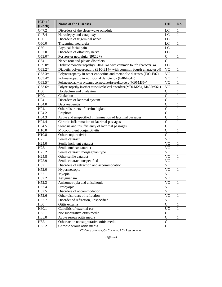| $ICD-10$<br>(Block) | <b>Name of the Diseases</b>                                            | <b>DH</b>       | No.          |
|---------------------|------------------------------------------------------------------------|-----------------|--------------|
| G47.2               | Disorders of the sleep-wake schedule                                   | LC              | 1            |
| G47.4               | Narcolepsy and cataplexy                                               | LC              | $\mathbf{1}$ |
| G50                 | Disorders of trigeminal nerve                                          | LC              | $\mathbf{1}$ |
| G50.0               | Trigeminal neuralgia                                                   | LC              | $\mathbf{1}$ |
| G50.1               | Atypical facial pain                                                   | LC              | $\mathbf{1}$ |
| G52.0               | Disorders of olfactory nerve                                           | LC              | $\mathbf{1}$ |
| G53.0*              | Postzoster neuralgia (B02.2+)                                          | $\overline{C}$  | $\mathbf{1}$ |
| G54                 | Nerve root and plexus disorders                                        | $\overline{C}$  | $\mathbf{1}$ |
| G59.0*              | Diabetic mononeuropathy (E10-E14+ with common fourth character .4)     | LC              | $\mathbf{1}$ |
| G63.2*              | Diabetic polyneuropathy (E10-E14+ with common fourth character .4)     | <b>VC</b>       | $\mathbf{1}$ |
| G63.3*              | Polyneuropathy in other endocrine and metabolic diseases (E00-E07+,    | <b>VC</b>       | $\mathbf{1}$ |
| G63.4*              | Polyneuropathy in nutritional deficiency (E40-E64+)                    | <b>VC</b>       | $\mathbf{1}$ |
| G63.5*              | Polyneuropathy in systemic connective tissue disorders (M30-M35+)      | <b>VC</b>       | $\mathbf{1}$ |
| G63.6*              | Polyneuropathy in other musculoskeletal disorders (M00-M25+, M40-M96+) | <b>VC</b>       | $\mathbf{1}$ |
| H <sub>00</sub>     | Hordeolum and chalazion                                                | $\mathbf C$     | $\mathbf{1}$ |
| H00.1               | Chalazion                                                              | $\overline{C}$  | $\mathbf{1}$ |
| H <sub>04</sub>     | Disorders of lacrimal system                                           | $\overline{C}$  | $\mathbf{1}$ |
| H04.0               | Dacryoadenitis                                                         | $\overline{C}$  | $\mathbf{1}$ |
| H04.1               | Other disorders of lacrimal gland                                      | $\overline{C}$  | $\mathbf{1}$ |
| H04.2               | Epiphora                                                               | $\overline{C}$  | $\mathbf{1}$ |
| H04.3               | Acute and unspecified inflammation of lacrimal passages                | $\overline{C}$  | $\mathbf{1}$ |
| H04.4               | Chronic inflammation of lacrimal passages                              | $\overline{C}$  | $\mathbf{1}$ |
| H04.5               | Stenosis and insufficiency of lacrimal passages                        | $\overline{C}$  | $\mathbf{1}$ |
| H10.0               | Mucopurulent conjunctivitis                                            | $\overline{C}$  | $\mathbf{1}$ |
| H10.8               | Other conjunctivitis                                                   | $\overline{C}$  | $\mathbf{1}$ |
| H25                 | Senile cataract                                                        | <b>VC</b>       | $\mathbf{1}$ |
| H <sub>25.0</sub>   | Senile incipient cataract                                              | <b>VC</b>       | $\mathbf{1}$ |
| H <sub>25.1</sub>   | Senile nuclear cataract                                                | <b>VC</b>       | $\mathbf{1}$ |
| H <sub>25.2</sub>   | Senile cataract, morgagnian type                                       | <b>VC</b>       | $\mathbf{1}$ |
| H <sub>25.8</sub>   | Other senile cataract                                                  | <b>VC</b>       | $\mathbf{1}$ |
| H <sub>25.9</sub>   | Senile cataract, unspecified                                           | <b>VC</b>       | $\mathbf{1}$ |
| H52                 | Disorders of refraction and accommodation                              | <b>VC</b>       | $\mathbf{1}$ |
| H52.0               | Hypermetropia                                                          | <b>VC</b>       | $\mathbf{1}$ |
| H52.1               | Myopia                                                                 | <b>VC</b>       | $\mathbf{1}$ |
| H52.2               | Astigmatism                                                            | <b>VC</b>       | $\mathbf{1}$ |
| H52.3               | Anisometropia and aniseikonia                                          | $\overline{VC}$ | $\,1\,$      |
| H52.4               | Presbyopia                                                             | <b>VC</b>       | $\mathbf{1}$ |
| H52.5               | Disorders of accommodation                                             | <b>VC</b>       | $\mathbf{1}$ |
| H52.6               | Other disorders of refraction                                          | <b>VC</b>       | $\mathbf{1}$ |
| H52.7               | Disorder of refraction, unspecified                                    | <b>VC</b>       | $\mathbf{1}$ |
| H <sub>60</sub>     | Otitis externa                                                         | $\mathbf C$     | $\mathbf{1}$ |
| H60.1               | Cellulitis of external ear                                             | <b>UC</b>       | $\mathbf{1}$ |
| H <sub>65</sub>     | Nonsuppurative otitis media                                            | $\mathbf C$     | $\mathbf{1}$ |
| H65.0               | Acute serous otitis media                                              | $\overline{C}$  | $\mathbf{1}$ |
| H65.1               | Other acute nonsuppurative otitis media                                | $\mathbf C$     | $\mathbf{1}$ |
| H65.2               | Chronic serous otitis media                                            | $\mathbf C$     | $\mathbf{1}$ |
|                     |                                                                        |                 |              |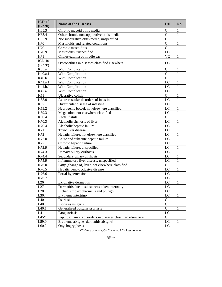| $ICD-10$<br>(Block) | <b>Name of the Diseases</b>                               | <b>DH</b>       | No.          |
|---------------------|-----------------------------------------------------------|-----------------|--------------|
| H65.3               | Chronic mucoid otitis media                               | $\mathcal{C}$   | 1            |
| H65.4               | Other chronic nonsuppurative otitis media                 | $\mathcal{C}$   | 1            |
| H65.9               | Nonsuppurative otitis media, unspecified                  | $\overline{C}$  | 1            |
| H70                 | Mastoiditis and related conditions                        | $\overline{C}$  | 1            |
| H70.1               | Chronic mastoiditis                                       | $\overline{C}$  | 1            |
| H70.9               | Mastoiditis, unspecified                                  | LC              | 1            |
| H71                 | Cholesteatoma of middle ear                               | <b>VC</b>       | 1            |
| $ICD-10$<br>(Block) | Osteopathies in diseases classified elsewhere             | LC              | 1            |
| K35.a               | With Complication                                         | $\mathcal{C}$   | 1            |
| K40.a.1             | With Complication                                         | $\overline{C}$  | $\mathbf{1}$ |
| K40.b.1             | With Complication                                         | $\overline{C}$  | $\mathbf{1}$ |
| K41.a.1             | With Complication                                         | LC              | $\mathbf{1}$ |
| K41.b.1             | With Complication                                         | LC              | 1            |
| K42.a               | With Complication                                         | $\overline{LC}$ | $\mathbf{1}$ |
| K51                 | Ulcerative colitis                                        | $\overline{C}$  | $\mathbf{1}$ |
| K55.0               | Acute vascular disorders of intestine                     | LC              | $\mathbf{1}$ |
| K57                 | Diverticular disease of intestine                         | $\overline{LC}$ | $\mathbf{1}$ |
| K59.2               | Neurogenic bowel, not elsewhere classified                | $L\overline{C}$ | $\mathbf{1}$ |
| K59.3               | Megacolon, not elsewhere classified                       | $\overline{LC}$ | $\mathbf{1}$ |
| K60.4               | Rectal fistula                                            | $\overline{C}$  | $\mathbf{1}$ |
| K70.3               | Alcoholic cirrhosis of liver                              | LC              | $\mathbf{1}$ |
| K70.4               | Alcoholic hepatic failure                                 | $\overline{LC}$ | $\mathbf{1}$ |
| K71                 | Toxic liver disease                                       | $\overline{LC}$ | $\mathbf{1}$ |
| K72                 | Hepatic failure, not elsewhere classified                 | $\overline{LC}$ | $\mathbf{1}$ |
| K72.0               | Acute and subacute hepatic failure                        | $L\overline{C}$ | $\mathbf{1}$ |
| K72.1               | Chronic hepatic failure                                   | $L\overline{C}$ | $\mathbf{1}$ |
| K72.9               | Hepatic failure, unspecified                              | $\overline{LC}$ | $\mathbf{1}$ |
| K74.3               | Primary biliary cirrhosis                                 | $\overline{LC}$ | $\mathbf{1}$ |
| K74.4               | Secondary biliary cirrhosis                               | $\overline{LC}$ | $\mathbf{1}$ |
| K75.9               | Inflammatory liver disease, unspecified                   | $\overline{LC}$ | $\mathbf{1}$ |
| K76.0               | Fatty (change of) liver, not elsewhere classified         | $\overline{C}$  | $\mathbf{1}$ |
| K76.5               | Hepatic veno-occlusive disease                            | LC              | $\mathbf{1}$ |
| K76.6               | Portal hypertension                                       | LC              | 1            |
| K76.7               |                                                           | LC              | $\mathbf{1}$ |
| $\rm L26$           | Exfoliative dermatitis                                    | $\overline{LC}$ | $\mathbf{1}$ |
| L27                 | Dermatitis due to substances taken internally             | LC              | 1            |
| L28                 | Lichen simplex chronicus and prurigo                      | LC              | 1            |
| L30.4               | Erythema intertrigo                                       | $\rm LC$        | 1            |
| L40                 | Psoriasis                                                 | $\mathbf C$     | 1            |
| L <sub>40.0</sub>   | Psoriasis vulgaris                                        | $\overline{C}$  | 1            |
| L <sub>40.1</sub>   | Generalized pustular psoriasis                            | $\overline{C}$  | 1            |
| L41                 | Parapsoriasis                                             | LC              | 1            |
| $L45*$              | Papulosquamous disorders in diseases classified elsewhere | $\mathbf C$     | 1            |
| L59.0               | Erythema ab igne [dermatitis ab igne]                     | LC              | 1            |
| L60.2               | Onychogryphosis                                           | LC              | 1            |

VC=Very common, C= Common, LC= Less common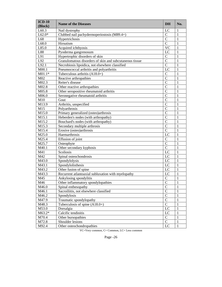| $ICD-10$          | <b>Name of the Diseases</b>                             | <b>DH</b>      | No.          |
|-------------------|---------------------------------------------------------|----------------|--------------|
| (Block)           |                                                         |                |              |
| L60.3             | Nail dystrophy                                          | LC             | 1            |
| $L62.0*$          | Clubbed nail pachydermoperiostosis (M89.4+)             | $\mathsf{C}$   | 1            |
| L68               | Hypertrichosis                                          | $\overline{C}$ | 1            |
| L68.0             | Hirsutism                                               | $\mathcal{C}$  | 1            |
| L85.0             | Acquired ichthyosis                                     | <b>VC</b>      | 1            |
| L88               | Pyoderma gangrenosum                                    | LC             | 1            |
| L91               | Hypertrophic disorders of skin                          | $\mathsf{C}$   | 1            |
| L92               | Granulomatous disorders of skin and subcutaneous tissue | $\overline{C}$ | 1            |
| L92.1             | Necrobiosis lipoidica, not elsewhere classified         | $\mathcal{C}$  | 1            |
| M00.1             | Pneumococcal arthritis and polyarthritis                | LC             | 1            |
| $M01.1*$          | Tuberculous arthritis $(A18.0+)$                        | $\mathbf C$    | 1            |
| M02               | Reactive arthropathies                                  | $\overline{C}$ | 1            |
| M02.3             | Reiter's disease                                        | $\mathcal{C}$  | 1            |
| M02.8             | Other reactive arthropathies                            | $\mathcal{C}$  | 1            |
| M05.8             | Other seropositive rheumatoid arthritis                 | $\mathcal{C}$  | 1            |
| M06.0             | Seronegative rheumatoid arthritis                       | $\overline{C}$ | 1            |
| M10               | Gout                                                    | $\mathcal{C}$  | 1            |
| M13.9             | Arthritis, unspecified                                  | $\overline{C}$ | 1            |
| M15               | Polyarthrosis                                           | $\overline{C}$ | 1            |
| M <sub>15.0</sub> | Primary generalized (osteo)arthrosis                    | $\mathcal{C}$  | 1            |
| M15.1             | Heberden's nodes (with arthropathy)                     | $\mathcal{C}$  | 1            |
| M15.2             | Bouchard's nodes (with arthropathy)                     | $\mathcal{C}$  | 1            |
| M15.3             | Secondary multiple arthrosis                            | $\mathcal{C}$  | 1            |
| M15.4             | Erosive (osteo)arthrosis                                | $\mathcal{C}$  | 1            |
| M25.0             | Haemarthrosis                                           | LC             | 1            |
| M25.4             | Effusion of joint                                       | $\mathbf C$    | 1            |
| M25.7             | Osteophyte                                              | $\mathcal{C}$  | 1            |
| M40.1             | Other secondary kyphosis                                | $\mathsf{C}$   | 1            |
| M41               | Scoliosis                                               | LC             | $\mathbf{1}$ |
| M42               | Spinal osteochondrosis                                  | LC             | 1            |
| M43.0             | Spondylolysis                                           | LC             | 1            |
| M43.1             | Spondylolisthesis                                       | LC             | 1            |
| M43.2             | Other fusion of spine                                   | LC             | 1            |
| M43.3             | Recurrent atlantoaxial subluxation with myelopathy      | LC             | $\mathbf{1}$ |
| M45               | Ankylosing spondylitis                                  | $\mathbf C$    | 1            |
| M46               | Other inflammatory spondylopathies                      | $\overline{C}$ | $\,1$        |
| M46.0             | Spinal enthesopathy                                     | $\mathcal{C}$  | 1            |
| M46.1             | Sacroiliitis, not elsewhere classified                  | $\mathcal{C}$  | 1            |
| M46.2             | Spondylosis                                             | $\mathbf C$    | 1            |
| M47.9             | Traumatic spondylopathy                                 | $\mathbf C$    | 1            |
| M48.3             | Tuberculosis of spine $(A18.0+)$                        | $\mathcal{C}$  | 1            |
| M53.0             | Dorsalgia                                               | LC             | 1            |
| $M63.2*$          | Calcific tendinitis                                     | LC             | 1            |
| M70.4             | Other bursopathies                                      | $\mathcal{C}$  | 1            |
| M72.8             | Shoulder lesions                                        | $\mathcal{C}$  | 1            |
| M92.4             | Other osteochondropathies                               | LC             | $\mathbf{1}$ |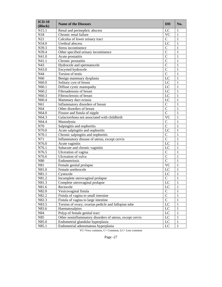| $ICD-10$        | <b>Name of the Diseases</b>                              | <b>DH</b>       | No.          |
|-----------------|----------------------------------------------------------|-----------------|--------------|
| (Block)         |                                                          |                 |              |
| N15.1           | Renal and perinephric abscess                            | LC              | 1            |
| N18             | Chronic renal failure                                    | <b>VC</b>       | 1            |
| N21             | Calculus of lower urinary tract                          | $\mathsf{C}$    | 1            |
| N34.0           | Urethral abscess                                         | LC              | $\mathbf{1}$ |
| N39.3           | Stress incontinence                                      | $\mathsf{C}$    | $\mathbf{1}$ |
| N39.4           | Other specified urinary incontinence                     | $\overline{C}$  | 1            |
| N41.0           | Acute prostatitis                                        | $\mathcal{C}$   | 1            |
| N41.1           | Chronic prostatitis                                      | $\mathcal{C}$   | 1            |
| N43             | Hydrocele and spermatocele                               | $\mathcal{C}$   | $\mathbf{1}$ |
| N43.0           | Encysted hydrocele                                       | $\mathcal{C}$   | $\mathbf{1}$ |
| N44             | Torsion of testis                                        | $\mathbf C$     | 1            |
| N <sub>60</sub> | Benign mammary dysplasia                                 | LC              | 1            |
| N60.0           | Solitary cyst of breast                                  | LC              | 1            |
| N60.1           | Diffuse cystic mastopathy                                | LC              | 1            |
| N60.2           | Fibroadenosis of breast                                  | LC              | 1            |
| N60.3           | Fibrosclerosis of breast                                 | LC              | 1            |
| N60.4           | Mammary duct ectasia                                     | LC              | $\mathbf{1}$ |
| N61             | Inflammatory disorders of breast                         | $\mathbf C$     | $\mathbf{1}$ |
| N64             | Other disorders of breast                                | $\overline{C}$  | $\mathbf{1}$ |
| N64.0           | Fissure and fistula of nipple                            | $\mathsf{C}$    | $\mathbf{1}$ |
| N64.3           | Galactorrhoea not associated with childbirth             | <b>VC</b>       | $\mathbf{1}$ |
| N64.4           | Mastodynia                                               | $\mathsf{C}$    | $\mathbf{1}$ |
| N70             | Salpingitis and oophoritis                               | $\mathbf C$     | $\mathbf{1}$ |
| N70.0           | Acute salpingitis and oophoritis                         | LC              | $\mathbf{1}$ |
| N70.1           | Chronic salpingitis and oophoritis                       | $\mathsf{C}$    | $\mathbf{1}$ |
| N71             | Inflammatory disease of uterus, except cervix            | $\mathsf{C}$    | $\mathbf{1}$ |
| N76.0           | Acute vaginitis                                          | LC              | $\mathbf{1}$ |
| N76.1           | Subacute and chronic vaginitis                           | LC              | $\mathbf{1}$ |
| N76.5           | Ulceration of vagina                                     | $\mathsf{C}$    | $\mathbf{1}$ |
| N76.6           | Ulceration of vulva                                      | $\overline{C}$  | $\mathbf{1}$ |
| N80             | Endometriosis                                            | $\mathcal{C}$   | $\mathbf{1}$ |
| N81             | Female genital prolapse                                  | <b>VC</b>       | $\mathbf{1}$ |
| N81.0           | Female urethrocele                                       | LC              | $\mathbf{1}$ |
| N81.1           | Cystocele                                                | LC              | $\mathbf{1}$ |
| N81.2           | Incomplete uterovaginal prolapse                         | $\mathbf C$     | $\mathbf{1}$ |
| N81.3           | Complete uterovaginal prolapse                           | $\overline{LC}$ | $\,1$        |
| N81.6           | Rectocele                                                | LC              | 1            |
| N82.0           | Vesicovaginal fistula                                    | $\mathcal{C}$   | 1            |
| N82.2           | Fistula of vagina to small intestine                     | $\mathbf C$     | 1            |
| N82.3           | Fistula of vagina to large intestine                     | $\mathcal{C}$   | 1            |
| N83.5           | Torsion of ovary, ovarian pedicle and fallopian tube     | LC              | 1            |
| N83.6           | Haematosalpinx                                           | LC              | 1            |
| N84             | Polyp of female genital tract                            | LC              | 1            |
| N85             | Other noninflammatory disorders of uterus, except cervix | LC              | 1            |
| N85.0           | Endometrial glandular hyperplasia                        | LC              | 1            |
| N85.1           | Endometrial adenomatous hyperplasia                      | LC              | 1            |

VC=Very common, C= Common, LC= Less common

|--|--|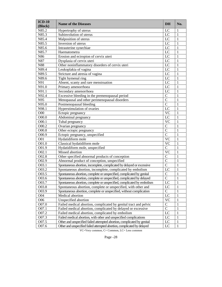| $ICD-10$<br>(Block) | <b>Name of the Diseases</b>                                             | <b>DH</b>              | No.          |
|---------------------|-------------------------------------------------------------------------|------------------------|--------------|
| N85.2               | Hypertrophy of uterus                                                   | LC                     | 1            |
| N85.3               | Subinvolution of uterus                                                 | LC                     | 1            |
| N85.4               | Malposition of uterus                                                   | LC                     | $\mathbf{1}$ |
| N85.5               | Inversion of uterus                                                     | LC                     | $\mathbf{1}$ |
| N85.6               | Intrauterine synechiae                                                  | LC                     | $\mathbf{1}$ |
| N85.7               | Haematometra                                                            | LC                     | $\mathbf{1}$ |
| N86                 | Erosion and ectropion of cervix uteri                                   | LC                     | $\mathbf{1}$ |
| N87                 | Dysplasia of cervix uteri                                               | LC                     | $\mathbf{1}$ |
| N88                 | Other noninflammatory disorders of cervix uteri                         | LC                     | $\mathbf{1}$ |
| N89.4               | Leukoplakia of vagina                                                   | LC                     | $\mathbf{1}$ |
| N89.5               | Stricture and atresia of vagina                                         | LC                     | $\mathbf{1}$ |
| N89.6               | Tight hymenal ring                                                      | LC                     | $\mathbf{1}$ |
| N91                 | Absent, scanty and rare menstruation                                    | LC                     | $\mathbf{1}$ |
| N91.0               | Primary amenorrhoea                                                     | LC                     | $\mathbf{1}$ |
| N91.1               | Secondary amenorrhoea                                                   | LC                     | $\mathbf{1}$ |
| N92.4               | Excessive bleeding in the premenopausal period                          | $\overline{C}$         | $\mathbf{1}$ |
| N95                 | Menopausal and other perimenopausal disorders                           | $\overline{C}$         | $\mathbf{1}$ |
| N95.0               | Postmenopausal bleeding                                                 | $\overline{C}$         | $\mathbf{1}$ |
| N98.1               | Hyperstimulation of ovaries                                             | LC                     | $\mathbf{1}$ |
| O <sub>00</sub>     | Ectopic pregnancy                                                       | <b>VC</b>              | $\mathbf{1}$ |
| O00.0               | Abdominal pregnancy                                                     | LC                     | $\mathbf{1}$ |
| O00.1               | Tubal pregnancy                                                         | <b>VC</b>              | $\mathbf{1}$ |
| O00.2               | Ovarian pregnancy                                                       | $\mathcal{C}$          | $\mathbf{1}$ |
| O00.8               | Other ectopic pregnancy                                                 | $\overline{C}$         | $\mathbf{1}$ |
| O00.9               | Ectopic pregnancy, unspecified                                          | $\overline{C}$         | $\mathbf{1}$ |
| O01                 | Hydatidiform mole                                                       | $\overline{\text{VC}}$ | $\mathbf{1}$ |
| O01.0               | Classical hydatidiform mole                                             | <b>VC</b>              | $\mathbf{1}$ |
| O01.9               | Hydatidiform mole, unspecified                                          | $\mathbf C$            | $\mathbf{1}$ |
| O02.1               | Missed abortion                                                         | $\overline{\text{VC}}$ | $\mathbf{1}$ |
| O02.8               | Other specified abnormal products of conception                         | $\mathcal{C}$          | $\mathbf{1}$ |
| O02.9               | Abnormal product of conception, unspecified                             | $\overline{C}$         | $\mathbf{1}$ |
| O03.1               | Spontaneous abortion, incomplete, complicated by delayed or excessive   | $\overline{C}$         | $\mathbf{1}$ |
| O03.2               | Spontaneous abortion, incomplete, complicated by embolism               | $\overline{L}C$        | $\mathbf{1}$ |
| O03.5               | Spontaneous abortion, complete or unspecified, complicated by genital   | $\overline{C}$         | $\mathbf{1}$ |
| O03.6               | Spontaneous abortion, complete or unspecified, complicated by delayed   | $\overline{C}$         | $\mathbf{1}$ |
| O03.7               | Spontaneous abortion, complete or unspecified, complicated by embolism  | LC                     | $\,1\,$      |
| O03.8               | Spontaneous abortion, complete or unspecified, with other and           | LC                     | 1            |
| O03.9               | Spontaneous abortion, complete or unspecified, without complication     | $\mathbf C$            | $\mathbf{1}$ |
| O04                 | Medical abortion                                                        | LC                     | 1            |
| O06                 | Unspecified abortion                                                    | <b>VC</b>              | 1            |
| O07.0               | Failed medical abortion, complicated by genital tract and pelvic        | $\mathsf{C}$           | 1            |
| O07.1               | Failed medical abortion, complicated by delayed or excessive            | $\mathbf C$            | 1            |
| O07.2               | Failed medical abortion, complicated by embolism                        | LC                     | 1            |
| O07.3               | Failed medical abortion, with other and unspecified complications       | LC                     | 1            |
| O07.5               | Other and unspecified failed attempted abortion, complicated by genital | LC                     | $\mathbf{1}$ |
| O07.6               | Other and unspecified failed attempted abortion, complicated by delayed | LC                     | $\mathbf{1}$ |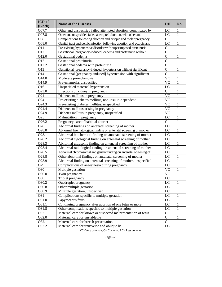| $ICD-10$<br>(Block) | <b>Name of the Diseases</b>                                           | DH             | No.          |
|---------------------|-----------------------------------------------------------------------|----------------|--------------|
| O07.7               | Other and unspecified failed attempted abortion, complicated by       | LC             | 1            |
| O07.8               | Other and unspecified failed attempted abortion, with other and       | LC             | $\mathbf{1}$ |
| O08                 | Complications following abortion and ectopic and molar pregnancy      | $\mathbf C$    | $\mathbf{1}$ |
| O08.0               | Genital tract and pelvic infection following abortion and ectopic and | LC             | 1            |
| O11                 | Pre-existing hypertensive disorder with superimposed proteinuria      | $\mathsf C$    | 1            |
| O12                 | Gestational [pregnancy-induced] oedema and proteinuria without        | $\overline{C}$ | $\mathbf{1}$ |
| O12.0               | Gestational oedema                                                    | $\overline{C}$ | 1            |
| O12.1               | Gestational proteinuria                                               | $\overline{C}$ | 1            |
| O12.2               | Gestational oedema with proteinuria                                   | $\overline{C}$ | 1            |
| O13                 | Gestational [pregnancy-induced] hypertension without significant      | $\overline{C}$ | $\mathbf{1}$ |
| O14                 | Gestational [pregnancy-induced] hypertension with significant         | $\overline{C}$ | $\mathbf{1}$ |
| O14.0               | Moderate pre-eclampsia                                                | <b>VC</b>      | $\mathbf{1}$ |
| O14.9               | Pre-eclampsia, unspecified                                            | <b>VC</b>      | $\mathbf{1}$ |
| O16                 | Unspecified maternal hypertension                                     | LC             | $\mathbf{1}$ |
| O23.0               | Infections of kidney in pregnancy                                     | ${\bf C}$      | $\mathbf{1}$ |
| O24                 | Diabetes mellitus in pregnancy                                        | <b>VC</b>      | $\mathbf{1}$ |
| O24.1               | Pre-existing diabetes mellitus, non-insulin-dependent                 | <b>VC</b>      | 1            |
| O24.3               | Pre-existing diabetes mellitus, unspecified                           | <b>VC</b>      | $\mathbf{1}$ |
| O24.4               | Diabetes mellitus arising in pregnancy                                | <b>VC</b>      | $\mathbf{1}$ |
| O24.9               | Diabetes mellitus in pregnancy, unspecified                           | <b>VC</b>      | $\mathbf{1}$ |
| O25                 | Malnutrition in pregnancy                                             | LC             | $\mathbf{1}$ |
| O26.2               | Pregnancy care of habitual aborter                                    | $\mathbf C$    | $\mathbf{1}$ |
| O28                 | Abnormal findings on antenatal screening of mother                    | LC             | $\mathbf{1}$ |
| O28.0               | Abnormal haematological finding on antenatal screening of mother      | LC             | $\mathbf{1}$ |
| O28.1               | Abnormal biochemical finding on antenatal screening of mother         | LC             | $\mathbf{1}$ |
| O28.2               | Abnormal cytological finding on antenatal screening of mother         | LC             | $\mathbf{1}$ |
| O28.3               | Abnormal ultrasonic finding on antenatal screening of mother          | LC             | $\mathbf{1}$ |
| O28.4               | Abnormal radiological finding on antenatal screening of mother        | LC             | $\mathbf{1}$ |
| O28.5               | Abnormal chromosomal and genetic finding on antenatal screening of    | LC             | $\mathbf{1}$ |
| O28.8               | Other abnormal findings on antenatal screening of mother              | LC             | $\mathbf{1}$ |
| O28.9               | Abnormal finding on antenatal screening of mother, unspecified        | LC             | $\mathbf{1}$ |
| O29                 | Complications of anaesthesia during pregnancy                         | LC             | $\mathbf{1}$ |
| O30                 | Multiple gestation                                                    | <b>VC</b>      | $\mathbf{1}$ |
| O30.0               | Twin pregnancy                                                        | <b>VC</b>      | 1            |
| O30.1               | Triplet pregnancy                                                     | LC             | $\mathbf{1}$ |
| $\overline{O3}0.2$  | Quadruplet pregnancy                                                  | LC             | 1            |
| O30.8               | Other multiple gestation                                              | LC             | 1            |
| O30.9               | Multiple gestation, unspecified                                       | LC             | 1            |
| O31                 | Complications specific to multiple gestation                          | LC             | 1            |
| O31.0               | Papyraceous fetus                                                     | LC             | 1            |
| 031.1               | Continuing pregnancy after abortion of one fetus or more              | LC             | 1            |
| O31.8               | Other complications specific to multiple gestation                    | LC             | 1            |
| O32                 | Maternal care for known or suspected malpresentation of fetus         | $\mathbf C$    | 1            |
| O32.0               | Maternal care for unstable lie                                        | $\overline{C}$ | 1            |
| 032.1               | Maternal care for breech presentation                                 | $\mathbf C$    | $\mathbf{1}$ |
| O32.2               | Maternal care for transverse and oblique lie                          | LC             | $\mathbf{1}$ |

| u |  |  |
|---|--|--|
|---|--|--|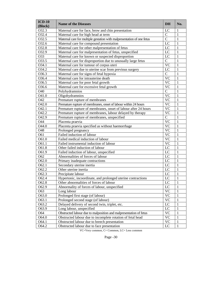| $ICD-10$<br>(Block) | <b>Name of the Diseases</b>                                            | <b>DH</b>    | No.          |
|---------------------|------------------------------------------------------------------------|--------------|--------------|
| 032.3               | Maternal care for face, brow and chin presentation                     | LC           | 1            |
| O32.4               | Maternal care for high head at term                                    | $\mathsf{C}$ | 1            |
| O32.5               | Maternal care for multiple gestation with malpresentation of one fetus | $\mathbf C$  | 1            |
| O32.6               | Maternal care for compound presentation                                | LC           | 1            |
| O32.8               | Maternal care for other malpresentation of fetus                       | LC           | 1            |
| O32.9               | Maternal care for malpresentation of fetus, unspecified                | LC           | 1            |
| O33                 | Maternal care for known or suspected disproportion                     | LC           | 1            |
| O33.5               | Maternal care for disproportion due to unusually large fetus           | $\mathsf{C}$ | 1            |
| O34.1               | Maternal care for tumour of corpus uteri                               | <b>VC</b>    | 1            |
| O34.2               | Maternal care due to uterine scar from previous surgery                | LC           | 1            |
| O36.3               | Maternal care for signs of fetal hypoxia                               | $\mathsf{C}$ | 1            |
| O36.4               | Maternal care for intrauterine death                                   | <b>VC</b>    | 1            |
| O36.5               | Maternal care for poor fetal growth                                    | <b>VC</b>    | 1            |
| O36.6               | Maternal care for excessive fetal growth                               | <b>VC</b>    | 1            |
| O40                 | Polyhydramnios                                                         | $\mathbf C$  | 1            |
| O41.0               | Oligohydramnios                                                        | <b>VC</b>    | 1            |
| O42                 | Premature rupture of membranes                                         | <b>VC</b>    | 1            |
| O42.0               | Premature rupture of membranes, onset of labour within 24 hours        | <b>VC</b>    | 1            |
| O42.1               | Premature rupture of membranes, onset of labour after 24 hours         | <b>VC</b>    | 1            |
| O42.2               | Premature rupture of membranes, labour delayed by therapy              | <b>VC</b>    | 1            |
| O42.9               | Premature rupture of membranes, unspecified                            | $\mathsf{C}$ | 1            |
| O44                 | Placenta praevia                                                       | <b>VC</b>    | 1            |
| O44.0               | Placenta praevia specified as without haemorrhage                      | <b>VC</b>    | 1            |
| O48                 | Prolonged pregnancy                                                    | <b>VC</b>    | $\mathbf{1}$ |
| O61                 | Failed induction of labour                                             | <b>VC</b>    | 1            |
| O61.0               | Failed medical induction of labour                                     | <b>VC</b>    | 1            |
| O61.1               | Failed instrumental induction of labour                                | <b>VC</b>    | 1            |
| O61.8               | Other failed induction of labour                                       | LC           | 1            |
| O61.9               | Failed induction of labour, unspecified                                | LC           | 1            |
| O62                 | Abnormalities of forces of labour                                      | LC           | 1            |
| O62.0               | Primary inadequate contractions                                        | LC           | 1            |
| O62.1               | Secondary uterine inertia                                              | LC           | $\mathbf{1}$ |
| O62.2               | Other uterine inertia                                                  | LC           | 1            |
| O62.3               | Precipitate labour                                                     | LC           | 1            |
| O62.4               | Hypertonic, incoordinate, and prolonged uterine contractions           | LC           | 1            |
| O62.8               | Other abnormalities of forces of labour                                | LC           | $\,1$        |
| O62.9               | Abnormality of forces of labour, unspecified                           | LC           | 1            |
| O63                 | Long labour                                                            | <b>VC</b>    | 1            |
| O63.0               | Prolonged first stage (of labour)                                      | <b>VC</b>    | 1            |
| O63.1               | Prolonged second stage (of labour)                                     | <b>VC</b>    | 1            |
| O63.2               | Delayed delivery of second twin, triplet, etc.                         | LC           | 1            |
| O63.9               | Long labour, unspecified                                               | LC           | 1            |
| O64                 | Obstructed labour due to malposition and malpresentation of fetus      | <b>VC</b>    | 1            |
| O64.0               | Obstructed labour due to incomplete rotation of fetal head             | <b>VC</b>    | 1            |
| O64.1               | Obstructed labour due to breech presentation                           | <b>VC</b>    | 1            |
| O64.2               | Obstructed labour due to face presentation                             | LC           | 1            |

| د،<br>.,<br>ш |  |
|---------------|--|
|---------------|--|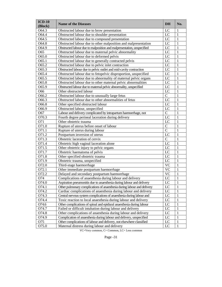| $ICD-10$<br>(Block) | <b>Name of the Diseases</b>                                             | DH           | No.          |
|---------------------|-------------------------------------------------------------------------|--------------|--------------|
| O64.3               | Obstructed labour due to brow presentation                              | LC           | 1            |
| O64.4               | Obstructed labour due to shoulder presentation                          | LC           | 1            |
| O64.5               | Obstructed labour due to compound presentation                          | LC           | $\mathbf{1}$ |
| O64.8               | Obstructed labour due to other malposition and malpresentation          | LC           | 1            |
| O64.9               | Obstructed labour due to malposition and malpresentation, unspecified   | LC           | 1            |
| O65                 | Obstructed labour due to maternal pelvic abnormality                    | LC           | 1            |
| O65.0               | Obstructed labour due to deformed pelvis                                | LC           | 1            |
| O65.1               | Obstructed labour due to generally contracted pelvis                    | LC           | 1            |
| O65.2               | Obstructed labour due to pelvic inlet contraction                       | LC           | 1            |
| O65.3               | Obstructed labour due to pelvic outlet and mid-cavity contraction       | LC           | 1            |
| O65.4               | Obstructed labour due to fetopelvic disproportion, unspecified          | LC           | 1            |
| O65.5               | Obstructed labour due to abnormality of maternal pelvic organs          | LC           | 1            |
| O65.8               | Obstructed labour due to other maternal pelvic abnormalities            | LC           | 1            |
| O65.9               | Obstructed labour due to maternal pelvic abnormality, unspecified       | LC           | 1            |
| O66                 | Other obstructed labour                                                 | LC           | 1            |
| O66.2               | Obstructed labour due to unusually large fetus                          | $\mathsf{C}$ | $\mathbf{1}$ |
| O66.3               | Obstructed labour due to other abnormalities of fetus                   | LC           | 1            |
| O66.8               | Other specified obstructed labour                                       | LC           | 1            |
| O66.9               | Obstructed labour, unspecified                                          | LC           | 1            |
| O67                 | Labour and delivery complicated by intrapartum haemorrhage, not         | $\mathsf{C}$ | $\mathbf{1}$ |
| O70.3               | Fourth degree perineal laceration during delivery                       | LC           | 1            |
| O71                 | Other obstetric trauma                                                  | LC           | 1            |
| O71.0               | Rupture of uterus before onset of labour                                | $\mathsf{C}$ | 1            |
| O71.1               | Rupture of uterus during labour                                         | ${\bf C}$    | 1            |
| O71.2               | Postpartum inversion of uterus                                          | LC           | 1            |
| O71.3               | Obstetric laceration of cervix                                          | $\mathsf{C}$ | $\mathbf{1}$ |
| O71.4               | Obstetric high vaginal laceration alone                                 | LC           | 1            |
| O71.5               | Other obstetric injury to pelvic organs                                 | LC           | 1            |
| O71.7               | Obstetric haematoma of pelvis                                           | LC           | 1            |
| O71.8               | Other specified obstetric trauma                                        | LC           | 1            |
| O71.9               | Obstetric trauma, unspecified                                           | LC           | 1            |
| O72.0               | Third-stage haemorrhage                                                 | <b>VC</b>    | 1            |
| O72.1               | Other immediate postpartum haemorrhage                                  | <b>VC</b>    | $\mathbf{1}$ |
| O72.2               | Delayed and secondary postpartum haemorrhage                            | <b>VC</b>    | 1            |
| O74                 | Complications of anaesthesia during labour and delivery                 | LC           | 1            |
| O74.0               | Aspiration pneumonitis due to anaesthesia during labour and delivery    | LC           | $\mathbf 1$  |
| O74.1               | Other pulmonary complications of anaesthesia during labour and delivery | LC           | 1            |
| O74.2               | Cardiac complications of anaesthesia during labour and delivery         | LC           | 1            |
| O74.3               | Central nervous system complications of anaesthesia during labour and   | LC           | 1            |
| O74.4               | Toxic reaction to local anaesthesia during labour and delivery          | LC           | 1            |
| O74.6               | Other complications of spinal and epidural anaesthesia during labour    | LC           | 1            |
| O74.7               | Failed or difficult intubation during labour and delivery               | LC           | 1            |
| O74.8               | Other complications of anaesthesia during labour and delivery           | LC           | 1            |
| O74.9               | Complication of anaesthesia during labour and delivery, unspecified     | LC           | 1            |
| O75                 | Other complications of labour and delivery, not elsewhere classified    | LC           | 1            |
| O75.0               | Maternal distress during labour and delivery                            | LC           | 1            |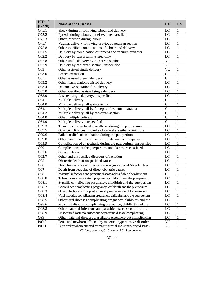| $ICD-10$<br>(Block) | <b>Name of the Diseases</b>                                             | DH           | No.          |
|---------------------|-------------------------------------------------------------------------|--------------|--------------|
| O75.1               | Shock during or following labour and delivery                           | LC           | 1            |
| O75.2               | Pyrexia during labour, not elsewhere classified                         | LC           | 1            |
| O75.3               | Other infection during labour                                           | LC           | 1            |
| O75.7               | Vaginal delivery following previous caesarean section                   | LC           | 1            |
| O75.8               | Other specified complications of labour and delivery                    | LC           | 1            |
| O81.5               | Delivery by combination of forceps and vacuum extractor                 | LC           | 1            |
| O82.2               | Delivery by caesarean hysterectomy                                      | LC           | 1            |
| O82.8               | Other single delivery by caesarean section                              | <b>VC</b>    | 1            |
| O82.9               | Delivery by caesarean section, unspecified                              | <b>VC</b>    | 1            |
| O83                 | Other assisted single delivery                                          | <b>VC</b>    | 1            |
| O83.0               | <b>Breech extraction</b>                                                | $\mathsf{C}$ | $\mathbf{1}$ |
| O83.1               | Other assisted breech delivery                                          | $\mathsf{C}$ | $\mathbf{1}$ |
| O83.2               | Other manipulation-assisted delivery                                    | LC           | $\mathbf{1}$ |
| O83.4               | Destructive operation for delivery                                      | LC           | $\mathbf{1}$ |
| O83.8               | Other specified assisted single delivery                                | LC           | 1            |
| O83.9               | Assisted single delivery, unspecified                                   | LC           | 1            |
| O84                 | Multiple delivery                                                       | $\mathsf{C}$ | $\mathbf{1}$ |
| O84.0               | Multiple delivery, all spontaneous                                      | $\mathsf C$  | 1            |
| O84.1               | Multiple delivery, all by forceps and vacuum extractor                  | $\mathsf C$  | 1            |
| O84.2               | Multiple delivery, all by caesarean section                             | $\mathsf C$  | 1            |
| O84.8               | Other multiple delivery                                                 | $\mathsf C$  | 1            |
| O84.9               | Multiple delivery, unspecified                                          | $\mathsf{C}$ | $\mathbf{1}$ |
| O89.3               | Toxic reaction to local anaesthesia during the puerperium               | LC           | 1            |
| O89.5               | Other complications of spinal and epidural anaesthesia during the       | LC           | 1            |
| O89.6               | Failed or difficult intubation during the puerperium                    | LC           | 1            |
| O89.8               | Other complications of anaesthesia during the puerperium                | LC           | 1            |
| O89.9               | Complication of anaesthesia during the puerperium, unspecified          | LC           | 1            |
| O90                 | Complications of the puerperium, not elsewhere classified               | LC           | 1            |
| O92.6               | Galactorrhoea                                                           | LC           | 1            |
| O92.7               | Other and unspecified disorders of lactation                            | LC           | 1            |
| O95                 | Obstetric death of unspecified cause                                    | $_{\rm LC}$  | $\mathbf{1}$ |
| O96                 | Death from any obstetric cause occurring more than 42 days but less     | LC           | 1            |
| O97                 | Death from sequelae of direct obstetric causes                          | LC           | 1            |
| O98                 | Maternal infectious and parasitic diseases classifiable elsewhere but   | $\mathbf C$  | $\mathbf{1}$ |
| O98.0               | Tuberculosis complicating pregnancy, childbirth and the puerperium      | LC           | 1            |
| O98.1               | Syphilis complicating pregnancy, childbirth and the puerperium          | LC           | $\,1$        |
| O98.2               | Gonorrhoea complicating pregnancy, childbirth and the puerperium        | LC           | 1            |
| O98.3               | Other infections with a predominantly sexual mode of transmission       | LC           | 1            |
| 098.4               | Viral hepatitis complicating pregnancy, childbirth and the puerperium   | LC           | 1            |
| O98.5               | Other viral diseases complicating pregnancy, childbirth and the         | LC           | 1            |
| O98.6               | Protozoal diseases complicating pregnancy, childbirth and the           | LC           | 1            |
| O98.8               | Other maternal infectious and parasitic diseases complicating           | LC           | 1            |
| O98.9               | Unspecified maternal infectious or parasitic disease complicating       | LC           | 1            |
| O99                 | Other maternal diseases classifiable elsewhere but complicating         | LC           | 1            |
| P <sub>00.0</sub>   | Fetus and newborn affected by maternal hypertensive disorders           | <b>VC</b>    | 1            |
| P00.1               | Fetus and newborn affected by maternal renal and urinary tract diseases | <b>VC</b>    | $\mathbf{1}$ |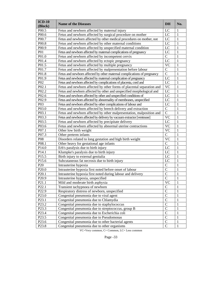| $ICD-10$<br>(Block) | <b>Name of the Diseases</b>                                             | DH           | No.          |
|---------------------|-------------------------------------------------------------------------|--------------|--------------|
| P <sub>00.5</sub>   | Fetus and newborn affected by maternal injury                           | LC           | 1            |
| P00.6               | Fetus and newborn affected by surgical procedure on mother              | LC           | 1            |
| P00.7               | Fetus and newborn affected by other medical procedures on mother, not   | LC           | 1            |
| P <sub>00.8</sub>   | Fetus and newborn affected by other maternal conditions                 | LC           | 1            |
| P <sub>00.9</sub>   | Fetus and newborn affected by unspecified maternal condition            | LC           | 1            |
| <b>P01</b>          | Fetus and newborn affected by maternal complications of pregnancy       | LC           | 1            |
| P01.0               | Fetus and newborn affected by incompetent cervix                        | $\mathsf{C}$ | 1            |
| P01.4               | Fetus and newborn affected by ectopic pregnancy                         | LC           | 1            |
| P <sub>01.5</sub>   | Fetus and newborn affected by multiple pregnancy                        | <b>VC</b>    | 1            |
| P01.7               | Fetus and newborn affected by malpresentation before labour             | $\mathbf C$  | 1            |
| P01.8               | Fetus and newborn affected by other maternal complications of pregnancy | $\mathbf C$  | 1            |
| P <sub>01.9</sub>   | Fetus and newborn affected by maternal complication of pregnancy        | LC           | 1            |
| P <sub>0</sub> 2    | Fetus and newborn affected by complications of placenta, cord and       | LC           | 1            |
| P02.1               | Fetus and newborn affected by other forms of placental separation and   | <b>VC</b>    | 1            |
| P02.2               | Fetus and newborn affected by other and unspecified morphological and   | LC           | 1            |
| P <sub>02.6</sub>   | Fetus and newborn affected by other and unspecified conditions of       | $_{\rm LC}$  | 1            |
| P <sub>02.9</sub>   | Fetus and newborn affected by abnormality of membranes, unspecified     | LC           | 1            |
| P03                 | Fetus and newborn affected by other complications of labour and         | LC           | 1            |
| P03.0               | Fetus and newborn affected by breech delivery and extraction            | $\mathbf C$  | 1            |
| P03.1               | Fetus and newborn affected by other malpresentation, malposition and    | $\mathbf C$  | 1            |
| P03.3               | Fetus and newborn affected by delivery by vacuum extractor [ventouse]   | <b>VC</b>    | 1            |
| P <sub>0</sub> 3.5  | Fetus and newborn affected by precipitate delivery                      | LC           | 1            |
| P03.6               | Fetus and newborn affected by abnormal uterine contractions             | <b>VC</b>    | 1            |
| P07.1               | Other low birth weight                                                  | <b>VC</b>    | 1            |
| P07.3               | Other preterm infants                                                   | $\mathbf C$  | 1            |
| P08                 | Disorders related to long gestation and high birth weight               | <b>VC</b>    | 1            |
| P08.1               | Other heavy for gestational age infants                                 | $\mathbf C$  | 1            |
| P14.0               | Erb's paralysis due to birth injury                                     | LC           | 1            |
| P <sub>14.1</sub>   | Klumpke's paralysis due to birth injury                                 | LC           | 1            |
| P <sub>15.5</sub>   | Birth injury to external genitalia                                      | LC           | 1            |
| P <sub>15.6</sub>   | Subcutaneous fat necrosis due to birth injury                           | LC           | 1            |
| P <sub>20</sub>     | Intrauterine hypoxia                                                    | $\mathbf C$  | 1            |
| P <sub>20.0</sub>   | Intrauterine hypoxia first noted before onset of labour                 | $\mathsf{C}$ | 1            |
| P <sub>20.1</sub>   | Intrauterine hypoxia first noted during labour and delivery             | $\mathbf C$  | 1            |
| P <sub>20.9</sub>   | Intrauterine hypoxia, unspecified                                       | $\mathsf C$  | 1            |
| P21.1               | Mild and moderate birth asphyxia                                        | VC           | $\mathbf{I}$ |
| P <sub>22.1</sub>   | Transient tachypnoea of newborn                                         | $\mathsf{C}$ | 1            |
| P <sub>22.9</sub>   | Respiratory distress of newborn, unspecified                            | $\mathbf C$  | 1            |
| P <sub>23.0</sub>   | Congenital pneumonia due to viral agent                                 | $\mathbf C$  | 1            |
| P <sub>23.1</sub>   | Congenital pneumonia due to Chlamydia                                   | $\mathbf C$  | 1            |
| P <sub>23.2</sub>   | Congenital pneumonia due to staphylococcus                              | $\mathbf C$  | 1            |
| P <sub>23.3</sub>   | Congenital pneumonia due to streptococcus, group B                      | $\mathbf C$  | 1            |
| P <sub>23.4</sub>   | Congenital pneumonia due to Escherichia coli                            | $\mathbf C$  | 1            |
| P <sub>23.5</sub>   | Congenital pneumonia due to Pseudomonas                                 | $\mathbf C$  | 1            |
| P <sub>23.6</sub>   | Congenital pneumonia due to other bacterial agents                      | $\mathbf C$  | 1            |
| P <sub>23.8</sub>   | Congenital pneumonia due to other organisms                             | $\mathbf C$  | 1            |

|--|--|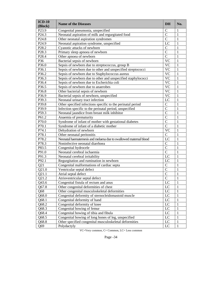| $ICD-10$<br>(Block) | <b>Name of the Diseases</b>                                       | <b>DH</b>       | No.          |
|---------------------|-------------------------------------------------------------------|-----------------|--------------|
| P <sub>23.9</sub>   | Congenital pneumonia, unspecified                                 | $\mathsf{C}$    | 1            |
| P <sub>24.3</sub>   | Neonatal aspiration of milk and regurgitated food                 | $\overline{C}$  | $\mathbf{1}$ |
| P <sub>24.8</sub>   | Other neonatal aspiration syndromes                               | $\mathcal{C}$   | $\mathbf{1}$ |
| P <sub>24.9</sub>   | Neonatal aspiration syndrome, unspecified                         | LC              | $\mathbf{1}$ |
| P28.2               | Cyanotic attacks of newborn                                       | $\mathcal{C}$   | $\mathbf{1}$ |
| P <sub>28.3</sub>   | Primary sleep apnoea of newborn                                   | $\overline{C}$  | $\mathbf{1}$ |
| P <sub>28.4</sub>   | Other apnoea of newborn                                           | $\overline{C}$  | $\mathbf{1}$ |
| P36                 | Bacterial sepsis of newborn                                       | <b>VC</b>       | $\mathbf{1}$ |
| P36.0               | Sepsis of newborn due to streptococcus, group B                   | <b>VC</b>       | $\mathbf{1}$ |
| P36.1               | Sepsis of newborn due to other and unspecified streptococci       | <b>VC</b>       | $\mathbf{1}$ |
| P36.2               | Sepsis of newborn due to Staphylococcus aureus                    | <b>VC</b>       | $\mathbf{1}$ |
| P36.3               | Sepsis of newborn due to other and unspecified staphylococci      | <b>VC</b>       | $\mathbf{1}$ |
| P36.4               | Sepsis of newborn due to Escherichia coli                         | <b>VC</b>       | $\mathbf{1}$ |
| P36.5               | Sepsis of newborn due to anaerobes                                | <b>VC</b>       | $\mathbf{1}$ |
| P36.8               | Other bacterial sepsis of newborn                                 | <b>VC</b>       | $\mathbf{1}$ |
| P36.9               | Bacterial sepsis of newborn, unspecified                          | <b>VC</b>       | $\mathbf{1}$ |
| P39.3               | Neonatal urinary tract infection                                  | $L\overline{C}$ | $\mathbf{1}$ |
| P39.8               | Other specified infections specific to the perinatal period       | $\overline{C}$  | $\mathbf{1}$ |
| P39.9               | Infection specific to the perinatal period, unspecified           | $\overline{C}$  | $\mathbf{1}$ |
| P59.3               | Neonatal jaundice from breast milk inhibitor                      | $\overline{C}$  | $\mathbf{1}$ |
| P61.2               | Anaemia of prematurity                                            | $\overline{C}$  | $\mathbf{1}$ |
| P70.0               | Syndrome of infant of mother with gestational diabetes            | $\overline{C}$  | $\mathbf{1}$ |
| P70.1               | Syndrome of infant of a diabetic mother                           | $\overline{C}$  | $\mathbf{1}$ |
| P74.1               | Dehydration of newborn                                            | <b>VC</b>       | $\mathbf{1}$ |
| P78.1               | Other neonatal peritonitis                                        | $\mathbf C$     | $\mathbf{1}$ |
| P78.2               | Neonatal haematemesis and melaena due to swallowed maternal blood | LC              | $\mathbf{1}$ |
| P78.3               | Noninfective neonatal diarrhoea                                   | $\mathcal{C}$   | $\mathbf{1}$ |
| P83.5               | Congenital hydrocele                                              | $\overline{C}$  | $\mathbf{1}$ |
| P91.0               | Neonatal cerebral ischaemia                                       | $\overline{C}$  | $\mathbf{1}$ |
| P91.3               | Neonatal cerebral irritability                                    | LC              | $\mathbf{1}$ |
| P92.1               | Regurgitation and rumination in newborn                           | LC              | $\mathbf{1}$ |
| Q21                 | Congenital malformations of cardiac septa                         | $\mathbf C$     | $\mathbf{1}$ |
| Q21.0               | Ventricular septal defect                                         | $\overline{C}$  | $\mathbf{1}$ |
| Q21.1               | Atrial septal defect                                              | $\mathcal{C}$   | $\mathbf{1}$ |
| Q21.2               | Atrioventricular septal defect                                    | $\mathcal{C}$   | $\mathbf{1}$ |
| Q43.6               | Congenital fistula of rectum and anus                             | $\overline{LC}$ | $\,1\,$      |
| Q67.8               | Other congenital deformities of chest                             | LC              | $\mathbf{1}$ |
| Q68                 | Other congenital musculoskeletal deformities                      | LC              | $\mathbf{1}$ |
| Q68.0               | Congenital deformity of sternocleidomastoid muscle                | LC              | $\mathbf{1}$ |
| Q68.1               | Congenital deformity of hand                                      | LC              | $\mathbf{1}$ |
| Q68.2               | Congenital deformity of knee                                      | LC              | $\mathbf{1}$ |
| Q68.3               | Congenital bowing of femur                                        | LC              | $\mathbf{1}$ |
| Q68.4               | Congenital bowing of tibia and fibula                             | LC              | $\mathbf{1}$ |
| Q68.5               | Congenital bowing of long bones of leg, unspecified               | LC              | $\mathbf{1}$ |
| Q68.8               | Other specified congenital musculoskeletal deformities            | LC              | $\mathbf{1}$ |
| Q69                 | Polydactyly                                                       | LC              | $\mathbf{1}$ |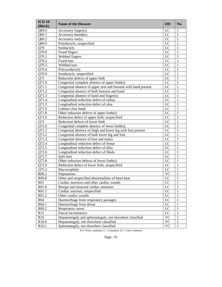| $ICD-10$<br>(Block) | <b>Name of the Diseases</b>                                   | <b>DH</b>       | No.          |
|---------------------|---------------------------------------------------------------|-----------------|--------------|
| Q69.0               | Accessory finger(s)                                           | LC              | 1            |
| Q69.1               | Accessory thumb(s)                                            | LC              | $\mathbf{1}$ |
| Q69.2               | Accessory toe(s)                                              | LC              | $\mathbf{1}$ |
| Q69.9               | Polydactyly, unspecified                                      | LC              | $\mathbf{1}$ |
| Q70                 | Syndactyly                                                    | LC              | $\mathbf{1}$ |
| Q70.0               | <b>Fused fingers</b>                                          | LC              | $\mathbf{1}$ |
| Q70.1               | Webbed fingers                                                | LC              | $\mathbf{1}$ |
| $Q70.\overline{2}$  | Fused toes                                                    | LC              | $\mathbf{1}$ |
| Q70.3               | Webbed toes                                                   | LC              | $\mathbf{1}$ |
| Q70.4               | Polysyndactyly                                                | LC              | $\mathbf{1}$ |
| Q70.9               | Syndactyly, unspecified                                       | LC              | $\mathbf{1}$ |
| Q71                 | Reduction defects of upper limb                               | LC              | $\mathbf{1}$ |
| Q71.0               | Congenital complete absence of upper limb(s)                  | LC              | $\mathbf{1}$ |
| Q71.1               | Congenital absence of upper arm and forearm with hand present | LC              | $\mathbf{1}$ |
| Q71.2               | Congenital absence of both forearm and hand                   | LC              | $\mathbf{1}$ |
| Q71.3               | Congenital absence of hand and finger(s)                      | LC              | $\mathbf{1}$ |
| Q71.4               | Longitudinal reduction defect of radius                       | LC              | $\mathbf{1}$ |
| Q71.5               | Longitudinal reduction defect of ulna                         | LC              | $\mathbf{1}$ |
| Q71.6               | Lobster-claw hand                                             | LC              | $\mathbf{1}$ |
| Q71.8               | Other reduction defects of upper limb(s)                      | LC              | $\mathbf{1}$ |
| Q71.9               | Reduction defect of upper limb, unspecified                   | LC              | $\mathbf{1}$ |
| Q72                 | Reduction defects of lower limb                               | LC              | $\mathbf{1}$ |
| Q72.0               | Congenital complete absence of lower limb(s)                  | LC              | $\mathbf{1}$ |
| Q72.1               | Congenital absence of thigh and lower leg with foot present   | LC              | $\mathbf{1}$ |
| Q72.2               | Congenital absence of both lower leg and foot                 | LC              | $\mathbf{1}$ |
| Q72.3               | Congenital absence of foot and toe $(s)$                      | LC              | $\mathbf{1}$ |
| Q72.4               | Longitudinal reduction defect of femur                        | LC              | $\mathbf{1}$ |
| Q72.5               | Longitudinal reduction defect of tibia                        | LC              | $\mathbf{1}$ |
| Q72.6               | Longitudinal reduction defect of fibula                       | LC              | $\mathbf{1}$ |
| Q72.7               | Split foot                                                    | LC              | $\mathbf{1}$ |
| Q72.8               | Other reduction defects of lower limb(s)                      | LC              | $\mathbf{1}$ |
| Q72.9               | Reduction defect of lower limb, unspecified                   | LC              | $\mathbf{1}$ |
| Q75.3               | Macrocephaly                                                  | LC              | $\mathbf{1}$ |
| R00.2               | Palpitations                                                  | <b>VC</b>       | $\mathbf{1}$ |
| R00.8               | Other and unspecified abnormalities of heart beat             | LC              | $\mathbf{1}$ |
| $\overline{R01}$    | Cardiac murmurs and other cardiac sounds                      | $\overline{LC}$ | $\,1\,$      |
| R01.0               | Benign and innocent cardiac murmurs                           | LC              | $\mathbf{1}$ |
| R01.1               | Cardiac murmur, unspecified                                   | LC              | $\mathbf{1}$ |
| R01.2               | Other cardiac sounds                                          | LC              | $\mathbf{1}$ |
| R04                 | Haemorrhage from respiratory passages                         | LC              | $\mathbf{1}$ |
| R04.1               | Haemorrhage from throat                                       | LC              | $\mathbf{1}$ |
| R09.2               | Respiratory arrest                                            | LC              | $\mathbf{1}$ |
| R15                 | Faecal incontinence                                           | LC              | $\mathbf{1}$ |
| R <sub>16</sub>     | Hepatomegaly and splenomegaly, not elsewhere classified       | <b>VC</b>       | $\mathbf{1}$ |
| R <sub>16.0</sub>   | Hepatomegaly, not elsewhere classified                        | <b>VC</b>       | $\mathbf{1}$ |
| R <sub>16.1</sub>   | Splenomegaly, not elsewhere classified                        | <b>VC</b>       | $\mathbf{1}$ |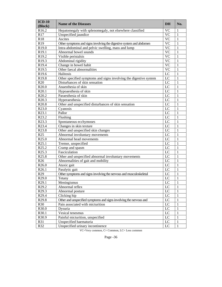| $ICD-10$<br>(Block) | <b>Name of the Diseases</b>                                         | <b>DH</b> | No.          |
|---------------------|---------------------------------------------------------------------|-----------|--------------|
| R <sub>16.2</sub>   | Hepatomegaly with splenomegaly, not elsewhere classified            | <b>VC</b> | 1            |
| R17                 | Unspecified jaundice                                                | <b>VC</b> | $\mathbf{1}$ |
| R <sub>18</sub>     | Ascites                                                             | <b>VC</b> | 1            |
| R <sub>19</sub>     | Other symptoms and signs involving the digestive system and abdomen | <b>VC</b> | 1            |
| R <sub>19.0</sub>   | Intra-abdominal and pelvic swelling, mass and lump                  | <b>VC</b> | $\mathbf{1}$ |
| R19.1               | Abnormal bowel sounds                                               | <b>VC</b> | $\mathbf{1}$ |
| R <sub>19.2</sub>   | Visible peristalsis                                                 | <b>VC</b> | $\mathbf{1}$ |
| R <sub>19.3</sub>   | Abdominal rigidity                                                  | <b>VC</b> | $\mathbf{1}$ |
| R19.4               | Change in bowel habit                                               | <b>VC</b> | 1            |
| R <sub>19.5</sub>   | Other faecal abnormalities                                          | <b>VC</b> | 1            |
| R19.6               | Halitosis                                                           | LC        | 1            |
| R19.8               | Other specified symptoms and signs involving the digestive system   | LC        | 1            |
| R20                 | Disturbances of skin sensation                                      | LC        | 1            |
| R <sub>20.0</sub>   | Anaesthesia of skin                                                 | LC        | $\mathbf{1}$ |
| R20.1               | Hypoaesthesia of skin                                               | LC        | $\mathbf{1}$ |
| R <sub>20.2</sub>   | Paraesthesia of skin                                                | LC        | 1            |
| R <sub>20.3</sub>   | Hyperaesthesia                                                      | LC        | 1            |
| R <sub>20.8</sub>   | Other and unspecified disturbances of skin sensation                | LC        | 1            |
| R <sub>23.0</sub>   | Cyanosis                                                            | LC        | $\mathbf{1}$ |
| R23.1               | Pallor                                                              | LC        | $\mathbf{1}$ |
| R23.2               | Flushing                                                            | LC        | $\mathbf{1}$ |
| R23.3               | Spontaneous ecchymoses                                              | LC        | $\mathbf{1}$ |
| R23.4               | Changes in skin texture                                             | LC        | 1            |
| R23.8               | Other and unspecified skin changes                                  | LC        | 1            |
| R25                 | Abnormal involuntary movements                                      | LC        | 1            |
| R <sub>25.0</sub>   | Abnormal head movements                                             | LC        | 1            |
| R25.1               | Tremor, unspecified                                                 | LC        | 1            |
| R <sub>25.2</sub>   | Cramp and spasm                                                     | LC        | $\mathbf{1}$ |
| R <sub>25.3</sub>   | Fasciculation                                                       | LC        | $\mathbf{1}$ |
| R <sub>25.8</sub>   | Other and unspecified abnormal involuntary movements                | LC        | 1            |
| R <sub>26</sub>     | Abnormalities of gait and mobility                                  | LC        | 1            |
| R <sub>26.0</sub>   | Ataxic gait                                                         | LC        | 1            |
| R26.1               | Paralytic gait                                                      | LC        | 1            |
| R <sub>29</sub>     | Other symptoms and signs involving the nervous and musculoskeletal  | LC        | 1            |
| R <sub>29.0</sub>   | Tetany                                                              | LC        | 1            |
| R29.1               | Meningismus                                                         | LC        | $\,1\,$      |
| R <sub>29.2</sub>   | Abnormal reflex                                                     | LC        | 1            |
| R <sub>29.3</sub>   | Abnormal posture                                                    | LC        | 1            |
| R <sub>29.4</sub>   | Clicking hip                                                        | LC        | 1            |
| R <sub>29.8</sub>   | Other and unspecified symptoms and signs involving the nervous and  | LC        | 1            |
| <b>R30</b>          | Pain associated with micturition                                    | LC        | 1            |
| R30.0               | Dysuria                                                             | LC        | 1            |
| R30.1               | Vesical tenesmus                                                    | LC        | 1            |
| R30.9               | Painful micturition, unspecified                                    | LC        | 1            |
| R31                 | Unspecified haematuria                                              | LC        | 1            |
| R32                 | Unspecified urinary incontinence                                    | LC        | 1            |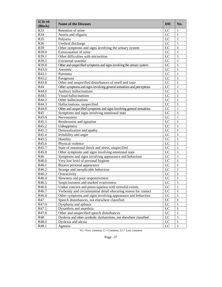| $ICD-10$<br>(Block) | <b>Name of the Diseases</b>                                           | DH              | No.          |
|---------------------|-----------------------------------------------------------------------|-----------------|--------------|
| R33                 | Retention of urine                                                    | LC              | 1            |
| R34                 | Anuria and oliguria                                                   | LC              | 1            |
| R35                 | Polyuria                                                              | LC              | 1            |
| R36                 | Urethral discharge                                                    | LC              | $\mathbf{1}$ |
| R39                 | Other symptoms and signs involving the urinary system                 | LC              | $\mathbf{1}$ |
| R39.0               | Extravasation of urine                                                | LC              | $\mathbf{1}$ |
| R39.1               | Other difficulties with micturition                                   | LC              | $\mathbf{1}$ |
| R39.2               | Extrarenal uraemia                                                    | LC              | $\mathbf{1}$ |
| R39.8               | Other and unspecified symptoms and signs involving the urinary system | LC              | $\mathbf{1}$ |
| R43.0               | Anosmia                                                               | LC              | 1            |
| R43.1               | Parosmia                                                              | LC              | $\mathbf{1}$ |
| R43.2               | Parageusia                                                            | LC              | 1            |
| R43.8               | Other and unspecified disturbances of smell and taste                 | LC              | $\mathbf{1}$ |
| <b>R44</b>          | Other symptoms and signs involving general sensations and perceptions | LC              | 1            |
| R44.0               | Auditory hallucinations                                               | LC              | 1            |
| R44.1               | Visual hallucinations                                                 | LC              | $\mathbf{1}$ |
| R44.2               | Other hallucinations                                                  | LC              | $\mathbf{1}$ |
| R44.3               | Hallucinations, unspecified                                           | LC              | $\mathbf{1}$ |
| R44.8               | Other and unspecified symptoms and signs involving general sensations | LC              | 1            |
| R45                 | Symptoms and signs involving emotional state                          | LC              | 1            |
| R45.0               | Nervousness                                                           | LC              | 1            |
| R45.1               | Restlessness and agitation                                            | LC              | $\mathbf{1}$ |
| R45.2               | Unhappiness                                                           | LC              | 1            |
| R45.3               | Demoralization and apathy                                             | LC              | $\mathbf{1}$ |
| R45.4               | Irritability and anger                                                | LC              | $\mathbf{1}$ |
| R45.5               | Hostility                                                             | LC              | $\mathbf{1}$ |
| R45.6               | Physical violence                                                     | LC              | $\mathbf{1}$ |
| R45.7               | State of emotional shock and stress, unspecified                      | LC              | $\mathbf{1}$ |
| R45.8               | Other symptoms and signs involving emotional state                    | LC              | $\mathbf{1}$ |
| R46                 | Symptoms and signs involving appearance and behaviour                 | LC              | $\mathbf{1}$ |
| R46.0               | Very low level of personal hygiene                                    | LC              | $\mathbf{1}$ |
| $R46.\overline{1}$  | Bizarre personal appearance                                           | LC              | $\mathbf{1}$ |
| R46.2               | Strange and inexplicable behaviour                                    | LC              | $\mathbf{1}$ |
| R46.3               | Overactivity                                                          | LC              | 1            |
| R46.4               | Slowness and poor responsiveness                                      | LC              | 1            |
| R46.5               | Suspiciousness and marked evasiveness                                 | $\overline{LC}$ | $\mathbf 1$  |
| R46.6               | Undue concern and preoccupation with stressful events                 | LC              | 1            |
| R46.7               | Verbosity and circumstantial detail obscuring reason for contact      | LC              | 1            |
| R46.8               | Other symptoms and signs involving appearance and behaviour           | LC              | 1            |
| R47                 | Speech disturbances, not elsewhere classified                         | LC              | 1            |
| R47.0               | Dysphasia and aphasia                                                 | LC              | 1            |
| R47.1               | Dysarthria and anarthria                                              | LC              | 1            |
| R47.8               | Other and unspecified speech disturbances                             | LC              | 1            |
| R48                 | Dyslexia and other symbolic dysfunctions, not elsewhere classified    | LC              | 1            |
| R48.0               | Dyslexia and alexia                                                   | LC              | 1            |
| R48.1               | Agnosia                                                               | LC              | 1            |

VC=Very common, C= Common, LC= Less common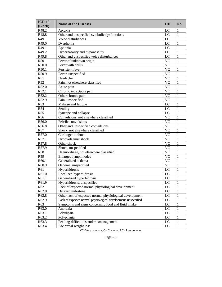| $ICD-10$<br>(Block) | <b>Name of the Diseases</b>                                    | <b>DH</b>       | No.          |
|---------------------|----------------------------------------------------------------|-----------------|--------------|
| R48.2               | Apraxia                                                        | LC              | 1            |
| R48.8               | Other and unspecified symbolic dysfunctions                    | LC              | 1            |
| R49                 | Voice disturbances                                             | $\overline{LC}$ | 1            |
| R49.0               | Dysphonia                                                      | $\overline{LC}$ | $\mathbf{1}$ |
| R49.1               | Aphonia                                                        | LC              | $\mathbf{1}$ |
| R49.2               | Hypernasality and hyponasality                                 | LC              | $\mathbf{1}$ |
| R49.8               | Other and unspecified voice disturbances                       | LC              | $\mathbf{1}$ |
| <b>R50</b>          | Fever of unknown origin                                        | $\overline{VC}$ | $\mathbf{1}$ |
| R50.0               | Fever with chills                                              | $\overline{VC}$ | $\mathbf{1}$ |
| R50.1               | Persistent fever                                               | $\overline{VC}$ | $\mathbf{1}$ |
| R50.9               | Fever, unspecified                                             | $\overline{VC}$ | $\mathbf{1}$ |
| R51                 | Headache                                                       | $\overline{VC}$ | $\mathbf{1}$ |
| R52                 | Pain, not elsewhere classified                                 | $\overline{VC}$ | $\mathbf{1}$ |
| R52.0               | Acute pain                                                     | $\overline{VC}$ | $\mathbf{1}$ |
| R52.1               | Chronic intractable pain                                       | $\overline{VC}$ | $\mathbf{1}$ |
| R52.2               | Other chronic pain                                             | $\overline{VC}$ | $\mathbf{1}$ |
| R52.9               | Pain, unspecified                                              | $\overline{VC}$ | $\mathbf{1}$ |
| R53                 | Malaise and fatigue                                            | $\overline{LC}$ | $\mathbf{1}$ |
| <b>R54</b>          | Senility                                                       | LC              | $\mathbf{1}$ |
| <b>R55</b>          | Syncope and collapse                                           | LC              | $\mathbf{1}$ |
| R <sub>56</sub>     | Convulsions, not elsewhere classified                          | $\overline{VC}$ | $\mathbf{1}$ |
| R56.0               | Febrile convulsions                                            | $\overline{VC}$ | $\mathbf{1}$ |
| R56.8               | Other and unspecified convulsions                              | $\overline{VC}$ | $\mathbf{1}$ |
| R57                 | Shock, not elsewhere classified                                | $\overline{VC}$ | $\mathbf{1}$ |
| R57.0               | Cardiogenic shock                                              | $\overline{VC}$ | $\mathbf{1}$ |
| R57.1               | Hypovolaemic shock                                             | $\overline{VC}$ | $\mathbf{1}$ |
| R57.8               | Other shock                                                    | $\overline{VC}$ | $\mathbf{1}$ |
| R57.9               | Shock, unspecified                                             | $\overline{VC}$ | $\mathbf{1}$ |
| <b>R58</b>          | Haemorrhage, not elsewhere classified                          | $\overline{VC}$ | $\mathbf{1}$ |
| R59                 | Enlarged lymph nodes                                           | $\overline{VC}$ | $\mathbf{1}$ |
| R60.1               | Generalized oedema                                             | $\overline{VC}$ | $\mathbf{1}$ |
| R60.9               | Oedema, unspecified                                            | $\overline{VC}$ | $\mathbf{1}$ |
| R61                 | Hyperhidrosis                                                  | $\overline{LC}$ | $\mathbf{1}$ |
| R61.0               | Localized hyperhidrosis                                        | LC              | 1            |
| R61.1               | Generalized hyperhidrosis                                      | LC              | $\mathbf{1}$ |
| R61.9               | Hyperhidrosis, unspecified                                     | LC              | $\mathbf 1$  |
| R62                 | Lack of expected normal physiological development              | LC              | 1            |
| R62.0               | Delayed milestone                                              | LC              | 1            |
| R62.8               | Other lack of expected normal physiological development        | LC              | 1            |
| R62.9               | Lack of expected normal physiological development, unspecified | LC              | 1            |
| R63                 | Symptoms and signs concerning food and fluid intake            | LC              | 1            |
| R63.0               | Anorexia                                                       | LC              | 1            |
| R63.1               | Polydipsia                                                     | LC              | 1            |
| R63.2               | Polyphagia                                                     | LC              | 1            |
| R63.3               | Feeding difficulties and mismanagement                         | LC              | 1            |
| R63.4               | Abnormal weight loss                                           | $_{\rm LC}$     | 1            |
|                     |                                                                |                 |              |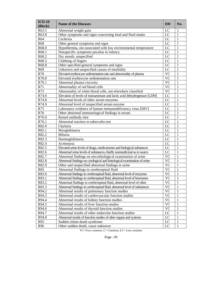| $ICD-10$<br>(Block) | <b>Name of the Diseases</b>                                             | DH              | No.          |
|---------------------|-------------------------------------------------------------------------|-----------------|--------------|
| R63.5               | Abnormal weight gain                                                    | LC              | 1            |
| R63.8               | Other symptoms and signs concerning food and fluid intake               | LC              | 1            |
| R64                 | Cachexia                                                                | LC              | 1            |
| R68                 | Other general symptoms and signs                                        | LC              | 1            |
| R68.0               | Hypothermia, not associated with low environmental temperature          | LC              | 1            |
| R68.1               | Nonspecific symptoms peculiar to infancy                                | LC              | 1            |
| R68.2               | Dry mouth, unspecified                                                  | LC              | 1            |
| R68.3               | Clubbing of fingers                                                     | LC              | 1            |
| R68.8               | Other specified general symptoms and signs                              | LC              | 1            |
| R69                 | Unknown and unspecified causes of morbidity                             | LC              | 1            |
| R70                 | Elevated erythrocyte sedimentation rate and abnormality of plasma       | <b>VC</b>       | 1            |
| R70.0               | Elevated erythrocyte sedimentation rate                                 | <b>VC</b>       | 1            |
| R70.1               | Abnormal plasma viscosity                                               | <b>VC</b>       | 1            |
| R71                 | Abnormality of red blood cells                                          | <b>VC</b>       | 1            |
| R72                 | Abnormality of white blood cells, not elsewhere classified              | <b>VC</b>       | 1            |
| R74.0               | Elevation of levels of transaminase and lactic acid dehydrogenase [LDH] | LC              | 1            |
| R74.8               | Abnormal levels of other serum enzymes                                  | LC              | 1            |
| R74.9               | Abnormal level of unspecified serum enzyme                              | LC              | 1            |
| R75                 | Laboratory evidence of human immunodeficiency virus [HIV]               | LC              | 1            |
| R76                 | Other abnormal immunological findings in serum                          | LC              | 1            |
| R76.0               | Raised antibody titre                                                   | LC              | 1            |
| R76.1               | Abnormal reaction to tuberculin test                                    | LC              | 1            |
| R82.0               | Chyluria                                                                | LC              | 1            |
| R82.1               | Myoglobinuria                                                           | LC              | 1            |
| R82.2               | Biliuria                                                                | LC              | 1            |
| R82.3               | Haemoglobinuria                                                         | LC              | 1            |
| R82.4               | Acetonuria                                                              | LC              | 1            |
| R82.5               | Elevated urine levels of drugs, medicaments and biological substances   | LC              | 1            |
| R82.6               | Abnormal urine levels of substances chiefly nonmedicinal as to source   | LC              | 1            |
| R82.7               | Abnormal findings on microbiological examination of urine               | <b>VC</b>       | $\mathbf{1}$ |
| R82.8               | Abnormal findings on cytological and histological examination of urine  | <b>VC</b>       | 1            |
| R82.9               | Other and unspecified abnormal findings in urine                        | <b>VC</b>       | $\mathbf{1}$ |
| R83                 | Abnormal findings in cerebrospinal fluid                                | <b>VC</b>       | 1            |
| R83.0               | Abnormal findings in cerebrospinal fluid, abnormal level of enzymes     | <b>VC</b>       | 1            |
| R83.1               | Abnormal findings in cerebrospinal fluid, abnormal level of hormones    | <b>VC</b>       | 1            |
| R83.2               | Abnormal findings in cerebrospinal fluid, abnormal level of other       | $\overline{VC}$ | $\,1\,$      |
| R83.3               | Abnormal findings in cerebrospinal fluid, abnormal level of substances  | <b>VC</b>       | 1            |
| R94.2               | Abnormal results of pulmonary function studies                          | <b>VC</b>       | 1            |
| R94.3               | Abnormal results of cardiovascular function studies                     | <b>VC</b>       | 1            |
| R94.4               | Abnormal results of kidney function studies                             | <b>VC</b>       | 1            |
| R94.5               | Abnormal results of liver function studies                              | <b>VC</b>       | 1            |
| R94.6               | Abnormal results of thyroid function studies                            | <b>VC</b>       | 1            |
| R94.7               | Abnormal results of other endocrine function studies                    | LC              | 1            |
| R94.8               | Abnormal results of function studies of other organs and systems        | LC              | 1            |
| R95                 | Sudden infant death syndrome                                            | LC              | 1            |
| R96                 | Other sudden death, cause unknown                                       | LC              | 1            |

| г. |  |
|----|--|
|----|--|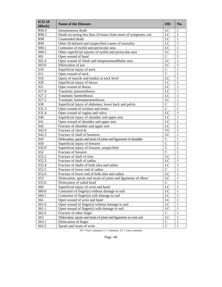| $ICD-10$<br>(Block) | <b>Name of the Diseases</b>                                         | <b>DH</b>       | No.          |
|---------------------|---------------------------------------------------------------------|-----------------|--------------|
| R96.0               | Instantaneous death                                                 | LC              | 1            |
| R96.1               | Death occurring less than 24 hours from onset of symptoms, not      | $\rm LC$        | $\mathbf{1}$ |
| R98                 | Unattended death                                                    | $_{\rm LC}$     | $\mathbf{1}$ |
| R99                 | Other ill-defined and unspecified causes of mortality               | LC              | $\mathbf{1}$ |
| S00.1               | Contusion of eyelid and periocular area                             | LC              | $\mathbf{1}$ |
| S00.2               | Other superficial injuries of eyelid and periocular area            | LC              | $\mathbf{1}$ |
| S01                 | Open wound of head                                                  | $\mathbf C$     | $\mathbf{1}$ |
| S01.4               | Open wound of cheek and temporomandibular area                      | LC              | $\mathbf{1}$ |
| S03.0               | Dislocation of jaw                                                  | LC              | $\mathbf{1}$ |
| S10                 | Superficial injury of neck                                          | $\overline{C}$  | $\mathbf{1}$ |
| S11                 | Open wound of neck                                                  | $\overline{C}$  | $\mathbf{1}$ |
| S16                 | Injury of muscle and tendon at neck level                           | LC              | $\mathbf{1}$ |
| S <sub>20</sub>     | Superficial injury of thorax                                        | LC              | $\mathbf{1}$ |
| S <sub>21</sub>     | Open wound of thorax                                                | LC              | $\mathbf{1}$ |
| S27.0               | Traumatic pneumothorax                                              | LC              | $\mathbf{1}$ |
| S27.1               | Traumatic haemothorax                                               | LC              | $\mathbf{1}$ |
| S27.2               | Traumatic haemopneumothorax                                         | LC              | $\mathbf{1}$ |
| S30                 | Superficial injury of abdomen, lower back and pelvis                | $\overline{C}$  | $\mathbf{1}$ |
| S31.3               | Open wound of scrotum and testes                                    | $\overline{C}$  | $\mathbf{1}$ |
| S31.4               | Open wound of vagina and vulva                                      | $_{\rm LC}$     | $\mathbf{1}$ |
| S40                 | Superficial injury of shoulder and upper arm                        | LC              | $\mathbf{1}$ |
| S41                 | Open wound of shoulder and upper arm                                | LC              | $\mathbf{1}$ |
| S42                 | Fracture of shoulder and upper arm                                  | LC              | $\mathbf{1}$ |
| S42.0               | Fracture of clavicle                                                | <b>VC</b>       | $\mathbf{1}$ |
| S42.3               | Fracture of shaft of humerus                                        | $L\overline{C}$ | $\mathbf{1}$ |
| S43                 | Dislocation, sprain and strain of joints and ligaments of shoulder  | $\mathbf C$     | $\mathbf{1}$ |
| S50                 | Superficial injury of forearm                                       | $\overline{C}$  | $\mathbf{1}$ |
| S50.9               | Superficial injury of forearm, unspecified                          | $\overline{C}$  | $\mathbf{1}$ |
| S52                 | Fracture of forearm                                                 | $\overline{C}$  | $\mathbf{1}$ |
| S52.2               | Fracture of shaft of ulna                                           | LC              | $\mathbf{1}$ |
| S52.3               | Fracture of shaft of radius                                         | LC              | $\mathbf{1}$ |
| S52.4               | Fracture of shafts of both ulna and radius                          | LC              | $\mathbf{1}$ |
| S52.5               | Fracture of lower end of radius                                     | $\mathbf C$     | $\mathbf{1}$ |
| S52.6               | Fracture of lower end of both ulna and radius                       | LC              | $\mathbf{1}$ |
| S53                 | Dislocation, sprain and strain of joints and ligaments of elbow     | LC              | $\mathbf{1}$ |
| S53.0               | Dislocation of radial head                                          | $\overline{C}$  | $\,1\,$      |
| S60                 | Superficial injury of wrist and hand                                | LC              | $\mathbf{1}$ |
| S60.0               | Contusion of finger(s) without damage to nail                       | $_{\text{LC}}$  | $\mathbf{1}$ |
| S60.1               | Contusion of finger(s) with damage to nail                          | $_{\rm LC}$     | $\mathbf{1}$ |
| S61                 | Open wound of wrist and hand                                        | $_{\rm LC}$     | $\mathbf{1}$ |
| S61.0               | Open wound of finger(s) without damage to nail                      | LC              | $\mathbf{1}$ |
| S61.1               | Open wound of finger(s) with damage to nail                         | $_{\rm LC}$     | $\mathbf{1}$ |
| S62.6               | Fracture of other finger                                            | $\mathbf C$     | $\mathbf{1}$ |
| S63                 | Dislocation, sprain and strain of joints and ligaments at wrist and | LC              | $\mathbf{1}$ |
| S63.1               | Dislocation of finger                                               | $\mathcal{C}$   | $\mathbf{1}$ |
| S63.5               | Sprain and strain of wrist                                          | $\mathsf{C}$    | $\mathbf{1}$ |

VC=Very common, C= Common, LC= Less common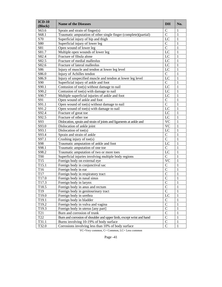| $ICD-10$<br>(Block) | <b>Name of the Diseases</b>                                          | <b>DH</b>              | No.          |
|---------------------|----------------------------------------------------------------------|------------------------|--------------|
| S63.6               | Sprain and strain of finger(s)                                       | $\mathsf{C}$           | 1            |
| S68.1               | Traumatic amputation of other single finger (complete)(partial)      | $\overline{C}$         | $\mathbf{1}$ |
| S70                 | Superficial injury of hip and thigh                                  | LC                     | $\mathbf{1}$ |
| S80                 | Superficial injury of lower leg                                      | $\overline{C}$         | $\mathbf{1}$ |
| S81                 | Open wound of lower leg                                              | $\overline{C}$         | $\mathbf{1}$ |
| S81.7               | Multiple open wounds of lower leg                                    | LC                     | $\mathbf{1}$ |
| S82.4               | Fracture of fibula alone                                             | LC                     | $\mathbf{1}$ |
| S82.5               | Fracture of medial malleolus                                         | LC                     | $\mathbf{1}$ |
| S82.6               | Fracture of lateral malleolus                                        | $\overline{LC}$        | $\mathbf{1}$ |
| S86                 | Injury of muscle and tendon at lower leg level                       | LC                     | $\mathbf{1}$ |
| S86.0               | Injury of Achilles tendon                                            | $\overline{C}$         | $\mathbf{1}$ |
| S86.9               | Injury of unspecified muscle and tendon at lower leg level           | LC                     | $\mathbf{1}$ |
| S90                 | Superficial injury of ankle and foot                                 | $\overline{C}$         | $\mathbf{1}$ |
| S90.1               | Contusion of toe(s) without damage to nail                           | LC                     | $\mathbf{1}$ |
| S90.2               | Contusion of toe(s) with damage to nail                              | $L\overline{C}$        | $\mathbf{1}$ |
| S90.7               | Multiple superficial injuries of ankle and foot                      | LC                     | $\mathbf{1}$ |
| S91                 | Open wound of ankle and foot                                         | $\overline{C}$         | $\mathbf{1}$ |
| S91.1               | Open wound of toe(s) without damage to nail                          | $\overline{C}$         | $\mathbf{1}$ |
| S91.2               | Open wound of toe(s) with damage to nail                             | LC                     | $\mathbf{1}$ |
| S92.4               | Fracture of great toe                                                | LC                     | $\mathbf{1}$ |
| S92.5               | Fracture of other toe                                                | LC                     | $\mathbf{1}$ |
| S93                 | Dislocation, sprain and strain of joints and ligaments at ankle and  | $\overline{\text{VC}}$ | $\mathbf{1}$ |
| S93.0               | Dislocation of ankle joint                                           | $\overline{\text{VC}}$ | $\mathbf{1}$ |
| S93.1               | Dislocation of toe(s)                                                | LC                     | $\mathbf{1}$ |
| S93.4               | Sprain and strain of ankle                                           | $\overline{C}$         | $\mathbf{1}$ |
| S97.1               | Crushing injury of toe(s)                                            | $\overline{C}$         | $\mathbf{1}$ |
| S98                 | Traumatic amputation of ankle and foot                               | LC                     | $\mathbf{1}$ |
| S98.1               | Traumatic amputation of one toe                                      | $\overline{C}$         | $\mathbf{1}$ |
| S98.2               | Traumatic amputation of two or more toes                             | LC                     | $\mathbf{1}$ |
| <b>T00</b>          | Superficial injuries involving multiple body regions                 | $\overline{C}$         | $\mathbf{1}$ |
| T15                 | Foreign body on external eye                                         | $\overline{\text{VC}}$ | $\mathbf{1}$ |
| T15.1               | Foreign body in conjunctival sac                                     | $\mathcal{C}$          | $\mathbf{1}$ |
| T16                 | Foreign body in ear                                                  | $\overline{C}$         | $\mathbf{1}$ |
| T17                 | Foreign body in respiratory tract                                    | $\overline{C}$         | $\mathbf{1}$ |
| T17.0               | Foreign body in nasal sinus                                          | $\overline{C}$         | $\mathbf{1}$ |
| T17.3               | Foreign body in larynx                                               | $\mathbf C$            | $\,1$        |
| T <sub>18.5</sub>   | Foreign body in anus and rectum                                      | $\overline{C}$         | $\mathbf{1}$ |
| T <sub>19</sub>     | Foreign body in genitourinary tract                                  | $\overline{C}$         | $\mathbf{1}$ |
| T19.0               | Foreign body in urethra                                              | LC                     | $\mathbf{1}$ |
| T19.1               | Foreign body in bladder                                              | $\mathsf{C}$           | $\mathbf{1}$ |
| T19.2               | Foreign body in vulva and vagina                                     | $\overline{C}$         | $\mathbf{1}$ |
| T19.3               | Foreign body in uterus [any part]                                    | $\overline{C}$         | $\mathbf{1}$ |
| T <sub>21</sub>     | Burn and corrosion of trunk                                          | $\overline{C}$         | $\mathbf{1}$ |
| T22                 | Burn and corrosion of shoulder and upper limb, except wrist and hand | $\overline{C}$         | $\mathbf{1}$ |
| T31.1               | Burns involving 10-19% of body surface                               | $\overline{C}$         | $\mathbf{1}$ |
| T32.0               | Corrosions involving less than 10% of body surface                   | $\mathbf C$            | $\mathbf{1}$ |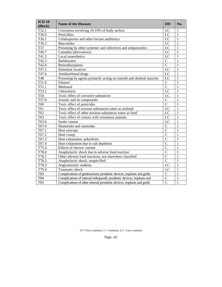| $ICD-10$<br>(Block) | <b>Name of the Diseases</b>                                             | <b>DH</b>       | No.          |
|---------------------|-------------------------------------------------------------------------|-----------------|--------------|
| T32.1               | Corrosions involving 10-19% of body surface                             | LC              | 1            |
| T36.0               | Penicillins                                                             | LC              | $\mathbf{1}$ |
| T36.1               | Cefalosporins and other-lactam antibiotics                              | $\overline{LC}$ | 1            |
| $T36.\overline{3}$  | Macrolides                                                              | $\overline{LC}$ | 1            |
| T37                 | Poisoning by other systemic anti-infectives and antiparasitics          | $\overline{LC}$ | $\mathbf{1}$ |
| T40.7               | Cannabis (derivatives)                                                  | LC              | $\mathbf{1}$ |
| T41.3               | Local anaesthetics                                                      | $L\overline{C}$ | $\mathbf{1}$ |
| T42.3               | <b>Barbiturates</b>                                                     | $\overline{C}$  | $\mathbf{1}$ |
| T42.4               | Benzodiazepines                                                         | $\overline{C}$  | $\mathbf{1}$ |
| T47.2               | Stimulant laxatives                                                     | LC              | $\mathbf{1}$ |
| T47.6               | Antidiarrhoeal drugs                                                    | LC              | $\mathbf{1}$ |
| T48                 | Poisoning by agents primarily acting on smooth and skeletal muscles     | LC              | $\mathbf{1}$ |
| T51.0               | Ethanol                                                                 | $\overline{C}$  | $\mathbf{1}$ |
| T51.1               | Methanol                                                                | $\overline{C}$  | $\mathbf{1}$ |
| T53.1               | Chloroform                                                              | LC              | $\mathbf{1}$ |
| T54                 | Toxic effect of corrosive substances                                    | LC              | 1            |
| T57.0               | Arsenic and its compounds                                               | $\overline{C}$  | 1            |
| T60                 | Toxic effect of pesticides                                              | $\overline{C}$  | 1            |
| T61                 | Toxic effect of noxious substances eaten as seafood                     | LC              | 1            |
| T62                 | Toxic effect of other noxious substances eaten as food                  | LC              | 1            |
| T63                 | Toxic effect of contact with venomous animals                           | LC              | 1            |
| T63.0               | Snake venom                                                             | LC              | 1            |
| T67.0               | Heatstroke and sunstroke                                                | $\mathcal{C}$   | 1            |
| T67.1               | Heat syncope                                                            | $\overline{C}$  | $\mathbf{1}$ |
| T67.2               | Heat cramp                                                              | $\overline{C}$  | $\mathbf{1}$ |
| T67.3               | Heat exhaustion, anhydrotic                                             | $\overline{C}$  | $\mathbf{1}$ |
| T67.4               | Heat exhaustion due to salt depletion                                   | $\overline{C}$  | $\mathbf{1}$ |
| T75.4               | Effects of electric current                                             | $\overline{C}$  | $\mathbf{1}$ |
| T78.0               | Anaphylactic shock due to adverse food reaction                         | $\overline{C}$  | $\mathbf{1}$ |
| T78.1               | Other adverse food reactions, not elsewhere classified                  | $\overline{C}$  | $\mathbf{1}$ |
| T78.2               | Anaphylactic shock, unspecified                                         | $\overline{C}$  | $\mathbf{1}$ |
| T78.3               | Angioneurotic oedema                                                    | LC              | 1            |
| T79.4               | Traumatic shock                                                         | LC              | 1            |
| T83                 | Complications of genitourinary prosthetic devices, implants and grafts  | $\overline{C}$  | 1            |
| T84                 | Complications of internal orthopaedic prosthetic devices, implants and  | $\overline{C}$  | 1            |
| $\overline{T85}$    | Complications of other internal prosthetic devices, implants and grafts | $\overline{C}$  | $\mathbf{1}$ |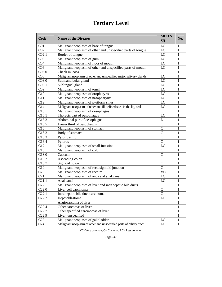## **Tertiary Level**

| Code              | <b>Name of the Diseases</b>                                        | MCH &<br><b>SH</b> | No.          |
|-------------------|--------------------------------------------------------------------|--------------------|--------------|
| C <sub>01</sub>   | Malignant neoplasm of base of tongue                               | LC                 | 1            |
| CO <sub>2</sub>   | Malignant neoplasm of other and unspecified parts of tongue        | LC                 | 1            |
| CO <sub>2.1</sub> | Border of tongue                                                   | LC                 | 1            |
| CO <sub>3</sub>   | Malignant neoplasm of gum                                          | LC                 | 1            |
| C <sub>04</sub>   | Malignant neoplasm of floor of mouth                               | LC                 | 1            |
| C <sub>06</sub>   | Malignant neoplasm of other and unspecified parts of mouth         | LC                 | 1            |
| C <sub>06.0</sub> | Cheek mucosa                                                       | $\mathbf C$        | 1            |
| C <sub>08</sub>   | Malignant neoplasm of other and unspecified major salivary glands  | LC                 | 1            |
| C <sub>08.0</sub> | Submandibular gland                                                | LC                 | 1            |
| CO8.1             | Sublingual gland                                                   | LC                 | 1            |
| C <sub>09</sub>   | Malignant neoplasm of tonsil                                       | LC                 | 1            |
| C10               | Malignant neoplasm of oropharynx                                   | LC                 | 1            |
| C11               | Malignant neoplasm of nasopharynx                                  | LC                 | 1            |
| C12               | Malignant neoplasm of pyriform sinus                               | LC                 | 1            |
| C14               | Malignant neoplasm of other and ill-defined sites in the lip, oral | LC                 | 1            |
| C15               | Malignant neoplasm of oesophagus                                   | $\mathbf C$        | 1            |
| C15.1             | Thoracic part of oesophagus                                        | LC                 | 1            |
| C15.2             | Abdominal part of oesophagus                                       | L                  | 1            |
| C15.5             | Lower third of oesophagus                                          | $\mathcal{C}$      | 1            |
| C16               | Malignant neoplasm of stomach                                      | $\mathcal{C}$      | 1            |
| C16.2             | Body of stomach                                                    | $\mathcal{C}$      | 1            |
| C16.3             | Pyloric antrum                                                     | $\mathcal{C}$      | 1            |
| C16.4             | Pylorus                                                            | $\mathcal{C}$      | 1            |
| C17               | Malignant neoplasm of small intestine                              | LC                 | 1            |
| C18               | Malignant neoplasm of colon                                        | $\mathcal{C}$      | 1            |
| C18.0             | Caecum                                                             | $\mathcal{C}$      | 1            |
| C18.2             | Ascending colon                                                    | $\mathcal{C}$      | 1            |
| C <sub>18.7</sub> | Sigmoid colon                                                      | $\mathcal{C}$      | 1            |
| C19               | Malignant neoplasm of rectosigmoid junction                        | $\mathcal{C}$      | 1            |
| C <sub>20</sub>   | Malignant neoplasm of rectum                                       | <b>VC</b>          | 1            |
| C21               | Malignant neoplasm of anus and anal canal                          | LC                 | 1            |
| C21.1             | Anal canal                                                         | LC                 | 1            |
| C22               | Malignant neoplasm of liver and intrahepatic bile ducts            | $\mathsf{C}$       | 1            |
| C22.0             | Liver cell carcinoma                                               | $\mathcal{C}$      | 1            |
| C22.1             | Intrahepatic bile duct carcinoma                                   | $\overline{C}$     | 1            |
| C22.2             | Hepatoblastoma                                                     | LC                 | 1            |
|                   | Angiosarcoma of liver                                              |                    | 1            |
| C22.4             | Other sarcomas of liver                                            |                    | 1            |
| C22.7             | Other specified carcinomas of liver                                |                    | $\mathbf{1}$ |
| C22.9             | Liver, unspecified                                                 |                    | 1            |
| C <sub>23</sub>   | Malignant neoplasm of gallbladder                                  | LC                 | 1            |
| C <sub>24</sub>   | Malignant neoplasm of other and unspecified parts of biliary tract | LC                 | $\mathbf{1}$ |

VC=Very common, C= Common, LC= Less common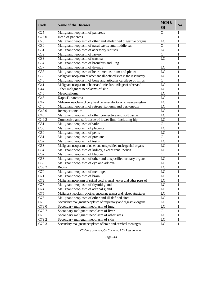| Code              | <b>Name of the Diseases</b>                                          | MCH&<br><b>SH</b> | No.          |
|-------------------|----------------------------------------------------------------------|-------------------|--------------|
| C <sub>25</sub>   | Malignant neoplasm of pancreas                                       | $\mathbf C$       | 1            |
| C <sub>25.0</sub> | Head of pancreas                                                     | $\overline{C}$    | 1            |
| C <sub>26</sub>   | Malignant neoplasm of other and ill-defined digestive organs         | LC                | 1            |
| C30               | Malignant neoplasm of nasal cavity and middle ear                    | $\mathcal{C}$     | 1            |
| C31               | Malignant neoplasm of accessory sinuses                              | LC                | 1            |
| C32               | Malignant neoplasm of larynx                                         | $\mathcal{C}$     | 1            |
| C <sub>33</sub>   | Malignant neoplasm of trachea                                        | LC                | 1            |
| C <sub>34</sub>   | Malignant neoplasm of bronchus and lung                              | $\overline{C}$    | 1            |
| C <sub>37</sub>   | Malignant neoplasm of thymus                                         | LC                | 1            |
| C38               | Malignant neoplasm of heart, mediastinum and pleura                  | LC                | 1            |
| C39               | Malignant neoplasm of other and ill-defined sites in the respiratory | LC                | 1            |
| C40               | Malignant neoplasm of bone and articular cartilage of limbs          | $\mathbf C$       | 1            |
| C <sub>41</sub>   | Malignant neoplasm of bone and articular cartilage of other and      | LC                | 1            |
| C44               | Other malignant neoplasms of skin                                    | LC                | 1            |
| C <sub>45</sub>   | Mesothelioma                                                         | LC                | 1            |
| C <sub>46</sub>   | Kaposi's sarcoma                                                     | LC                | 1            |
| C47               | Malignant neoplasm of peripheral nerves and autonomic nervous system | LC                | 1            |
| C48               | Malignant neoplasm of retroperitoneum and peritoneum                 | LC                | 1            |
| C48.0             | Retroperitoneum                                                      | LC                | 1            |
| C49               | Malignant neoplasm of other connective and soft tissue               | LC                | 1            |
| C <sub>49.2</sub> | Connective and soft tissue of lower limb, including hip              | LC                | 1            |
| C51               | Malignant neoplasm of vulva                                          | $\mathbf C$       | 1            |
| C58               | Malignant neoplasm of placenta                                       | LC                | 1            |
| C60               | Malignant neoplasm of penis                                          | LC                | 1            |
| C61               | Malignant neoplasm of prostate                                       | $\mathbf C$       | 1            |
| C62               | Malignant neoplasm of testis                                         | LC                | 1            |
| C63               | Malignant neoplasm of other and unspecified male genital organs      | LC                | 1            |
| C64               | Malignant neoplasm of kidney, except renal pelvis                    | LC                | 1            |
| C67               | Malignant neoplasm of bladder                                        | $\mathbf C$       | 1            |
| C68               | Malignant neoplasm of other and unspecified urinary organs           | LC                | 1            |
| C69               | Malignant neoplasm of eye and adnexa                                 | LC                | 1            |
| C69.2             | Retina                                                               | LC                | 1            |
| C70               | Malignant neoplasm of meninges                                       | LC                | 1            |
| C71               | Malignant neoplasm of brain                                          | LC                | 1            |
| C72               | Malignant neoplasm of spinal cord, cranial nerves and other parts of | LC                | 1            |
| C73               | Malignant neoplasm of thyroid gland                                  | LC                | 1            |
| C74               | Malignant neoplasm of adrenal gland                                  | LC                | 1            |
| C75               | Malignant neoplasm of other endocrine glands and related structures  | $_{\rm LC}$       | 1            |
| C76               | Malignant neoplasm of other and ill-defined sites                    | LC                | 1            |
| C78               | Secondary malignant neoplasm of respiratory and digestive organs     | LC                | 1            |
| C78.0             | Secondary malignant neoplasm of lung                                 | LC                | 1            |
| C78.7             | Secondary malignant neoplasm of liver                                | $\overline{C}$    | 1            |
| C79               | Secondary malignant neoplasm of other sites                          | LC                | 1            |
| C79.2             | Secondary malignant neoplasm of skin                                 | LC                | 1            |
| C79.3             | Secondary malignant neoplasm of brain and cerebral meninges          | LC                | $\mathbf{1}$ |
|                   |                                                                      |                   |              |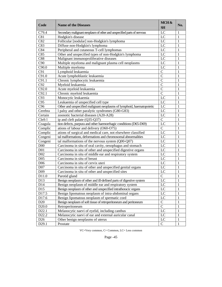| Code              | <b>Name of the Diseases</b>                                            | MCH&<br><b>SH</b> | No. |
|-------------------|------------------------------------------------------------------------|-------------------|-----|
| C79.4             | Secondary malignant neoplasm of other and unspecified parts of nervous | LC                | 1   |
| C81               | Hodgkin's disease                                                      | LC                | 1   |
| C82               | Follicular [nodular] non-Hodgkin's lymphoma                            | LC                | 1   |
| C83               | Diffuse non-Hodgkin's lymphoma                                         | LC                |     |
| C84               | Peripheral and cutaneous T-cell lymphomas                              | LC                |     |
| C85               | Other and unspecified types of non-Hodgkin's lymphoma                  | LC                |     |
| C88               | Malignant immunoproliferative diseases                                 | LC                |     |
| C90               | Multiple myeloma and malignant plasma cell neoplasms                   | LC                |     |
| C90.0             | Multiple myeloma                                                       | LC                |     |
| C91               | Lymphoid leukaemia                                                     | $\mathsf{C}$      |     |
| C91.0             | Acute lymphoblastic leukaemia                                          | $\mathsf{C}$      |     |
| C91.1             | Chronic lymphocytic leukaemia                                          | $\mathsf{C}$      |     |
| C92               | Myeloid leukaemia                                                      | $\mathsf{C}$      |     |
| C92.0             | Acute myeloid leukaemia                                                | $\mathcal{C}$     |     |
| C92.1             | Chronic myeloid leukaemia                                              | $\mathcal{C}$     |     |
| C93               | Monocytic leukaemia                                                    | LC                |     |
| C95               | Leukaemia of unspecified cell type                                     | LC                | 1   |
| C <sub>96</sub>   | Other and unspecified malignant neoplasms of lymphoid, haematopoietic  | LC                | 1   |
| Cerebra           | l palsy and other paralytic syndromes (G80-G83)                        | LC                |     |
| Certain           | zoonotic bacterial diseases (A20-A28)                                  | LC                |     |
| Cleft 1           | ip and cleft palate (Q35-Q37)                                          | $\mathcal{C}$     |     |
| Coagula           | tion defects, purpura and other haemorrhagic conditions (D65-D69)      | LC                |     |
| Complic           | ations of labour and delivery (O60-O75)                                | $\mathcal{C}$     |     |
| Complic           | ations of surgical and medical care, not elsewhere classified          | LC                | 1   |
| Congeni           | tal malformations, deformations and chromosomal abnormalities          | LC                | 1   |
| Congeni           | tal malformations of the nervous system (Q00-Q07)                      | LC                | 1   |
| D <sub>00</sub>   | Carcinoma in situ of oral cavity, oesophagus and stomach               | LC                |     |
| D <sub>01</sub>   | Carcinoma in situ of other and unspecified digestive organs            | LC                |     |
| D02               | Carcinoma in situ of middle ear and respiratory system                 | LC                | 1   |
| D <sub>05</sub>   | Carcinoma in situ of breast                                            | LC                |     |
| D <sub>06</sub>   | Carcinoma in situ of cervix uteri                                      | LC                |     |
| D07               | Carcinoma in situ of other and unspecified genital organs              | LC                | 1   |
| D <sub>09</sub>   | Carcinoma in situ of other and unspecified sites                       | LC                |     |
| D11.0             | Parotid gland                                                          | $\mathsf{C}$      | 1   |
| D13               | Benign neoplasm of other and ill-defined parts of digestive system     | LC                | 1   |
| D <sub>14</sub>   | Benign neoplasm of middle ear and respiratory system                   | LC                | 1   |
| D15               | Benign neoplasm of other and unspecified intrathoracic organs          | LC                |     |
| D17.5             | Benign lipomatous neoplasm of intra-abdominal organs                   | LC                | 1   |
| D17.6             | Benign lipomatous neoplasm of spermatic cord                           | LC                |     |
| D20               | Benign neoplasm of soft tissue of retroperitoneum and peritoneum       | $\mathsf C$       |     |
| D <sub>20.0</sub> | Retroperitoneum                                                        | $\mathbf C$       | 1   |
| D22.1             | Melanocytic naevi of eyelid, including canthus                         | LC                | 1   |
| D22.2             | Melanocytic naevi of ear and external auricular canal                  | LC                | 1   |
| D <sub>26</sub>   | Other benign neoplasms of uterus                                       | LC                | 1   |
| D29.1             | Prostate                                                               | $\mathsf{C}$      | 1   |
|                   |                                                                        |                   |     |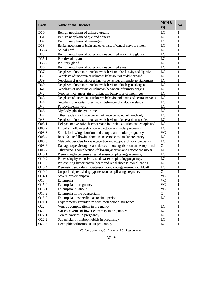| D30<br>Benign neoplasm of urinary organs<br>LC<br>1<br>D31<br>LC<br>Benign neoplasm of eye and adnexa<br>1<br>D32<br>Benign neoplasm of meninges<br>LC<br>1<br>Benign neoplasm of brain and other parts of central nervous system<br>LC<br>D33<br>1<br>LC<br>D33.4<br>Spinal cord<br>1<br>D35<br>Benign neoplasm of other and unspecified endocrine glands<br>LC<br>1<br>LC<br>D35.1<br>Parathyroid gland<br>1<br>LC<br>D35.2<br>Pituitary gland<br>1<br>Benign neoplasm of other and unspecified sites<br>LC<br>D36<br>1<br>Neoplasm of uncertain or unknown behaviour of oral cavity and digestive<br>LC<br>D37<br>1<br>$_{\text{LC}}$<br>D38<br>Neoplasm of uncertain or unknown behaviour of middle ear and<br>1<br>D39<br>Neoplasm of uncertain or unknown behaviour of female genital organs<br>LC<br>1<br>LC<br>D40<br>Neoplasm of uncertain or unknown behaviour of male genital organs<br>1<br>D41<br>Neoplasm of uncertain or unknown behaviour of urinary organs<br>LC<br>1<br>D42<br>LC<br>Neoplasm of uncertain or unknown behaviour of meninges<br>1<br>D43<br>Neoplasm of uncertain or unknown behaviour of brain and central nervous<br>LC<br>1<br>D44<br>LC<br>Neoplasm of uncertain or unknown behaviour of endocrine glands<br>1<br>D45<br>Polycythaemia vera<br>LC<br>1<br>$_{\rm LC}$<br>D46<br>Myelodysplastic syndromes<br>1<br>Other neoplasms of uncertain or unknown behaviour of lymphoid,<br>LC<br>D47<br>1<br>D48<br>LC<br>Neoplasm of uncertain or unknown behaviour of other and unspecified<br>1<br>LC<br>O08.1<br>Delayed or excessive haemorrhage following abortion and ectopic and<br>1<br>LC<br>O08.2<br>Embolism following abortion and ectopic and molar pregnancy<br>1<br>O08.3<br>Shock following abortion and ectopic and molar pregnancy<br><b>VC</b><br>1<br>O08.4<br>Renal failure following abortion and ectopic and molar pregnancy<br>LC<br>1<br>O08.5<br>Metabolic disorders following abortion and ectopic and molar pregnancy<br>LC<br>1<br>$\mathbf C$<br>O08.6<br>Damage to pelvic organs and tissues following abortion and ectopic and<br>1<br>LC<br>O08.7<br>Other venous complications following abortion and ectopic and molar<br>1<br>O10.1<br>LC<br>Pre-existing hypertensive heart disease complicating pregnancy,<br>1<br>O10.2<br>LC<br>Pre-existing hypertensive renal disease complicating pregnancy,<br>1<br>O10.3<br>LC<br>Pre-existing hypertensive heart and renal disease complicating<br>1<br>O10.4<br>LC<br>Pre-existing secondary hypertension complicating pregnancy, childbirth<br>1<br>$\mathbf C$<br>O10.9<br>Unspecified pre-existing hypertension complicating pregnancy<br>1<br>O14.1<br><b>VC</b><br>Severe pre-eclampsia<br>1<br><b>VC</b><br>O15<br>1<br>Eclampsia<br>O15.0<br><b>VC</b><br>Eclampsia in pregnancy<br>1<br>O15.1<br>Eclampsia in labour<br><b>VC</b><br>1<br>$\mathbf C$<br>Eclampsia in the puerperium<br>O15.2<br>1<br>$_{\rm LC}$<br>Eclampsia, unspecified as to time period<br>O15.9<br>1<br>Hyperemesis gravidarum with metabolic disturbance<br>$\mathsf{C}$<br>O21.1<br>1<br>LC<br>Venous complications in pregnancy<br>O22<br>1<br>LC<br>Varicose veins of lower extremity in pregnancy<br>O22.0<br>1<br>$_{\rm LC}$<br>O22.1<br>Genital varices in pregnancy<br>1<br>Superficial thrombophlebitis in pregnancy<br>LC<br>O22.2<br>1<br>LC<br>O22.3<br>Deep phlebothrombosis in pregnancy | Code | <b>Name of the Diseases</b> | MCH&<br><b>SH</b> | No. |
|------------------------------------------------------------------------------------------------------------------------------------------------------------------------------------------------------------------------------------------------------------------------------------------------------------------------------------------------------------------------------------------------------------------------------------------------------------------------------------------------------------------------------------------------------------------------------------------------------------------------------------------------------------------------------------------------------------------------------------------------------------------------------------------------------------------------------------------------------------------------------------------------------------------------------------------------------------------------------------------------------------------------------------------------------------------------------------------------------------------------------------------------------------------------------------------------------------------------------------------------------------------------------------------------------------------------------------------------------------------------------------------------------------------------------------------------------------------------------------------------------------------------------------------------------------------------------------------------------------------------------------------------------------------------------------------------------------------------------------------------------------------------------------------------------------------------------------------------------------------------------------------------------------------------------------------------------------------------------------------------------------------------------------------------------------------------------------------------------------------------------------------------------------------------------------------------------------------------------------------------------------------------------------------------------------------------------------------------------------------------------------------------------------------------------------------------------------------------------------------------------------------------------------------------------------------------------------------------------------------------------------------------------------------------------------------------------------------------------------------------------------------------------------------------------------------------------------------------------------------------------------------------------------------------------------------------------------------------------------------------------------------------------------------------------------------------------------------------------------------------------------------------------------------------------------------------------------------------------------------------------------------------------------------------------------------------------------------------------------------------------------------------------|------|-----------------------------|-------------------|-----|
|                                                                                                                                                                                                                                                                                                                                                                                                                                                                                                                                                                                                                                                                                                                                                                                                                                                                                                                                                                                                                                                                                                                                                                                                                                                                                                                                                                                                                                                                                                                                                                                                                                                                                                                                                                                                                                                                                                                                                                                                                                                                                                                                                                                                                                                                                                                                                                                                                                                                                                                                                                                                                                                                                                                                                                                                                                                                                                                                                                                                                                                                                                                                                                                                                                                                                                                                                                                                      |      |                             |                   |     |
|                                                                                                                                                                                                                                                                                                                                                                                                                                                                                                                                                                                                                                                                                                                                                                                                                                                                                                                                                                                                                                                                                                                                                                                                                                                                                                                                                                                                                                                                                                                                                                                                                                                                                                                                                                                                                                                                                                                                                                                                                                                                                                                                                                                                                                                                                                                                                                                                                                                                                                                                                                                                                                                                                                                                                                                                                                                                                                                                                                                                                                                                                                                                                                                                                                                                                                                                                                                                      |      |                             |                   |     |
|                                                                                                                                                                                                                                                                                                                                                                                                                                                                                                                                                                                                                                                                                                                                                                                                                                                                                                                                                                                                                                                                                                                                                                                                                                                                                                                                                                                                                                                                                                                                                                                                                                                                                                                                                                                                                                                                                                                                                                                                                                                                                                                                                                                                                                                                                                                                                                                                                                                                                                                                                                                                                                                                                                                                                                                                                                                                                                                                                                                                                                                                                                                                                                                                                                                                                                                                                                                                      |      |                             |                   |     |
|                                                                                                                                                                                                                                                                                                                                                                                                                                                                                                                                                                                                                                                                                                                                                                                                                                                                                                                                                                                                                                                                                                                                                                                                                                                                                                                                                                                                                                                                                                                                                                                                                                                                                                                                                                                                                                                                                                                                                                                                                                                                                                                                                                                                                                                                                                                                                                                                                                                                                                                                                                                                                                                                                                                                                                                                                                                                                                                                                                                                                                                                                                                                                                                                                                                                                                                                                                                                      |      |                             |                   |     |
|                                                                                                                                                                                                                                                                                                                                                                                                                                                                                                                                                                                                                                                                                                                                                                                                                                                                                                                                                                                                                                                                                                                                                                                                                                                                                                                                                                                                                                                                                                                                                                                                                                                                                                                                                                                                                                                                                                                                                                                                                                                                                                                                                                                                                                                                                                                                                                                                                                                                                                                                                                                                                                                                                                                                                                                                                                                                                                                                                                                                                                                                                                                                                                                                                                                                                                                                                                                                      |      |                             |                   |     |
|                                                                                                                                                                                                                                                                                                                                                                                                                                                                                                                                                                                                                                                                                                                                                                                                                                                                                                                                                                                                                                                                                                                                                                                                                                                                                                                                                                                                                                                                                                                                                                                                                                                                                                                                                                                                                                                                                                                                                                                                                                                                                                                                                                                                                                                                                                                                                                                                                                                                                                                                                                                                                                                                                                                                                                                                                                                                                                                                                                                                                                                                                                                                                                                                                                                                                                                                                                                                      |      |                             |                   |     |
|                                                                                                                                                                                                                                                                                                                                                                                                                                                                                                                                                                                                                                                                                                                                                                                                                                                                                                                                                                                                                                                                                                                                                                                                                                                                                                                                                                                                                                                                                                                                                                                                                                                                                                                                                                                                                                                                                                                                                                                                                                                                                                                                                                                                                                                                                                                                                                                                                                                                                                                                                                                                                                                                                                                                                                                                                                                                                                                                                                                                                                                                                                                                                                                                                                                                                                                                                                                                      |      |                             |                   |     |
|                                                                                                                                                                                                                                                                                                                                                                                                                                                                                                                                                                                                                                                                                                                                                                                                                                                                                                                                                                                                                                                                                                                                                                                                                                                                                                                                                                                                                                                                                                                                                                                                                                                                                                                                                                                                                                                                                                                                                                                                                                                                                                                                                                                                                                                                                                                                                                                                                                                                                                                                                                                                                                                                                                                                                                                                                                                                                                                                                                                                                                                                                                                                                                                                                                                                                                                                                                                                      |      |                             |                   |     |
|                                                                                                                                                                                                                                                                                                                                                                                                                                                                                                                                                                                                                                                                                                                                                                                                                                                                                                                                                                                                                                                                                                                                                                                                                                                                                                                                                                                                                                                                                                                                                                                                                                                                                                                                                                                                                                                                                                                                                                                                                                                                                                                                                                                                                                                                                                                                                                                                                                                                                                                                                                                                                                                                                                                                                                                                                                                                                                                                                                                                                                                                                                                                                                                                                                                                                                                                                                                                      |      |                             |                   |     |
|                                                                                                                                                                                                                                                                                                                                                                                                                                                                                                                                                                                                                                                                                                                                                                                                                                                                                                                                                                                                                                                                                                                                                                                                                                                                                                                                                                                                                                                                                                                                                                                                                                                                                                                                                                                                                                                                                                                                                                                                                                                                                                                                                                                                                                                                                                                                                                                                                                                                                                                                                                                                                                                                                                                                                                                                                                                                                                                                                                                                                                                                                                                                                                                                                                                                                                                                                                                                      |      |                             |                   |     |
|                                                                                                                                                                                                                                                                                                                                                                                                                                                                                                                                                                                                                                                                                                                                                                                                                                                                                                                                                                                                                                                                                                                                                                                                                                                                                                                                                                                                                                                                                                                                                                                                                                                                                                                                                                                                                                                                                                                                                                                                                                                                                                                                                                                                                                                                                                                                                                                                                                                                                                                                                                                                                                                                                                                                                                                                                                                                                                                                                                                                                                                                                                                                                                                                                                                                                                                                                                                                      |      |                             |                   |     |
|                                                                                                                                                                                                                                                                                                                                                                                                                                                                                                                                                                                                                                                                                                                                                                                                                                                                                                                                                                                                                                                                                                                                                                                                                                                                                                                                                                                                                                                                                                                                                                                                                                                                                                                                                                                                                                                                                                                                                                                                                                                                                                                                                                                                                                                                                                                                                                                                                                                                                                                                                                                                                                                                                                                                                                                                                                                                                                                                                                                                                                                                                                                                                                                                                                                                                                                                                                                                      |      |                             |                   |     |
|                                                                                                                                                                                                                                                                                                                                                                                                                                                                                                                                                                                                                                                                                                                                                                                                                                                                                                                                                                                                                                                                                                                                                                                                                                                                                                                                                                                                                                                                                                                                                                                                                                                                                                                                                                                                                                                                                                                                                                                                                                                                                                                                                                                                                                                                                                                                                                                                                                                                                                                                                                                                                                                                                                                                                                                                                                                                                                                                                                                                                                                                                                                                                                                                                                                                                                                                                                                                      |      |                             |                   |     |
|                                                                                                                                                                                                                                                                                                                                                                                                                                                                                                                                                                                                                                                                                                                                                                                                                                                                                                                                                                                                                                                                                                                                                                                                                                                                                                                                                                                                                                                                                                                                                                                                                                                                                                                                                                                                                                                                                                                                                                                                                                                                                                                                                                                                                                                                                                                                                                                                                                                                                                                                                                                                                                                                                                                                                                                                                                                                                                                                                                                                                                                                                                                                                                                                                                                                                                                                                                                                      |      |                             |                   |     |
|                                                                                                                                                                                                                                                                                                                                                                                                                                                                                                                                                                                                                                                                                                                                                                                                                                                                                                                                                                                                                                                                                                                                                                                                                                                                                                                                                                                                                                                                                                                                                                                                                                                                                                                                                                                                                                                                                                                                                                                                                                                                                                                                                                                                                                                                                                                                                                                                                                                                                                                                                                                                                                                                                                                                                                                                                                                                                                                                                                                                                                                                                                                                                                                                                                                                                                                                                                                                      |      |                             |                   |     |
|                                                                                                                                                                                                                                                                                                                                                                                                                                                                                                                                                                                                                                                                                                                                                                                                                                                                                                                                                                                                                                                                                                                                                                                                                                                                                                                                                                                                                                                                                                                                                                                                                                                                                                                                                                                                                                                                                                                                                                                                                                                                                                                                                                                                                                                                                                                                                                                                                                                                                                                                                                                                                                                                                                                                                                                                                                                                                                                                                                                                                                                                                                                                                                                                                                                                                                                                                                                                      |      |                             |                   |     |
|                                                                                                                                                                                                                                                                                                                                                                                                                                                                                                                                                                                                                                                                                                                                                                                                                                                                                                                                                                                                                                                                                                                                                                                                                                                                                                                                                                                                                                                                                                                                                                                                                                                                                                                                                                                                                                                                                                                                                                                                                                                                                                                                                                                                                                                                                                                                                                                                                                                                                                                                                                                                                                                                                                                                                                                                                                                                                                                                                                                                                                                                                                                                                                                                                                                                                                                                                                                                      |      |                             |                   |     |
|                                                                                                                                                                                                                                                                                                                                                                                                                                                                                                                                                                                                                                                                                                                                                                                                                                                                                                                                                                                                                                                                                                                                                                                                                                                                                                                                                                                                                                                                                                                                                                                                                                                                                                                                                                                                                                                                                                                                                                                                                                                                                                                                                                                                                                                                                                                                                                                                                                                                                                                                                                                                                                                                                                                                                                                                                                                                                                                                                                                                                                                                                                                                                                                                                                                                                                                                                                                                      |      |                             |                   |     |
|                                                                                                                                                                                                                                                                                                                                                                                                                                                                                                                                                                                                                                                                                                                                                                                                                                                                                                                                                                                                                                                                                                                                                                                                                                                                                                                                                                                                                                                                                                                                                                                                                                                                                                                                                                                                                                                                                                                                                                                                                                                                                                                                                                                                                                                                                                                                                                                                                                                                                                                                                                                                                                                                                                                                                                                                                                                                                                                                                                                                                                                                                                                                                                                                                                                                                                                                                                                                      |      |                             |                   |     |
|                                                                                                                                                                                                                                                                                                                                                                                                                                                                                                                                                                                                                                                                                                                                                                                                                                                                                                                                                                                                                                                                                                                                                                                                                                                                                                                                                                                                                                                                                                                                                                                                                                                                                                                                                                                                                                                                                                                                                                                                                                                                                                                                                                                                                                                                                                                                                                                                                                                                                                                                                                                                                                                                                                                                                                                                                                                                                                                                                                                                                                                                                                                                                                                                                                                                                                                                                                                                      |      |                             |                   |     |
|                                                                                                                                                                                                                                                                                                                                                                                                                                                                                                                                                                                                                                                                                                                                                                                                                                                                                                                                                                                                                                                                                                                                                                                                                                                                                                                                                                                                                                                                                                                                                                                                                                                                                                                                                                                                                                                                                                                                                                                                                                                                                                                                                                                                                                                                                                                                                                                                                                                                                                                                                                                                                                                                                                                                                                                                                                                                                                                                                                                                                                                                                                                                                                                                                                                                                                                                                                                                      |      |                             |                   |     |
|                                                                                                                                                                                                                                                                                                                                                                                                                                                                                                                                                                                                                                                                                                                                                                                                                                                                                                                                                                                                                                                                                                                                                                                                                                                                                                                                                                                                                                                                                                                                                                                                                                                                                                                                                                                                                                                                                                                                                                                                                                                                                                                                                                                                                                                                                                                                                                                                                                                                                                                                                                                                                                                                                                                                                                                                                                                                                                                                                                                                                                                                                                                                                                                                                                                                                                                                                                                                      |      |                             |                   |     |
|                                                                                                                                                                                                                                                                                                                                                                                                                                                                                                                                                                                                                                                                                                                                                                                                                                                                                                                                                                                                                                                                                                                                                                                                                                                                                                                                                                                                                                                                                                                                                                                                                                                                                                                                                                                                                                                                                                                                                                                                                                                                                                                                                                                                                                                                                                                                                                                                                                                                                                                                                                                                                                                                                                                                                                                                                                                                                                                                                                                                                                                                                                                                                                                                                                                                                                                                                                                                      |      |                             |                   |     |
|                                                                                                                                                                                                                                                                                                                                                                                                                                                                                                                                                                                                                                                                                                                                                                                                                                                                                                                                                                                                                                                                                                                                                                                                                                                                                                                                                                                                                                                                                                                                                                                                                                                                                                                                                                                                                                                                                                                                                                                                                                                                                                                                                                                                                                                                                                                                                                                                                                                                                                                                                                                                                                                                                                                                                                                                                                                                                                                                                                                                                                                                                                                                                                                                                                                                                                                                                                                                      |      |                             |                   |     |
|                                                                                                                                                                                                                                                                                                                                                                                                                                                                                                                                                                                                                                                                                                                                                                                                                                                                                                                                                                                                                                                                                                                                                                                                                                                                                                                                                                                                                                                                                                                                                                                                                                                                                                                                                                                                                                                                                                                                                                                                                                                                                                                                                                                                                                                                                                                                                                                                                                                                                                                                                                                                                                                                                                                                                                                                                                                                                                                                                                                                                                                                                                                                                                                                                                                                                                                                                                                                      |      |                             |                   |     |
|                                                                                                                                                                                                                                                                                                                                                                                                                                                                                                                                                                                                                                                                                                                                                                                                                                                                                                                                                                                                                                                                                                                                                                                                                                                                                                                                                                                                                                                                                                                                                                                                                                                                                                                                                                                                                                                                                                                                                                                                                                                                                                                                                                                                                                                                                                                                                                                                                                                                                                                                                                                                                                                                                                                                                                                                                                                                                                                                                                                                                                                                                                                                                                                                                                                                                                                                                                                                      |      |                             |                   |     |
|                                                                                                                                                                                                                                                                                                                                                                                                                                                                                                                                                                                                                                                                                                                                                                                                                                                                                                                                                                                                                                                                                                                                                                                                                                                                                                                                                                                                                                                                                                                                                                                                                                                                                                                                                                                                                                                                                                                                                                                                                                                                                                                                                                                                                                                                                                                                                                                                                                                                                                                                                                                                                                                                                                                                                                                                                                                                                                                                                                                                                                                                                                                                                                                                                                                                                                                                                                                                      |      |                             |                   |     |
|                                                                                                                                                                                                                                                                                                                                                                                                                                                                                                                                                                                                                                                                                                                                                                                                                                                                                                                                                                                                                                                                                                                                                                                                                                                                                                                                                                                                                                                                                                                                                                                                                                                                                                                                                                                                                                                                                                                                                                                                                                                                                                                                                                                                                                                                                                                                                                                                                                                                                                                                                                                                                                                                                                                                                                                                                                                                                                                                                                                                                                                                                                                                                                                                                                                                                                                                                                                                      |      |                             |                   |     |
|                                                                                                                                                                                                                                                                                                                                                                                                                                                                                                                                                                                                                                                                                                                                                                                                                                                                                                                                                                                                                                                                                                                                                                                                                                                                                                                                                                                                                                                                                                                                                                                                                                                                                                                                                                                                                                                                                                                                                                                                                                                                                                                                                                                                                                                                                                                                                                                                                                                                                                                                                                                                                                                                                                                                                                                                                                                                                                                                                                                                                                                                                                                                                                                                                                                                                                                                                                                                      |      |                             |                   |     |
|                                                                                                                                                                                                                                                                                                                                                                                                                                                                                                                                                                                                                                                                                                                                                                                                                                                                                                                                                                                                                                                                                                                                                                                                                                                                                                                                                                                                                                                                                                                                                                                                                                                                                                                                                                                                                                                                                                                                                                                                                                                                                                                                                                                                                                                                                                                                                                                                                                                                                                                                                                                                                                                                                                                                                                                                                                                                                                                                                                                                                                                                                                                                                                                                                                                                                                                                                                                                      |      |                             |                   |     |
|                                                                                                                                                                                                                                                                                                                                                                                                                                                                                                                                                                                                                                                                                                                                                                                                                                                                                                                                                                                                                                                                                                                                                                                                                                                                                                                                                                                                                                                                                                                                                                                                                                                                                                                                                                                                                                                                                                                                                                                                                                                                                                                                                                                                                                                                                                                                                                                                                                                                                                                                                                                                                                                                                                                                                                                                                                                                                                                                                                                                                                                                                                                                                                                                                                                                                                                                                                                                      |      |                             |                   |     |
|                                                                                                                                                                                                                                                                                                                                                                                                                                                                                                                                                                                                                                                                                                                                                                                                                                                                                                                                                                                                                                                                                                                                                                                                                                                                                                                                                                                                                                                                                                                                                                                                                                                                                                                                                                                                                                                                                                                                                                                                                                                                                                                                                                                                                                                                                                                                                                                                                                                                                                                                                                                                                                                                                                                                                                                                                                                                                                                                                                                                                                                                                                                                                                                                                                                                                                                                                                                                      |      |                             |                   |     |
|                                                                                                                                                                                                                                                                                                                                                                                                                                                                                                                                                                                                                                                                                                                                                                                                                                                                                                                                                                                                                                                                                                                                                                                                                                                                                                                                                                                                                                                                                                                                                                                                                                                                                                                                                                                                                                                                                                                                                                                                                                                                                                                                                                                                                                                                                                                                                                                                                                                                                                                                                                                                                                                                                                                                                                                                                                                                                                                                                                                                                                                                                                                                                                                                                                                                                                                                                                                                      |      |                             |                   |     |
|                                                                                                                                                                                                                                                                                                                                                                                                                                                                                                                                                                                                                                                                                                                                                                                                                                                                                                                                                                                                                                                                                                                                                                                                                                                                                                                                                                                                                                                                                                                                                                                                                                                                                                                                                                                                                                                                                                                                                                                                                                                                                                                                                                                                                                                                                                                                                                                                                                                                                                                                                                                                                                                                                                                                                                                                                                                                                                                                                                                                                                                                                                                                                                                                                                                                                                                                                                                                      |      |                             |                   |     |
|                                                                                                                                                                                                                                                                                                                                                                                                                                                                                                                                                                                                                                                                                                                                                                                                                                                                                                                                                                                                                                                                                                                                                                                                                                                                                                                                                                                                                                                                                                                                                                                                                                                                                                                                                                                                                                                                                                                                                                                                                                                                                                                                                                                                                                                                                                                                                                                                                                                                                                                                                                                                                                                                                                                                                                                                                                                                                                                                                                                                                                                                                                                                                                                                                                                                                                                                                                                                      |      |                             |                   |     |
|                                                                                                                                                                                                                                                                                                                                                                                                                                                                                                                                                                                                                                                                                                                                                                                                                                                                                                                                                                                                                                                                                                                                                                                                                                                                                                                                                                                                                                                                                                                                                                                                                                                                                                                                                                                                                                                                                                                                                                                                                                                                                                                                                                                                                                                                                                                                                                                                                                                                                                                                                                                                                                                                                                                                                                                                                                                                                                                                                                                                                                                                                                                                                                                                                                                                                                                                                                                                      |      |                             |                   |     |
|                                                                                                                                                                                                                                                                                                                                                                                                                                                                                                                                                                                                                                                                                                                                                                                                                                                                                                                                                                                                                                                                                                                                                                                                                                                                                                                                                                                                                                                                                                                                                                                                                                                                                                                                                                                                                                                                                                                                                                                                                                                                                                                                                                                                                                                                                                                                                                                                                                                                                                                                                                                                                                                                                                                                                                                                                                                                                                                                                                                                                                                                                                                                                                                                                                                                                                                                                                                                      |      |                             |                   |     |
|                                                                                                                                                                                                                                                                                                                                                                                                                                                                                                                                                                                                                                                                                                                                                                                                                                                                                                                                                                                                                                                                                                                                                                                                                                                                                                                                                                                                                                                                                                                                                                                                                                                                                                                                                                                                                                                                                                                                                                                                                                                                                                                                                                                                                                                                                                                                                                                                                                                                                                                                                                                                                                                                                                                                                                                                                                                                                                                                                                                                                                                                                                                                                                                                                                                                                                                                                                                                      |      |                             |                   |     |
|                                                                                                                                                                                                                                                                                                                                                                                                                                                                                                                                                                                                                                                                                                                                                                                                                                                                                                                                                                                                                                                                                                                                                                                                                                                                                                                                                                                                                                                                                                                                                                                                                                                                                                                                                                                                                                                                                                                                                                                                                                                                                                                                                                                                                                                                                                                                                                                                                                                                                                                                                                                                                                                                                                                                                                                                                                                                                                                                                                                                                                                                                                                                                                                                                                                                                                                                                                                                      |      |                             |                   |     |
|                                                                                                                                                                                                                                                                                                                                                                                                                                                                                                                                                                                                                                                                                                                                                                                                                                                                                                                                                                                                                                                                                                                                                                                                                                                                                                                                                                                                                                                                                                                                                                                                                                                                                                                                                                                                                                                                                                                                                                                                                                                                                                                                                                                                                                                                                                                                                                                                                                                                                                                                                                                                                                                                                                                                                                                                                                                                                                                                                                                                                                                                                                                                                                                                                                                                                                                                                                                                      |      |                             |                   |     |
|                                                                                                                                                                                                                                                                                                                                                                                                                                                                                                                                                                                                                                                                                                                                                                                                                                                                                                                                                                                                                                                                                                                                                                                                                                                                                                                                                                                                                                                                                                                                                                                                                                                                                                                                                                                                                                                                                                                                                                                                                                                                                                                                                                                                                                                                                                                                                                                                                                                                                                                                                                                                                                                                                                                                                                                                                                                                                                                                                                                                                                                                                                                                                                                                                                                                                                                                                                                                      |      |                             |                   |     |
|                                                                                                                                                                                                                                                                                                                                                                                                                                                                                                                                                                                                                                                                                                                                                                                                                                                                                                                                                                                                                                                                                                                                                                                                                                                                                                                                                                                                                                                                                                                                                                                                                                                                                                                                                                                                                                                                                                                                                                                                                                                                                                                                                                                                                                                                                                                                                                                                                                                                                                                                                                                                                                                                                                                                                                                                                                                                                                                                                                                                                                                                                                                                                                                                                                                                                                                                                                                                      |      |                             |                   |     |
|                                                                                                                                                                                                                                                                                                                                                                                                                                                                                                                                                                                                                                                                                                                                                                                                                                                                                                                                                                                                                                                                                                                                                                                                                                                                                                                                                                                                                                                                                                                                                                                                                                                                                                                                                                                                                                                                                                                                                                                                                                                                                                                                                                                                                                                                                                                                                                                                                                                                                                                                                                                                                                                                                                                                                                                                                                                                                                                                                                                                                                                                                                                                                                                                                                                                                                                                                                                                      |      |                             |                   |     |
|                                                                                                                                                                                                                                                                                                                                                                                                                                                                                                                                                                                                                                                                                                                                                                                                                                                                                                                                                                                                                                                                                                                                                                                                                                                                                                                                                                                                                                                                                                                                                                                                                                                                                                                                                                                                                                                                                                                                                                                                                                                                                                                                                                                                                                                                                                                                                                                                                                                                                                                                                                                                                                                                                                                                                                                                                                                                                                                                                                                                                                                                                                                                                                                                                                                                                                                                                                                                      |      |                             |                   |     |
|                                                                                                                                                                                                                                                                                                                                                                                                                                                                                                                                                                                                                                                                                                                                                                                                                                                                                                                                                                                                                                                                                                                                                                                                                                                                                                                                                                                                                                                                                                                                                                                                                                                                                                                                                                                                                                                                                                                                                                                                                                                                                                                                                                                                                                                                                                                                                                                                                                                                                                                                                                                                                                                                                                                                                                                                                                                                                                                                                                                                                                                                                                                                                                                                                                                                                                                                                                                                      |      |                             |                   |     |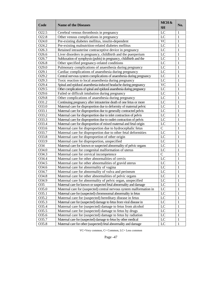| Code              | <b>Name of the Diseases</b>                                             | MCH &<br>SH  | No. |
|-------------------|-------------------------------------------------------------------------|--------------|-----|
| O22.5             | Cerebral venous thrombosis in pregnancy                                 | LC           | 1   |
| O22.8             | Other venous complications in pregnancy                                 | LC           | 1   |
| O24.0             | Pre-existing diabetes mellitus, insulin-dependent                       | <b>VC</b>    | 1   |
| O24.2             | Pre-existing malnutrition-related diabetes mellitus                     | LC           | 1   |
| O <sub>26.3</sub> | Retained intrauterine contraceptive device in pregnancy                 | LC           | 1   |
| O26.6             | Liver disorders in pregnancy, childbirth and the puerperium             | LC           | 1   |
| O <sub>26.7</sub> | Subluxation of symphysis (pubis) in pregnancy, childbirth and the       | LC           | 1   |
| O26.8             | Other specified pregnancy-related conditions                            | LC           | 1   |
| O29.0             | Pulmonary complications of anaesthesia during pregnancy                 | LC           | 1   |
| O29.1             | Cardiac complications of anaesthesia during pregnancy                   | LC           | 1   |
| O29.2             | Central nervous system complications of anaesthesia during pregnancy    | LC           | 1   |
| O <sub>29.3</sub> | Toxic reaction to local anaesthesia during pregnancy                    | LC           | 1   |
| O29.4             | Spinal and epidural anaesthesia-induced headache during pregnancy       | <b>VC</b>    | 1   |
| O29.5             | Other complications of spinal and epidural anaesthesia during pregnancy | LC           | 1   |
| O29.6             | Failed or difficult intubation during pregnancy                         | LC           | 1   |
| O29.8             | Other complications of anaesthesia during pregnancy                     | LC           | 1   |
| O31.2             | Continuing pregnancy after intrauterine death of one fetus or more      | LC           | 1   |
| O33.0             | Maternal care for disproportion due to deformity of maternal pelvic     | LC           | 1   |
| 033.1             | Maternal care for disproportion due to generally contracted pelvis      | LC           | 1   |
| O33.2             | Maternal care for disproportion due to inlet contraction of pelvis      | LC           | 1   |
| 033.3             | Maternal care for disproportion due to outlet contraction of pelvis     | LC           | 1   |
| O33.4             | Maternal care for disproportion of mixed maternal and fetal origin      | LC           | 1   |
| O33.6             | Maternal care for disproportion due to hydrocephalic fetus              | $\mathsf{C}$ | 1   |
| O33.7             | Maternal care for disproportion due to other fetal deformities          | LC           | 1   |
| O33.8             | Maternal care for disproportion of other origin                         | LC           | 1   |
| 033.9             | Maternal care for disproportion, unspecified                            | LC           | 1   |
| O34               | Maternal care for known or suspected abnormality of pelvic organs       | LC           | 1   |
| O34.0             | Maternal care for congenital malformation of uterus                     | LC           | 1   |
| O34.3             | Maternal care for cervical incompetence                                 | $\mathbf C$  | 1   |
| O34.4             | Maternal care for other abnormalities of cervix                         | LC           | 1   |
| O34.5             | Maternal care for other abnormalities of gravid uterus                  | LC           | 1   |
| O34.6             | Maternal care for abnormality of vagina                                 | LC           | 1   |
| O34.7             | Maternal care for abnormality of vulva and perineum                     | LC           | 1   |
| O34.8             | Maternal care for other abnormalities of pelvic organs                  | LC           | 1   |
| O34.9             | Maternal care for abnormality of pelvic organ, unspecified              | LC           | 1   |
| O35               | Maternal care for known or suspected fetal abnormality and damage       | LC           | 1   |
| O35.0             | Maternal care for (suspected) central nervous system malformation in    | LC           | 1   |
| 035.1             | Maternal care for (suspected) chromosomal abnormality in fetus          | LC           | 1   |
| O35.2             | Maternal care for (suspected) hereditary disease in fetus               | LC           | 1   |
| 035.3             | Maternal care for (suspected) damage to fetus from viral disease in     | LC           | 1   |
| O35.4             | Maternal care for (suspected) damage to fetus from alcohol              | LC           | 1   |
| 035.5             | Maternal care for (suspected) damage to fetus by drugs                  | LC           | 1   |
| O35.6             | Maternal care for (suspected) damage to fetus by radiation              | LC           | 1   |
| O35.7             | Maternal care for (suspected) damage to fetus by other medical          | LC           | 1   |
| O35.8             | Maternal care for other (suspected) fetal abnormality and damage        | LC           | 1   |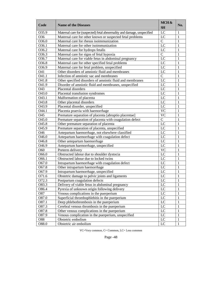| Code               | <b>Name of the Diseases</b>                                             | MCH&<br><b>SH</b>      | No.          |
|--------------------|-------------------------------------------------------------------------|------------------------|--------------|
| O35.9              | Maternal care for (suspected) fetal abnormality and damage, unspecified | LC                     | 1            |
| O36                | Maternal care for other known or suspected fetal problems               | LC                     | 1            |
| O36.0              | Maternal care for rhesus isoimmunization                                | $\overline{C}$         | 1            |
| O36.1              | Maternal care for other isoimmunization                                 | LC                     | 1            |
| O36.2              | Maternal care for hydrops fetalis                                       | LC                     | 1            |
| $036.\overline{3}$ | Maternal care for signs of fetal hypoxia                                | $\overline{C}$         | 1            |
| O36.7              | Maternal care for viable fetus in abdominal pregnancy                   | LC                     | 1            |
| O36.8              | Maternal care for other specified fetal problems                        | LC                     | 1            |
| O36.9              | Maternal care for fetal problem, unspecified                            | LC                     | 1            |
| O41                | Other disorders of amniotic fluid and membranes                         | LC                     | 1            |
| O41.1              | Infection of amniotic sac and membranes                                 | $\overline{C}$         | 1            |
| O41.8              | Other specified disorders of amniotic fluid and membranes               | LC                     | 1            |
| O41.9              | Disorder of amniotic fluid and membranes, unspecified                   | LC                     | 1            |
| O43                | Placental disorders                                                     | LC                     | 1            |
| O43.0              | Placental transfusion syndromes                                         | LC                     | 1            |
| O43.1              | Malformation of placenta                                                | LC                     | 1            |
| O43.8              | Other placental disorders                                               | LC                     | 1            |
| O43.9              | Placental disorder, unspecified                                         | LC                     | 1            |
| O44.1              | Placenta praevia with haemorrhage                                       | <b>VC</b>              | 1            |
| O45                | Premature separation of placenta [abruptio placentae]                   | $\overline{\text{VC}}$ | 1            |
| O45.0              | Premature separation of placenta with coagulation defect                | $\overline{C}$         | 1            |
| O45.8              | Other premature separation of placenta                                  | LC                     | 1            |
| O45.9              | Premature separation of placenta, unspecified                           | LC                     | 1            |
| O46                | Antepartum haemorrhage, not elsewhere classified                        | LC                     | 1            |
| O46.0              | Antepartum haemorrhage with coagulation defect                          | LC                     | 1            |
| O46.8              | Other antepartum haemorrhage                                            | LC                     | 1            |
| O <sub>46.9</sub>  | Antepartum haemorrhage, unspecified                                     | LC                     | 1            |
| O60                | Preterm delivery                                                        | <b>VC</b>              | 1            |
| O66.0              | Obstructed labour due to shoulder dystocia                              | LC                     | 1            |
| O66.1              | Obstructed labour due to locked twins                                   | LC                     | 1            |
| O67.0              | Intrapartum haemorrhage with coagulation defect                         | LC                     | 1            |
| O67.8              | Other intrapartum haemorrhage                                           | LC                     | 1            |
| O67.9              | Intrapartum haemorrhage, unspecified                                    | LC                     | 1            |
| O71.6              | Obstetric damage to pelvic joints and ligaments                         | LC                     | $\mathbf{1}$ |
| O72.3              | Postpartum coagulation defects                                          | $\overline{LC}$        | $\mathbf{1}$ |
| O83.3              | Delivery of viable fetus in abdominal pregnancy                         | LC                     | 1            |
| O86.4              | Pyrexia of unknown origin following delivery                            | LC                     | 1            |
| O87                | Venous complications in the puerperium                                  | LC                     | 1            |
| O87.0              | Superficial thrombophlebitis in the puerperium                          | LC                     | 1            |
| O87.1              | Deep phlebothrombosis in the puerperium                                 | LC                     | $\mathbf{1}$ |
| 087.3              | Cerebral venous thrombosis in the puerperium                            | LC                     | 1            |
| 087.8              | Other venous complications in the puerperium                            | LC                     | 1            |
| O87.9              | Venous complication in the puerperium, unspecified                      | LC                     | 1            |
| O88                | Obstetric embolism                                                      | LC                     | 1            |
| O88.0              | Obstetric air embolism                                                  | $_{\text{LC}}$         | 1            |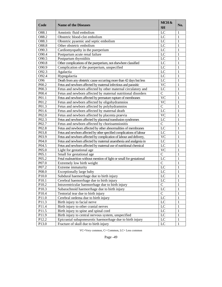| Code              | <b>Name of the Diseases</b>                                           | MCH&<br><b>SH</b> | No.          |
|-------------------|-----------------------------------------------------------------------|-------------------|--------------|
| O88.1             | Amniotic fluid embolism                                               | LC                | 1            |
| O88.2             | Obstetric blood-clot embolism                                         | LC                | 1            |
| O88.3             | Obstetric pyaemic and septic embolism                                 | LC                | 1            |
| O88.8             | Other obstetric embolism                                              | LC                | 1            |
| O90.3             | Cardiomyopathy in the puerperium                                      | LC                | 1            |
| O90.4             | Postpartum acute renal failure                                        | LC                | 1            |
| O90.5             | Postpartum thyroiditis                                                | LC                | 1            |
| O90.8             | Other complications of the puerperium, not elsewhere classified       | LC                | 1            |
| O90.9             | Complication of the puerperium, unspecified                           | LC                | 1            |
| O92.3             | Agalactia                                                             | LC                | 1            |
| O92.4             | Hypogalactia                                                          | LC                | 1            |
| O <sub>96</sub>   | Death from any obstetric cause occurring more than 42 days but less   | LC                | 1            |
| P00.2             | Fetus and newborn affected by maternal infectious and parasitic       | <b>VC</b>         | 1            |
| P00.3             | Fetus and newborn affected by other maternal circulatory and          | LC                | 1            |
| P00.4             | Fetus and newborn affected by maternal nutritional disorders          | $\overline{C}$    | 1            |
| P01.1             | Fetus and newborn affected by premature rupture of membranes          | <b>VC</b>         | 1            |
| P01.2             | Fetus and newborn affected by oligohydramnios                         | <b>VC</b>         | 1            |
| P01.3             | Fetus and newborn affected by polyhydramnios                          | $\overline{C}$    | 1            |
| P01.6             | Fetus and newborn affected by maternal death                          | LC                | 1            |
| P02.0             | Fetus and newborn affected by placenta praevia                        | <b>VC</b>         | 1            |
| P <sub>02.3</sub> | Fetus and newborn affected by placental transfusion syndromes         | LC                | 1            |
| P02.7             | Fetus and newborn affected by chorioamnionitis                        | $\overline{C}$    | 1            |
| P02.8             | Fetus and newborn affected by other abnormalities of membranes        | LC                | 1            |
| P03.8             | Fetus and newborn affected by other specified complications of labour | LC                | 1            |
| P03.9             | Fetus and newborn affected by complication of labour and delivery,    | <b>VC</b>         | 1            |
| P04.0             | Fetus and newborn affected by maternal anaesthesia and analgesia in   | LC                | 1            |
| P04.5             | Fetus and newborn affected by maternal use of nutritional chemical    | LC                | 1            |
| P05.0             | Light for gestational age                                             | <b>VC</b>         | 1            |
| P05.1             | Small for gestational age                                             | $\overline{C}$    | 1            |
| P05.2             | Fetal malnutrition without mention of light or small for gestational  | LC                | 1            |
| P07.0             | Extremely low birth weight                                            | $\overline{C}$    | 1            |
| P07.2             | Extreme immaturity                                                    | LC                | 1            |
| P08.0             | Exceptionally large baby                                              | LC                | 1            |
| P10.0             | Subdural haemorrhage due to birth injury                              | LC                | $\mathbf{1}$ |
| P10.1             | Cerebral haemorrhage due to birth injury                              | $\overline{LC}$   | 1            |
| P10.2             | Intraventricular haemorrhage due to birth injury                      | $\mathcal{C}$     | 1            |
| P10.3             | Subarachnoid haemorrhage due to birth injury                          | LC                | 1            |
| P10.4             | Tentorial tear due to birth injury                                    | $\overline{C}$    | 1            |
| P11.0             | Cerebral oedema due to birth injury                                   | LC                | 1            |
| P11.3             | Birth injury to facial nerve                                          | LC                | 1            |
| P11.4             | Birth injury to other cranial nerves                                  | LC                | 1            |
| P11.5             | Birth injury to spine and spinal cord                                 | $\rm LC$          | 1            |
| P11.9             | Birth injury to central nervous system, unspecified                   | $_{\rm LC}$       | 1            |
| P12.2             | Epicranial subaponeurotic haemorrhage due to birth injury             | LC                | 1            |
| P13.0             | Fracture of skull due to birth injury                                 | LC                | 1            |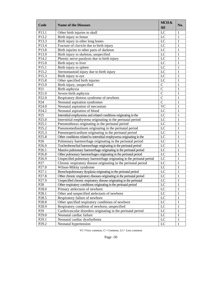| Code              | <b>Name of the Diseases</b>                                            | MCH&<br><b>SH</b> | No.          |
|-------------------|------------------------------------------------------------------------|-------------------|--------------|
| P13.1             | Other birth injuries to skull                                          | LC                | 1            |
| P13.2             | Birth injury to femur                                                  | LC                | 1            |
| P13.3             | Birth injury to other long bones                                       | LC                | 1            |
| P13.4             | Fracture of clavicle due to birth injury                               | LC                | 1            |
| P13.8             | Birth injuries to other parts of skeleton                              | LC                | 1            |
| P13.9             | Birth injury to skeleton, unspecified                                  | LC                | 1            |
| P14.2             | Phrenic nerve paralysis due to birth injury                            | LC                | 1            |
| P15.0             | Birth injury to liver                                                  | LC                | 1            |
| P15.1             | Birth injury to spleen                                                 | LC                | 1            |
| P15.2             | Sternomastoid injury due to birth injury                               | LC                | 1            |
| P15.3             | Birth injury to eye                                                    | LC                | 1            |
| P15.8             | Other specified birth injuries                                         | LC                | 1            |
| P15.9             | Birth injury, unspecified                                              | $\mathbf C$       | 1            |
| P <sub>21</sub>   | Birth asphyxia                                                         | $\overline{C}$    | 1            |
| P21.0             | Severe birth asphyxia                                                  | $\overline{C}$    | 1            |
| P <sub>22.0</sub> | Respiratory distress syndrome of newborn                               | $\overline{C}$    | 1            |
| P <sub>24</sub>   | Neonatal aspiration syndromes                                          | $\overline{C}$    | 1            |
| P <sub>24.0</sub> | Neonatal aspiration of meconium                                        | <b>VC</b>         | 1            |
| P <sub>24.2</sub> | Neonatal aspiration of blood                                           | LC                | 1            |
| P <sub>25</sub>   | Interstitial emphysema and related conditions originating in the       | LC                | 1            |
| P <sub>25.0</sub> | Interstitial emphysema originating in the perinatal period             | LC                | 1            |
| P <sub>25.1</sub> | Pneumothorax originating in the perinatal period                       | LC                | 1            |
| P <sub>25.2</sub> | Pneumomediastinum originating in the perinatal period                  | LC                | 1            |
| P <sub>25.3</sub> | Pneumopericardium originating in the perinatal period                  | LC                | 1            |
| P <sub>25.8</sub> | Other conditions related to interstitial emphysema originating in the  | LC                | 1            |
| P <sub>26</sub>   | Pulmonary haemorrhage originating in the perinatal period              | LC                | 1            |
| P <sub>26.0</sub> | Tracheobronchial haemorrhage originating in the perinatal period       | LC                | 1            |
| P <sub>26.1</sub> | Massive pulmonary haemorrhage originating in the perinatal period      | LC                | 1            |
| P <sub>26.8</sub> | Other pulmonary haemorrhages originating in the perinatal period       | LC                | 1            |
| P <sub>26.9</sub> | Unspecified pulmonary haemorrhage originating in the perinatal period  | LC                | 1            |
| P27               | Chronic respiratory disease originating in the perinatal period        | LC                | 1            |
| P27.0             | Wilson-Mikity syndrome                                                 | LC                | 1            |
| P27.1             | Bronchopulmonary dysplasia originating in the perinatal period         | LC                | 1            |
| P <sub>27.8</sub> | Other chronic respiratory diseases originating in the perinatal period | LC                | 1            |
| P <sub>27.9</sub> | Unspecified chronic respiratory disease originating in the perinatal   | LC                | $\mathbf{1}$ |
| P <sub>28</sub>   | Other respiratory conditions originating in the perinatal period       | LC                | 1            |
| P <sub>28.0</sub> | Primary atelectasis of newborn                                         | LC                | 1            |
| P <sub>28.1</sub> | Other and unspecified atelectasis of newborn                           | LC                | 1            |
| P <sub>28.5</sub> | Respiratory failure of newborn                                         | LC                | 1            |
| P <sub>28.8</sub> | Other specified respiratory conditions of newborn                      | LC                | 1            |
| P <sub>28.9</sub> | Respiratory condition of newborn, unspecified                          | $_{\text{LC}}$    | 1            |
| P <sub>29</sub>   | Cardiovascular disorders originating in the perinatal period           | $\rm LC$          | 1            |
| P <sub>29.0</sub> | Neonatal cardiac failure                                               | $_{\text{LC}}$    | 1            |
| P <sub>29.1</sub> | Neonatal cardiac dysrhythmia                                           | LC                | 1            |
| P <sub>29.2</sub> | Neonatal hypertension                                                  | LC                | 1            |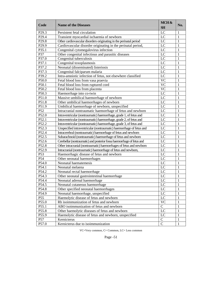| Code              | <b>Name of the Diseases</b>                                            | MCH&<br><b>SH</b> | No. |
|-------------------|------------------------------------------------------------------------|-------------------|-----|
| P <sub>29.3</sub> | Persistent fetal circulation                                           | LC                | 1   |
| P <sub>29.4</sub> | Transient myocardial ischaemia of newborn                              | LC                | 1   |
| P <sub>29.8</sub> | Other cardiovascular disorders originating in the perinatal period     | LC                | 1   |
| P <sub>29.9</sub> | Cardiovascular disorder originating in the perinatal period,           | $L\overline{C}$   | 1   |
| P35.1             | Congenital cytomegalovirus infection                                   | LC                | 1   |
| P37               | Other congenital infectious and parasitic diseases                     | LC                | 1   |
| P37.0             | Congenital tuberculosis                                                | LC                | 1   |
| P37.1             | Congenital toxoplasmosis                                               | LC                | 1   |
| P37.2             | Neonatal (disseminated) listeriosis                                    | LC                | 1   |
| P37.3             | Congenital falciparum malaria                                          | LC                | 1   |
| P39.2             | Intra-amniotic infection of fetus, not elsewhere classified            | LC                | 1   |
| P50.0             | Fetal blood loss from vasa praevia                                     | <b>VC</b>         | 1   |
| P50.1             | Fetal blood loss from ruptured cord                                    | $\overline{VC}$   | 1   |
| P50.2             | Fetal blood loss from placenta                                         | $\overline{VC}$   | 1   |
| P50.3             | Haemorrhage into co-twin                                               | $\overline{LC}$   | 1   |
| P51.0             | Massive umbilical haemorrhage of newborn                               | LC                | 1   |
| P51.8             | Other umbilical haemorrhages of newborn                                | LC                | 1   |
| P51.9             | Umbilical haemorrhage of newborn, unspecified                          | $L\overline{C}$   | 1   |
| P52               | Intracranial nontraumatic haemorrhage of fetus and newborn             | LC                | 1   |
| P52.0             | Intraventricular (nontraumatic) haemorrhage, grade 1, of fetus and     | LC                | 1   |
| P52.1             | Intraventricular (nontraumatic) haemorrhage, grade 2, of fetus and     | LC                | 1   |
| P52.2             | Intraventricular (nontraumatic) haemorrhage, grade 3, of fetus and     | LC                | 1   |
| P52.3             | Unspecified intraventricular (nontraumatic) haemorrhage of fetus and   | LC                | 1   |
| P52.4             | Intracerebral (nontraumatic) haemorrhage of fetus and newborn          | LC                | 1   |
| P52.5             | Subarachnoid (nontraumatic) haemorrhage of fetus and newborn           | LC                | 1   |
| P52.6             | Cerebellar (nontraumatic) and posterior fossa haemorrhage of fetus and | LC                | 1   |
| P52.8             | Other intracranial (nontraumatic) haemorrhages of fetus and newborn    | LC                | 1   |
| P52.9             | Intracranial (nontraumatic) haemorrhage of fetus and newborn,          | LC                | 1   |
| P <sub>53</sub>   | Haemorrhagic disease of fetus and newborn                              | LC                | 1   |
| P54               | Other neonatal haemorrhages                                            | LC                | 1   |
| P54.0             | Neonatal haematemesis                                                  | LC                | 1   |
| P54.1             | Neonatal melaena                                                       | LC                | 1   |
| P54.2             |                                                                        | LC                | 1   |
| P54.3             | Neonatal rectal haemorrhage                                            | LC                | 1   |
| P54.4             | Other neonatal gastrointestinal haemorrhage                            | $\overline{LC}$   | 1   |
|                   | Neonatal adrenal haemorrhage                                           |                   |     |
| P54.5             | Neonatal cutaneous haemorrhage                                         | LC                | 1   |
| P54.8             | Other specified neonatal haemorrhages                                  | LC                |     |
| P54.9             | Neonatal haemorrhage, unspecified                                      | LC                | 1   |
| P <sub>55</sub>   | Haemolytic disease of fetus and newborn                                | LC                | 1   |
| P55.0             | Rh isoimmunization of fetus and newborn                                | <b>VC</b>         | 1   |
| P55.1             | ABO isoimmunization of fetus and newborn                               | $\overline{C}$    | 1   |
| P55.8             | Other haemolytic diseases of fetus and newborn                         | LC                | 1   |
| P55.9             | Haemolytic disease of fetus and newborn, unspecified                   | LC                | 1   |
| P57               | Kernicterus                                                            | $\mathbf C$       | 1   |
| P57.0             | Kernicterus due to isoimmunization                                     | $\overline{C}$    | 1   |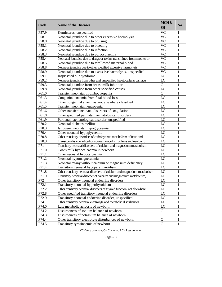| Code  | <b>Name of the Diseases</b>                                             | MCH&<br><b>SH</b> | No. |
|-------|-------------------------------------------------------------------------|-------------------|-----|
| P57.9 | Kernicterus, unspecified                                                | <b>VC</b>         | 1   |
| P58   | Neonatal jaundice due to other excessive haemolysis                     | <b>VC</b>         | 1   |
| P58.0 | Neonatal jaundice due to bruising                                       | <b>VC</b>         | 1   |
| P58.1 | Neonatal jaundice due to bleeding                                       | <b>VC</b>         | 1   |
| P58.2 | Neonatal jaundice due to infection                                      | <b>VC</b>         | 1   |
| P58.3 | Neonatal jaundice due to polycythaemia                                  | <b>VC</b>         | 1   |
| P58.4 | Neonatal jaundice due to drugs or toxins transmitted from mother or     | <b>VC</b>         | 1   |
| P58.5 | Neonatal jaundice due to swallowed maternal blood                       | <b>VC</b>         | 1   |
| P58.8 | Neonatal jaundice due to other specified excessive haemolysis           | <b>VC</b>         | 1   |
| P58.9 | Neonatal jaundice due to excessive haemolysis, unspecified              | <b>VC</b>         | 1   |
| P59.1 | Inspissated bile syndrome                                               | $_{\rm LC}$       | 1   |
| P59.2 | Neonatal jaundice from other and unspecified hepatocellular damage      | LC                | 1   |
| P59.3 | Neonatal jaundice from breast milk inhibitor                            | $\mathbf C$       | 1   |
| P59.8 | Neonatal jaundice from other specified causes                           | LC                | 1   |
| P61.0 | Transient neonatal thrombocytopenia                                     | $\mathbf C$       | 1   |
| P61.3 | Congenital anaemia from fetal blood loss                                | LC                | 1   |
| P61.4 | Other congenital anaemias, not elsewhere classified                     | LC                | 1   |
| P61.5 | Transient neonatal neutropenia                                          | LC                | 1   |
| P61.6 | Other transient neonatal disorders of coagulation                       | LC                | 1   |
| P61.8 | Other specified perinatal haematological disorders                      | LC                | 1   |
| P61.9 | Perinatal haematological disorder, unspecified                          | LC                | 1   |
| P70.2 | Neonatal diabetes mellitus                                              | LC                | 1   |
| P70.3 | Iatrogenic neonatal hypoglycaemia                                       | LC                | 1   |
| P70.4 | Other neonatal hypoglycaemia                                            | LC                | 1   |
| P70.8 | Other transitory disorders of carbohydrate metabolism of fetus and      | $_{\rm LC}$       | 1   |
| P70.9 | Transitory disorder of carbohydrate metabolism of fetus and newborn,    | LC                | 1   |
| P71   | Transitory neonatal disorders of calcium and magnesium metabolism       | $_{\rm LC}$       | 1   |
| P71.0 | Cow's milk hypocalcaemia in newborn                                     | $_{\rm LC}$       | 1   |
| P71.1 | Other neonatal hypocalcaemia                                            | $_{\rm LC}$       | 1   |
| P71.2 | Neonatal hypomagnesaemia                                                | $_{\rm LC}$       | 1   |
| P71.3 | Neonatal tetany without calcium or magnesium deficiency                 | $_{\rm LC}$       | 1   |
| P71.4 | Transitory neonatal hypoparathyroidism                                  | LC                | 1   |
| P71.8 | Other transitory neonatal disorders of calcium and magnesium metabolism | LC                | 1   |
| P71.9 | Transitory neonatal disorder of calcium and magnesium metabolism,       | LC                | 1   |
| P72   | Other transitory neonatal endocrine disorders                           | LC                | 1   |
| P72.1 | Transitory neonatal hyperthyroidism                                     | LC                | 1   |
| P72.2 | Other transitory neonatal disorders of thyroid function, not elsewhere  | LC                | 1   |
| P72.8 | Other specified transitory neonatal endocrine disorders                 | LC                | 1   |
| P72.9 | Transitory neonatal endocrine disorder, unspecified                     | LC                | 1   |
| P74   | Other transitory neonatal electrolyte and metabolic disturbances        | LC                | 1   |
| P74.0 | Late metabolic acidosis of newborn                                      | LC                | 1   |
| P74.2 | Disturbances of sodium balance of newborn                               | $\mathbf C$       | 1   |
| P74.3 | Disturbances of potassium balance of newborn                            | $\mathbf C$       | 1   |
| P74.4 | Other transitory electrolyte disturbances of newborn                    | $\mathbf C$       | 1   |
| P74.5 | Transitory tyrosinaemia of newborn                                      | $\mathcal{C}$     | 1   |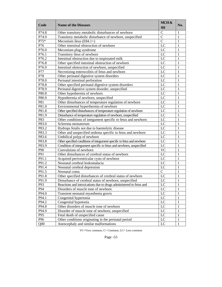| Code            | <b>Name of the Diseases</b>                                            | MCH&<br><b>SH</b> | No.          |
|-----------------|------------------------------------------------------------------------|-------------------|--------------|
| P74.8           | Other transitory metabolic disturbances of newborn                     | $\mathcal{C}$     | 1            |
| P74.9           | Transitory metabolic disturbance of newborn, unspecified               | $\overline{C}$    | 1            |
| P75*            | Meconium ileus $(E84.1+)$                                              | $\overline{C}$    | 1            |
| P76             | Other intestinal obstruction of newborn                                | LC                | 1            |
| P76.0           | Meconium plug syndrome                                                 | LC                | 1            |
| P76.1           | Transitory ileus of newborn                                            | LC                | 1            |
| P76.2           | Intestinal obstruction due to inspissated milk                         | $\overline{LC}$   | 1            |
| P76.8           | Other specified intestinal obstruction of newborn                      | LC                | 1            |
| P76.9           | Intestinal obstruction of newborn, unspecified                         | $\overline{LC}$   | 1            |
| P77             | Necrotizing enterocolitis of fetus and newborn                         | LC                | 1            |
| P78             | Other perinatal digestive system disorders                             | LC                | 1            |
| P78.0           | Perinatal intestinal perforation                                       | LC                | 1            |
| P78.8           | Other specified perinatal digestive system disorders                   | LC                | 1            |
| P78.9           | Perinatal digestive system disorder, unspecified                       | LC                | 1            |
| P80.8           | Other hypothermia of newborn                                           | LC                | 1            |
| P80.9           | Hypothermia of newborn, unspecified                                    | LC                | 1            |
| P81             | Other disturbances of temperature regulation of newborn                | LC                | 1            |
| P81.0           | Environmental hyperthermia of newborn                                  | LC                | 1            |
| P81.8           | Other specified disturbances of temperature regulation of newborn      | LC                | 1            |
| P81.9           | Disturbance of temperature regulation of newborn, unspecified          | LC                | 1            |
| P83             | Other conditions of integument specific to fetus and newborn           | LC                | 1            |
| P83.0           | Sclerema neonatorum                                                    | LC                | 1            |
| P83.2           | Hydrops fetalis not due to haemolytic disease                          | LC                | 1            |
| P83.3           | Other and unspecified oedema specific to fetus and newborn             | LC                | 1            |
| P83.6           | Umbilical polyp of newborn                                             | LC                | 1            |
| P83.8           | Other specified conditions of integument specific to fetus and newborn | LC                | 1            |
| P83.9           | Condition of integument specific to fetus and newborn, unspecified     | LC                | 1            |
| P90             | Convulsions of newborn                                                 | <b>VC</b>         | 1            |
| P91             | Other disturbances of cerebral status of newborn                       | $\overline{LC}$   | 1            |
| P91.1           | Acquired periventricular cysts of newborn                              | LC                | 1            |
| P91.2           | Neonatal cerebral leukomalacia                                         | LC                | 1            |
| P91.4           | Neonatal cerebral depression                                           | LC                | 1            |
| P91.5           | Neonatal coma                                                          | $\overline{C}$    | 1            |
| P91.8           | Other specified disturbances of cerebral status of newborn             | LC                | $\mathbf{1}$ |
| P91.9           | Disturbance of cerebral status of newborn, unspecified                 | $\overline{LC}$   | 1            |
| P93             | Reactions and intoxications due to drugs administered to fetus and     | LC                | 1            |
| P94             | Disorders of muscle tone of newborn                                    | LC                | 1            |
| P94.0           | Transient neonatal myasthenia gravis                                   | LC                | 1            |
| P94.1           | Congenital hypertonia                                                  | LC                | 1            |
| P94.2           | Congenital hypotonia                                                   | LC                | 1            |
| P94.8           | Other disorders of muscle tone of newborn                              | LC                | 1            |
| P94.9           | Disorder of muscle tone of newborn, unspecified                        | LC                | 1            |
| P95             | Fetal death of unspecified cause                                       | LC                | 1            |
| P96             | Other conditions originating in the perinatal period                   | LC                | 1            |
| Q <sub>00</sub> | Anencephaly and similar malformations                                  | LC                | $\mathbf{1}$ |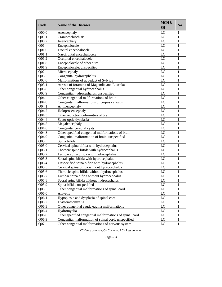| Code              | <b>Name of the Diseases</b>                             | MCH&<br><b>SH</b> | No.          |
|-------------------|---------------------------------------------------------|-------------------|--------------|
| Q00.0             | Anencephaly                                             | LC                | 1            |
| Q00.1             | Craniorachischisis                                      | LC                | 1            |
| Q00.2             | Iniencephaly                                            | LC                | 1            |
| Q <sub>01</sub>   | Encephalocele                                           | LC                | 1            |
| Q01.0             | Frontal encephalocele                                   | LC                | 1            |
| Q01.1             | Nasofrontal encephalocele                               | $_{\rm LC}$       | 1            |
| Q01.2             | Occipital encephalocele                                 | $_{\rm LC}$       | 1            |
| Q01.8             | Encephalocele of other sites                            | LC                | 1            |
| Q01.9             | Encephalocele, unspecified                              | $_{\rm LC}$       | 1            |
| Q <sub>02</sub>   | Microcephaly                                            | $_{\rm LC}$       | 1            |
| Q <sub>03</sub>   | Congenital hydrocephalus                                | LC                | 1            |
| Q03.0             | Malformations of aqueduct of Sylvius                    | LC                | 1            |
| Q03.1             | Atresia of foramina of Magendie and Luschka             | LC                | 1            |
| Q03.8             | Other congenital hydrocephalus                          | LC                | 1            |
| Q03.9             | Congenital hydrocephalus, unspecified                   | LC                | 1            |
| Q <sub>04</sub>   | Other congenital malformations of brain                 | LC                | 1            |
| Q04.0             | Congenital malformations of corpus callosum             | LC                | 1            |
| Q04.1             | Arhinencephaly                                          | LC                | 1            |
| Q04.2             | Holoprosencephaly                                       | LC                | 1            |
| Q04.3             | Other reduction deformities of brain                    | LC                | 1            |
| Q04.4             | Septo-optic dysplasia                                   | LC                | 1            |
| Q04.5             | Megalencephaly                                          | LC                | 1            |
| Q04.6             | Congenital cerebral cysts                               | LC                | 1            |
| Q04.8             | Other specified congenital malformations of brain       | LC                | 1            |
| Q04.9             | Congenital malformation of brain, unspecified           | LC                | 1            |
| Q <sub>05</sub>   | Spina bifida                                            | LC                | 1            |
| Q <sub>05.0</sub> | Cervical spina bifida with hydrocephalus                | LC                | 1            |
| Q05.1             | Thoracic spina bifida with hydrocephalus                | LC                | 1            |
| Q05.2             | Lumbar spina bifida with hydrocephalus                  | LC                | 1            |
| Q05.3             | Sacral spina bifida with hydrocephalus                  | LC                | 1            |
| Q05.4             | Unspecified spina bifida with hydrocephalus             | LC                | 1            |
| Q05.5             | Cervical spina bifida without hydrocephalus             | LC                | 1            |
| Q05.6             | Thoracic spina bifida without hydrocephalus             | LC                | 1            |
| Q05.7             | Lumbar spina bifida without hydrocephalus               | LC                | 1            |
| Q05.8             | Sacral spina bifida without hydrocephalus               | LC                | 1            |
| Q05.9             | Spina bifida, unspecified                               | LC                | 1            |
| Q06               | Other congenital malformations of spinal cord           | LC                | 1            |
| Q06.0             | Amyelia                                                 | LC                | 1            |
| Q06.1             | Hypoplasia and dysplasia of spinal cord                 | LC                | 1            |
| Q06.2             | Diastematomyelia                                        | LC                | 1            |
| Q06.3             | Other congenital cauda equina malformations             | LC                | 1            |
| Q06.4             | Hydromyelia                                             | LC                | 1            |
| Q06.8             | Other specified congenital malformations of spinal cord | LC                | 1            |
| Q06.9             | Congenital malformation of spinal cord, unspecified     | LC                | 1            |
| Q <sub>07</sub>   | Other congenital malformations of nervous system        | LC                | $\mathbf{1}$ |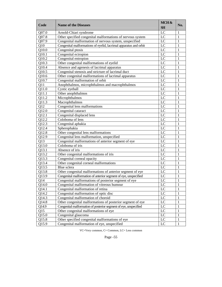| Code  | <b>Name of the Diseases</b>                                      | MCH&<br><b>SH</b> | No.          |
|-------|------------------------------------------------------------------|-------------------|--------------|
| Q07.0 | Arnold-Chiari syndrome                                           | LC                | 1            |
| Q07.8 | Other specified congenital malformations of nervous system       | LC                | 1            |
| Q07.9 | Congenital malformation of nervous system, unspecified           | LC                | 1            |
| Q10   | Congenital malformations of eyelid, lacrimal apparatus and orbit | LC                | 1            |
| Q10.0 | Congenital ptosis                                                | LC                | 1            |
| Q10.1 | Congenital ectropion                                             | LC                | 1            |
| Q10.2 | Congenital entropion                                             | LC                | 1            |
| Q10.3 | Other congenital malformations of eyelid                         | LC                | 1            |
| Q10.4 | Absence and agenesis of lacrimal apparatus                       | LC                | 1            |
| Q10.5 | Congenital stenosis and stricture of lacrimal duct               | LC                | 1            |
| Q10.6 | Other congenital malformations of lacrimal apparatus             | LC                | 1            |
| Q10.7 | Congenital malformation of orbit                                 | LC                | 1            |
| Q11   | Anophthalmos, microphthalmos and macrophthalmos                  | LC                | 1            |
| Q11.0 | Cystic eyeball                                                   | LC                | 1            |
| Q11.1 | Other anophthalmos                                               | LC                | 1            |
| Q11.2 | Microphthalmos                                                   | LC                | 1            |
| Q11.3 | Macrophthalmos                                                   | LC                | 1            |
| Q12   | Congenital lens malformations                                    | LC                | 1            |
| Q12.0 | Congenital cataract                                              | LC                | 1            |
| Q12.1 | Congenital displaced lens                                        | LC                | 1            |
| Q12.2 | Coloboma of lens                                                 | LC                | 1            |
| Q12.3 | Congenital aphakia                                               | LC                | 1            |
| Q12.4 | Spherophakia                                                     | LC                | 1            |
| Q12.8 | Other congenital lens malformations                              | LC                | 1            |
| Q12.9 | Congenital lens malformation, unspecified                        | LC                | 1            |
| Q13   | Congenital malformations of anterior segment of eye              | LC                | 1            |
| Q13.0 | Coloboma of iris                                                 | LC                | 1            |
| Q13.1 | Absence of iris                                                  | LC                | 1            |
| Q13.2 | Other congenital malformations of iris                           | LC                | 1            |
| Q13.3 | Congenital corneal opacity                                       | LC                | 1            |
| Q13.4 | Other congenital corneal malformations                           | LC                | 1            |
| Q13.5 | Blue sclera                                                      | LC                | 1            |
| Q13.8 | Other congenital malformations of anterior segment of eye        | LC                | 1            |
| Q13.9 | Congenital malformation of anterior segment of eye, unspecified  | LC                | 1            |
| Q14   | Congenital malformations of posterior segment of eye             | $\overline{LC}$   | $\mathbf{1}$ |
| Q14.0 | Congenital malformation of vitreous humour                       | LC                | $\mathbf{1}$ |
| Q14.1 | Congenital malformation of retina                                | LC                | 1            |
| Q14.2 | Congenital malformation of optic disc                            | $_{\rm LC}$       | 1            |
| Q14.3 | Congenital malformation of choroid                               | $_{\rm LC}$       | 1            |
| Q14.8 | Other congenital malformations of posterior segment of eye       | LC                | 1            |
| Q14.9 | Congenital malformation of posterior segment of eye, unspecified | LC                | 1            |
| Q15   | Other congenital malformations of eye                            | LC                | 1            |
| Q15.0 | Congenital glaucoma                                              | $_{\rm LC}$       | 1            |
| Q15.8 | Other specified congenital malformations of eye                  | LC                | 1            |
| Q15.9 | Congenital malformation of eye, unspecified                      | LC                | 1            |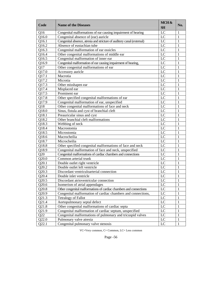| Code  | <b>Name of the Diseases</b>                                            | MCH &<br><b>SH</b> | No. |
|-------|------------------------------------------------------------------------|--------------------|-----|
| Q16   | Congenital malformations of ear causing impairment of hearing          | LC                 | 1   |
| Q16.0 | Congenital absence of (ear) auricle                                    | LC                 | 1   |
| Q16.1 | Congenital absence, atresia and stricture of auditory canal (external) | LC                 | 1   |
| Q16.2 | Absence of eustachian tube                                             | LC                 | 1   |
| Q16.3 | Congenital malformation of ear ossicles                                | LC                 | 1   |
| Q16.4 | Other congenital malformations of middle ear                           | LC                 | 1   |
| Q16.5 | Congenital malformation of inner ear                                   | LC                 | 1   |
| Q16.9 | Congenital malformation of ear causing impairment of hearing,          | LC                 | 1   |
| Q17   | Other congenital malformations of ear                                  | LC                 | 1   |
| Q17.0 | Accessory auricle                                                      | LC                 | 1   |
| Q17.1 | Macrotia                                                               | LC                 | 1   |
| Q17.2 | Microtia                                                               | LC                 | 1   |
| Q17.3 | Other misshapen ear                                                    | LC                 | 1   |
| Q17.4 | Misplaced ear                                                          | LC                 | 1   |
| Q17.5 | Prominent ear                                                          | LC                 | 1   |
| Q17.8 | Other specified congenital malformations of ear                        | LC                 | 1   |
| Q17.9 | Congenital malformation of ear, unspecified                            | LC                 | 1   |
| Q18   | Other congenital malformations of face and neck                        | LC                 | 1   |
| Q18.0 | Sinus, fistula and cyst of branchial cleft                             | LC                 | 1   |
| Q18.1 | Preauricular sinus and cyst                                            | LC                 | 1   |
| Q18.2 | Other branchial cleft malformations                                    | LC                 | 1   |
| Q18.3 | Webbing of neck                                                        | LC                 | 1   |
| Q18.4 | Macrostomia                                                            | LC                 | 1   |
| Q18.5 | Microstomia                                                            | LC                 | 1   |
| Q18.6 | Macrocheilia                                                           | LC                 | 1   |
| Q18.7 | Microcheilia                                                           | LC                 | 1   |
| Q18.8 | Other specified congenital malformations of face and neck              | LC                 | 1   |
| Q18.9 | Congenital malformation of face and neck, unspecified                  | LC                 | 1   |
| Q20   | Congenital malformations of cardiac chambers and connections           | LC                 | 1   |
| Q20.0 | Common arterial trunk                                                  | LC                 | 1   |
| Q20.1 | Double outlet right ventricle                                          | LC                 | 1   |
| Q20.2 | Double outlet left ventricle                                           | LC                 | 1   |
| Q20.3 | Discordant ventriculoarterial connection                               | LC                 | 1   |
| Q20.4 | Double inlet ventricle                                                 | LC                 | 1   |
| Q20.5 | Discordant atrioventricular connection                                 | LC                 | 1   |
| Q20.6 | Isomerism of atrial appendages                                         | LC                 | 1   |
| Q20.8 | Other congenital malformations of cardiac chambers and connections     | LC                 | 1   |
| Q20.9 | Congenital malformation of cardiac chambers and connections,           | LC                 | 1   |
| Q21.3 | <b>Tetralogy of Fallot</b>                                             | LC                 | 1   |
| Q21.4 | Aortopulmonary septal defect                                           | $\rm LC$           | 1   |
| Q21.8 | Other congenital malformations of cardiac septa                        | LC                 | 1   |
| Q21.9 | Congenital malformation of cardiac septum, unspecified                 | $\rm LC$           | 1   |
| Q22   | Congenital malformations of pulmonary and tricuspid valves             | LC                 | 1   |
| Q22.0 | Pulmonary valve atresia                                                | LC                 | 1   |
| Q22.1 | Congenital pulmonary valve stenosis                                    | LC                 | 1   |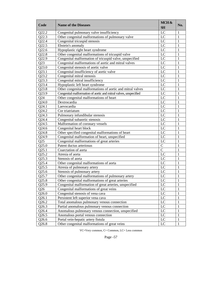| Code               | <b>Name of the Diseases</b>                                      | MCH&<br><b>SH</b> | No.          |
|--------------------|------------------------------------------------------------------|-------------------|--------------|
| Q22.2              | Congenital pulmonary valve insufficiency                         | LC                | 1            |
| Q22.3              | Other congenital malformations of pulmonary valve                | LC                | $\mathbf{1}$ |
| Q22.4              | Congenital tricuspid stenosis                                    | LC                | 1            |
| Q22.5              | Ebstein's anomaly                                                | LC                | 1            |
| Q22.6              | Hypoplastic right heart syndrome                                 | LC                | 1            |
| Q22.8              | Other congenital malformations of tricuspid valve                | LC                | 1            |
| Q22.9              | Congenital malformation of tricuspid valve, unspecified          | LC                | 1            |
| Q23                | Congenital malformations of aortic and mitral valves             | LC                | 1            |
| Q23.0              | Congenital stenosis of aortic valve                              | LC                | 1            |
| Q23.1              | Congenital insufficiency of aortic valve                         | LC                | 1            |
| Q23.2              | Congenital mitral stenosis                                       | LC                | 1            |
| Q23.3              | Congenital mitral insufficiency                                  | LC                | 1            |
| Q23.4              | Hypoplastic left heart syndrome                                  | LC                | 1            |
| Q23.8              | Other congenital malformations of aortic and mitral valves       | LC                | 1            |
| Q23.9              | Congenital malformation of aortic and mitral valves, unspecified | LC                | 1            |
| Q24                | Other congenital malformations of heart                          | LC                | 1            |
| Q24.0              | Dextrocardia                                                     | LC                | 1            |
| Q24.1              | Laevocardia                                                      | LC                | 1            |
| Q24.2              | Cor triatriatum                                                  | LC                | 1            |
| Q24.3              | Pulmonary infundibular stenosis                                  | LC                | 1            |
| Q24.4              | Congenital subaortic stenosis                                    | LC                | 1            |
| Q24.5              | Malformation of coronary vessels                                 | LC                | 1            |
| Q24.6              | Congenital heart block                                           | LC                | 1            |
| Q24.8              | Other specified congenital malformations of heart                | LC                | 1            |
| Q24.9              | Congenital malformation of heart, unspecified                    | LC                | 1            |
| Q25                | Congenital malformations of great arteries                       | LC                | 1            |
| Q25.0              | Patent ductus arteriosus                                         | $\overline{C}$    | 1            |
| Q25.1              | Coarctation of aorta                                             | $\overline{C}$    | 1            |
| Q25.2              | Atresia of aorta                                                 | LC                | 1            |
| Q25.3              | Stenosis of aorta                                                | LC                | 1            |
| Q25.4              | Other congenital malformations of aorta                          | LC                | 1            |
| Q25.5              | Atresia of pulmonary artery                                      | LC                | 1            |
| Q25.6              | Stenosis of pulmonary artery                                     | LC                | 1            |
| Q25.7              | Other congenital malformations of pulmonary artery               | LC                | 1            |
| $Q25.\overline{8}$ | Other congenital malformations of great arteries                 | $\overline{LC}$   | 1            |
| Q25.9              | Congenital malformation of great arteries, unspecified           | LC                | 1            |
| Q26                | Congenital malformations of great veins                          | LC                | 1            |
| Q26.0              | Congenital stenosis of vena cava                                 | LC                | 1            |
| Q26.1              | Persistent left superior vena cava                               | LC                | 1            |
| Q26.2              | Total anomalous pulmonary venous connection                      | LC                | 1            |
| Q26.3              | Partial anomalous pulmonary venous connection                    | LC                | 1            |
| $Q$ 26.4           | Anomalous pulmonary venous connection, unspecified               | LC                | 1            |
| Q26.5              | Anomalous portal venous connection                               | LC                | 1            |
| Q26.6              | Portal vein-hepatic artery fistula                               | LC                | 1            |
| Q26.8              | Other congenital malformations of great veins                    | LC                | $\mathbf{1}$ |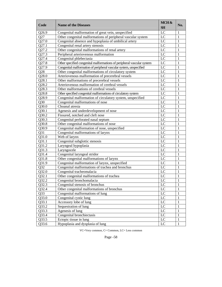| Code            | <b>Name of the Diseases</b>                                            | MCH&<br><b>SH</b> | No. |
|-----------------|------------------------------------------------------------------------|-------------------|-----|
| Q26.9           | Congenital malformation of great vein, unspecified                     | LC                | 1   |
| Q27             | Other congenital malformations of peripheral vascular system           | LC                | 1   |
| Q27.0           | Congenital absence and hypoplasia of umbilical artery                  | LC                | 1   |
| Q27.1           | Congenital renal artery stenosis                                       | LC                | 1   |
| Q27.2           | Other congenital malformations of renal artery                         | LC                | 1   |
| Q27.3           | Peripheral arteriovenous malformation                                  | LC                | 1   |
| Q27.4           | Congenital phlebectasia                                                | LC                | 1   |
| Q27.8           | Other specified congenital malformations of peripheral vascular system | LC                | 1   |
| Q27.9           | Congenital malformation of peripheral vascular system, unspecified     | LC                | 1   |
| Q28             | Other congenital malformations of circulatory system                   | LC                | 1   |
| Q28.0           | Arteriovenous malformation of precerebral vessels                      | LC                | 1   |
| Q28.1           | Other malformations of precerebral vessels                             | LC                | 1   |
| Q28.2           | Arteriovenous malformation of cerebral vessels                         | LC                | 1   |
| Q28.3           | Other malformations of cerebral vessels                                | LC                | 1   |
| Q28.8           | Other specified congenital malformations of circulatory system         | LC                | 1   |
| Q28.9           | Congenital malformation of circulatory system, unspecified             | LC                | 1   |
| Q30             | Congenital malformations of nose                                       | LC                | 1   |
| Q30.0           | Choanal atresia                                                        | LC                | 1   |
| Q30.1           | Agenesis and underdevelopment of nose                                  | LC                | 1   |
| Q30.2           | Fissured, notched and cleft nose                                       | LC                | 1   |
| Q30.3           | Congenital perforated nasal septum                                     | LC                | 1   |
| Q30.8           | Other congenital malformations of nose                                 | LC                | 1   |
| Q30.9           | Congenital malformation of nose, unspecified                           | LC                | 1   |
| Q31             | Congenital malformations of larynx                                     | LC                | 1   |
| Q31.0           | Web of larynx                                                          | LC                | 1   |
| Q31.1           | Congenital subglottic stenosis                                         | LC                | 1   |
| Q31.2           | Laryngeal hypoplasia                                                   | LC                | 1   |
| Q31.3           | Laryngocele                                                            | LC                | 1   |
| Q31.4           | Congenital laryngeal stridor                                           | LC                | 1   |
| Q31.8           | Other congenital malformations of larynx                               | LC                | 1   |
| Q31.9           | Congenital malformation of larynx, unspecified                         | LC                | 1   |
| Q32             | Congenital malformations of trachea and bronchus                       | LC                | 1   |
| Q32.0           | Congenital tracheomalacia                                              | LC                | 1   |
| Q32.1           | Other congenital malformations of trachea                              | LC                | 1   |
| Q32.2           | Congenital bronchomalacia                                              | LC                | 1   |
| Q32.3           | Congenital stenosis of bronchus                                        | LC                | 1   |
| Q32.4           | Other congenital malformations of bronchus                             | LC                | 1   |
| Q <sub>33</sub> | Congenital malformations of lung                                       | LC                | 1   |
| Q33.0           | Congenital cystic lung                                                 | LC                | 1   |
| Q33.1           | Accessory lobe of lung                                                 | $\rm LC$          | 1   |
| Q33.2           | Sequestration of lung                                                  | $\rm LC$          | 1   |
| Q33.3           | Agenesis of lung                                                       | LC                | 1   |
| Q33.4           | Congenital bronchiectasis                                              | LC                | 1   |
| Q33.5           | Ectopic tissue in lung                                                 | LC                | 1   |
| Q33.6           | Hypoplasia and dysplasia of lung                                       | LC                | 1   |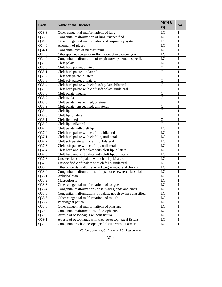| Code            | <b>Name of the Diseases</b>                                    | MCH&<br><b>SH</b> | No.          |
|-----------------|----------------------------------------------------------------|-------------------|--------------|
| Q33.8           | Other congenital malformations of lung                         | LC                | 1            |
| Q33.9           | Congenital malformation of lung, unspecified                   | LC                | 1            |
| Q <sub>34</sub> | Other congenital malformations of respiratory system           | LC                | 1            |
| Q34.0           | Anomaly of pleura                                              | LC                | 1            |
| Q34.1           | Congenital cyst of mediastinum                                 | LC                | 1            |
| Q34.8           | Other specified congenital malformations of respiratory system | LC                | 1            |
| Q34.9           | Congenital malformation of respiratory system, unspecified     | LC                | 1            |
| Q35             | Cleft palate                                                   | LC                | 1            |
| Q35.0           | Cleft hard palate, bilateral                                   | $\mathcal{C}$     | 1            |
| Q35.1           | Cleft hard palate, unilateral                                  | $\mathcal{C}$     | 1            |
| Q35.2           | Cleft soft palate, bilateral                                   | $\mathcal{C}$     | 1            |
| Q35.3           | Cleft soft palate, unilateral                                  | $\mathcal{C}$     | 1            |
| Q35.4           | Cleft hard palate with cleft soft palate, bilateral            | $\overline{C}$    | 1            |
| Q35.5           | Cleft hard palate with cleft soft palate, unilateral           | $\overline{C}$    | 1            |
| Q35.6           | Cleft palate, medial                                           | $\overline{C}$    | 1            |
| Q35.7           | Cleft uvula                                                    | $\overline{C}$    | 1            |
| Q35.8           | Cleft palate, unspecified, bilateral                           | $\overline{C}$    | 1            |
| Q35.9           | Cleft palate, unspecified, unilateral                          | $\overline{C}$    | 1            |
| Q <sub>36</sub> | Cleft lip                                                      | $\mathcal{C}$     | 1            |
| Q36.0           | Cleft lip, bilateral                                           | $\overline{C}$    | 1            |
| Q36.1           | Cleft lip, medial                                              | $\overline{C}$    | 1            |
| Q36.9           | Cleft lip, unilateral                                          | $\overline{C}$    | 1            |
| Q37             | Cleft palate with cleft lip                                    | LC                | 1            |
| Q37.0           | Cleft hard palate with cleft lip, bilateral                    | LC                | 1            |
| Q37.1           | Cleft hard palate with cleft lip, unilateral                   | LC                | 1            |
| Q37.2           | Cleft soft palate with cleft lip, bilateral                    | LC                | 1            |
| Q37.3           | Cleft soft palate with cleft lip, unilateral                   | LC                | 1            |
| Q37.4           | Cleft hard and soft palate with cleft lip, bilateral           | LC                | 1            |
| Q37.5           | Cleft hard and soft palate with cleft lip, unilateral          | LC                | 1            |
| Q37.8           | Unspecified cleft palate with cleft lip, bilateral             | LC                | 1            |
| Q37.9           | Unspecified cleft palate with cleft lip, unilateral            | LC                | 1            |
| Q38             | Other congenital malformations of tongue, mouth and pharynx    | LC                | 1            |
| Q38.0           | Congenital malformations of lips, not elsewhere classified     | LC                | 1            |
| Q38.1           | Ankyloglossia                                                  | LC                | 1            |
| Q38.2           | Macroglossia                                                   | LC                | $\mathbf{1}$ |
| Q38.3           | Other congenital malformations of tongue                       | LC                | $\mathbf{1}$ |
| Q38.4           | Congenital malformations of salivary glands and ducts          | LC                | 1            |
| Q38.5           | Congenital malformations of palate, not elsewhere classified   | LC                | 1            |
| Q38.6           | Other congenital malformations of mouth                        | LC                | 1            |
| Q38.7           | Pharyngeal pouch                                               | LC                | 1            |
| Q38.8           | Other congenital malformations of pharynx                      | LC                | 1            |
| Q39             | Congenital malformations of oesophagus                         | LC                | 1            |
| Q39.0           | Atresia of oesophagus without fistula                          | LC                | 1            |
| Q39.1           | Atresia of oesophagus with tracheo-oesophageal fistula         | LC                | 1            |
| Q39.2           | Congenital tracheo-oesophageal fistula without atresia         | LC                | 1            |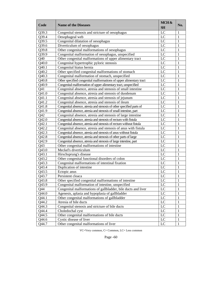| Code            | <b>Name of the Diseases</b>                                          | MCH &<br><b>SH</b> | No.          |
|-----------------|----------------------------------------------------------------------|--------------------|--------------|
| Q39.3           | Congenital stenosis and stricture of oesophagus                      | LC                 | $\mathbf{1}$ |
| Q39.4           | Oesophageal web                                                      | $\overline{LC}$    | $\mathbf{1}$ |
| Q39.5           | Congenital dilatation of oesophagus                                  | LC                 | $\mathbf{1}$ |
| Q39.6           | Diverticulum of oesophagus                                           | $\overline{LC}$    | $\mathbf{1}$ |
| Q39.8           | Other congenital malformations of oesophagus                         | $\overline{LC}$    | $\mathbf{1}$ |
| Q39.9           | Congenital malformation of oesophagus, unspecified                   | $\overline{LC}$    | $\mathbf{1}$ |
| Q40             | Other congenital malformations of upper alimentary tract             | $\overline{LC}$    | $\mathbf{1}$ |
| Q40.0           | Congenital hypertrophic pyloric stenosis                             | $\overline{LC}$    | $\mathbf{1}$ |
| Q40.1           | Congenital hiatus hernia                                             | $\overline{LC}$    | $\mathbf{1}$ |
| Q40.2           | Other specified congenital malformations of stomach                  | $\overline{LC}$    | $\mathbf{1}$ |
| Q40.3           | Congenital malformation of stomach, unspecified                      | $\overline{LC}$    | $\mathbf{1}$ |
| Q40.8           | Other specified congenital malformations of upper alimentary tract   | $\overline{LC}$    | $\mathbf{1}$ |
| Q40.9           | Congenital malformation of upper alimentary tract, unspecified       | $\overline{LC}$    | $\mathbf{1}$ |
| Q41             | Congenital absence, atresia and stenosis of small intestine          | $\overline{LC}$    | $\mathbf{1}$ |
| Q41.0           | Congenital absence, atresia and stenosis of duodenum                 | $\overline{LC}$    | $\mathbf{1}$ |
| Q41.1           | Congenital absence, atresia and stenosis of jejunum                  | $\overline{LC}$    | $\mathbf{1}$ |
| Q41.2           | Congenital absence, atresia and stenosis of ileum                    | $\overline{LC}$    | $\mathbf{1}$ |
| Q41.8           | Congenital absence, atresia and stenosis of other specified parts of | $\overline{LC}$    | $\mathbf{1}$ |
| Q41.9           | Congenital absence, atresia and stenosis of small intestine, part    | $\overline{LC}$    | $\mathbf{1}$ |
| Q <sub>42</sub> | Congenital absence, atresia and stenosis of large intestine          | $\overline{LC}$    | $\mathbf{1}$ |
| Q42.0           | Congenital absence, atresia and stenosis of rectum with fistula      | $\overline{LC}$    | $\mathbf{1}$ |
| Q42.1           | Congenital absence, atresia and stenosis of rectum without fistula   | $\overline{LC}$    | $\mathbf{1}$ |
| Q42.2           | Congenital absence, atresia and stenosis of anus with fistula        | $\overline{LC}$    | $\mathbf{1}$ |
| Q42.3           | Congenital absence, atresia and stenosis of anus without fistula     | $\overline{LC}$    | $\mathbf{1}$ |
| Q42.8           | Congenital absence, atresia and stenosis of other parts of large     | $\overline{LC}$    | $\mathbf{1}$ |
| Q42.9           | Congenital absence, atresia and stenosis of large intestine, part    | $\overline{LC}$    | $\mathbf{1}$ |
| Q <sub>43</sub> | Other congenital malformations of intestine                          | $\overline{LC}$    | $\mathbf{1}$ |
| Q43.0           | Meckel's diverticulum                                                | $\overline{LC}$    | $\mathbf{1}$ |
| Q43.1           | Hirschsprung's disease                                               | $\overline{LC}$    | $\mathbf{1}$ |
| Q43.2           | Other congenital functional disorders of colon                       | $\overline{LC}$    | $\mathbf{1}$ |
| Q43.3           | Congenital malformations of intestinal fixation                      | $\overline{LC}$    | $\mathbf{1}$ |
| Q43.4           | Duplication of intestine                                             | $\overline{LC}$    | $\mathbf{1}$ |
| Q43.5           | Ectopic anus                                                         | $\overline{LC}$    | $\mathbf{1}$ |
| Q43.7           | Persistent cloaca                                                    | LC                 | $\mathbf{1}$ |
| Q43.8           | Other specified congenital malformations of intestine                | $\overline{LC}$    | $\mathbf{1}$ |
| Q43.9           | Congenital malformation of intestine, unspecified                    | LC                 | $\mathbf{1}$ |
| Q44             | Congenital malformations of gallbladder, bile ducts and liver        | LC                 | $\mathbf{1}$ |
| Q44.0           | Agenesis, aplasia and hypoplasia of gallbladder                      | $_{\rm LC}$        | $\mathbf{1}$ |
| Q44.1           | Other congenital malformations of gallbladder                        | $\overline{LC}$    | $\mathbf{1}$ |
| Q44.2           | Atresia of bile ducts                                                | $\overline{LC}$    | $\mathbf{1}$ |
| Q44.3           | Congenital stenosis and stricture of bile ducts                      | $\overline{LC}$    | $\mathbf{1}$ |
| Q44.4           | Choledochal cyst                                                     | $\overline{LC}$    | $\mathbf{1}$ |
| Q44.5           | Other congenital malformations of bile ducts                         | $\overline{LC}$    | $\mathbf{1}$ |
| Q44.6           | Cystic disease of liver                                              | $_{\rm LC}$        | $\mathbf{1}$ |
| Q44.7           | Other congenital malformations of liver                              | LC                 | $\mathbf{1}$ |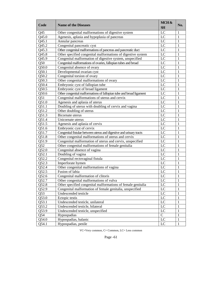| Code  | <b>Name of the Diseases</b>                                         | MCH &<br><b>SH</b> | No. |
|-------|---------------------------------------------------------------------|--------------------|-----|
| Q45   | Other congenital malformations of digestive system                  | LC                 | 1   |
| Q45.0 | Agenesis, aplasia and hypoplasia of pancreas                        | LC                 | 1   |
| Q45.1 | Annular pancreas                                                    | LC                 | 1   |
| Q45.2 | Congenital pancreatic cyst                                          | LC                 | 1   |
| Q45.3 | Other congenital malformations of pancreas and pancreatic duct      | LC                 | 1   |
| Q45.8 | Other specified congenital malformations of digestive system        | LC                 | 1   |
| Q45.9 | Congenital malformation of digestive system, unspecified            | LC                 | 1   |
| Q50   | Congenital malformations of ovaries, fallopian tubes and broad      | LC                 | 1   |
| Q50.0 | Congenital absence of ovary                                         | LC                 | 1   |
| Q50.1 | Developmental ovarian cyst                                          | LC                 | 1   |
| Q50.2 | Congenital torsion of ovary                                         | LC                 | 1   |
| Q50.3 | Other congenital malformations of ovary                             | LC                 | 1   |
| Q50.4 | Embryonic cyst of fallopian tube                                    | LC                 | 1   |
| Q50.5 | Embryonic cyst of broad ligament                                    | LC                 | 1   |
| Q50.6 | Other congenital malformations of fallopian tube and broad ligament | LC                 | 1   |
| Q51   | Congenital malformations of uterus and cervix                       | LC                 | 1   |
| Q51.0 | Agenesis and aplasia of uterus                                      | LC                 | 1   |
| Q51.1 | Doubling of uterus with doubling of cervix and vagina               | LC                 | 1   |
| Q51.2 | Other doubling of uterus                                            | LC                 | 1   |
| Q51.3 | Bicornate uterus                                                    | LC                 | 1   |
| Q51.4 | Unicornate uterus                                                   | LC                 | 1   |
| Q51.5 | Agenesis and aplasia of cervix                                      | LC                 | 1   |
| Q51.6 | Embryonic cyst of cervix                                            | LC                 | 1   |
| Q51.7 | Congenital fistulae between uterus and digestive and urinary tracts | LC                 | 1   |
| Q51.8 | Other congenital malformations of uterus and cervix                 | LC                 | 1   |
| Q51.9 | Congenital malformation of uterus and cervix, unspecified           | LC                 | 1   |
| Q52   | Other congenital malformations of female genitalia                  | LC                 | 1   |
| Q52.0 | Congenital absence of vagina                                        | LC                 | 1   |
| Q52.1 | Doubling of vagina                                                  | LC                 | 1   |
| Q52.2 | Congenital rectovaginal fistula                                     | LC                 | 1   |
| Q52.3 | Imperforate hymen                                                   | LC                 | 1   |
| Q52.4 | Other congenital malformations of vagina                            | LC                 | 1   |
| Q52.5 | Fusion of labia                                                     | LC                 | 1   |
| Q52.6 | Congenital malformation of clitoris                                 | LC                 | 1   |
| Q52.7 | Other congenital malformations of vulva                             | LC                 | 1   |
| Q52.8 | Other specified congenital malformations of female genitalia        | LC                 | 1   |
| Q52.9 | Congenital malformation of female genitalia, unspecified            | LC                 | 1   |
| Q53   | Undescended testicle                                                | LC                 | 1   |
| Q53.0 | Ectopic testis                                                      | LC                 | 1   |
| Q53.1 | Undescended testicle, unilateral                                    | LC                 | 1   |
| Q53.2 | Undescended testicle, bilateral                                     | LC                 | 1   |
| Q53.9 | Undescended testicle, unspecified                                   | LC                 | 1   |
| Q54   | Hypospadias                                                         | $\mathbf C$        | 1   |
| Q54.0 | Hypospadias, balanic                                                | LC                 | 1   |
| Q54.1 | Hypospadias, penile                                                 | LC                 | 1   |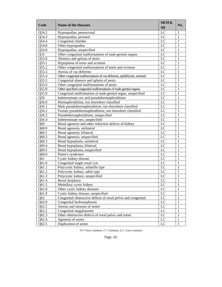| Code  | <b>Name of the Diseases</b>                                         | MCH&<br><b>SH</b> | No.          |
|-------|---------------------------------------------------------------------|-------------------|--------------|
| Q54.2 | Hypospadias, penoscrotal                                            | LC                | 1            |
| Q54.3 | Hypospadias, perineal                                               | LC                | 1            |
| Q54.4 | Congenital chordee                                                  | LC                | 1            |
| Q54.8 | Other hypospadias                                                   | LC                | 1            |
| Q54.9 | Hypospadias, unspecified                                            | LC                | 1            |
| Q55   | Other congenital malformations of male genital organs               | LC                | 1            |
| Q55.0 | Absence and aplasia of testis                                       | LC                | 1            |
| Q55.1 | Hypoplasia of testis and scrotum                                    | LC                | 1            |
| Q55.2 | Other congenital malformations of testis and scrotum                | LC                | 1            |
| Q55.3 | Atresia of vas deferens                                             | LC                | 1            |
| Q55.4 | Other congenital malformations of vas deferens, epididymis, seminal | LC                | 1            |
| Q55.5 | Congenital absence and aplasia of penis                             | LC                | 1            |
| Q55.6 | Other congenital malformations of penis                             | LC                | 1            |
| Q55.8 | Other specified congenital malformations of male genital organs     | LC                | 1            |
| Q55.9 | Congenital malformation of male genital organ, unspecified          | LC                | 1            |
| Q56   | Indeterminate sex and pseudohermaphroditism                         | LC                | 1            |
| Q56.0 | Hermaphroditism, not elsewhere classified                           | LC                | 1            |
| Q56.1 | Male pseudohermaphroditism, not elsewhere classified                | $_{\text{LC}}$    | 1            |
| Q56.2 | Female pseudohermaphroditism, not elsewhere classified              | LC                | 1            |
| Q56.3 | Pseudohermaphroditism, unspecified                                  | LC                | 1            |
| Q56.4 | Indeterminate sex, unspecified                                      | LC                | 1            |
| Q60   | Renal agenesis and other reduction defects of kidney                | LC                | 1            |
| Q60.0 | Renal agenesis, unilateral                                          | LC                | 1            |
| Q60.1 | Renal agenesis, bilateral                                           | LC                | 1            |
| Q60.2 | Renal agenesis, unspecified                                         | LC                | 1            |
| Q60.3 | Renal hypoplasia, unilateral                                        | LC                | 1            |
| Q60.4 | Renal hypoplasia, bilateral                                         | LC                | 1            |
| Q60.5 | Renal hypoplasia, unspecified                                       | LC                | 1            |
| Q60.6 | Potter's syndrome                                                   | LC                | 1            |
| Q61   | Cystic kidney disease                                               | LC                | 1            |
| Q61.0 | Congenital single renal cyst                                        | LC                | 1            |
| Q61.1 | Polycystic kidney, infantile type                                   | LC                | 1            |
| Q61.2 | Polycystic kidney, adult type                                       | LC                | 1            |
| Q61.3 | Polycystic kidney, unspecified                                      | LC                | 1            |
| Q61.4 | Renal dysplasia                                                     | LC                | $\mathbf{1}$ |
| Q61.5 | Medullary cystic kidney                                             | LC                | 1            |
| Q61.8 | Other cystic kidney diseases                                        | LC                | 1            |
| Q61.9 | Cystic kidney disease, unspecified                                  | LC                | 1            |
| Q62   | Congenital obstructive defects of renal pelvis and congenital       | LC                | 1            |
| Q62.0 | Congenital hydronephrosis                                           | LC                | 1            |
| Q62.1 | Atresia and stenosis of ureter                                      | LC                | 1            |
| Q62.2 | Congenital megaloureter                                             | LC                | 1            |
| Q62.3 | Other obstructive defects of renal pelvis and ureter                | LC                | 1            |
| Q62.4 | Agenesis of ureter                                                  | LC                | 1            |
| Q62.5 | Duplication of ureter                                               | LC                | 1            |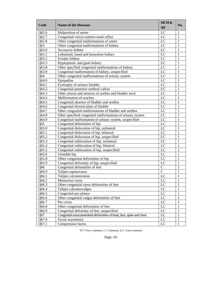| Code  | <b>Name of the Diseases</b>                                           | MCH &<br><b>SH</b> | No. |
|-------|-----------------------------------------------------------------------|--------------------|-----|
| Q62.6 | Malposition of ureter                                                 | LC                 | 1   |
| Q62.7 | Congenital vesico-uretero-renal reflux                                | LC                 | 1   |
| Q62.8 | Other congenital malformations of ureter                              | LC                 | 1   |
| Q63   | Other congenital malformations of kidney                              | LC                 | 1   |
| Q63.0 | Accessory kidney                                                      | LC                 | 1   |
| Q63.1 | Lobulated, fused and horseshoe kidney                                 | LC                 | 1   |
| Q63.2 | Ectopic kidney                                                        | LC                 | 1   |
| Q63.3 | Hyperplastic and giant kidney                                         | LC                 | 1   |
| Q63.8 | Other specified congenital malformations of kidney                    | LC                 | 1   |
| Q63.9 | Congenital malformation of kidney, unspecified                        | LC                 | 1   |
| Q64   | Other congenital malformations of urinary system                      | LC                 | 1   |
| Q64.0 | Epispadias                                                            | LC                 | 1   |
| Q64.1 | Exstrophy of urinary bladder                                          | LC                 | 1   |
| Q64.2 | Congenital posterior urethral valves                                  | LC                 | 1   |
| Q64.3 | Other atresia and stenosis of urethra and bladder neck                | LC                 | 1   |
| Q64.4 | Malformation of urachus                                               | LC                 | 1   |
| Q64.5 | Congenital absence of bladder and urethra                             | LC                 | 1   |
| Q64.6 | Congenital diverticulum of bladder                                    | LC                 | 1   |
| Q64.7 | Other congenital malformations of bladder and urethra                 | LC                 | 1   |
| Q64.8 | Other specified congenital malformations of urinary system            | LC                 | 1   |
| Q64.9 | Congenital malformation of urinary system, unspecified                | LC                 | 1   |
| Q65   | Congenital deformities of hip                                         | LC                 | 1   |
| Q65.0 | Congenital dislocation of hip, unilateral                             | LC                 | 1   |
| Q65.1 | Congenital dislocation of hip, bilateral                              | LC                 | 1   |
| Q65.2 | Congenital dislocation of hip, unspecified                            | LC                 | 1   |
| Q65.3 | Congenital subluxation of hip, unilateral                             | LC                 | 1   |
| Q65.4 | Congenital subluxation of hip, bilateral                              | LC                 | 1   |
| Q65.5 | Congenital subluxation of hip, unspecified                            | LC                 | 1   |
| Q65.6 | Unstable hip                                                          | LC                 | 1   |
| Q65.8 | Other congenital deformities of hip                                   | LC                 | 1   |
| Q65.9 | Congenital deformity of hip, unspecified                              | LC                 | 1   |
| Q66   | Congenital deformities of feet                                        | $\mathsf{C}$       | 1   |
| Q66.0 | Talipes equinovarus                                                   | $\mathsf{C}$       | 1   |
| Q66.1 | Talipes calcaneovarus                                                 | LC                 | 1   |
| Q66.2 | Metatarsus varus                                                      | LC                 | 1   |
| Q66.3 | Other congenital varus deformities of feet                            | LC                 | 1   |
| Q66.4 | Talipes calcaneovalgus                                                | $_{\text{LC}}$     | 1   |
| Q66.5 | Congenital pes planus                                                 | $_{\rm LC}$        | 1   |
| Q66.6 | Other congenital valgus deformities of feet                           | $_{\rm LC}$        | 1   |
| Q66.7 | Pes cavus                                                             | LC                 | 1   |
| Q66.8 | Other congenital deformities of feet                                  | LC                 | 1   |
| Q66.9 | Congenital deformity of feet, unspecified                             | $_{\rm LC}$        | 1   |
| Q67   | Congenital musculoskeletal deformities of head, face, spine and chest | $_{\rm LC}$        | 1   |
| Q67.0 | Facial asymmetry                                                      | LC                 | 1   |
| Q67.1 | Compression facies                                                    | LC                 | 1   |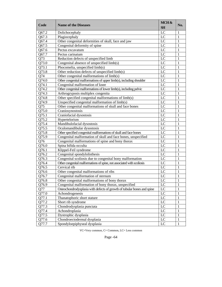| Code  | <b>Name of the Diseases</b>                                             | MCH&<br><b>SH</b> | No. |
|-------|-------------------------------------------------------------------------|-------------------|-----|
| Q67.2 | Dolichocephaly                                                          | LC                | 1   |
| Q67.3 | Plagiocephaly                                                           | LC                | 1   |
| Q67.4 | Other congenital deformities of skull, face and jaw                     | LC                | 1   |
| Q67.5 | Congenital deformity of spine                                           | LC                | 1   |
| Q67.6 | Pectus excavatum                                                        | LC                | 1   |
| Q67.7 | Pectus carinatum                                                        | LC                | 1   |
| Q73   | Reduction defects of unspecified limb                                   | LC                | 1   |
| Q73.0 | Congenital absence of unspecified limb(s)                               | LC                | 1   |
| Q73.1 | Phocomelia, unspecified limb(s)                                         | LC                | 1   |
| Q73.8 | Other reduction defects of unspecified limb(s)                          | LC                | 1   |
| Q74   | Other congenital malformations of limb(s)                               | $_{\text{LC}}$    | 1   |
| Q74.0 | Other congenital malformations of upper limb(s), including shoulder     | LC                | 1   |
| Q74.1 | Congenital malformation of knee                                         | LC                | 1   |
| Q74.2 | Other congenital malformations of lower limb(s), including pelvic       | LC                | 1   |
| Q74.3 | Arthrogryposis multiplex congenita                                      | LC                | 1   |
| Q74.8 | Other specified congenital malformations of limb(s)                     | LC                | 1   |
| Q74.9 | Unspecified congenital malformation of limb(s)                          | LC                | 1   |
| Q75   | Other congenital malformations of skull and face bones                  | $_{\text{LC}}$    | 1   |
| Q75.0 | Craniosynostosis                                                        | LC                | 1   |
| Q75.1 | Craniofacial dysostosis                                                 | $_{\text{LC}}$    | 1   |
| Q75.2 | Hypertelorism                                                           | LC                | 1   |
| Q75.4 | Mandibulofacial dysostosis                                              | LC                | 1   |
| Q75.5 | Oculomandibular dysostosis                                              | LC                | 1   |
| Q75.8 | Other specified congenital malformations of skull and face bones        | LC                | 1   |
| Q75.9 | Congenital malformation of skull and face bones, unspecified            | LC                | 1   |
| Q76   | Congenital malformations of spine and bony thorax                       | LC                | 1   |
| Q76.0 | Spina bifida occulta                                                    | LC                | 1   |
| Q76.1 | Klippel-Feil syndrome                                                   | LC                | 1   |
| Q76.2 | Congenital spondylolisthesis                                            | LC                | 1   |
| Q76.3 | Congenital scoliosis due to congenital bony malformation                | LC                | 1   |
| Q76.4 | Other congenital malformations of spine, not associated with scoliosis  | LC                | 1   |
| Q76.5 | Cervical rib                                                            | LC                | 1   |
| Q76.6 | Other congenital malformations of ribs                                  | LC                | 1   |
| Q76.7 | Congenital malformation of sternum                                      | LC                | 1   |
| Q76.8 | Other congenital malformations of bony thorax                           | LC                | 1   |
| Q76.9 | Congenital malformation of bony thorax, unspecified                     | LC                | 1   |
| Q77   | Osteochondrodysplasia with defects of growth of tubular bones and spine | LC                | 1   |
| Q77.0 | Achondrogenesis                                                         | LC                | 1   |
| Q77.1 | Thanatophoric short stature                                             | LC                | 1   |
| Q77.2 | Short rib syndrome                                                      | LC                | 1   |
| Q77.3 | Chondrodysplasia punctata                                               | LC                | 1   |
| Q77.4 | Achondroplasia                                                          | LC                | 1   |
| Q77.5 | Dystrophic dysplasia                                                    | LC                | 1   |
| Q77.6 | Chondroectodermal dysplasia                                             | LC                | 1   |
| Q77.7 | Spondyloepiphyseal dysplasia                                            | LC                | 1   |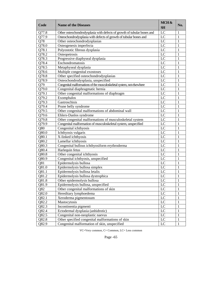| Code  | <b>Name of the Diseases</b>                                             | MCH &<br><b>SH</b> | No. |
|-------|-------------------------------------------------------------------------|--------------------|-----|
| Q77.8 | Other osteochondrodysplasia with defects of growth of tubular bones and | LC                 | 1   |
| Q77.9 | Osteochondrodysplasia with defects of growth of tubular bones and       | LC                 | 1   |
| Q78   | Other osteochondrodysplasias                                            | LC                 | 1   |
| Q78.0 | Osteogenesis imperfecta                                                 | LC                 | 1   |
| Q78.1 | Polyostotic fibrous dysplasia                                           | LC                 | 1   |
| Q78.2 | Osteopetrosis                                                           | LC                 | 1   |
| Q78.3 | Progressive diaphyseal dysplasia                                        | LC                 | 1   |
| Q78.4 | Enchondromatosis                                                        | LC                 | 1   |
| Q78.5 | Metaphyseal dysplasia                                                   | LC                 | 1   |
| Q78.6 | Multiple congenital exostoses                                           | LC                 | 1   |
| Q78.8 | Other specified osteochondrodysplasias                                  | LC                 | 1   |
| Q78.9 | Osteochondrodysplasia, unspecified                                      | LC                 | 1   |
| Q79   | Congenital malformations of the musculoskeletal system, not elsewhere   | LC                 | 1   |
| Q79.0 | Congenital diaphragmatic hernia                                         | LC                 | 1   |
| Q79.1 | Other congenital malformations of diaphragm                             | LC                 | 1   |
| Q79.2 | Exomphalos                                                              | LC                 | 1   |
| Q79.3 | Gastroschisis                                                           | LC                 | 1   |
| Q79.4 | Prune belly syndrome                                                    | LC                 | 1   |
| Q79.5 | Other congenital malformations of abdominal wall                        | LC                 | 1   |
| Q79.6 | Ehlers-Danlos syndrome                                                  | LC                 | 1   |
| Q79.8 | Other congenital malformations of musculoskeletal system                | LC                 | 1   |
| Q79.9 | Congenital malformation of musculoskeletal system, unspecified          | LC                 | 1   |
| Q80   | Congenital ichthyosis                                                   | LC                 | 1   |
| Q80.0 | Ichthyosis vulgaris                                                     | LC                 | 1   |
| Q80.1 | X-linked ichthyosis                                                     | LC                 | 1   |
| Q80.2 | Lamellar ichthyosis                                                     | LC                 | 1   |
| Q80.3 | Congenital bullous ichthyosiform erythroderma                           | LC                 | 1   |
| Q80.4 | Harlequin fetus                                                         | LC                 | 1   |
| Q80.8 | Other congenital ichthyosis                                             | LC                 | 1   |
| Q80.9 | Congenital ichthyosis, unspecified                                      | LC                 | 1   |
| Q81   | Epidermolysis bullosa                                                   | LC                 | 1   |
| Q81.0 | Epidermolysis bullosa simplex                                           | LC                 | 1   |
| Q81.1 | Epidermolysis bullosa letalis                                           | LC                 | 1   |
| Q81.2 | Epidermolysis bullosa dystrophica                                       | LC                 | 1   |
| Q81.8 | Other epidermolysis bullosa                                             | LC                 | 1   |
| Q81.9 | Epidermolysis bullosa, unspecified                                      | LC                 | 1   |
| Q82   | Other congenital malformations of skin                                  | LC                 | 1   |
| Q82.0 | Hereditary lymphoedema                                                  | LC                 | 1   |
| Q82.1 | Xeroderma pigmentosum                                                   | LC                 | 1   |
| Q82.2 | Mastocytosis                                                            | LC                 | 1   |
| Q82.3 | Incontinentia pigmenti                                                  | LC                 | 1   |
| Q82.4 | Ectodermal dysplasia (anhidrotic)                                       | LC                 | 1   |
| Q82.5 | Congenital non-neoplastic naevus                                        | LC                 | 1   |
| Q82.8 | Other specified congenital malformations of skin                        | LC                 | 1   |
| Q82.9 | Congenital malformation of skin, unspecified                            | LC                 | 1   |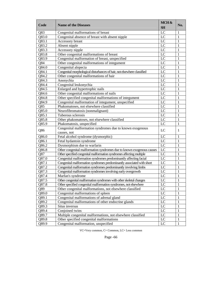| Code  | <b>Name of the Diseases</b>                                             | MCH&<br><b>SH</b> | No. |
|-------|-------------------------------------------------------------------------|-------------------|-----|
| Q83   | Congenital malformations of breast                                      | LC                | 1   |
| Q83.0 | Congenital absence of breast with absent nipple                         | LC                | 1   |
| Q83.1 | Accessory breast                                                        | LC                | 1   |
| Q83.2 | Absent nipple                                                           | LC                | 1   |
| Q83.3 | Accessory nipple                                                        | LC                | 1   |
| Q83.8 | Other congenital malformations of breast                                | LC                | 1   |
| Q83.9 | Congenital malformation of breast, unspecified                          | LC                | 1   |
| Q84   | Other congenital malformations of integument                            | LC                | 1   |
| Q84.0 | Congenital alopecia                                                     | LC                | 1   |
| Q84.1 | Congenital morphological disturbances of hair, not elsewhere classified | LC                | 1   |
| Q84.2 | Other congenital malformations of hair                                  | LC                | 1   |
| Q84.3 | Anonychia                                                               | LC                | 1   |
| Q84.4 | Congenital leukonychia                                                  | LC                | 1   |
| Q84.5 | Enlarged and hypertrophic nails                                         | LC                | 1   |
| Q84.6 | Other congenital malformations of nails                                 | LC                | 1   |
| Q84.8 | Other specified congenital malformations of integument                  | LC                | 1   |
| Q84.9 | Congenital malformation of integument, unspecified                      | LC                | 1   |
| Q85   | Phakomatoses, not elsewhere classified                                  | LC                | 1   |
| Q85.0 | Neurofibromatosis (nonmalignant)                                        | LC                | 1   |
| Q85.1 | Tuberous sclerosis                                                      | LC                | 1   |
| Q85.8 | Other phakomatoses, not elsewhere classified                            | LC                | 1   |
| Q85.9 | Phakomatosis, unspecified                                               | LC                | 1   |
| Q86   | Congenital malformation syndromes due to known exogenous<br>causes, not | LC                | 1   |
| Q86.0 | Fetal alcohol syndrome (dysmorphic)                                     | LC                | 1   |
| Q86.1 | Fetal hydantoin syndrome                                                | LC                | 1   |
| Q86.2 | Dysmorphism due to warfarin                                             | LC                | 1   |
| Q86.8 | Other congenital malformation syndromes due to known exogenous causes   | LC                | 1   |
| Q87   | Other specified congenital malformation syndromes affecting multiple    | LC                | 1   |
| Q87.0 | Congenital malformation syndromes predominantly affecting facial        | LC                | 1   |
| Q87.1 | Congenital malformation syndromes predominantly associated with short   | LC                | 1   |
| Q87.2 | Congenital malformation syndromes predominantly involving limbs         | LC                | 1   |
| Q87.3 | Congenital malformation syndromes involving early overgrowth            | LC                | 1   |
| Q87.4 | Marfan's syndrome                                                       | LC                | 1   |
| Q87.5 | Other congenital malformation syndromes with other skeletal changes     | LC                | 1   |
| Q87.8 | Other specified congenital malformation syndromes, not elsewhere        | LC                | 1   |
| Q89   | Other congenital malformations, not elsewhere classified                | LC                | 1   |
| Q89.0 | Congenital malformations of spleen                                      | LC                | 1   |
| Q89.1 | Congenital malformations of adrenal gland                               | LC                | 1   |
| Q89.2 | Congenital malformations of other endocrine glands                      | LC                | 1   |
| Q89.3 | Situs inversus                                                          | LC                | 1   |
| Q89.4 | Conjoined twins                                                         | LC                | 1   |
| Q89.7 | Multiple congenital malformations, not elsewhere classified             | LC                | 1   |
| Q89.8 | Other specified congenital malformations                                | LC                | 1   |
| Q89.9 | Congenital malformation, unspecified                                    | LC                | 1   |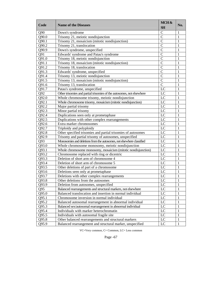| Code  | <b>Name of the Diseases</b>                                           | MCH &<br><b>SH</b> | No. |
|-------|-----------------------------------------------------------------------|--------------------|-----|
| Q90   | Down's syndrome                                                       | $\mathsf{C}$       | 1   |
| Q90.0 | Trisomy 21, meiotic nondisjunction                                    | $\mathcal{C}$      | 1   |
| Q90.1 | Trisomy 21, mosaicism (mitotic nondisjunction)                        | $\mathcal{C}$      | 1   |
| Q90.2 | Trisomy 21, translocation                                             | $\mathcal{C}$      | 1   |
| Q90.9 | Down's syndrome, unspecified                                          | $\mathcal{C}$      | 1   |
| Q91   | Edwards' syndrome and Patau's syndrome                                | $\mathcal{C}$      | 1   |
| Q91.0 | Trisomy 18, meiotic nondisjunction                                    | $\mathcal{C}$      | 1   |
| Q91.1 | Trisomy 18, mosaicism (mitotic nondisjunction)                        | $\mathcal{C}$      | 1   |
| Q91.2 | Trisomy 18, translocation                                             | $\mathcal{C}$      | 1   |
| Q91.3 | Edwards' syndrome, unspecified                                        | $\mathbf C$        | 1   |
| Q91.4 | Trisomy 13, meiotic nondisjunction                                    | $\mathcal{C}$      | 1   |
| Q91.5 | Trisomy 13, mosaicism (mitotic nondisjunction)                        | $\mathcal{C}$      | 1   |
| Q91.6 | Trisomy 13, translocation                                             | $\mathsf{C}$       | 1   |
| Q91.7 | Patau's syndrome, unspecified                                         | LC                 | 1   |
| Q92   | Other trisomies and partial trisomies of the autosomes, not elsewhere | LC                 | 1   |
| Q92.0 | Whole chromosome trisomy, meiotic nondisjunction                      | LC                 | 1   |
| Q92.1 | Whole chromosome trisomy, mosaicism (mitotic nondisjunction)          | LC                 | 1   |
| Q92.2 | Major partial trisomy                                                 | LC                 | 1   |
| Q92.3 | Minor partial trisomy                                                 | LC                 | 1   |
| Q92.4 | Duplications seen only at prometaphase                                | LC                 | 1   |
| Q92.5 | Duplications with other complex rearrangements                        | LC                 | 1   |
| Q92.6 | Extra marker chromosomes                                              | LC                 | 1   |
| Q92.7 | Triploidy and polyploidy                                              | LC                 | 1   |
| Q92.8 | Other specified trisomies and partial trisomies of autosomes          | LC                 | 1   |
| Q92.9 | Trisomy and partial trisomy of autosomes, unspecified                 | LC                 | 1   |
| Q93   | Monosomies and deletions from the autosomes, not elsewhere classified | LC                 | 1   |
| Q93.0 | Whole chromosome monosomy, meiotic nondisjunction                     | LC                 | 1   |
| Q93.1 | Whole chromosome monosomy, mosaicism (mitotic nondisjunction)         | LC                 | 1   |
| Q93.2 | Chromosome replaced with ring or dicentric                            | LC                 | 1   |
| Q93.3 | Deletion of short arm of chromosome 4                                 | LC                 | 1   |
| Q93.4 | Deletion of short arm of chromosome 5                                 | LC                 | 1   |
| Q93.5 | Other deletions of part of a chromosome                               | LC                 | 1   |
| Q93.6 | Deletions seen only at prometaphase                                   | LC                 | 1   |
| Q93.7 | Deletions with other complex rearrangements                           | LC                 | 1   |
| Q93.8 | Other deletions from the autosomes                                    | LC                 | 1   |
| Q93.9 | Deletion from autosomes, unspecified                                  | LC                 | 1   |
| Q95   | Balanced rearrangements and structural markers, not elsewhere         | LC                 | 1   |
| Q95.0 | Balanced translocation and insertion in normal individual             | $_{\rm LC}$        | 1   |
| Q95.1 | Chromosome inversion in normal individual                             | $_{\rm LC}$        | 1   |
| Q95.2 | Balanced autosomal rearrangement in abnormal individual               | $_{\rm LC}$        | 1   |
| Q95.3 | Balanced sex/autosomal rearrangement in abnormal individual           | $_{\rm LC}$        | 1   |
| Q95.4 | Individuals with marker heterochromatin                               | $_{\rm LC}$        | 1   |
| Q95.5 | Individuals with autosomal fragile site                               | $_{\rm LC}$        | 1   |
| Q95.8 | Other balanced rearrangements and structural markers                  | LC                 | 1   |
| Q95.9 | Balanced rearrangement and structural marker, unspecified             | LC                 | 1   |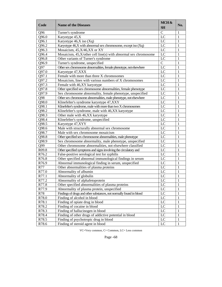| Code              | <b>Name of the Diseases</b>                                         | MCH&<br><b>SH</b> | No. |
|-------------------|---------------------------------------------------------------------|-------------------|-----|
| Q96               | Turner's syndrome                                                   | $\mathcal{C}$     | 1   |
| Q96.0             | Karyotype 45,X                                                      | LC                | 1   |
| Q96.1             | Karyotype 46,X iso (Xq)                                             | LC                | 1   |
| Q96.2             | Karyotype 46,X with abnormal sex chromosome, except iso (Xq)        | LC                | 1   |
| Q96.3             | Mosaicism, 45, X/46, XX or XY                                       | LC                | 1   |
| Q96.4             | Mosaicism, 45, X/other cell line(s) with abnormal sex chromosome    | LC                | 1   |
| Q96.8             | Other variants of Turner's syndrome                                 | $\rm LC$          | 1   |
| Q96.9             | Turner's syndrome, unspecified                                      | $\mathbf C$       | 1   |
| Q97               | Other sex chromosome abnormalities, female phenotype, not elsewhere | LC                | 1   |
| Q97.0             | Karyotype 47, XXX                                                   | LC                | 1   |
| Q97.1             | Female with more than three X chromosomes                           | LC                | 1   |
| Q97.2             | Mosaicism, lines with various numbers of X chromosomes              | LC                | 1   |
| Q97.3             | Female with 46,XY karyotype                                         | LC                | 1   |
| Q97.8             | Other specified sex chromosome abnormalities, female phenotype      | LC                | 1   |
| Q97.9             | Sex chromosome abnormality, female phenotype, unspecified           | LC                | 1   |
| Q98               | Other sex chromosome abnormalities, male phenotype, not elsewhere   | LC                | 1   |
| Q98.0             | Klinefelter's syndrome karyotype 47, XXY                            | LC                | 1   |
| Q98.1             | Klinefelter's syndrome, male with more than two X chromosomes       | LC                | 1   |
| Q98.2             | Klinefelter's syndrome, male with 46,XX karyotype                   | LC                | 1   |
| Q98.3             | Other male with 46,XX karyotype                                     | LC                | 1   |
| Q98.4             | Klinefelter's syndrome, unspecified                                 | LC                | 1   |
| Q98.5             | Karyotype 47, XYY                                                   | LC                | 1   |
| Q98.6             | Male with structurally abnormal sex chromosome                      | LC                | 1   |
| Q98.7             | Male with sex chromosome mosaicism                                  | LC                | 1   |
| Q98.8             | Other specified sex chromosome abnormalities, male phenotype        | LC                | 1   |
| Q98.9             | Sex chromosome abnormality, male phenotype, unspecified             | LC                | 1   |
| Q99               | Other chromosome abnormalities, not elsewhere classified            | LC                | 1   |
| R <sub>09.8</sub> | Other specified symptoms and signs involving the circulatory and    | LC                | 1   |
| R76.2             | False-positive serological test for syphilis                        | LC                | 1   |
| R76.8             | Other specified abnormal immunological findings in serum            | LC                | 1   |
| R76.9             | Abnormal immunological finding in serum, unspecified                | LC                | 1   |
| <b>R77</b>        | Other abnormalities of plasma proteins                              | LC                | 1   |
| R77.0             | Abnormality of albumin                                              | LC                | 1   |
| R77.1             | Abnormality of globulin                                             | LC                | 1   |
| R77.2             | Abnormality of alphafetoprotein                                     | LC                | 1   |
| R77.8             | Other specified abnormalities of plasma proteins                    | LC                | 1   |
| R77.9             | Abnormality of plasma protein, unspecified                          | $_{\rm LC}$       | 1   |
| R78               | Findings of drugs and other substances, not normally found in blood | $_{\rm LC}$       | 1   |
| R78.0             | Finding of alcohol in blood                                         | $_{\text{LC}}$    | 1   |
| R78.1             | Finding of opiate drug in blood                                     | LC                | 1   |
| R78.2             | Finding of cocaine in blood                                         | LC                | 1   |
| R78.3             | Finding of hallucinogen in blood                                    | LC                | 1   |
| R78.4             | Finding of other drugs of addictive potential in blood              | $_{\text{LC}}$    | 1   |
| R78.5             | Finding of psychotropic drug in blood                               | LC                | 1   |
| R78.6             | Finding of steroid agent in blood                                   | LC                | 1   |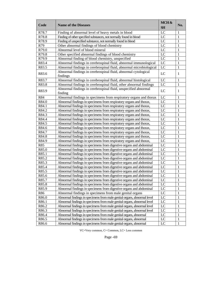| LC<br>R78.7<br>Finding of abnormal level of heavy metals in blood<br>1<br>R78.8<br>LC<br>1<br>Finding of other specified substances, not normally found in blood<br>R78.9<br>Finding of unspecified substance, not normally found in blood<br>LC<br>1<br>R79<br>Other abnormal findings of blood chemistry<br>LC<br>1<br>R79.0<br>Abnormal level of blood mineral<br>LC<br>1<br>R79.8<br>Other specified abnormal findings of blood chemistry<br>LC<br>1<br>R79.9<br>LC<br>Abnormal finding of blood chemistry, unspecified<br>1<br>LC<br>R83.4<br>Abnormal findings in cerebrospinal fluid, abnormal immunological<br>1<br>R83.5<br>Abnormal findings in cerebrospinal fluid, abnormal microbiological<br>LC<br>$\mathbf{1}$<br>Abnormal findings in cerebrospinal fluid, abnormal cytological<br>LC<br>R83.6<br>1<br>findings<br>LC<br>Abnormal findings in cerebrospinal fluid, abnormal histological<br>$\mathbf{1}$<br>R83.7<br>$\mathbf{1}$<br>LC<br>R83.8<br>Abnormal findings in cerebrospinal fluid, other abnormal findings<br>Abnormal findings in cerebrospinal fluid, unspecified abnormal<br>R83.9<br>LC<br>1<br>finding<br>Abnormal findings in specimens from respiratory organs and thorax<br>LC<br>R84<br>1<br>LC<br>R84.0<br>1<br>Abnormal findings in specimens from respiratory organs and thorax,<br>R84.1<br>LC<br>1<br>Abnormal findings in specimens from respiratory organs and thorax,<br>R84.2<br>LC<br>1<br>Abnormal findings in specimens from respiratory organs and thorax,<br>R84.3<br>LC<br>1<br>Abnormal findings in specimens from respiratory organs and thorax,<br>R84.4<br>LC<br>1<br>Abnormal findings in specimens from respiratory organs and thorax,<br>R84.5<br>LC<br>1<br>Abnormal findings in specimens from respiratory organs and thorax,<br>R84.6<br>LC<br>1<br>Abnormal findings in specimens from respiratory organs and thorax,<br>LC<br>1<br>R84.7<br>Abnormal findings in specimens from respiratory organs and thorax,<br>R84.8<br>LC<br>1<br>Abnormal findings in specimens from respiratory organs and thorax,<br>LC<br>1<br>R84.9<br>Abnormal findings in specimens from respiratory organs and thorax,<br>R85<br>LC<br>1<br>Abnormal findings in specimens from digestive organs and abdominal<br>R85.0<br>LC<br>1<br>Abnormal findings in specimens from digestive organs and abdominal<br>R85.1<br>LC<br>1<br>Abnormal findings in specimens from digestive organs and abdominal<br>LC<br>$\mathbf{1}$<br>R85.2<br>Abnormal findings in specimens from digestive organs and abdominal<br>LC<br>$\mathbf{1}$<br>R85.3<br>Abnormal findings in specimens from digestive organs and abdominal<br>$\,1\,$<br>LC<br>R85.4<br>Abnormal findings in specimens from digestive organs and abdominal<br>$\mathbf{1}$<br>LC<br>R85.5<br>Abnormal findings in specimens from digestive organs and abdominal<br>$\mathbf{1}$<br>LC<br>R85.6<br>Abnormal findings in specimens from digestive organs and abdominal<br>LC<br>$\overline{1}$<br>R85.7<br>Abnormal findings in specimens from digestive organs and abdominal<br>LC<br>R85.8<br>Abnormal findings in specimens from digestive organs and abdominal<br>$\mathbf{1}$<br>$\mathbf{1}$<br>LC<br>R85.9<br>Abnormal findings in specimens from digestive organs and abdominal<br>LC<br>$\mathbf 1$<br>Abnormal findings in specimens from male genital organs<br>R86<br>LC<br>$\,1\,$<br>R86.0<br>Abnormal findings in specimens from male genital organs, abnormal level<br>LC<br>$\,1\,$<br>R86.1<br>Abnormal findings in specimens from male genital organs, abnormal level<br>LC<br>$\,1\,$<br>R86.2<br>Abnormal findings in specimens from male genital organs, abnormal level<br>LC<br>$\,1\,$<br>R86.3<br>Abnormal findings in specimens from male genital organs, abnormal level<br>LC<br>$\,1\,$<br>R86.4<br>Abnormal findings in specimens from male genital organs, abnormal<br>$\mathbf{LC}$<br>$\,1\,$<br>R86.5<br>Abnormal findings in specimens from male genital organs, abnormal<br>LC<br>$\mathbf{1}$<br>R86.6<br>Abnormal findings in specimens from male genital organs, abnormal | Code | <b>Name of the Diseases</b> | MCH&<br><b>SH</b> | No. |
|------------------------------------------------------------------------------------------------------------------------------------------------------------------------------------------------------------------------------------------------------------------------------------------------------------------------------------------------------------------------------------------------------------------------------------------------------------------------------------------------------------------------------------------------------------------------------------------------------------------------------------------------------------------------------------------------------------------------------------------------------------------------------------------------------------------------------------------------------------------------------------------------------------------------------------------------------------------------------------------------------------------------------------------------------------------------------------------------------------------------------------------------------------------------------------------------------------------------------------------------------------------------------------------------------------------------------------------------------------------------------------------------------------------------------------------------------------------------------------------------------------------------------------------------------------------------------------------------------------------------------------------------------------------------------------------------------------------------------------------------------------------------------------------------------------------------------------------------------------------------------------------------------------------------------------------------------------------------------------------------------------------------------------------------------------------------------------------------------------------------------------------------------------------------------------------------------------------------------------------------------------------------------------------------------------------------------------------------------------------------------------------------------------------------------------------------------------------------------------------------------------------------------------------------------------------------------------------------------------------------------------------------------------------------------------------------------------------------------------------------------------------------------------------------------------------------------------------------------------------------------------------------------------------------------------------------------------------------------------------------------------------------------------------------------------------------------------------------------------------------------------------------------------------------------------------------------------------------------------------------------------------------------------------------------------------------------------------------------------------------------------------------------------------------------------------------------------------------------------------------------------------------------------------------------------------------------------------------------------------------------------------------------------------------------------------------------------------------------------------------------------------------------------------------------------------------------------------------------------------------------------------------------------------------------------------------------------------------------------------------------------------------------------------------------------------------------------------------------------|------|-----------------------------|-------------------|-----|
|                                                                                                                                                                                                                                                                                                                                                                                                                                                                                                                                                                                                                                                                                                                                                                                                                                                                                                                                                                                                                                                                                                                                                                                                                                                                                                                                                                                                                                                                                                                                                                                                                                                                                                                                                                                                                                                                                                                                                                                                                                                                                                                                                                                                                                                                                                                                                                                                                                                                                                                                                                                                                                                                                                                                                                                                                                                                                                                                                                                                                                                                                                                                                                                                                                                                                                                                                                                                                                                                                                                                                                                                                                                                                                                                                                                                                                                                                                                                                                                                                                                                                                            |      |                             |                   |     |
|                                                                                                                                                                                                                                                                                                                                                                                                                                                                                                                                                                                                                                                                                                                                                                                                                                                                                                                                                                                                                                                                                                                                                                                                                                                                                                                                                                                                                                                                                                                                                                                                                                                                                                                                                                                                                                                                                                                                                                                                                                                                                                                                                                                                                                                                                                                                                                                                                                                                                                                                                                                                                                                                                                                                                                                                                                                                                                                                                                                                                                                                                                                                                                                                                                                                                                                                                                                                                                                                                                                                                                                                                                                                                                                                                                                                                                                                                                                                                                                                                                                                                                            |      |                             |                   |     |
|                                                                                                                                                                                                                                                                                                                                                                                                                                                                                                                                                                                                                                                                                                                                                                                                                                                                                                                                                                                                                                                                                                                                                                                                                                                                                                                                                                                                                                                                                                                                                                                                                                                                                                                                                                                                                                                                                                                                                                                                                                                                                                                                                                                                                                                                                                                                                                                                                                                                                                                                                                                                                                                                                                                                                                                                                                                                                                                                                                                                                                                                                                                                                                                                                                                                                                                                                                                                                                                                                                                                                                                                                                                                                                                                                                                                                                                                                                                                                                                                                                                                                                            |      |                             |                   |     |
|                                                                                                                                                                                                                                                                                                                                                                                                                                                                                                                                                                                                                                                                                                                                                                                                                                                                                                                                                                                                                                                                                                                                                                                                                                                                                                                                                                                                                                                                                                                                                                                                                                                                                                                                                                                                                                                                                                                                                                                                                                                                                                                                                                                                                                                                                                                                                                                                                                                                                                                                                                                                                                                                                                                                                                                                                                                                                                                                                                                                                                                                                                                                                                                                                                                                                                                                                                                                                                                                                                                                                                                                                                                                                                                                                                                                                                                                                                                                                                                                                                                                                                            |      |                             |                   |     |
|                                                                                                                                                                                                                                                                                                                                                                                                                                                                                                                                                                                                                                                                                                                                                                                                                                                                                                                                                                                                                                                                                                                                                                                                                                                                                                                                                                                                                                                                                                                                                                                                                                                                                                                                                                                                                                                                                                                                                                                                                                                                                                                                                                                                                                                                                                                                                                                                                                                                                                                                                                                                                                                                                                                                                                                                                                                                                                                                                                                                                                                                                                                                                                                                                                                                                                                                                                                                                                                                                                                                                                                                                                                                                                                                                                                                                                                                                                                                                                                                                                                                                                            |      |                             |                   |     |
|                                                                                                                                                                                                                                                                                                                                                                                                                                                                                                                                                                                                                                                                                                                                                                                                                                                                                                                                                                                                                                                                                                                                                                                                                                                                                                                                                                                                                                                                                                                                                                                                                                                                                                                                                                                                                                                                                                                                                                                                                                                                                                                                                                                                                                                                                                                                                                                                                                                                                                                                                                                                                                                                                                                                                                                                                                                                                                                                                                                                                                                                                                                                                                                                                                                                                                                                                                                                                                                                                                                                                                                                                                                                                                                                                                                                                                                                                                                                                                                                                                                                                                            |      |                             |                   |     |
|                                                                                                                                                                                                                                                                                                                                                                                                                                                                                                                                                                                                                                                                                                                                                                                                                                                                                                                                                                                                                                                                                                                                                                                                                                                                                                                                                                                                                                                                                                                                                                                                                                                                                                                                                                                                                                                                                                                                                                                                                                                                                                                                                                                                                                                                                                                                                                                                                                                                                                                                                                                                                                                                                                                                                                                                                                                                                                                                                                                                                                                                                                                                                                                                                                                                                                                                                                                                                                                                                                                                                                                                                                                                                                                                                                                                                                                                                                                                                                                                                                                                                                            |      |                             |                   |     |
|                                                                                                                                                                                                                                                                                                                                                                                                                                                                                                                                                                                                                                                                                                                                                                                                                                                                                                                                                                                                                                                                                                                                                                                                                                                                                                                                                                                                                                                                                                                                                                                                                                                                                                                                                                                                                                                                                                                                                                                                                                                                                                                                                                                                                                                                                                                                                                                                                                                                                                                                                                                                                                                                                                                                                                                                                                                                                                                                                                                                                                                                                                                                                                                                                                                                                                                                                                                                                                                                                                                                                                                                                                                                                                                                                                                                                                                                                                                                                                                                                                                                                                            |      |                             |                   |     |
|                                                                                                                                                                                                                                                                                                                                                                                                                                                                                                                                                                                                                                                                                                                                                                                                                                                                                                                                                                                                                                                                                                                                                                                                                                                                                                                                                                                                                                                                                                                                                                                                                                                                                                                                                                                                                                                                                                                                                                                                                                                                                                                                                                                                                                                                                                                                                                                                                                                                                                                                                                                                                                                                                                                                                                                                                                                                                                                                                                                                                                                                                                                                                                                                                                                                                                                                                                                                                                                                                                                                                                                                                                                                                                                                                                                                                                                                                                                                                                                                                                                                                                            |      |                             |                   |     |
|                                                                                                                                                                                                                                                                                                                                                                                                                                                                                                                                                                                                                                                                                                                                                                                                                                                                                                                                                                                                                                                                                                                                                                                                                                                                                                                                                                                                                                                                                                                                                                                                                                                                                                                                                                                                                                                                                                                                                                                                                                                                                                                                                                                                                                                                                                                                                                                                                                                                                                                                                                                                                                                                                                                                                                                                                                                                                                                                                                                                                                                                                                                                                                                                                                                                                                                                                                                                                                                                                                                                                                                                                                                                                                                                                                                                                                                                                                                                                                                                                                                                                                            |      |                             |                   |     |
|                                                                                                                                                                                                                                                                                                                                                                                                                                                                                                                                                                                                                                                                                                                                                                                                                                                                                                                                                                                                                                                                                                                                                                                                                                                                                                                                                                                                                                                                                                                                                                                                                                                                                                                                                                                                                                                                                                                                                                                                                                                                                                                                                                                                                                                                                                                                                                                                                                                                                                                                                                                                                                                                                                                                                                                                                                                                                                                                                                                                                                                                                                                                                                                                                                                                                                                                                                                                                                                                                                                                                                                                                                                                                                                                                                                                                                                                                                                                                                                                                                                                                                            |      |                             |                   |     |
|                                                                                                                                                                                                                                                                                                                                                                                                                                                                                                                                                                                                                                                                                                                                                                                                                                                                                                                                                                                                                                                                                                                                                                                                                                                                                                                                                                                                                                                                                                                                                                                                                                                                                                                                                                                                                                                                                                                                                                                                                                                                                                                                                                                                                                                                                                                                                                                                                                                                                                                                                                                                                                                                                                                                                                                                                                                                                                                                                                                                                                                                                                                                                                                                                                                                                                                                                                                                                                                                                                                                                                                                                                                                                                                                                                                                                                                                                                                                                                                                                                                                                                            |      |                             |                   |     |
|                                                                                                                                                                                                                                                                                                                                                                                                                                                                                                                                                                                                                                                                                                                                                                                                                                                                                                                                                                                                                                                                                                                                                                                                                                                                                                                                                                                                                                                                                                                                                                                                                                                                                                                                                                                                                                                                                                                                                                                                                                                                                                                                                                                                                                                                                                                                                                                                                                                                                                                                                                                                                                                                                                                                                                                                                                                                                                                                                                                                                                                                                                                                                                                                                                                                                                                                                                                                                                                                                                                                                                                                                                                                                                                                                                                                                                                                                                                                                                                                                                                                                                            |      |                             |                   |     |
|                                                                                                                                                                                                                                                                                                                                                                                                                                                                                                                                                                                                                                                                                                                                                                                                                                                                                                                                                                                                                                                                                                                                                                                                                                                                                                                                                                                                                                                                                                                                                                                                                                                                                                                                                                                                                                                                                                                                                                                                                                                                                                                                                                                                                                                                                                                                                                                                                                                                                                                                                                                                                                                                                                                                                                                                                                                                                                                                                                                                                                                                                                                                                                                                                                                                                                                                                                                                                                                                                                                                                                                                                                                                                                                                                                                                                                                                                                                                                                                                                                                                                                            |      |                             |                   |     |
|                                                                                                                                                                                                                                                                                                                                                                                                                                                                                                                                                                                                                                                                                                                                                                                                                                                                                                                                                                                                                                                                                                                                                                                                                                                                                                                                                                                                                                                                                                                                                                                                                                                                                                                                                                                                                                                                                                                                                                                                                                                                                                                                                                                                                                                                                                                                                                                                                                                                                                                                                                                                                                                                                                                                                                                                                                                                                                                                                                                                                                                                                                                                                                                                                                                                                                                                                                                                                                                                                                                                                                                                                                                                                                                                                                                                                                                                                                                                                                                                                                                                                                            |      |                             |                   |     |
|                                                                                                                                                                                                                                                                                                                                                                                                                                                                                                                                                                                                                                                                                                                                                                                                                                                                                                                                                                                                                                                                                                                                                                                                                                                                                                                                                                                                                                                                                                                                                                                                                                                                                                                                                                                                                                                                                                                                                                                                                                                                                                                                                                                                                                                                                                                                                                                                                                                                                                                                                                                                                                                                                                                                                                                                                                                                                                                                                                                                                                                                                                                                                                                                                                                                                                                                                                                                                                                                                                                                                                                                                                                                                                                                                                                                                                                                                                                                                                                                                                                                                                            |      |                             |                   |     |
|                                                                                                                                                                                                                                                                                                                                                                                                                                                                                                                                                                                                                                                                                                                                                                                                                                                                                                                                                                                                                                                                                                                                                                                                                                                                                                                                                                                                                                                                                                                                                                                                                                                                                                                                                                                                                                                                                                                                                                                                                                                                                                                                                                                                                                                                                                                                                                                                                                                                                                                                                                                                                                                                                                                                                                                                                                                                                                                                                                                                                                                                                                                                                                                                                                                                                                                                                                                                                                                                                                                                                                                                                                                                                                                                                                                                                                                                                                                                                                                                                                                                                                            |      |                             |                   |     |
|                                                                                                                                                                                                                                                                                                                                                                                                                                                                                                                                                                                                                                                                                                                                                                                                                                                                                                                                                                                                                                                                                                                                                                                                                                                                                                                                                                                                                                                                                                                                                                                                                                                                                                                                                                                                                                                                                                                                                                                                                                                                                                                                                                                                                                                                                                                                                                                                                                                                                                                                                                                                                                                                                                                                                                                                                                                                                                                                                                                                                                                                                                                                                                                                                                                                                                                                                                                                                                                                                                                                                                                                                                                                                                                                                                                                                                                                                                                                                                                                                                                                                                            |      |                             |                   |     |
|                                                                                                                                                                                                                                                                                                                                                                                                                                                                                                                                                                                                                                                                                                                                                                                                                                                                                                                                                                                                                                                                                                                                                                                                                                                                                                                                                                                                                                                                                                                                                                                                                                                                                                                                                                                                                                                                                                                                                                                                                                                                                                                                                                                                                                                                                                                                                                                                                                                                                                                                                                                                                                                                                                                                                                                                                                                                                                                                                                                                                                                                                                                                                                                                                                                                                                                                                                                                                                                                                                                                                                                                                                                                                                                                                                                                                                                                                                                                                                                                                                                                                                            |      |                             |                   |     |
|                                                                                                                                                                                                                                                                                                                                                                                                                                                                                                                                                                                                                                                                                                                                                                                                                                                                                                                                                                                                                                                                                                                                                                                                                                                                                                                                                                                                                                                                                                                                                                                                                                                                                                                                                                                                                                                                                                                                                                                                                                                                                                                                                                                                                                                                                                                                                                                                                                                                                                                                                                                                                                                                                                                                                                                                                                                                                                                                                                                                                                                                                                                                                                                                                                                                                                                                                                                                                                                                                                                                                                                                                                                                                                                                                                                                                                                                                                                                                                                                                                                                                                            |      |                             |                   |     |
|                                                                                                                                                                                                                                                                                                                                                                                                                                                                                                                                                                                                                                                                                                                                                                                                                                                                                                                                                                                                                                                                                                                                                                                                                                                                                                                                                                                                                                                                                                                                                                                                                                                                                                                                                                                                                                                                                                                                                                                                                                                                                                                                                                                                                                                                                                                                                                                                                                                                                                                                                                                                                                                                                                                                                                                                                                                                                                                                                                                                                                                                                                                                                                                                                                                                                                                                                                                                                                                                                                                                                                                                                                                                                                                                                                                                                                                                                                                                                                                                                                                                                                            |      |                             |                   |     |
|                                                                                                                                                                                                                                                                                                                                                                                                                                                                                                                                                                                                                                                                                                                                                                                                                                                                                                                                                                                                                                                                                                                                                                                                                                                                                                                                                                                                                                                                                                                                                                                                                                                                                                                                                                                                                                                                                                                                                                                                                                                                                                                                                                                                                                                                                                                                                                                                                                                                                                                                                                                                                                                                                                                                                                                                                                                                                                                                                                                                                                                                                                                                                                                                                                                                                                                                                                                                                                                                                                                                                                                                                                                                                                                                                                                                                                                                                                                                                                                                                                                                                                            |      |                             |                   |     |
|                                                                                                                                                                                                                                                                                                                                                                                                                                                                                                                                                                                                                                                                                                                                                                                                                                                                                                                                                                                                                                                                                                                                                                                                                                                                                                                                                                                                                                                                                                                                                                                                                                                                                                                                                                                                                                                                                                                                                                                                                                                                                                                                                                                                                                                                                                                                                                                                                                                                                                                                                                                                                                                                                                                                                                                                                                                                                                                                                                                                                                                                                                                                                                                                                                                                                                                                                                                                                                                                                                                                                                                                                                                                                                                                                                                                                                                                                                                                                                                                                                                                                                            |      |                             |                   |     |
|                                                                                                                                                                                                                                                                                                                                                                                                                                                                                                                                                                                                                                                                                                                                                                                                                                                                                                                                                                                                                                                                                                                                                                                                                                                                                                                                                                                                                                                                                                                                                                                                                                                                                                                                                                                                                                                                                                                                                                                                                                                                                                                                                                                                                                                                                                                                                                                                                                                                                                                                                                                                                                                                                                                                                                                                                                                                                                                                                                                                                                                                                                                                                                                                                                                                                                                                                                                                                                                                                                                                                                                                                                                                                                                                                                                                                                                                                                                                                                                                                                                                                                            |      |                             |                   |     |
|                                                                                                                                                                                                                                                                                                                                                                                                                                                                                                                                                                                                                                                                                                                                                                                                                                                                                                                                                                                                                                                                                                                                                                                                                                                                                                                                                                                                                                                                                                                                                                                                                                                                                                                                                                                                                                                                                                                                                                                                                                                                                                                                                                                                                                                                                                                                                                                                                                                                                                                                                                                                                                                                                                                                                                                                                                                                                                                                                                                                                                                                                                                                                                                                                                                                                                                                                                                                                                                                                                                                                                                                                                                                                                                                                                                                                                                                                                                                                                                                                                                                                                            |      |                             |                   |     |
|                                                                                                                                                                                                                                                                                                                                                                                                                                                                                                                                                                                                                                                                                                                                                                                                                                                                                                                                                                                                                                                                                                                                                                                                                                                                                                                                                                                                                                                                                                                                                                                                                                                                                                                                                                                                                                                                                                                                                                                                                                                                                                                                                                                                                                                                                                                                                                                                                                                                                                                                                                                                                                                                                                                                                                                                                                                                                                                                                                                                                                                                                                                                                                                                                                                                                                                                                                                                                                                                                                                                                                                                                                                                                                                                                                                                                                                                                                                                                                                                                                                                                                            |      |                             |                   |     |
|                                                                                                                                                                                                                                                                                                                                                                                                                                                                                                                                                                                                                                                                                                                                                                                                                                                                                                                                                                                                                                                                                                                                                                                                                                                                                                                                                                                                                                                                                                                                                                                                                                                                                                                                                                                                                                                                                                                                                                                                                                                                                                                                                                                                                                                                                                                                                                                                                                                                                                                                                                                                                                                                                                                                                                                                                                                                                                                                                                                                                                                                                                                                                                                                                                                                                                                                                                                                                                                                                                                                                                                                                                                                                                                                                                                                                                                                                                                                                                                                                                                                                                            |      |                             |                   |     |
|                                                                                                                                                                                                                                                                                                                                                                                                                                                                                                                                                                                                                                                                                                                                                                                                                                                                                                                                                                                                                                                                                                                                                                                                                                                                                                                                                                                                                                                                                                                                                                                                                                                                                                                                                                                                                                                                                                                                                                                                                                                                                                                                                                                                                                                                                                                                                                                                                                                                                                                                                                                                                                                                                                                                                                                                                                                                                                                                                                                                                                                                                                                                                                                                                                                                                                                                                                                                                                                                                                                                                                                                                                                                                                                                                                                                                                                                                                                                                                                                                                                                                                            |      |                             |                   |     |
|                                                                                                                                                                                                                                                                                                                                                                                                                                                                                                                                                                                                                                                                                                                                                                                                                                                                                                                                                                                                                                                                                                                                                                                                                                                                                                                                                                                                                                                                                                                                                                                                                                                                                                                                                                                                                                                                                                                                                                                                                                                                                                                                                                                                                                                                                                                                                                                                                                                                                                                                                                                                                                                                                                                                                                                                                                                                                                                                                                                                                                                                                                                                                                                                                                                                                                                                                                                                                                                                                                                                                                                                                                                                                                                                                                                                                                                                                                                                                                                                                                                                                                            |      |                             |                   |     |
|                                                                                                                                                                                                                                                                                                                                                                                                                                                                                                                                                                                                                                                                                                                                                                                                                                                                                                                                                                                                                                                                                                                                                                                                                                                                                                                                                                                                                                                                                                                                                                                                                                                                                                                                                                                                                                                                                                                                                                                                                                                                                                                                                                                                                                                                                                                                                                                                                                                                                                                                                                                                                                                                                                                                                                                                                                                                                                                                                                                                                                                                                                                                                                                                                                                                                                                                                                                                                                                                                                                                                                                                                                                                                                                                                                                                                                                                                                                                                                                                                                                                                                            |      |                             |                   |     |
|                                                                                                                                                                                                                                                                                                                                                                                                                                                                                                                                                                                                                                                                                                                                                                                                                                                                                                                                                                                                                                                                                                                                                                                                                                                                                                                                                                                                                                                                                                                                                                                                                                                                                                                                                                                                                                                                                                                                                                                                                                                                                                                                                                                                                                                                                                                                                                                                                                                                                                                                                                                                                                                                                                                                                                                                                                                                                                                                                                                                                                                                                                                                                                                                                                                                                                                                                                                                                                                                                                                                                                                                                                                                                                                                                                                                                                                                                                                                                                                                                                                                                                            |      |                             |                   |     |
|                                                                                                                                                                                                                                                                                                                                                                                                                                                                                                                                                                                                                                                                                                                                                                                                                                                                                                                                                                                                                                                                                                                                                                                                                                                                                                                                                                                                                                                                                                                                                                                                                                                                                                                                                                                                                                                                                                                                                                                                                                                                                                                                                                                                                                                                                                                                                                                                                                                                                                                                                                                                                                                                                                                                                                                                                                                                                                                                                                                                                                                                                                                                                                                                                                                                                                                                                                                                                                                                                                                                                                                                                                                                                                                                                                                                                                                                                                                                                                                                                                                                                                            |      |                             |                   |     |
|                                                                                                                                                                                                                                                                                                                                                                                                                                                                                                                                                                                                                                                                                                                                                                                                                                                                                                                                                                                                                                                                                                                                                                                                                                                                                                                                                                                                                                                                                                                                                                                                                                                                                                                                                                                                                                                                                                                                                                                                                                                                                                                                                                                                                                                                                                                                                                                                                                                                                                                                                                                                                                                                                                                                                                                                                                                                                                                                                                                                                                                                                                                                                                                                                                                                                                                                                                                                                                                                                                                                                                                                                                                                                                                                                                                                                                                                                                                                                                                                                                                                                                            |      |                             |                   |     |
|                                                                                                                                                                                                                                                                                                                                                                                                                                                                                                                                                                                                                                                                                                                                                                                                                                                                                                                                                                                                                                                                                                                                                                                                                                                                                                                                                                                                                                                                                                                                                                                                                                                                                                                                                                                                                                                                                                                                                                                                                                                                                                                                                                                                                                                                                                                                                                                                                                                                                                                                                                                                                                                                                                                                                                                                                                                                                                                                                                                                                                                                                                                                                                                                                                                                                                                                                                                                                                                                                                                                                                                                                                                                                                                                                                                                                                                                                                                                                                                                                                                                                                            |      |                             |                   |     |
|                                                                                                                                                                                                                                                                                                                                                                                                                                                                                                                                                                                                                                                                                                                                                                                                                                                                                                                                                                                                                                                                                                                                                                                                                                                                                                                                                                                                                                                                                                                                                                                                                                                                                                                                                                                                                                                                                                                                                                                                                                                                                                                                                                                                                                                                                                                                                                                                                                                                                                                                                                                                                                                                                                                                                                                                                                                                                                                                                                                                                                                                                                                                                                                                                                                                                                                                                                                                                                                                                                                                                                                                                                                                                                                                                                                                                                                                                                                                                                                                                                                                                                            |      |                             |                   |     |
|                                                                                                                                                                                                                                                                                                                                                                                                                                                                                                                                                                                                                                                                                                                                                                                                                                                                                                                                                                                                                                                                                                                                                                                                                                                                                                                                                                                                                                                                                                                                                                                                                                                                                                                                                                                                                                                                                                                                                                                                                                                                                                                                                                                                                                                                                                                                                                                                                                                                                                                                                                                                                                                                                                                                                                                                                                                                                                                                                                                                                                                                                                                                                                                                                                                                                                                                                                                                                                                                                                                                                                                                                                                                                                                                                                                                                                                                                                                                                                                                                                                                                                            |      |                             |                   |     |
|                                                                                                                                                                                                                                                                                                                                                                                                                                                                                                                                                                                                                                                                                                                                                                                                                                                                                                                                                                                                                                                                                                                                                                                                                                                                                                                                                                                                                                                                                                                                                                                                                                                                                                                                                                                                                                                                                                                                                                                                                                                                                                                                                                                                                                                                                                                                                                                                                                                                                                                                                                                                                                                                                                                                                                                                                                                                                                                                                                                                                                                                                                                                                                                                                                                                                                                                                                                                                                                                                                                                                                                                                                                                                                                                                                                                                                                                                                                                                                                                                                                                                                            |      |                             |                   |     |
|                                                                                                                                                                                                                                                                                                                                                                                                                                                                                                                                                                                                                                                                                                                                                                                                                                                                                                                                                                                                                                                                                                                                                                                                                                                                                                                                                                                                                                                                                                                                                                                                                                                                                                                                                                                                                                                                                                                                                                                                                                                                                                                                                                                                                                                                                                                                                                                                                                                                                                                                                                                                                                                                                                                                                                                                                                                                                                                                                                                                                                                                                                                                                                                                                                                                                                                                                                                                                                                                                                                                                                                                                                                                                                                                                                                                                                                                                                                                                                                                                                                                                                            |      |                             |                   |     |
|                                                                                                                                                                                                                                                                                                                                                                                                                                                                                                                                                                                                                                                                                                                                                                                                                                                                                                                                                                                                                                                                                                                                                                                                                                                                                                                                                                                                                                                                                                                                                                                                                                                                                                                                                                                                                                                                                                                                                                                                                                                                                                                                                                                                                                                                                                                                                                                                                                                                                                                                                                                                                                                                                                                                                                                                                                                                                                                                                                                                                                                                                                                                                                                                                                                                                                                                                                                                                                                                                                                                                                                                                                                                                                                                                                                                                                                                                                                                                                                                                                                                                                            |      |                             |                   |     |
|                                                                                                                                                                                                                                                                                                                                                                                                                                                                                                                                                                                                                                                                                                                                                                                                                                                                                                                                                                                                                                                                                                                                                                                                                                                                                                                                                                                                                                                                                                                                                                                                                                                                                                                                                                                                                                                                                                                                                                                                                                                                                                                                                                                                                                                                                                                                                                                                                                                                                                                                                                                                                                                                                                                                                                                                                                                                                                                                                                                                                                                                                                                                                                                                                                                                                                                                                                                                                                                                                                                                                                                                                                                                                                                                                                                                                                                                                                                                                                                                                                                                                                            |      |                             |                   |     |
|                                                                                                                                                                                                                                                                                                                                                                                                                                                                                                                                                                                                                                                                                                                                                                                                                                                                                                                                                                                                                                                                                                                                                                                                                                                                                                                                                                                                                                                                                                                                                                                                                                                                                                                                                                                                                                                                                                                                                                                                                                                                                                                                                                                                                                                                                                                                                                                                                                                                                                                                                                                                                                                                                                                                                                                                                                                                                                                                                                                                                                                                                                                                                                                                                                                                                                                                                                                                                                                                                                                                                                                                                                                                                                                                                                                                                                                                                                                                                                                                                                                                                                            |      |                             |                   |     |
|                                                                                                                                                                                                                                                                                                                                                                                                                                                                                                                                                                                                                                                                                                                                                                                                                                                                                                                                                                                                                                                                                                                                                                                                                                                                                                                                                                                                                                                                                                                                                                                                                                                                                                                                                                                                                                                                                                                                                                                                                                                                                                                                                                                                                                                                                                                                                                                                                                                                                                                                                                                                                                                                                                                                                                                                                                                                                                                                                                                                                                                                                                                                                                                                                                                                                                                                                                                                                                                                                                                                                                                                                                                                                                                                                                                                                                                                                                                                                                                                                                                                                                            |      |                             |                   |     |
|                                                                                                                                                                                                                                                                                                                                                                                                                                                                                                                                                                                                                                                                                                                                                                                                                                                                                                                                                                                                                                                                                                                                                                                                                                                                                                                                                                                                                                                                                                                                                                                                                                                                                                                                                                                                                                                                                                                                                                                                                                                                                                                                                                                                                                                                                                                                                                                                                                                                                                                                                                                                                                                                                                                                                                                                                                                                                                                                                                                                                                                                                                                                                                                                                                                                                                                                                                                                                                                                                                                                                                                                                                                                                                                                                                                                                                                                                                                                                                                                                                                                                                            |      |                             |                   |     |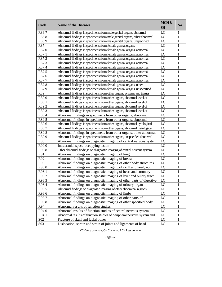| Abnormal findings in specimens from male genital organs, abnormal<br>LC<br>R86.7<br>1<br>R86.8<br>LC<br>Abnormal findings in specimens from male genital organs, other abnormal<br>1<br>R86.9<br>LC<br>Abnormal findings in specimens from male genital organs, unspecified<br>1<br>R87<br>LC<br>Abnormal findings in specimens from female genital organs<br>1<br>R87.0<br>LC<br>Abnormal findings in specimens from female genital organs, abnormal<br>1<br>R87.1<br>LC<br>Abnormal findings in specimens from female genital organs, abnormal<br>1<br>R87.2<br>LC<br>Abnormal findings in specimens from female genital organs, abnormal<br>1<br>LC<br>R87.3<br>Abnormal findings in specimens from female genital organs, abnormal<br>1<br>R87.4<br>LC<br>Abnormal findings in specimens from female genital organs, abnormal<br>1<br>R87.5<br>LC<br>Abnormal findings in specimens from female genital organs, abnormal<br>1<br>LC<br>R87.6<br>Abnormal findings in specimens from female genital organs, abnormal<br>1<br>R87.7<br>LC<br>Abnormal findings in specimens from female genital organs, abnormal<br>1<br>R87.8<br>LC<br>Abnormal findings in specimens from female genital organs, other<br>1<br>R87.9<br>LC<br>Abnormal findings in specimens from female genital organs, unspecified<br>1<br>R89<br>1<br>Abnormal findings in specimens from other organs, systems and tissues<br>LC<br>R89.0<br>1<br>Abnormal findings in specimens from other organs, abnormal level of<br>LC<br>R89.1<br>LC<br>1<br>Abnormal findings in specimens from other organs, abnormal level of<br>R89.2<br>LC<br>1<br>Abnormal findings in specimens from other organs, abnormal level of<br>R89.3<br>LC<br>1<br>Abnormal findings in specimens from other organs, abnormal level of<br>R89.4<br>LC<br>Abnormal findings in specimens from other organs, abnormal<br>1<br>R89.5<br>LC<br>Abnormal findings in specimens from other organs, abnormal<br>1<br>R89.6<br>LC<br>1<br>Abnormal findings in specimens from other organs, abnormal cytological<br>R89.7<br>LC<br>1<br>Abnormal findings in specimens from other organs, abnormal histological<br>R89.8<br>LC<br>Abnormal findings in specimens from other organs, other abnormal<br>1<br>R89.9<br>LC<br>Abnormal findings in specimens from other organs, unspecified abnormal<br>1<br>R90<br>Abnormal findings on diagnostic imaging of central nervous system<br>LC<br>1<br>R90.0<br>LC<br>Intracranial space-occupying lesion<br>1<br>R90.8<br>Other abnormal findings on diagnostic imaging of central nervous system<br>LC<br>1<br>R91<br>LC<br>Abnormal findings on diagnostic imaging of lung<br>1<br>R92<br>LC<br>Abnormal findings on diagnostic imaging of breast<br>1<br>R93<br>Abnormal findings on diagnostic imaging of other body structures<br>LC<br>1<br>R93.0<br>Abnormal findings on diagnostic imaging of skull and head, not<br>LC<br>1<br>R93.1<br>LC<br>1<br>Abnormal findings on diagnostic imaging of heart and coronary<br>R93.2<br>Abnormal findings on diagnostic imaging of liver and biliary tract<br>LC<br>1<br>Abnormal findings on diagnostic imaging of other parts of digestive<br>LC<br>R93.3<br>1<br>R93.4<br>Abnormal findings on diagnostic imaging of urinary organs<br>LC<br>1<br>Abnormal findings on diagnostic imaging of other abdominal regions<br>R93.5<br>LC<br>1<br>Abnormal findings on diagnostic imaging of limbs<br>R93.6<br>LC<br>1<br>R93.7<br>Abnormal findings on diagnostic imaging of other parts of<br>LC<br>1<br>R93.8<br>Abnormal findings on diagnostic imaging of other specified body<br>LC<br>1<br>R94<br>Abnormal results of function studies<br>LC<br>1<br>R94.0<br>Abnormal results of function studies of central nervous system<br>LC<br>1<br>R94.1<br>Abnormal results of function studies of peripheral nervous system and<br>LC<br>1<br>Fracture of skull and facial bones<br>LC<br>S <sub>0</sub> 2<br>1<br>Dislocation, sprain and strain of joints and ligaments of head<br>LC<br>S03<br>1 | Code | <b>Name of the Diseases</b> | MCH&<br>SH | No. |
|---------------------------------------------------------------------------------------------------------------------------------------------------------------------------------------------------------------------------------------------------------------------------------------------------------------------------------------------------------------------------------------------------------------------------------------------------------------------------------------------------------------------------------------------------------------------------------------------------------------------------------------------------------------------------------------------------------------------------------------------------------------------------------------------------------------------------------------------------------------------------------------------------------------------------------------------------------------------------------------------------------------------------------------------------------------------------------------------------------------------------------------------------------------------------------------------------------------------------------------------------------------------------------------------------------------------------------------------------------------------------------------------------------------------------------------------------------------------------------------------------------------------------------------------------------------------------------------------------------------------------------------------------------------------------------------------------------------------------------------------------------------------------------------------------------------------------------------------------------------------------------------------------------------------------------------------------------------------------------------------------------------------------------------------------------------------------------------------------------------------------------------------------------------------------------------------------------------------------------------------------------------------------------------------------------------------------------------------------------------------------------------------------------------------------------------------------------------------------------------------------------------------------------------------------------------------------------------------------------------------------------------------------------------------------------------------------------------------------------------------------------------------------------------------------------------------------------------------------------------------------------------------------------------------------------------------------------------------------------------------------------------------------------------------------------------------------------------------------------------------------------------------------------------------------------------------------------------------------------------------------------------------------------------------------------------------------------------------------------------------------------------------------------------------------------------------------------------------------------------------------------------------------------------------------------------------------------------------------------------------------------------------------------------------------------------------------------------------------------------------------------------------------------------------------------------------------------------------------------------------------------------------------------------------------------------------------------------------------------------------------------------------------------|------|-----------------------------|------------|-----|
|                                                                                                                                                                                                                                                                                                                                                                                                                                                                                                                                                                                                                                                                                                                                                                                                                                                                                                                                                                                                                                                                                                                                                                                                                                                                                                                                                                                                                                                                                                                                                                                                                                                                                                                                                                                                                                                                                                                                                                                                                                                                                                                                                                                                                                                                                                                                                                                                                                                                                                                                                                                                                                                                                                                                                                                                                                                                                                                                                                                                                                                                                                                                                                                                                                                                                                                                                                                                                                                                                                                                                                                                                                                                                                                                                                                                                                                                                                                                                                                                                                 |      |                             |            |     |
|                                                                                                                                                                                                                                                                                                                                                                                                                                                                                                                                                                                                                                                                                                                                                                                                                                                                                                                                                                                                                                                                                                                                                                                                                                                                                                                                                                                                                                                                                                                                                                                                                                                                                                                                                                                                                                                                                                                                                                                                                                                                                                                                                                                                                                                                                                                                                                                                                                                                                                                                                                                                                                                                                                                                                                                                                                                                                                                                                                                                                                                                                                                                                                                                                                                                                                                                                                                                                                                                                                                                                                                                                                                                                                                                                                                                                                                                                                                                                                                                                                 |      |                             |            |     |
|                                                                                                                                                                                                                                                                                                                                                                                                                                                                                                                                                                                                                                                                                                                                                                                                                                                                                                                                                                                                                                                                                                                                                                                                                                                                                                                                                                                                                                                                                                                                                                                                                                                                                                                                                                                                                                                                                                                                                                                                                                                                                                                                                                                                                                                                                                                                                                                                                                                                                                                                                                                                                                                                                                                                                                                                                                                                                                                                                                                                                                                                                                                                                                                                                                                                                                                                                                                                                                                                                                                                                                                                                                                                                                                                                                                                                                                                                                                                                                                                                                 |      |                             |            |     |
|                                                                                                                                                                                                                                                                                                                                                                                                                                                                                                                                                                                                                                                                                                                                                                                                                                                                                                                                                                                                                                                                                                                                                                                                                                                                                                                                                                                                                                                                                                                                                                                                                                                                                                                                                                                                                                                                                                                                                                                                                                                                                                                                                                                                                                                                                                                                                                                                                                                                                                                                                                                                                                                                                                                                                                                                                                                                                                                                                                                                                                                                                                                                                                                                                                                                                                                                                                                                                                                                                                                                                                                                                                                                                                                                                                                                                                                                                                                                                                                                                                 |      |                             |            |     |
|                                                                                                                                                                                                                                                                                                                                                                                                                                                                                                                                                                                                                                                                                                                                                                                                                                                                                                                                                                                                                                                                                                                                                                                                                                                                                                                                                                                                                                                                                                                                                                                                                                                                                                                                                                                                                                                                                                                                                                                                                                                                                                                                                                                                                                                                                                                                                                                                                                                                                                                                                                                                                                                                                                                                                                                                                                                                                                                                                                                                                                                                                                                                                                                                                                                                                                                                                                                                                                                                                                                                                                                                                                                                                                                                                                                                                                                                                                                                                                                                                                 |      |                             |            |     |
|                                                                                                                                                                                                                                                                                                                                                                                                                                                                                                                                                                                                                                                                                                                                                                                                                                                                                                                                                                                                                                                                                                                                                                                                                                                                                                                                                                                                                                                                                                                                                                                                                                                                                                                                                                                                                                                                                                                                                                                                                                                                                                                                                                                                                                                                                                                                                                                                                                                                                                                                                                                                                                                                                                                                                                                                                                                                                                                                                                                                                                                                                                                                                                                                                                                                                                                                                                                                                                                                                                                                                                                                                                                                                                                                                                                                                                                                                                                                                                                                                                 |      |                             |            |     |
|                                                                                                                                                                                                                                                                                                                                                                                                                                                                                                                                                                                                                                                                                                                                                                                                                                                                                                                                                                                                                                                                                                                                                                                                                                                                                                                                                                                                                                                                                                                                                                                                                                                                                                                                                                                                                                                                                                                                                                                                                                                                                                                                                                                                                                                                                                                                                                                                                                                                                                                                                                                                                                                                                                                                                                                                                                                                                                                                                                                                                                                                                                                                                                                                                                                                                                                                                                                                                                                                                                                                                                                                                                                                                                                                                                                                                                                                                                                                                                                                                                 |      |                             |            |     |
|                                                                                                                                                                                                                                                                                                                                                                                                                                                                                                                                                                                                                                                                                                                                                                                                                                                                                                                                                                                                                                                                                                                                                                                                                                                                                                                                                                                                                                                                                                                                                                                                                                                                                                                                                                                                                                                                                                                                                                                                                                                                                                                                                                                                                                                                                                                                                                                                                                                                                                                                                                                                                                                                                                                                                                                                                                                                                                                                                                                                                                                                                                                                                                                                                                                                                                                                                                                                                                                                                                                                                                                                                                                                                                                                                                                                                                                                                                                                                                                                                                 |      |                             |            |     |
|                                                                                                                                                                                                                                                                                                                                                                                                                                                                                                                                                                                                                                                                                                                                                                                                                                                                                                                                                                                                                                                                                                                                                                                                                                                                                                                                                                                                                                                                                                                                                                                                                                                                                                                                                                                                                                                                                                                                                                                                                                                                                                                                                                                                                                                                                                                                                                                                                                                                                                                                                                                                                                                                                                                                                                                                                                                                                                                                                                                                                                                                                                                                                                                                                                                                                                                                                                                                                                                                                                                                                                                                                                                                                                                                                                                                                                                                                                                                                                                                                                 |      |                             |            |     |
|                                                                                                                                                                                                                                                                                                                                                                                                                                                                                                                                                                                                                                                                                                                                                                                                                                                                                                                                                                                                                                                                                                                                                                                                                                                                                                                                                                                                                                                                                                                                                                                                                                                                                                                                                                                                                                                                                                                                                                                                                                                                                                                                                                                                                                                                                                                                                                                                                                                                                                                                                                                                                                                                                                                                                                                                                                                                                                                                                                                                                                                                                                                                                                                                                                                                                                                                                                                                                                                                                                                                                                                                                                                                                                                                                                                                                                                                                                                                                                                                                                 |      |                             |            |     |
|                                                                                                                                                                                                                                                                                                                                                                                                                                                                                                                                                                                                                                                                                                                                                                                                                                                                                                                                                                                                                                                                                                                                                                                                                                                                                                                                                                                                                                                                                                                                                                                                                                                                                                                                                                                                                                                                                                                                                                                                                                                                                                                                                                                                                                                                                                                                                                                                                                                                                                                                                                                                                                                                                                                                                                                                                                                                                                                                                                                                                                                                                                                                                                                                                                                                                                                                                                                                                                                                                                                                                                                                                                                                                                                                                                                                                                                                                                                                                                                                                                 |      |                             |            |     |
|                                                                                                                                                                                                                                                                                                                                                                                                                                                                                                                                                                                                                                                                                                                                                                                                                                                                                                                                                                                                                                                                                                                                                                                                                                                                                                                                                                                                                                                                                                                                                                                                                                                                                                                                                                                                                                                                                                                                                                                                                                                                                                                                                                                                                                                                                                                                                                                                                                                                                                                                                                                                                                                                                                                                                                                                                                                                                                                                                                                                                                                                                                                                                                                                                                                                                                                                                                                                                                                                                                                                                                                                                                                                                                                                                                                                                                                                                                                                                                                                                                 |      |                             |            |     |
|                                                                                                                                                                                                                                                                                                                                                                                                                                                                                                                                                                                                                                                                                                                                                                                                                                                                                                                                                                                                                                                                                                                                                                                                                                                                                                                                                                                                                                                                                                                                                                                                                                                                                                                                                                                                                                                                                                                                                                                                                                                                                                                                                                                                                                                                                                                                                                                                                                                                                                                                                                                                                                                                                                                                                                                                                                                                                                                                                                                                                                                                                                                                                                                                                                                                                                                                                                                                                                                                                                                                                                                                                                                                                                                                                                                                                                                                                                                                                                                                                                 |      |                             |            |     |
|                                                                                                                                                                                                                                                                                                                                                                                                                                                                                                                                                                                                                                                                                                                                                                                                                                                                                                                                                                                                                                                                                                                                                                                                                                                                                                                                                                                                                                                                                                                                                                                                                                                                                                                                                                                                                                                                                                                                                                                                                                                                                                                                                                                                                                                                                                                                                                                                                                                                                                                                                                                                                                                                                                                                                                                                                                                                                                                                                                                                                                                                                                                                                                                                                                                                                                                                                                                                                                                                                                                                                                                                                                                                                                                                                                                                                                                                                                                                                                                                                                 |      |                             |            |     |
|                                                                                                                                                                                                                                                                                                                                                                                                                                                                                                                                                                                                                                                                                                                                                                                                                                                                                                                                                                                                                                                                                                                                                                                                                                                                                                                                                                                                                                                                                                                                                                                                                                                                                                                                                                                                                                                                                                                                                                                                                                                                                                                                                                                                                                                                                                                                                                                                                                                                                                                                                                                                                                                                                                                                                                                                                                                                                                                                                                                                                                                                                                                                                                                                                                                                                                                                                                                                                                                                                                                                                                                                                                                                                                                                                                                                                                                                                                                                                                                                                                 |      |                             |            |     |
|                                                                                                                                                                                                                                                                                                                                                                                                                                                                                                                                                                                                                                                                                                                                                                                                                                                                                                                                                                                                                                                                                                                                                                                                                                                                                                                                                                                                                                                                                                                                                                                                                                                                                                                                                                                                                                                                                                                                                                                                                                                                                                                                                                                                                                                                                                                                                                                                                                                                                                                                                                                                                                                                                                                                                                                                                                                                                                                                                                                                                                                                                                                                                                                                                                                                                                                                                                                                                                                                                                                                                                                                                                                                                                                                                                                                                                                                                                                                                                                                                                 |      |                             |            |     |
|                                                                                                                                                                                                                                                                                                                                                                                                                                                                                                                                                                                                                                                                                                                                                                                                                                                                                                                                                                                                                                                                                                                                                                                                                                                                                                                                                                                                                                                                                                                                                                                                                                                                                                                                                                                                                                                                                                                                                                                                                                                                                                                                                                                                                                                                                                                                                                                                                                                                                                                                                                                                                                                                                                                                                                                                                                                                                                                                                                                                                                                                                                                                                                                                                                                                                                                                                                                                                                                                                                                                                                                                                                                                                                                                                                                                                                                                                                                                                                                                                                 |      |                             |            |     |
|                                                                                                                                                                                                                                                                                                                                                                                                                                                                                                                                                                                                                                                                                                                                                                                                                                                                                                                                                                                                                                                                                                                                                                                                                                                                                                                                                                                                                                                                                                                                                                                                                                                                                                                                                                                                                                                                                                                                                                                                                                                                                                                                                                                                                                                                                                                                                                                                                                                                                                                                                                                                                                                                                                                                                                                                                                                                                                                                                                                                                                                                                                                                                                                                                                                                                                                                                                                                                                                                                                                                                                                                                                                                                                                                                                                                                                                                                                                                                                                                                                 |      |                             |            |     |
|                                                                                                                                                                                                                                                                                                                                                                                                                                                                                                                                                                                                                                                                                                                                                                                                                                                                                                                                                                                                                                                                                                                                                                                                                                                                                                                                                                                                                                                                                                                                                                                                                                                                                                                                                                                                                                                                                                                                                                                                                                                                                                                                                                                                                                                                                                                                                                                                                                                                                                                                                                                                                                                                                                                                                                                                                                                                                                                                                                                                                                                                                                                                                                                                                                                                                                                                                                                                                                                                                                                                                                                                                                                                                                                                                                                                                                                                                                                                                                                                                                 |      |                             |            |     |
|                                                                                                                                                                                                                                                                                                                                                                                                                                                                                                                                                                                                                                                                                                                                                                                                                                                                                                                                                                                                                                                                                                                                                                                                                                                                                                                                                                                                                                                                                                                                                                                                                                                                                                                                                                                                                                                                                                                                                                                                                                                                                                                                                                                                                                                                                                                                                                                                                                                                                                                                                                                                                                                                                                                                                                                                                                                                                                                                                                                                                                                                                                                                                                                                                                                                                                                                                                                                                                                                                                                                                                                                                                                                                                                                                                                                                                                                                                                                                                                                                                 |      |                             |            |     |
|                                                                                                                                                                                                                                                                                                                                                                                                                                                                                                                                                                                                                                                                                                                                                                                                                                                                                                                                                                                                                                                                                                                                                                                                                                                                                                                                                                                                                                                                                                                                                                                                                                                                                                                                                                                                                                                                                                                                                                                                                                                                                                                                                                                                                                                                                                                                                                                                                                                                                                                                                                                                                                                                                                                                                                                                                                                                                                                                                                                                                                                                                                                                                                                                                                                                                                                                                                                                                                                                                                                                                                                                                                                                                                                                                                                                                                                                                                                                                                                                                                 |      |                             |            |     |
|                                                                                                                                                                                                                                                                                                                                                                                                                                                                                                                                                                                                                                                                                                                                                                                                                                                                                                                                                                                                                                                                                                                                                                                                                                                                                                                                                                                                                                                                                                                                                                                                                                                                                                                                                                                                                                                                                                                                                                                                                                                                                                                                                                                                                                                                                                                                                                                                                                                                                                                                                                                                                                                                                                                                                                                                                                                                                                                                                                                                                                                                                                                                                                                                                                                                                                                                                                                                                                                                                                                                                                                                                                                                                                                                                                                                                                                                                                                                                                                                                                 |      |                             |            |     |
|                                                                                                                                                                                                                                                                                                                                                                                                                                                                                                                                                                                                                                                                                                                                                                                                                                                                                                                                                                                                                                                                                                                                                                                                                                                                                                                                                                                                                                                                                                                                                                                                                                                                                                                                                                                                                                                                                                                                                                                                                                                                                                                                                                                                                                                                                                                                                                                                                                                                                                                                                                                                                                                                                                                                                                                                                                                                                                                                                                                                                                                                                                                                                                                                                                                                                                                                                                                                                                                                                                                                                                                                                                                                                                                                                                                                                                                                                                                                                                                                                                 |      |                             |            |     |
|                                                                                                                                                                                                                                                                                                                                                                                                                                                                                                                                                                                                                                                                                                                                                                                                                                                                                                                                                                                                                                                                                                                                                                                                                                                                                                                                                                                                                                                                                                                                                                                                                                                                                                                                                                                                                                                                                                                                                                                                                                                                                                                                                                                                                                                                                                                                                                                                                                                                                                                                                                                                                                                                                                                                                                                                                                                                                                                                                                                                                                                                                                                                                                                                                                                                                                                                                                                                                                                                                                                                                                                                                                                                                                                                                                                                                                                                                                                                                                                                                                 |      |                             |            |     |
|                                                                                                                                                                                                                                                                                                                                                                                                                                                                                                                                                                                                                                                                                                                                                                                                                                                                                                                                                                                                                                                                                                                                                                                                                                                                                                                                                                                                                                                                                                                                                                                                                                                                                                                                                                                                                                                                                                                                                                                                                                                                                                                                                                                                                                                                                                                                                                                                                                                                                                                                                                                                                                                                                                                                                                                                                                                                                                                                                                                                                                                                                                                                                                                                                                                                                                                                                                                                                                                                                                                                                                                                                                                                                                                                                                                                                                                                                                                                                                                                                                 |      |                             |            |     |
|                                                                                                                                                                                                                                                                                                                                                                                                                                                                                                                                                                                                                                                                                                                                                                                                                                                                                                                                                                                                                                                                                                                                                                                                                                                                                                                                                                                                                                                                                                                                                                                                                                                                                                                                                                                                                                                                                                                                                                                                                                                                                                                                                                                                                                                                                                                                                                                                                                                                                                                                                                                                                                                                                                                                                                                                                                                                                                                                                                                                                                                                                                                                                                                                                                                                                                                                                                                                                                                                                                                                                                                                                                                                                                                                                                                                                                                                                                                                                                                                                                 |      |                             |            |     |
|                                                                                                                                                                                                                                                                                                                                                                                                                                                                                                                                                                                                                                                                                                                                                                                                                                                                                                                                                                                                                                                                                                                                                                                                                                                                                                                                                                                                                                                                                                                                                                                                                                                                                                                                                                                                                                                                                                                                                                                                                                                                                                                                                                                                                                                                                                                                                                                                                                                                                                                                                                                                                                                                                                                                                                                                                                                                                                                                                                                                                                                                                                                                                                                                                                                                                                                                                                                                                                                                                                                                                                                                                                                                                                                                                                                                                                                                                                                                                                                                                                 |      |                             |            |     |
|                                                                                                                                                                                                                                                                                                                                                                                                                                                                                                                                                                                                                                                                                                                                                                                                                                                                                                                                                                                                                                                                                                                                                                                                                                                                                                                                                                                                                                                                                                                                                                                                                                                                                                                                                                                                                                                                                                                                                                                                                                                                                                                                                                                                                                                                                                                                                                                                                                                                                                                                                                                                                                                                                                                                                                                                                                                                                                                                                                                                                                                                                                                                                                                                                                                                                                                                                                                                                                                                                                                                                                                                                                                                                                                                                                                                                                                                                                                                                                                                                                 |      |                             |            |     |
|                                                                                                                                                                                                                                                                                                                                                                                                                                                                                                                                                                                                                                                                                                                                                                                                                                                                                                                                                                                                                                                                                                                                                                                                                                                                                                                                                                                                                                                                                                                                                                                                                                                                                                                                                                                                                                                                                                                                                                                                                                                                                                                                                                                                                                                                                                                                                                                                                                                                                                                                                                                                                                                                                                                                                                                                                                                                                                                                                                                                                                                                                                                                                                                                                                                                                                                                                                                                                                                                                                                                                                                                                                                                                                                                                                                                                                                                                                                                                                                                                                 |      |                             |            |     |
|                                                                                                                                                                                                                                                                                                                                                                                                                                                                                                                                                                                                                                                                                                                                                                                                                                                                                                                                                                                                                                                                                                                                                                                                                                                                                                                                                                                                                                                                                                                                                                                                                                                                                                                                                                                                                                                                                                                                                                                                                                                                                                                                                                                                                                                                                                                                                                                                                                                                                                                                                                                                                                                                                                                                                                                                                                                                                                                                                                                                                                                                                                                                                                                                                                                                                                                                                                                                                                                                                                                                                                                                                                                                                                                                                                                                                                                                                                                                                                                                                                 |      |                             |            |     |
|                                                                                                                                                                                                                                                                                                                                                                                                                                                                                                                                                                                                                                                                                                                                                                                                                                                                                                                                                                                                                                                                                                                                                                                                                                                                                                                                                                                                                                                                                                                                                                                                                                                                                                                                                                                                                                                                                                                                                                                                                                                                                                                                                                                                                                                                                                                                                                                                                                                                                                                                                                                                                                                                                                                                                                                                                                                                                                                                                                                                                                                                                                                                                                                                                                                                                                                                                                                                                                                                                                                                                                                                                                                                                                                                                                                                                                                                                                                                                                                                                                 |      |                             |            |     |
|                                                                                                                                                                                                                                                                                                                                                                                                                                                                                                                                                                                                                                                                                                                                                                                                                                                                                                                                                                                                                                                                                                                                                                                                                                                                                                                                                                                                                                                                                                                                                                                                                                                                                                                                                                                                                                                                                                                                                                                                                                                                                                                                                                                                                                                                                                                                                                                                                                                                                                                                                                                                                                                                                                                                                                                                                                                                                                                                                                                                                                                                                                                                                                                                                                                                                                                                                                                                                                                                                                                                                                                                                                                                                                                                                                                                                                                                                                                                                                                                                                 |      |                             |            |     |
|                                                                                                                                                                                                                                                                                                                                                                                                                                                                                                                                                                                                                                                                                                                                                                                                                                                                                                                                                                                                                                                                                                                                                                                                                                                                                                                                                                                                                                                                                                                                                                                                                                                                                                                                                                                                                                                                                                                                                                                                                                                                                                                                                                                                                                                                                                                                                                                                                                                                                                                                                                                                                                                                                                                                                                                                                                                                                                                                                                                                                                                                                                                                                                                                                                                                                                                                                                                                                                                                                                                                                                                                                                                                                                                                                                                                                                                                                                                                                                                                                                 |      |                             |            |     |
|                                                                                                                                                                                                                                                                                                                                                                                                                                                                                                                                                                                                                                                                                                                                                                                                                                                                                                                                                                                                                                                                                                                                                                                                                                                                                                                                                                                                                                                                                                                                                                                                                                                                                                                                                                                                                                                                                                                                                                                                                                                                                                                                                                                                                                                                                                                                                                                                                                                                                                                                                                                                                                                                                                                                                                                                                                                                                                                                                                                                                                                                                                                                                                                                                                                                                                                                                                                                                                                                                                                                                                                                                                                                                                                                                                                                                                                                                                                                                                                                                                 |      |                             |            |     |
|                                                                                                                                                                                                                                                                                                                                                                                                                                                                                                                                                                                                                                                                                                                                                                                                                                                                                                                                                                                                                                                                                                                                                                                                                                                                                                                                                                                                                                                                                                                                                                                                                                                                                                                                                                                                                                                                                                                                                                                                                                                                                                                                                                                                                                                                                                                                                                                                                                                                                                                                                                                                                                                                                                                                                                                                                                                                                                                                                                                                                                                                                                                                                                                                                                                                                                                                                                                                                                                                                                                                                                                                                                                                                                                                                                                                                                                                                                                                                                                                                                 |      |                             |            |     |
|                                                                                                                                                                                                                                                                                                                                                                                                                                                                                                                                                                                                                                                                                                                                                                                                                                                                                                                                                                                                                                                                                                                                                                                                                                                                                                                                                                                                                                                                                                                                                                                                                                                                                                                                                                                                                                                                                                                                                                                                                                                                                                                                                                                                                                                                                                                                                                                                                                                                                                                                                                                                                                                                                                                                                                                                                                                                                                                                                                                                                                                                                                                                                                                                                                                                                                                                                                                                                                                                                                                                                                                                                                                                                                                                                                                                                                                                                                                                                                                                                                 |      |                             |            |     |
|                                                                                                                                                                                                                                                                                                                                                                                                                                                                                                                                                                                                                                                                                                                                                                                                                                                                                                                                                                                                                                                                                                                                                                                                                                                                                                                                                                                                                                                                                                                                                                                                                                                                                                                                                                                                                                                                                                                                                                                                                                                                                                                                                                                                                                                                                                                                                                                                                                                                                                                                                                                                                                                                                                                                                                                                                                                                                                                                                                                                                                                                                                                                                                                                                                                                                                                                                                                                                                                                                                                                                                                                                                                                                                                                                                                                                                                                                                                                                                                                                                 |      |                             |            |     |
|                                                                                                                                                                                                                                                                                                                                                                                                                                                                                                                                                                                                                                                                                                                                                                                                                                                                                                                                                                                                                                                                                                                                                                                                                                                                                                                                                                                                                                                                                                                                                                                                                                                                                                                                                                                                                                                                                                                                                                                                                                                                                                                                                                                                                                                                                                                                                                                                                                                                                                                                                                                                                                                                                                                                                                                                                                                                                                                                                                                                                                                                                                                                                                                                                                                                                                                                                                                                                                                                                                                                                                                                                                                                                                                                                                                                                                                                                                                                                                                                                                 |      |                             |            |     |
|                                                                                                                                                                                                                                                                                                                                                                                                                                                                                                                                                                                                                                                                                                                                                                                                                                                                                                                                                                                                                                                                                                                                                                                                                                                                                                                                                                                                                                                                                                                                                                                                                                                                                                                                                                                                                                                                                                                                                                                                                                                                                                                                                                                                                                                                                                                                                                                                                                                                                                                                                                                                                                                                                                                                                                                                                                                                                                                                                                                                                                                                                                                                                                                                                                                                                                                                                                                                                                                                                                                                                                                                                                                                                                                                                                                                                                                                                                                                                                                                                                 |      |                             |            |     |
|                                                                                                                                                                                                                                                                                                                                                                                                                                                                                                                                                                                                                                                                                                                                                                                                                                                                                                                                                                                                                                                                                                                                                                                                                                                                                                                                                                                                                                                                                                                                                                                                                                                                                                                                                                                                                                                                                                                                                                                                                                                                                                                                                                                                                                                                                                                                                                                                                                                                                                                                                                                                                                                                                                                                                                                                                                                                                                                                                                                                                                                                                                                                                                                                                                                                                                                                                                                                                                                                                                                                                                                                                                                                                                                                                                                                                                                                                                                                                                                                                                 |      |                             |            |     |
|                                                                                                                                                                                                                                                                                                                                                                                                                                                                                                                                                                                                                                                                                                                                                                                                                                                                                                                                                                                                                                                                                                                                                                                                                                                                                                                                                                                                                                                                                                                                                                                                                                                                                                                                                                                                                                                                                                                                                                                                                                                                                                                                                                                                                                                                                                                                                                                                                                                                                                                                                                                                                                                                                                                                                                                                                                                                                                                                                                                                                                                                                                                                                                                                                                                                                                                                                                                                                                                                                                                                                                                                                                                                                                                                                                                                                                                                                                                                                                                                                                 |      |                             |            |     |
|                                                                                                                                                                                                                                                                                                                                                                                                                                                                                                                                                                                                                                                                                                                                                                                                                                                                                                                                                                                                                                                                                                                                                                                                                                                                                                                                                                                                                                                                                                                                                                                                                                                                                                                                                                                                                                                                                                                                                                                                                                                                                                                                                                                                                                                                                                                                                                                                                                                                                                                                                                                                                                                                                                                                                                                                                                                                                                                                                                                                                                                                                                                                                                                                                                                                                                                                                                                                                                                                                                                                                                                                                                                                                                                                                                                                                                                                                                                                                                                                                                 |      |                             |            |     |
|                                                                                                                                                                                                                                                                                                                                                                                                                                                                                                                                                                                                                                                                                                                                                                                                                                                                                                                                                                                                                                                                                                                                                                                                                                                                                                                                                                                                                                                                                                                                                                                                                                                                                                                                                                                                                                                                                                                                                                                                                                                                                                                                                                                                                                                                                                                                                                                                                                                                                                                                                                                                                                                                                                                                                                                                                                                                                                                                                                                                                                                                                                                                                                                                                                                                                                                                                                                                                                                                                                                                                                                                                                                                                                                                                                                                                                                                                                                                                                                                                                 |      |                             |            |     |
|                                                                                                                                                                                                                                                                                                                                                                                                                                                                                                                                                                                                                                                                                                                                                                                                                                                                                                                                                                                                                                                                                                                                                                                                                                                                                                                                                                                                                                                                                                                                                                                                                                                                                                                                                                                                                                                                                                                                                                                                                                                                                                                                                                                                                                                                                                                                                                                                                                                                                                                                                                                                                                                                                                                                                                                                                                                                                                                                                                                                                                                                                                                                                                                                                                                                                                                                                                                                                                                                                                                                                                                                                                                                                                                                                                                                                                                                                                                                                                                                                                 |      |                             |            |     |
|                                                                                                                                                                                                                                                                                                                                                                                                                                                                                                                                                                                                                                                                                                                                                                                                                                                                                                                                                                                                                                                                                                                                                                                                                                                                                                                                                                                                                                                                                                                                                                                                                                                                                                                                                                                                                                                                                                                                                                                                                                                                                                                                                                                                                                                                                                                                                                                                                                                                                                                                                                                                                                                                                                                                                                                                                                                                                                                                                                                                                                                                                                                                                                                                                                                                                                                                                                                                                                                                                                                                                                                                                                                                                                                                                                                                                                                                                                                                                                                                                                 |      |                             |            |     |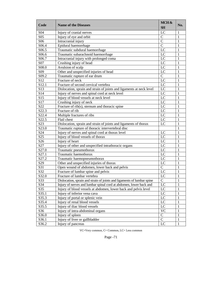| Code               | <b>Name of the Diseases</b>                                            | MCH&<br><b>SH</b> | No.          |
|--------------------|------------------------------------------------------------------------|-------------------|--------------|
| S <sub>04</sub>    | Injury of cranial nerves                                               | LC                | 1            |
| S <sub>05</sub>    | Injury of eye and orbit                                                | $\mathbf C$       | 1            |
| S <sub>06</sub>    | Intracranial injury                                                    | $\overline{C}$    | 1            |
| S06.4              | Epidural haemorrhage                                                   | $\overline{C}$    | 1            |
| S06.5              | Traumatic subdural haemorrhage                                         | LC                | 1            |
| S06.6              | Traumatic subarachnoid haemorrhage                                     | LC                | 1            |
| S06.7              | Intracranial injury with prolonged coma                                | LC                | 1            |
| S07                | Crushing injury of head                                                | LC                | 1            |
| S <sub>0</sub> 8.0 | Avulsion of scalp                                                      | LC                | 1            |
| S <sub>09</sub>    | Other and unspecified injuries of head                                 | LC                | 1            |
| S <sub>09.2</sub>  | Traumatic rupture of ear drum                                          | $\overline{C}$    | 1            |
| S12                | Fracture of neck                                                       | LC                | 1            |
| S12.1              | Fracture of second cervical vertebra                                   | LC                | 1            |
| S <sub>13</sub>    | Dislocation, sprain and strain of joints and ligaments at neck level   | LC                | 1            |
| S14                | Injury of nerves and spinal cord at neck level                         | LC                | 1            |
| S15                | Injury of blood vessels at neck level                                  | LC                | 1            |
| S17                | Crushing injury of neck                                                | LC                | 1            |
| S22                | Fracture of rib(s), sternum and thoracic spine                         | LC                | 1            |
| S22.3              | Fracture of rib                                                        | LC                | 1            |
| S22.4              | Multiple fractures of ribs                                             | LC                | 1            |
| S22.5              | Flail chest                                                            | $\rm LC$          | 1            |
| S <sub>2</sub> 3   | Dislocation, sprain and strain of joints and ligaments of thorax       | LC                | 1            |
| S23.0              | Traumatic rupture of thoracic intervertebral disc                      |                   | 1            |
| S24                | Injury of nerves and spinal cord at thorax level                       | LC                | 1            |
| S <sub>25</sub>    | Injury of blood vessels of thorax                                      | LC                | 1            |
| S <sub>26</sub>    | Injury of heart                                                        | LC                | 1            |
| S27                | Injury of other and unspecified intrathoracic organs                   | LC                | 1            |
| S27.0              | Traumatic pneumothorax                                                 | LC                | 1            |
| S27.1              | Traumatic haemothorax                                                  | LC                | 1            |
| S27.2              | Traumatic haemopneumothorax                                            | LC                | 1            |
| S <sub>29</sub>    | Other and unspecified injuries of thorax                               | LC                | 1            |
| S31                | Open wound of abdomen, lower back and pelvis                           | $\overline{C}$    | 1            |
| S32                | Fracture of lumbar spine and pelvis                                    | LC                | 1            |
| S32.0              | Fracture of lumbar vertebra                                            | LC                | 1            |
| S33                | Dislocation, sprain and strain of joints and ligaments of lumbar spine | $\overline{C}$    | 1            |
| S34                | Injury of nerves and lumbar spinal cord at abdomen, lower back and     | LC                | 1            |
| S35                | Injury of blood vessels at abdomen, lower back and pelvis level        | LC                | $\mathbf{1}$ |
|                    |                                                                        | LC                |              |
| S35.1              | Injury of inferior vena cava                                           | LC                | 1            |
| S35.3              | Injury of portal or splenic vein                                       |                   | 1            |
| S35.4              | Injury of renal blood vessels                                          | LC                | 1            |
| S35.5              | Injury of iliac blood vessels                                          | LC                | 1            |
| S36                | Injury of intra-abdominal organs                                       | <b>VC</b>         | 1            |
| S36.0              | Injury of spleen                                                       | $\overline{C}$    | 1            |
| S36.1              | Injury of liver or gallbladder                                         | $\overline{C}$    | 1            |
| S36.2              | Injury of pancreas                                                     | LC                | 1            |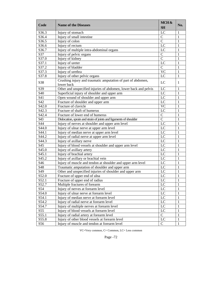| Code               | <b>Name of the Diseases</b>                                                | MCH&<br><b>SH</b> | No.          |
|--------------------|----------------------------------------------------------------------------|-------------------|--------------|
| S36.3              | Injury of stomach                                                          | LC                | 1            |
| S36.4              | Injury of small intestine                                                  | $\mathbf C$       | 1            |
| S36.5              | Injury of colon                                                            | $\overline{C}$    | 1            |
| S36.6              | Injury of rectum                                                           | LC                | 1            |
| S36.7              | Injury of multiple intra-abdominal organs                                  | LC                | 1            |
| S37                | Injury of pelvic organs                                                    | $\overline{C}$    | 1            |
| S37.0              | Injury of kidney                                                           | $\overline{C}$    | 1            |
| S37.1              | Injury of ureter                                                           | LC                | 1            |
| S37.2              | Injury of bladder                                                          | $\overline{C}$    | $\mathbf{1}$ |
| S37.3              | Injury of urethra                                                          | <b>VC</b>         | 1            |
| S37.8              | Injury of other pelvic organs                                              | LC                | 1            |
| S38                | Crushing injury and traumatic amputation of part of abdomen,<br>lower back | LC                | 1            |
| S39                | Other and unspecified injuries of abdomen, lower back and pelvis           | LC                | 1            |
| S40                | Superficial injury of shoulder and upper arm                               | LC                | 1            |
| S41                | Open wound of shoulder and upper arm                                       | LC                | 1            |
| S42                | Fracture of shoulder and upper arm                                         | LC                | 1            |
| S42.0              | Fracture of clavicle                                                       | <b>VC</b>         | 1            |
| $S42.\overline{3}$ | Fracture of shaft of humerus                                               | LC                | 1            |
| S42.4              | Fracture of lower end of humerus                                           | $\mathbf C$       | 1            |
| S43                | Dislocation, sprain and strain of joints and ligaments of shoulder         | $\mathbf C$       | 1            |
| S44                | Injury of nerves at shoulder and upper arm level                           | LC                | 1            |
| S44.0              | Injury of ulnar nerve at upper arm level                                   | LC                | 1            |
| S44.1              | Injury of median nerve at upper arm level                                  | LC                | 1            |
| S44.2              | Injury of radial nerve at upper arm level                                  | LC                | 1            |
| S44.3              | Injury of axillary nerve                                                   | LC                | 1            |
| S45                | Injury of blood vessels at shoulder and upper arm level                    | LC                | 1            |
| S <sub>45.0</sub>  | Injury of axillary artery                                                  | LC                | 1            |
| S <sub>45.1</sub>  | Injury of brachial artery                                                  | LC                | 1            |
| S45.2              | Injury of axillary or brachial vein                                        | LC                | 1            |
| S46                | Injury of muscle and tendon at shoulder and upper arm level                | LC                | 1            |
| S48                | Traumatic amputation of shoulder and upper arm                             | LC                | 1            |
| S49                | Other and unspecified injuries of shoulder and upper arm                   | LC                | 1            |
| S52.0              | Fracture of upper end of ulna                                              | LC                | 1            |
| S52.1              | Fracture of upper end of radius                                            | LC                | 1            |
| S52.7              |                                                                            |                   | 1            |
| S54                | Multiple fractures of forearm                                              | LC<br>LC          | 1            |
|                    | Injury of nerves at forearm level                                          | LC                |              |
| S54.0              | Injury of ulnar nerve at forearm level                                     |                   | 1            |
| S54.1              | Injury of median nerve at forearm level                                    | LC                | 1            |
| S54.2              | Injury of radial nerve at forearm level                                    | LC                | 1            |
| S54.7              | Injury of multiple nerves at forearm level                                 | LC                | 1            |
| S55                | Injury of blood vessels at forearm level                                   | LC                | 1            |
| S55.1              | Injury of radial artery at forearm level                                   | $\mathsf{C}$      | 1            |
| S55.8              | Injury of other blood vessels at forearm level                             | $_{\rm LC}$       | 1            |
| S56                | Injury of muscle and tendon at forearm level                               | $\mathcal{C}$     | 1            |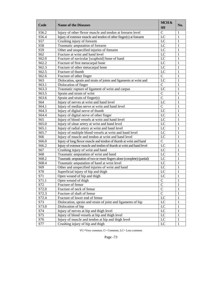| Code  | <b>Name of the Diseases</b>                                            | MCH&<br><b>SH</b> | No. |
|-------|------------------------------------------------------------------------|-------------------|-----|
| S56.2 | Injury of other flexor muscle and tendon at forearm level              | $\mathbf C$       | 1   |
| S56.4 | Injury of extensor muscle and tendon of other finger(s) at forearm     | LC                | 1   |
| S57   | Crushing injury of forearm                                             | LC                | 1   |
| S58   | Traumatic amputation of forearm                                        | LC                | 1   |
| S59   | Other and unspecified injuries of forearm                              | LC                | 1   |
| S62   | Fracture at wrist and hand level                                       | LC                | 1   |
| S62.0 | Fracture of navicular [scaphoid] bone of hand                          | LC                | 1   |
| S62.2 | Fracture of first metacarpal bone                                      | LC                | 1   |
| S62.3 | Fracture of other metacarpal bone                                      | LC                | 1   |
| S62.5 | Fracture of thumb                                                      | LC                | 1   |
| S62.6 | Fracture of other finger                                               | $\mathbf C$       | 1   |
| S63   | Dislocation, sprain and strain of joints and ligaments at wrist and    | LC                | 1   |
| S63.1 | Dislocation of finger                                                  | $\mathbf C$       | 1   |
| S63.3 | Traumatic rupture of ligament of wrist and carpus                      | LC                | 1   |
| S63.5 | Sprain and strain of wrist                                             | $\mathcal{C}$     | 1   |
| S63.6 | Sprain and strain of $finge(s)$                                        | $\mathcal{C}$     | 1   |
| S64   | Injury of nerves at wrist and hand level                               | LC                | 1   |
| S64.1 | Injury of median nerve at wrist and hand level                         | $\mathbf C$       | 1   |
| S64.3 | Injury of digital nerve of thumb                                       | LC                | 1   |
| S64.4 | Injury of digital nerve of other finger                                | LC                | 1   |
| S65   | Injury of blood vessels at wrist and hand level                        | LC                | 1   |
| S65.0 | Injury of ulnar artery at wrist and hand level                         | LC                | 1   |
| S65.1 | Injury of radial artery at wrist and hand level                        | LC                | 1   |
| S65.7 | Injury of multiple blood vessels at wrist and hand level               | LC                | 1   |
| S66   | Injury of muscle and tendon at wrist and hand level                    | LC                | 1   |
| S66.0 | Injury of long flexor muscle and tendon of thumb at wrist and hand     | $\mathbf C$       | 1   |
| S66.2 | Injury of extensor muscle and tendon of thumb at wrist and hand level  | LC                | 1   |
| S67   | Crushing injury of wrist and hand                                      | LC                | 1   |
| S68   | Traumatic amputation of wrist and hand                                 | LC                | 1   |
| S68.2 | Traumatic amputation of two or more fingers alone (complete) (partial) | LC                | 1   |
| S68.4 | Traumatic amputation of hand at wrist level                            | LC                | 1   |
| S69   | Other and unspecified injuries of wrist and hand                       | LC                | 1   |
| S70   | Superficial injury of hip and thigh                                    | LC                | 1   |
| S71   | Open wound of hip and thigh                                            | LC                | 1   |
| S71.1 | Open wound of thigh                                                    | $\mathbf C$       | 1   |
| S72   | Fracture of femur                                                      | $\mathbf C$       | 1   |
| S72.0 | Fracture of neck of femur                                              | $\mathbf C$       | 1   |
| S72.3 | Fracture of shaft of femur                                             | $\mathbf C$       | 1   |
| S72.4 | Fracture of lower end of femur                                         | LC                | 1   |
| S73   | Dislocation, sprain and strain of joint and ligaments of hip           | LC                | 1   |
| S73.0 | Dislocation of hip                                                     | LC                | 1   |
| S74   | Injury of nerves at hip and thigh level                                | LC                | 1   |
| S75   | Injury of blood vessels at hip and thigh level                         | LC                | 1   |
| S76   | Injury of muscle and tendon at hip and thigh level                     | LC                | 1   |
| S77   | Crushing injury of hip and thigh                                       | LC                | 1   |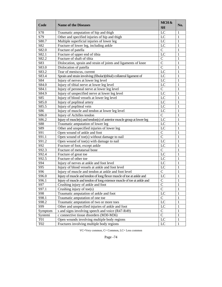| Code            | <b>Name of the Diseases</b>                                             | MCH&<br><b>SH</b> | No. |
|-----------------|-------------------------------------------------------------------------|-------------------|-----|
| S78             | Traumatic amputation of hip and thigh                                   | LC                | 1   |
| S79             | Other and specified injuries of hip and thigh                           | LC                | 1   |
| S80.7           | Multiple superficial injuries of lower leg                              | LC                | 1   |
| S82             | Fracture of lower leg, including ankle                                  | LC                | 1   |
| S82.0           | Fracture of patella                                                     | $\mathbf C$       | 1   |
| S82.1           | Fracture of upper end of tibia                                          | LC                | 1   |
| S82.2           | Fracture of shaft of tibia                                              | $\mathcal{C}$     | 1   |
| S83             | Dislocation, sprain and strain of joints and ligaments of knee          | $\mathbf C$       | 1   |
| S83.0           | Dislocation of patella                                                  | $\mathbf C$       | 1   |
| S83.2           | Tear of meniscus, current                                               | LC                | 1   |
| S83.4           | Sprain and strain involving (fibular)(tibial) collateral ligament of    | LC                | 1   |
| S84             | Injury of nerves at lower leg level                                     | LC                | 1   |
| S84.0           | Injury of tibial nerve at lower leg level                               | LC                | 1   |
| S84.1           | Injury of peroneal nerve at lower leg level                             | $\mathbf C$       | 1   |
| S84.9           | Injury of unspecified nerve at lower leg level                          | LC                | 1   |
| S85             | Injury of blood vessels at lower leg level                              | LC                | 1   |
| S85.0           | Injury of popliteal artery                                              | LC                | 1   |
| S85.5           | Injury of popliteal vein                                                | $_{\rm LC}$       | 1   |
| S86             | Injury of muscle and tendon at lower leg level                          | $_{\rm LC}$       | 1   |
| S86.0           | Injury of Achilles tendon                                               | $\mathbf C$       | 1   |
| S86.2           | Injury of muscle(s) and tendon(s) of anterior muscle group at lower leg | LC                | 1   |
| <b>S88</b>      | Traumatic amputation of lower leg                                       | LC                | 1   |
| S89             | Other and unspecified injuries of lower leg                             | LC                | 1   |
| S91             | Open wound of ankle and foot                                            | $\mathsf{C}$      | 1   |
| S91.1           | Open wound of toe(s) without damage to nail                             | $\mathbf C$       | 1   |
| S91.2           | Open wound of toe(s) with damage to nail                                | LC                | 1   |
| S92             | Fracture of foot, except ankle                                          | LC                | 1   |
| S92.3           | Fracture of metatarsal bone                                             | $\mathbf C$       | 1   |
| S92.4           | Fracture of great toe                                                   | LC                | 1   |
| S92.5           | Fracture of other toe                                                   | $_{\rm LC}$       | 1   |
| S94             | Injury of nerves at ankle and foot level                                | $_{\rm LC}$       | 1   |
| S95             | Injury of blood vessels at ankle and foot level                         | $\rm LC$          | 1   |
| S96             | Injury of muscle and tendon at ankle and foot level                     | $\mathbf C$       | 1   |
| S96.0           | Injury of muscle and tendon of long flexor muscle of toe at ankle and   | LC                | 1   |
| S96.1           | Injury of muscle and tendon of long extensor muscle of toe at ankle and | $\mathbf C$       | 1   |
| S97             | Crushing injury of ankle and foot                                       | $\mathbf C$       | 1   |
| S97.1           | Crushing injury of toe $(s)$                                            | $\overline{C}$    | 1   |
| S98             | Traumatic amputation of ankle and foot                                  | $_{\rm LC}$       | 1   |
| S98.1           | Traumatic amputation of one toe                                         | $\mathbf C$       | 1   |
| S98.2           | Traumatic amputation of two or more toes                                | LC                | 1   |
| S99             | Other and unspecified injuries of ankle and foot                        | LC                | 1   |
| Symptom         | s and signs involving speech and voice (R47-R49)                        | $\mathbf C$       | 1   |
| Systemi         | c connective tissue disorders (M30-M36)                                 | $\mathbf C$       | 1   |
| <b>T01</b>      | Open wounds involving multiple body regions                             | $_{\rm LC}$       | 1   |
| T <sub>02</sub> | Fractures involving multiple body regions                               | LC                | 1   |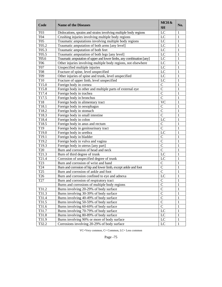| Code             | <b>Name of the Diseases</b>                                          | MCH &<br><b>SH</b> | No. |
|------------------|----------------------------------------------------------------------|--------------------|-----|
| T <sub>0</sub> 3 | Dislocations, sprains and strains involving multiple body regions    | LC                 | 1   |
| T04              | Crushing injuries involving multiple body regions                    | LC                 | 1   |
| <b>T05</b>       | Traumatic amputations involving multiple body regions                | LC                 | 1   |
| T05.2            | Traumatic amputation of both arms [any level]                        | LC                 |     |
| T05.3            | Traumatic amputation of both feet                                    | LC                 |     |
| T05.5            | Traumatic amputation of both legs [any level]                        | LC                 |     |
| T05.6            | Traumatic amputation of upper and lower limbs, any combination [any] | LC                 |     |
| <b>T06</b>       | Other injuries involving multiple body regions, not elsewhere        | LC                 | 1   |
| <b>T07</b>       | Unspecified multiple injuries                                        | LC                 |     |
| <b>T08</b>       | Fracture of spine, level unspecified                                 | LC                 |     |
| T09              | Other injuries of spine and trunk, level unspecified                 | LC                 |     |
| T10              | Fracture of upper limb, level unspecified                            | LC                 |     |
| T15.0            | Foreign body in cornea                                               | $\mathcal{C}$      |     |
| T15.8            | Foreign body in other and multiple parts of external eye             | $\mathcal{C}$      | 1   |
| T17.4            | Foreign body in trachea                                              | $\mathbf C$        | 1   |
| T17.5            | Foreign body in bronchus                                             | $\mathcal{C}$      | 1   |
| T18              | Foreign body in alimentary tract                                     | <b>VC</b>          |     |
| T18.1            | Foreign body in oesophagus                                           | $\mathsf{C}$       | 1   |
| T18.2            | Foreign body in stomach                                              | $\mathcal{C}$      | 1   |
| T18.3            | Foreign body in small intestine                                      | $\mathsf{C}$       | 1   |
| T18.4            | Foreign body in colon                                                | LC                 |     |
| T18.5            | Foreign body in anus and rectum                                      | $\mathcal{C}$      | 1   |
| T <sub>19</sub>  | Foreign body in genitourinary tract                                  | $\mathcal{C}$      | 1   |
| T19.0            | Foreign body in urethra                                              | LC                 |     |
| T19.1            | Foreign body in bladder                                              | $\mathcal{C}$      | 1   |
| T19.2            | Foreign body in vulva and vagina                                     | $\mathsf{C}$       | 1   |
| T19.3            | Foreign body in uterus [any part]                                    | $\mathbf C$        |     |
| <b>T20</b>       | Burn and corrosion of head and neck                                  | $\mathcal{C}$      | 1   |
| T21.3            | Burn of third degree of trunk                                        | LC                 |     |
| T21.4            | Corrosion of unspecified degree of trunk                             | LC                 | 1   |
| T <sub>23</sub>  | Burn and corrosion of wrist and hand                                 | $\mathsf{C}$       | 1   |
| T <sub>24</sub>  | Burn and corrosion of hip and lower limb, except ankle and foot      | $\mathbf C$        | 1   |
| T <sub>25</sub>  | Burn and corrosion of ankle and foot                                 | $\mathsf{C}$       | 1   |
| T <sub>26</sub>  | Burn and corrosion confined to eye and adnexa                        | LC                 |     |
| T <sub>27</sub>  | Burn and corrosion of respiratory tract                              | $\mathbf C$        | 1   |
|                  | Burns and corrosions of multiple body regions                        | $\mathsf{C}$       | 1   |
| T31.2            | Burns involving 20-29% of body surface                               | $\mathcal{C}$      | 1   |
| T31.3            | Burns involving 30-39% of body surface                               | $\mathcal{C}$      | 1   |
| T31.4            | Burns involving 40-49% of body surface                               | $\mathcal{C}$      | 1   |
| T31.5            | Burns involving 50-59% of body surface                               | $\mathcal{C}$      | 1   |
| T31.6            | Burns involving 60-69% of body surface                               | $\mathbf C$        | 1   |
| T31.7            | Burns involving 70-79% of body surface                               | LC                 | 1   |
| T31.8            | Burns involving 80-89% of body surface                               | LC                 | 1   |
| T31.9            | Burns involving 90% or more of body surface                          | LC                 | 1   |
| T32.2            | Corrosions involving 20-29% of body surface                          | LC                 | 1   |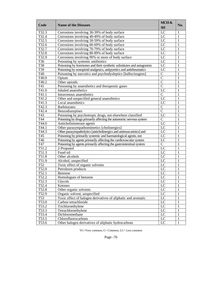| Code           | <b>Name of the Diseases</b>                                           | MCH &<br><b>SH</b> | No.          |
|----------------|-----------------------------------------------------------------------|--------------------|--------------|
| T32.3          | Corrosions involving 30-39% of body surface                           | LC                 | 1            |
| T32.4          | Corrosions involving 40-49% of body surface                           | LC                 | 1            |
| T32.5          | Corrosions involving 50-59% of body surface                           | $\overline{LC}$    | 1            |
| T32.6          | Corrosions involving 60-69% of body surface                           | LC                 | 1            |
| T32.7          | Corrosions involving 70-79% of body surface                           | LC                 | 1            |
| T32.8          | Corrosions involving 80-89% of body surface                           | LC                 | 1            |
| T32.9          | Corrosions involving 90% or more of body surface                      | LC                 | 1            |
| T36            | Poisoning by systemic antibiotics                                     | LC                 | 1            |
| T38            | Poisoning by hormones and their synthetic substitutes and antagonists | LC                 | 1            |
| T39            | Poisoning by nonopioid analgesics, antipyretics and antirheumatics    | LC                 | 1            |
| T40            | Poisoning by narcotics and psychodysleptics [hallucinogens]           | $\mathbf C$        | 1            |
| T40.0          | Opium                                                                 | $\overline{C}$     | 1            |
| T40.2          | Other opioids                                                         | $\overline{C}$     | 1            |
| T41            | Poisoning by anaesthetics and therapeutic gases                       | $\mathcal{C}$      | 1            |
| T41.0          | Inhaled anaesthetics                                                  | LC                 | 1            |
| T41.1          | Intravenous anaesthetics                                              | $\mathcal{C}$      | 1            |
| T41.2          | Other and unspecified general anaesthetics                            | LC                 | 1            |
| T41.3          | Local anaesthetics                                                    | LC                 | 1            |
| T42.3          | <b>Barbiturates</b>                                                   | $\mathbf C$        | 1            |
| T42.4          | Benzodiazepines                                                       | $\overline{C}$     |              |
| T43            | Poisoning by psychotropic drugs, not elsewhere classified             | LC                 |              |
| T44            | Poisoning by drugs primarily affecting the autonomic nervous system   | $\mathcal{C}$      | 1            |
| T44.0          | Anticholinesterase agents                                             | LC                 | 1            |
| T44.1          | Other parasympathomimetics [cholinergics]                             | $\overline{LC}$    | 1            |
| T44.3          | Other parasympatholytics [anticholinergics and antimuscarinics] and   | LC                 | 1            |
| T45            | Poisoning by primarily systemic and haematological agents, not        | LC                 | 1            |
| T46            | Poisoning by agents primarily affecting the cardiovascular system     | LC                 | 1            |
| T47            | Poisoning by agents primarily affecting the gastrointestinal system   | $\mathbf C$        | 1            |
| T51.2          | 2-Propanol                                                            | LC                 | 1            |
| T51.3          | Fusel oil                                                             | LC                 | 1            |
| T51.8          | Other alcohols                                                        | LC                 | 1            |
| T51.9          | Alcohol, unspecified                                                  | LC                 | 1            |
| T52            | Toxic effect of organic solvents                                      | LC                 | 1            |
| T52.0          | Petroleum products                                                    | LC                 | 1            |
| T52.1          | Benzene                                                               | LC                 | 1            |
| T52.2          | Homologues of benzene                                                 | LC                 | 1            |
| T52.3          | Glycols                                                               | LC                 | $\mathbf{1}$ |
| T52.4          | Ketones                                                               | LC                 | 1            |
| T52.8          | Other organic solvents                                                | $\rm LC$           | 1            |
| T52.9          | Organic solvent, unspecified                                          | LC                 |              |
| T53            | Toxic effect of halogen derivatives of aliphatic and aromatic         | LC                 | 1<br>1       |
| T53.0          | Carbon tetrachloride                                                  | LC                 | 1            |
| T53.2          | Trichloroethylene                                                     | LC                 |              |
|                |                                                                       | LC                 | 1            |
| T53.3          | Tetrachloroethylene                                                   | $\overline{LC}$    | 1            |
| T53.4<br>T53.5 | Dichloromethane<br>Chlorofluorocarbons                                | LC                 | 1            |
|                |                                                                       |                    | 1            |
| T53.6          | Other halogen derivatives of aliphatic hydrocarbons                   | LC                 | 1            |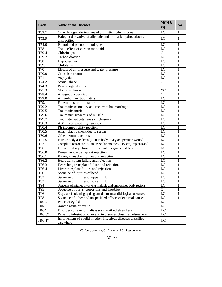| Code               | <b>Name of the Diseases</b>                                                | MCH&<br><b>SH</b> | No. |
|--------------------|----------------------------------------------------------------------------|-------------------|-----|
| T53.7              | Other halogen derivatives of aromatic hydrocarbons                         | $\overline{LC}$   | 1   |
| T53.9              | Halogen derivative of aliphatic and aromatic hydrocarbons,<br>unspecified  | LC                | 1   |
| $\overline{T54.0}$ | Phenol and phenol homologues                                               | LC                | 1   |
| <b>T58</b>         | Toxic effect of carbon monoxide                                            | LC                | 1   |
| T59.4              | Chlorine gas                                                               | $\mathbf C$       | 1   |
| T59.7              | Carbon dioxide                                                             | LC                | 1   |
| T68                | Hypothermia                                                                | $L\overline{C}$   |     |
| T69.1              | Chilblains                                                                 | LC                |     |
| <b>T70</b>         | Effects of air pressure and water pressure                                 | $\overline{LC}$   |     |
| T70.0              | Otitic barotrauma                                                          | LC                | 1   |
| T71                | Asphyxiation                                                               | $\overline{LC}$   | 1   |
| T74.2              | Sexual abuse                                                               | $\mathcal{C}$     |     |
| T74.3              | Psychological abuse                                                        | $\overline{C}$    | 1   |
| T75.3              | Motion sickness                                                            | <b>VC</b>         |     |
| T78.4              | Allergy, unspecified                                                       | $\mathcal{C}$     | 1   |
| T79.0              | Air embolism (traumatic)                                                   | LC                | 1   |
| T79.1              | Fat embolism (traumatic)                                                   | LC                |     |
| T79.2              | Traumatic secondary and recurrent haemorrhage                              | LC                | 1   |
| T79.5              | Traumatic anuria                                                           | LC                |     |
| T79.6              | Traumatic ischaemia of muscle                                              | LC                | 1   |
| T79.7              | Traumatic subcutaneous emphysema                                           | LC                | 1   |
| T80.3              | ABO incompatibility reaction                                               | LC                | 1   |
| T80.4              | Rh incompatibility reaction                                                | $L\overline{C}$   | 1   |
| T80.5              | Anaphylactic shock due to serum                                            | LC                | 1   |
| T80.6              | Other serum reactions                                                      | $L\overline{C}$   |     |
| T81.5              | Foreign body accidentally left in body cavity or operation wound           | LC                | 1   |
| T82                | Complications of cardiac and vascular prosthetic devices, implants and     | LC                |     |
| T86                | Failure and rejection of transplanted organs and tissues                   | LC                |     |
| T86.0              | Bone-marrow transplant rejection                                           | $\overline{LC}$   | 1   |
| T86.1              | Kidney transplant failure and rejection                                    | LC                |     |
| T86.2              | Heart transplant failure and rejection                                     | $L\overline{C}$   | 1   |
| T86.3              | Heart-lung transplant failure and rejection                                | $\overline{LC}$   | 1   |
| T86.4              | Liver transplant failure and rejection                                     | $L\overline{C}$   |     |
| <b>T90</b>         | Sequelae of injuries of head                                               | LC                |     |
| T92                | Sequelae of injuries of upper limb                                         | LC                | 1   |
| T93                | Sequelae of injuries of lower limb                                         | LC                |     |
| T94                | Sequelae of injuries involving multiple and unspecified body regions       | LC                | 1   |
| T95                | Sequelae of burns, corrosions and frostbite                                | $\mathbf C$       |     |
| T96                | Sequelae of poisoning by drugs, medicaments and biological substances      | LC                |     |
| <b>T98</b>         | Sequelae of other and unspecified effects of external causes               | LC                |     |
| H02.4              | Ptosis of eyelid                                                           | LC                |     |
| H02.6              | Xanthelasma of eyelid                                                      | $\overline{LC}$   |     |
| $H03*$             | Disorders of eyelid in diseases classified elsewhere                       | <b>UC</b>         |     |
| $H03.0*$           | Parasitic infestation of eyelid in diseases classified elsewhere           | $\overline{UC}$   |     |
| $H03.1*$           | Involvement of eyelid in other infectious diseases classified<br>elsewhere | <b>UC</b>         |     |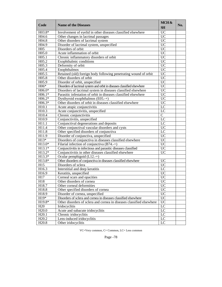| Code               | <b>Name of the Diseases</b>                                             | MCH &<br><b>SH</b> | No. |
|--------------------|-------------------------------------------------------------------------|--------------------|-----|
| $H03.8*$           | Involvement of eyelid in other diseases classified elsewhere            | <b>UC</b>          |     |
| H <sub>04.6</sub>  | Other changes in lacrimal passages                                      | <b>UC</b>          |     |
| H04.8              | Other disorders of lacrimal system                                      | $\overline{UC}$    |     |
| H04.9              | Disorder of lacrimal system, unspecified                                | $\overline{UC}$    |     |
| H <sub>05</sub>    | Disorders of orbit                                                      | <b>UC</b>          |     |
| H05.0              | Acute inflammation of orbit                                             | <b>UC</b>          |     |
| H05.1              | Chronic inflammatory disorders of orbit                                 | <b>UC</b>          |     |
| H05.2              | Exophthalmic conditions                                                 | <b>UC</b>          |     |
| H05.3              | Deformity of orbit                                                      | <b>UC</b>          |     |
| H05.4              | Enophthalmos                                                            | <b>UC</b>          |     |
| H05.5              | Retained (old) foreign body following penetrating wound of orbit        | $\overline{UC}$    |     |
| H05.8              | Other disorders of orbit                                                | $\overline{UC}$    |     |
| H05.9              | Disorder of orbit, unspecified                                          | <b>UC</b>          |     |
| $H06*$             | Disorders of lacrimal system and orbit in diseases classified elsewhere | $\overline{UC}$    |     |
| $H06.0*$           | Disorders of lacrimal system in diseases classified elsewhere           | $\overline{UC}$    |     |
| $H06.1*$           | Parasitic infestation of orbit in diseases classified elsewhere         | $\overline{UC}$    |     |
| $H06.2*$           | Dysthyroid exophthalmos $(E05.+)$                                       | $\overline{UC}$    |     |
| H06.3*             | Other disorders of orbit in diseases classified elsewhere               | <b>UC</b>          |     |
| H10.1              | Acute atopic conjunctivitis                                             | LC                 |     |
| H10.3              | Acute conjunctivitis, unspecified                                       | LC                 |     |
| H10.4              | Chronic conjunctivitis                                                  | $\mathbf C$        |     |
| H10.9              | Conjunctivitis, unspecified                                             | LC                 |     |
| H11.1              | Conjunctival degenerations and deposits                                 | LC                 |     |
| H11.4              | Other conjunctival vascular disorders and cysts                         | $\overline{UC}$    |     |
| H11.8              | Other specified disorders of conjunctiva                                | LC                 |     |
| H11.9              | Disorder of conjunctiva, unspecified                                    | <b>UC</b>          |     |
| $H13*$             | Disorders of conjunctiva in diseases classified elsewhere               | <b>UC</b>          |     |
| $H13.0*$           | Filarial infection of conjunctiva $(B74.+)$                             | $\overline{UC}$    |     |
| $H13.1*$           | Conjunctivitis in infectious and parasitic diseases classified          | $\overline{UC}$    |     |
| H13.2*             | Conjunctivitis in other diseases classified elsewhere                   | <b>UC</b>          |     |
| $H13.3*$           | Ocular pemphigoid $(L12.+)$                                             |                    |     |
| H13.8*             | Other disorders of conjunctiva in diseases classified elsewhere         | <b>UC</b>          |     |
| H15                | Disorders of sclera                                                     | $\overline{UC}$    |     |
| H16.3              | Interstitial and deep keratitis                                         | LC                 |     |
| H16.9              | Keratitis, unspecified                                                  | <b>UC</b>          |     |
| H17                | Corneal scars and opacities                                             | <b>UC</b>          |     |
| H18                | Other disorders of cornea                                               | <b>UC</b>          |     |
| H18.7              | Other corneal deformities                                               | <b>UC</b>          |     |
| H18.8              | Other specified disorders of cornea                                     | <b>UC</b>          |     |
| H18.9              | Disorder of cornea, unspecified                                         | <b>UC</b>          |     |
| $H19*$             | Disorders of sclera and cornea in diseases classified elsewhere         | $\overline{UC}$    |     |
| H19.8*             | Other disorders of sclera and cornea in diseases classified elsewhere   | $\overline{UC}$    |     |
| H20                | Iridocyclitis                                                           | LC                 |     |
| H <sub>20.0</sub>  | Acute and subacute iridocyclitis                                        | $_{\rm LC}$        |     |
| $H2\overline{0.1}$ | Chronic iridocyclitis                                                   | $\overline{LC}$    |     |
| H <sub>20.2</sub>  | Lens-induced iridocyclitis                                              | LC                 |     |
| H <sub>20.8</sub>  | Other iridocyclitis                                                     | LC                 |     |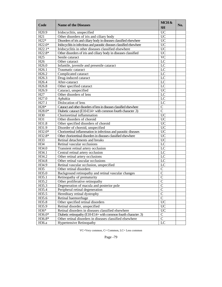| <b>UC</b><br>H <sub>20.9</sub><br>Iridocyclitis, unspecified<br>Other disorders of iris and ciliary body<br><b>UC</b><br>H21<br>$H22*$<br>$\overline{UC}$<br>Disorders of iris and ciliary body in diseases classified elsewhere<br>$H22.0*$<br><b>UC</b><br>Iridocyclitis in infectious and parasitic diseases classified elsewhere<br>Iridocyclitis in other diseases classified elsewhere<br><b>UC</b><br>$H22.1*$<br>Other disorders of iris and ciliary body in diseases classified<br><b>UC</b><br>$H22.8*$<br><b>VC</b><br>H <sub>25</sub><br>Senile cataract<br>H <sub>26</sub><br>LC<br>Other cataract<br>H <sub>26.0</sub><br>Infantile, juvenile and presenile cataract<br>LC<br>Traumatic cataract<br>LC<br>H <sub>26.1</sub><br>LC<br>H <sub>26.2</sub><br>Complicated cataract<br>LC<br>H <sub>26.3</sub><br>Drug-induced cataract<br>After-cataract<br>LC<br>H <sub>26.4</sub><br>Other specified cataract<br>LC<br>H <sub>26.8</sub><br>$\overline{UC}$<br>H <sub>26.9</sub><br>Cataract, unspecified<br>Other disorders of lens<br>LC<br>H <sub>27</sub><br>H <sub>27.0</sub><br>Aphakia<br>LC<br>H <sub>27.1</sub><br>Dislocation of lens<br>LC<br>$H28*$<br>Cataract and other disorders of lens in diseases classified elsewhere<br>$\mathbf C$<br>$\overline{C}$<br>H28.0*<br>Diabetic cataract (E10-E14+ with common fourth character .3)<br><b>UC</b><br>Chorioretinal inflammation<br>H <sub>30</sub><br>$\overline{UC}$<br>H31<br>Other disorders of choroid<br>Other specified disorders of choroid<br><b>UC</b><br>H31.8<br>$\overline{UC}$<br>H31.9<br>Disorder of choroid, unspecified<br><b>UC</b><br>H32.0*<br>Chorioretinal inflammation in infectious and parasitic diseases<br>Other chorioretinal disorders in diseases classified elsewhere<br><b>UC</b><br>H32.8*<br>Retinal detachments and breaks<br><b>UC</b><br>H33<br>H34<br>LC<br>Retinal vascular occlusions<br>H34.0<br>$L\overline{C}$<br>Transient retinal artery occlusion<br>H34.1<br>LC<br>Central retinal artery occlusion<br>LC<br>H34.2<br>Other retinal artery occlusions<br>LC<br>H34.8<br>Other retinal vascular occlusions<br>LC<br>H34.9<br>Retinal vascular occlusion, unspecified<br>H35<br>Other retinal disorders<br>$\mathsf{C}$<br>Background retinopathy and retinal vascular changes<br>$\mathcal{C}$<br>H35.0<br>$\overline{C}$<br>H35.1<br>Retinopathy of prematurity<br>H35.2<br>$\mathcal{C}$<br>Other proliferative retinopathy<br>$\mathcal{C}$<br>H35.3<br>Degeneration of macula and posterior pole<br>$\mathcal{C}$<br>H35.4<br>Peripheral retinal degeneration<br>$\mathcal{C}$<br>H35.5<br>Hereditary retinal dystrophy<br>$\overline{C}$<br>H35.6<br>Retinal haemorrhage<br><b>UC</b><br>H35.8<br>Other specified retinal disorders<br><b>UC</b><br>H35.9<br>Retinal disorder, unspecified<br>$\overline{UC}$<br>$H36*$<br>Retinal disorders in diseases classified elsewhere<br>$\overline{C}$<br>H36.0*<br>Diabetic retinopathy (E10-E14+ with common fourth character .3)<br>$\overline{C}$<br>H36.8*<br>Other retinal disorders in diseases classified elsewhere | Code  | <b>Name of the Diseases</b>     | MCH &<br><b>SH</b> | No. |
|----------------------------------------------------------------------------------------------------------------------------------------------------------------------------------------------------------------------------------------------------------------------------------------------------------------------------------------------------------------------------------------------------------------------------------------------------------------------------------------------------------------------------------------------------------------------------------------------------------------------------------------------------------------------------------------------------------------------------------------------------------------------------------------------------------------------------------------------------------------------------------------------------------------------------------------------------------------------------------------------------------------------------------------------------------------------------------------------------------------------------------------------------------------------------------------------------------------------------------------------------------------------------------------------------------------------------------------------------------------------------------------------------------------------------------------------------------------------------------------------------------------------------------------------------------------------------------------------------------------------------------------------------------------------------------------------------------------------------------------------------------------------------------------------------------------------------------------------------------------------------------------------------------------------------------------------------------------------------------------------------------------------------------------------------------------------------------------------------------------------------------------------------------------------------------------------------------------------------------------------------------------------------------------------------------------------------------------------------------------------------------------------------------------------------------------------------------------------------------------------------------------------------------------------------------------------------------------------------------------------------------------------------------------------------------------------------------------------------------------------------------------------------------------------------------------------------------------------------------------------------------------------------------------------------------------------------------------------------------------------------------------------------------------------------------------------------------------------------|-------|---------------------------------|--------------------|-----|
|                                                                                                                                                                                                                                                                                                                                                                                                                                                                                                                                                                                                                                                                                                                                                                                                                                                                                                                                                                                                                                                                                                                                                                                                                                                                                                                                                                                                                                                                                                                                                                                                                                                                                                                                                                                                                                                                                                                                                                                                                                                                                                                                                                                                                                                                                                                                                                                                                                                                                                                                                                                                                                                                                                                                                                                                                                                                                                                                                                                                                                                                                                    |       |                                 |                    |     |
|                                                                                                                                                                                                                                                                                                                                                                                                                                                                                                                                                                                                                                                                                                                                                                                                                                                                                                                                                                                                                                                                                                                                                                                                                                                                                                                                                                                                                                                                                                                                                                                                                                                                                                                                                                                                                                                                                                                                                                                                                                                                                                                                                                                                                                                                                                                                                                                                                                                                                                                                                                                                                                                                                                                                                                                                                                                                                                                                                                                                                                                                                                    |       |                                 |                    |     |
|                                                                                                                                                                                                                                                                                                                                                                                                                                                                                                                                                                                                                                                                                                                                                                                                                                                                                                                                                                                                                                                                                                                                                                                                                                                                                                                                                                                                                                                                                                                                                                                                                                                                                                                                                                                                                                                                                                                                                                                                                                                                                                                                                                                                                                                                                                                                                                                                                                                                                                                                                                                                                                                                                                                                                                                                                                                                                                                                                                                                                                                                                                    |       |                                 |                    |     |
|                                                                                                                                                                                                                                                                                                                                                                                                                                                                                                                                                                                                                                                                                                                                                                                                                                                                                                                                                                                                                                                                                                                                                                                                                                                                                                                                                                                                                                                                                                                                                                                                                                                                                                                                                                                                                                                                                                                                                                                                                                                                                                                                                                                                                                                                                                                                                                                                                                                                                                                                                                                                                                                                                                                                                                                                                                                                                                                                                                                                                                                                                                    |       |                                 |                    |     |
|                                                                                                                                                                                                                                                                                                                                                                                                                                                                                                                                                                                                                                                                                                                                                                                                                                                                                                                                                                                                                                                                                                                                                                                                                                                                                                                                                                                                                                                                                                                                                                                                                                                                                                                                                                                                                                                                                                                                                                                                                                                                                                                                                                                                                                                                                                                                                                                                                                                                                                                                                                                                                                                                                                                                                                                                                                                                                                                                                                                                                                                                                                    |       |                                 |                    |     |
|                                                                                                                                                                                                                                                                                                                                                                                                                                                                                                                                                                                                                                                                                                                                                                                                                                                                                                                                                                                                                                                                                                                                                                                                                                                                                                                                                                                                                                                                                                                                                                                                                                                                                                                                                                                                                                                                                                                                                                                                                                                                                                                                                                                                                                                                                                                                                                                                                                                                                                                                                                                                                                                                                                                                                                                                                                                                                                                                                                                                                                                                                                    |       |                                 |                    |     |
|                                                                                                                                                                                                                                                                                                                                                                                                                                                                                                                                                                                                                                                                                                                                                                                                                                                                                                                                                                                                                                                                                                                                                                                                                                                                                                                                                                                                                                                                                                                                                                                                                                                                                                                                                                                                                                                                                                                                                                                                                                                                                                                                                                                                                                                                                                                                                                                                                                                                                                                                                                                                                                                                                                                                                                                                                                                                                                                                                                                                                                                                                                    |       |                                 |                    |     |
|                                                                                                                                                                                                                                                                                                                                                                                                                                                                                                                                                                                                                                                                                                                                                                                                                                                                                                                                                                                                                                                                                                                                                                                                                                                                                                                                                                                                                                                                                                                                                                                                                                                                                                                                                                                                                                                                                                                                                                                                                                                                                                                                                                                                                                                                                                                                                                                                                                                                                                                                                                                                                                                                                                                                                                                                                                                                                                                                                                                                                                                                                                    |       |                                 |                    |     |
|                                                                                                                                                                                                                                                                                                                                                                                                                                                                                                                                                                                                                                                                                                                                                                                                                                                                                                                                                                                                                                                                                                                                                                                                                                                                                                                                                                                                                                                                                                                                                                                                                                                                                                                                                                                                                                                                                                                                                                                                                                                                                                                                                                                                                                                                                                                                                                                                                                                                                                                                                                                                                                                                                                                                                                                                                                                                                                                                                                                                                                                                                                    |       |                                 |                    |     |
|                                                                                                                                                                                                                                                                                                                                                                                                                                                                                                                                                                                                                                                                                                                                                                                                                                                                                                                                                                                                                                                                                                                                                                                                                                                                                                                                                                                                                                                                                                                                                                                                                                                                                                                                                                                                                                                                                                                                                                                                                                                                                                                                                                                                                                                                                                                                                                                                                                                                                                                                                                                                                                                                                                                                                                                                                                                                                                                                                                                                                                                                                                    |       |                                 |                    |     |
|                                                                                                                                                                                                                                                                                                                                                                                                                                                                                                                                                                                                                                                                                                                                                                                                                                                                                                                                                                                                                                                                                                                                                                                                                                                                                                                                                                                                                                                                                                                                                                                                                                                                                                                                                                                                                                                                                                                                                                                                                                                                                                                                                                                                                                                                                                                                                                                                                                                                                                                                                                                                                                                                                                                                                                                                                                                                                                                                                                                                                                                                                                    |       |                                 |                    |     |
|                                                                                                                                                                                                                                                                                                                                                                                                                                                                                                                                                                                                                                                                                                                                                                                                                                                                                                                                                                                                                                                                                                                                                                                                                                                                                                                                                                                                                                                                                                                                                                                                                                                                                                                                                                                                                                                                                                                                                                                                                                                                                                                                                                                                                                                                                                                                                                                                                                                                                                                                                                                                                                                                                                                                                                                                                                                                                                                                                                                                                                                                                                    |       |                                 |                    |     |
|                                                                                                                                                                                                                                                                                                                                                                                                                                                                                                                                                                                                                                                                                                                                                                                                                                                                                                                                                                                                                                                                                                                                                                                                                                                                                                                                                                                                                                                                                                                                                                                                                                                                                                                                                                                                                                                                                                                                                                                                                                                                                                                                                                                                                                                                                                                                                                                                                                                                                                                                                                                                                                                                                                                                                                                                                                                                                                                                                                                                                                                                                                    |       |                                 |                    |     |
|                                                                                                                                                                                                                                                                                                                                                                                                                                                                                                                                                                                                                                                                                                                                                                                                                                                                                                                                                                                                                                                                                                                                                                                                                                                                                                                                                                                                                                                                                                                                                                                                                                                                                                                                                                                                                                                                                                                                                                                                                                                                                                                                                                                                                                                                                                                                                                                                                                                                                                                                                                                                                                                                                                                                                                                                                                                                                                                                                                                                                                                                                                    |       |                                 |                    |     |
|                                                                                                                                                                                                                                                                                                                                                                                                                                                                                                                                                                                                                                                                                                                                                                                                                                                                                                                                                                                                                                                                                                                                                                                                                                                                                                                                                                                                                                                                                                                                                                                                                                                                                                                                                                                                                                                                                                                                                                                                                                                                                                                                                                                                                                                                                                                                                                                                                                                                                                                                                                                                                                                                                                                                                                                                                                                                                                                                                                                                                                                                                                    |       |                                 |                    |     |
|                                                                                                                                                                                                                                                                                                                                                                                                                                                                                                                                                                                                                                                                                                                                                                                                                                                                                                                                                                                                                                                                                                                                                                                                                                                                                                                                                                                                                                                                                                                                                                                                                                                                                                                                                                                                                                                                                                                                                                                                                                                                                                                                                                                                                                                                                                                                                                                                                                                                                                                                                                                                                                                                                                                                                                                                                                                                                                                                                                                                                                                                                                    |       |                                 |                    |     |
|                                                                                                                                                                                                                                                                                                                                                                                                                                                                                                                                                                                                                                                                                                                                                                                                                                                                                                                                                                                                                                                                                                                                                                                                                                                                                                                                                                                                                                                                                                                                                                                                                                                                                                                                                                                                                                                                                                                                                                                                                                                                                                                                                                                                                                                                                                                                                                                                                                                                                                                                                                                                                                                                                                                                                                                                                                                                                                                                                                                                                                                                                                    |       |                                 |                    |     |
|                                                                                                                                                                                                                                                                                                                                                                                                                                                                                                                                                                                                                                                                                                                                                                                                                                                                                                                                                                                                                                                                                                                                                                                                                                                                                                                                                                                                                                                                                                                                                                                                                                                                                                                                                                                                                                                                                                                                                                                                                                                                                                                                                                                                                                                                                                                                                                                                                                                                                                                                                                                                                                                                                                                                                                                                                                                                                                                                                                                                                                                                                                    |       |                                 |                    |     |
|                                                                                                                                                                                                                                                                                                                                                                                                                                                                                                                                                                                                                                                                                                                                                                                                                                                                                                                                                                                                                                                                                                                                                                                                                                                                                                                                                                                                                                                                                                                                                                                                                                                                                                                                                                                                                                                                                                                                                                                                                                                                                                                                                                                                                                                                                                                                                                                                                                                                                                                                                                                                                                                                                                                                                                                                                                                                                                                                                                                                                                                                                                    |       |                                 |                    |     |
|                                                                                                                                                                                                                                                                                                                                                                                                                                                                                                                                                                                                                                                                                                                                                                                                                                                                                                                                                                                                                                                                                                                                                                                                                                                                                                                                                                                                                                                                                                                                                                                                                                                                                                                                                                                                                                                                                                                                                                                                                                                                                                                                                                                                                                                                                                                                                                                                                                                                                                                                                                                                                                                                                                                                                                                                                                                                                                                                                                                                                                                                                                    |       |                                 |                    |     |
|                                                                                                                                                                                                                                                                                                                                                                                                                                                                                                                                                                                                                                                                                                                                                                                                                                                                                                                                                                                                                                                                                                                                                                                                                                                                                                                                                                                                                                                                                                                                                                                                                                                                                                                                                                                                                                                                                                                                                                                                                                                                                                                                                                                                                                                                                                                                                                                                                                                                                                                                                                                                                                                                                                                                                                                                                                                                                                                                                                                                                                                                                                    |       |                                 |                    |     |
|                                                                                                                                                                                                                                                                                                                                                                                                                                                                                                                                                                                                                                                                                                                                                                                                                                                                                                                                                                                                                                                                                                                                                                                                                                                                                                                                                                                                                                                                                                                                                                                                                                                                                                                                                                                                                                                                                                                                                                                                                                                                                                                                                                                                                                                                                                                                                                                                                                                                                                                                                                                                                                                                                                                                                                                                                                                                                                                                                                                                                                                                                                    |       |                                 |                    |     |
|                                                                                                                                                                                                                                                                                                                                                                                                                                                                                                                                                                                                                                                                                                                                                                                                                                                                                                                                                                                                                                                                                                                                                                                                                                                                                                                                                                                                                                                                                                                                                                                                                                                                                                                                                                                                                                                                                                                                                                                                                                                                                                                                                                                                                                                                                                                                                                                                                                                                                                                                                                                                                                                                                                                                                                                                                                                                                                                                                                                                                                                                                                    |       |                                 |                    |     |
|                                                                                                                                                                                                                                                                                                                                                                                                                                                                                                                                                                                                                                                                                                                                                                                                                                                                                                                                                                                                                                                                                                                                                                                                                                                                                                                                                                                                                                                                                                                                                                                                                                                                                                                                                                                                                                                                                                                                                                                                                                                                                                                                                                                                                                                                                                                                                                                                                                                                                                                                                                                                                                                                                                                                                                                                                                                                                                                                                                                                                                                                                                    |       |                                 |                    |     |
|                                                                                                                                                                                                                                                                                                                                                                                                                                                                                                                                                                                                                                                                                                                                                                                                                                                                                                                                                                                                                                                                                                                                                                                                                                                                                                                                                                                                                                                                                                                                                                                                                                                                                                                                                                                                                                                                                                                                                                                                                                                                                                                                                                                                                                                                                                                                                                                                                                                                                                                                                                                                                                                                                                                                                                                                                                                                                                                                                                                                                                                                                                    |       |                                 |                    |     |
|                                                                                                                                                                                                                                                                                                                                                                                                                                                                                                                                                                                                                                                                                                                                                                                                                                                                                                                                                                                                                                                                                                                                                                                                                                                                                                                                                                                                                                                                                                                                                                                                                                                                                                                                                                                                                                                                                                                                                                                                                                                                                                                                                                                                                                                                                                                                                                                                                                                                                                                                                                                                                                                                                                                                                                                                                                                                                                                                                                                                                                                                                                    |       |                                 |                    |     |
|                                                                                                                                                                                                                                                                                                                                                                                                                                                                                                                                                                                                                                                                                                                                                                                                                                                                                                                                                                                                                                                                                                                                                                                                                                                                                                                                                                                                                                                                                                                                                                                                                                                                                                                                                                                                                                                                                                                                                                                                                                                                                                                                                                                                                                                                                                                                                                                                                                                                                                                                                                                                                                                                                                                                                                                                                                                                                                                                                                                                                                                                                                    |       |                                 |                    |     |
|                                                                                                                                                                                                                                                                                                                                                                                                                                                                                                                                                                                                                                                                                                                                                                                                                                                                                                                                                                                                                                                                                                                                                                                                                                                                                                                                                                                                                                                                                                                                                                                                                                                                                                                                                                                                                                                                                                                                                                                                                                                                                                                                                                                                                                                                                                                                                                                                                                                                                                                                                                                                                                                                                                                                                                                                                                                                                                                                                                                                                                                                                                    |       |                                 |                    |     |
|                                                                                                                                                                                                                                                                                                                                                                                                                                                                                                                                                                                                                                                                                                                                                                                                                                                                                                                                                                                                                                                                                                                                                                                                                                                                                                                                                                                                                                                                                                                                                                                                                                                                                                                                                                                                                                                                                                                                                                                                                                                                                                                                                                                                                                                                                                                                                                                                                                                                                                                                                                                                                                                                                                                                                                                                                                                                                                                                                                                                                                                                                                    |       |                                 |                    |     |
|                                                                                                                                                                                                                                                                                                                                                                                                                                                                                                                                                                                                                                                                                                                                                                                                                                                                                                                                                                                                                                                                                                                                                                                                                                                                                                                                                                                                                                                                                                                                                                                                                                                                                                                                                                                                                                                                                                                                                                                                                                                                                                                                                                                                                                                                                                                                                                                                                                                                                                                                                                                                                                                                                                                                                                                                                                                                                                                                                                                                                                                                                                    |       |                                 |                    |     |
|                                                                                                                                                                                                                                                                                                                                                                                                                                                                                                                                                                                                                                                                                                                                                                                                                                                                                                                                                                                                                                                                                                                                                                                                                                                                                                                                                                                                                                                                                                                                                                                                                                                                                                                                                                                                                                                                                                                                                                                                                                                                                                                                                                                                                                                                                                                                                                                                                                                                                                                                                                                                                                                                                                                                                                                                                                                                                                                                                                                                                                                                                                    |       |                                 |                    |     |
|                                                                                                                                                                                                                                                                                                                                                                                                                                                                                                                                                                                                                                                                                                                                                                                                                                                                                                                                                                                                                                                                                                                                                                                                                                                                                                                                                                                                                                                                                                                                                                                                                                                                                                                                                                                                                                                                                                                                                                                                                                                                                                                                                                                                                                                                                                                                                                                                                                                                                                                                                                                                                                                                                                                                                                                                                                                                                                                                                                                                                                                                                                    |       |                                 |                    |     |
|                                                                                                                                                                                                                                                                                                                                                                                                                                                                                                                                                                                                                                                                                                                                                                                                                                                                                                                                                                                                                                                                                                                                                                                                                                                                                                                                                                                                                                                                                                                                                                                                                                                                                                                                                                                                                                                                                                                                                                                                                                                                                                                                                                                                                                                                                                                                                                                                                                                                                                                                                                                                                                                                                                                                                                                                                                                                                                                                                                                                                                                                                                    |       |                                 |                    |     |
|                                                                                                                                                                                                                                                                                                                                                                                                                                                                                                                                                                                                                                                                                                                                                                                                                                                                                                                                                                                                                                                                                                                                                                                                                                                                                                                                                                                                                                                                                                                                                                                                                                                                                                                                                                                                                                                                                                                                                                                                                                                                                                                                                                                                                                                                                                                                                                                                                                                                                                                                                                                                                                                                                                                                                                                                                                                                                                                                                                                                                                                                                                    |       |                                 |                    |     |
|                                                                                                                                                                                                                                                                                                                                                                                                                                                                                                                                                                                                                                                                                                                                                                                                                                                                                                                                                                                                                                                                                                                                                                                                                                                                                                                                                                                                                                                                                                                                                                                                                                                                                                                                                                                                                                                                                                                                                                                                                                                                                                                                                                                                                                                                                                                                                                                                                                                                                                                                                                                                                                                                                                                                                                                                                                                                                                                                                                                                                                                                                                    |       |                                 |                    |     |
|                                                                                                                                                                                                                                                                                                                                                                                                                                                                                                                                                                                                                                                                                                                                                                                                                                                                                                                                                                                                                                                                                                                                                                                                                                                                                                                                                                                                                                                                                                                                                                                                                                                                                                                                                                                                                                                                                                                                                                                                                                                                                                                                                                                                                                                                                                                                                                                                                                                                                                                                                                                                                                                                                                                                                                                                                                                                                                                                                                                                                                                                                                    |       |                                 |                    |     |
|                                                                                                                                                                                                                                                                                                                                                                                                                                                                                                                                                                                                                                                                                                                                                                                                                                                                                                                                                                                                                                                                                                                                                                                                                                                                                                                                                                                                                                                                                                                                                                                                                                                                                                                                                                                                                                                                                                                                                                                                                                                                                                                                                                                                                                                                                                                                                                                                                                                                                                                                                                                                                                                                                                                                                                                                                                                                                                                                                                                                                                                                                                    |       |                                 |                    |     |
|                                                                                                                                                                                                                                                                                                                                                                                                                                                                                                                                                                                                                                                                                                                                                                                                                                                                                                                                                                                                                                                                                                                                                                                                                                                                                                                                                                                                                                                                                                                                                                                                                                                                                                                                                                                                                                                                                                                                                                                                                                                                                                                                                                                                                                                                                                                                                                                                                                                                                                                                                                                                                                                                                                                                                                                                                                                                                                                                                                                                                                                                                                    |       |                                 |                    |     |
|                                                                                                                                                                                                                                                                                                                                                                                                                                                                                                                                                                                                                                                                                                                                                                                                                                                                                                                                                                                                                                                                                                                                                                                                                                                                                                                                                                                                                                                                                                                                                                                                                                                                                                                                                                                                                                                                                                                                                                                                                                                                                                                                                                                                                                                                                                                                                                                                                                                                                                                                                                                                                                                                                                                                                                                                                                                                                                                                                                                                                                                                                                    |       |                                 |                    |     |
|                                                                                                                                                                                                                                                                                                                                                                                                                                                                                                                                                                                                                                                                                                                                                                                                                                                                                                                                                                                                                                                                                                                                                                                                                                                                                                                                                                                                                                                                                                                                                                                                                                                                                                                                                                                                                                                                                                                                                                                                                                                                                                                                                                                                                                                                                                                                                                                                                                                                                                                                                                                                                                                                                                                                                                                                                                                                                                                                                                                                                                                                                                    |       |                                 |                    |     |
|                                                                                                                                                                                                                                                                                                                                                                                                                                                                                                                                                                                                                                                                                                                                                                                                                                                                                                                                                                                                                                                                                                                                                                                                                                                                                                                                                                                                                                                                                                                                                                                                                                                                                                                                                                                                                                                                                                                                                                                                                                                                                                                                                                                                                                                                                                                                                                                                                                                                                                                                                                                                                                                                                                                                                                                                                                                                                                                                                                                                                                                                                                    |       |                                 |                    |     |
|                                                                                                                                                                                                                                                                                                                                                                                                                                                                                                                                                                                                                                                                                                                                                                                                                                                                                                                                                                                                                                                                                                                                                                                                                                                                                                                                                                                                                                                                                                                                                                                                                                                                                                                                                                                                                                                                                                                                                                                                                                                                                                                                                                                                                                                                                                                                                                                                                                                                                                                                                                                                                                                                                                                                                                                                                                                                                                                                                                                                                                                                                                    |       |                                 |                    |     |
|                                                                                                                                                                                                                                                                                                                                                                                                                                                                                                                                                                                                                                                                                                                                                                                                                                                                                                                                                                                                                                                                                                                                                                                                                                                                                                                                                                                                                                                                                                                                                                                                                                                                                                                                                                                                                                                                                                                                                                                                                                                                                                                                                                                                                                                                                                                                                                                                                                                                                                                                                                                                                                                                                                                                                                                                                                                                                                                                                                                                                                                                                                    |       |                                 |                    |     |
|                                                                                                                                                                                                                                                                                                                                                                                                                                                                                                                                                                                                                                                                                                                                                                                                                                                                                                                                                                                                                                                                                                                                                                                                                                                                                                                                                                                                                                                                                                                                                                                                                                                                                                                                                                                                                                                                                                                                                                                                                                                                                                                                                                                                                                                                                                                                                                                                                                                                                                                                                                                                                                                                                                                                                                                                                                                                                                                                                                                                                                                                                                    |       |                                 |                    |     |
|                                                                                                                                                                                                                                                                                                                                                                                                                                                                                                                                                                                                                                                                                                                                                                                                                                                                                                                                                                                                                                                                                                                                                                                                                                                                                                                                                                                                                                                                                                                                                                                                                                                                                                                                                                                                                                                                                                                                                                                                                                                                                                                                                                                                                                                                                                                                                                                                                                                                                                                                                                                                                                                                                                                                                                                                                                                                                                                                                                                                                                                                                                    |       |                                 |                    |     |
|                                                                                                                                                                                                                                                                                                                                                                                                                                                                                                                                                                                                                                                                                                                                                                                                                                                                                                                                                                                                                                                                                                                                                                                                                                                                                                                                                                                                                                                                                                                                                                                                                                                                                                                                                                                                                                                                                                                                                                                                                                                                                                                                                                                                                                                                                                                                                                                                                                                                                                                                                                                                                                                                                                                                                                                                                                                                                                                                                                                                                                                                                                    |       |                                 |                    |     |
|                                                                                                                                                                                                                                                                                                                                                                                                                                                                                                                                                                                                                                                                                                                                                                                                                                                                                                                                                                                                                                                                                                                                                                                                                                                                                                                                                                                                                                                                                                                                                                                                                                                                                                                                                                                                                                                                                                                                                                                                                                                                                                                                                                                                                                                                                                                                                                                                                                                                                                                                                                                                                                                                                                                                                                                                                                                                                                                                                                                                                                                                                                    | H36.a | <b>Hypertensive Retinopathy</b> | $_{\text{LC}}$     |     |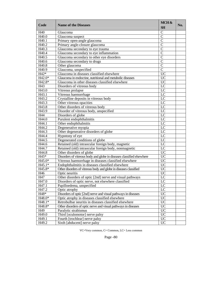| Code                | <b>Name of the Diseases</b>                                           | MCH&<br><b>SH</b> | No. |
|---------------------|-----------------------------------------------------------------------|-------------------|-----|
| H40                 | Glaucoma                                                              | $\mathsf{C}$      |     |
| H40.0               | Glaucoma suspect                                                      | $\overline{C}$    |     |
| H40.1               | Primary open-angle glaucoma                                           | $\overline{C}$    |     |
| H40.2               | Primary angle-closure glaucoma                                        | $\overline{C}$    |     |
| H40.3               | Glaucoma secondary to eye trauma                                      | $\mathsf{C}$      |     |
| H40.4               | Glaucoma secondary to eye inflammation                                | $\mathcal{C}$     |     |
| H40.5               | Glaucoma secondary to other eye disorders                             | $\mathcal{C}$     |     |
| H40.6               | Glaucoma secondary to drugs                                           | $\mathcal{C}$     |     |
| H40.8               | Other glaucoma                                                        | $\overline{C}$    |     |
| H40.9               | Glaucoma, unspecified                                                 | $\mathcal{C}$     |     |
| $H42*$              | Glaucoma in diseases classified elsewhere                             | $\overline{UC}$   |     |
| H42.0*              | Glaucoma in endocrine, nutritional and metabolic diseases             | $\overline{UC}$   |     |
| H42.8*              | Glaucoma in other diseases classified elsewhere                       | <b>UC</b>         |     |
| H43                 | Disorders of vitreous body                                            | LC                |     |
| H43.0               | Vitreous prolapse                                                     | LC                |     |
| H43.1               | Vitreous haemorrhage                                                  | LC                |     |
| H43.2               | Crystalline deposits in vitreous body                                 | LC                |     |
| H43.3               | Other vitreous opacities                                              | LC                |     |
| H43.8               | Other disorders of vitreous body                                      | LC                |     |
| H43.9               | Disorder of vitreous body, unspecified                                | LC                |     |
| H44                 | Disorders of globe                                                    | LC                |     |
| H44.0               | Purulent endophthalmitis                                              | $L\overline{C}$   |     |
| H44.1               | Other endophthalmitis                                                 | LC                |     |
| H44.2               | Degenerative myopia                                                   | $L\overline{C}$   |     |
| H44.3               | Other degenerative disorders of globe                                 | LC                |     |
| H44.4               | Hypotony of eye                                                       | LC                |     |
| H44.5               | Degenerated conditions of globe                                       | LC                |     |
| H44.6               | Retained (old) intraocular foreign body, magnetic                     | LC                |     |
| H44.7               | Retained (old) intraocular foreign body, nonmagnetic                  | LC                |     |
| H44.8               | Other disorders of globe                                              | <b>UC</b>         |     |
| $H45*$              | Disorders of vitreous body and globe in diseases classified elsewhere | $\overline{UC}$   |     |
| $H45.\overline{0*}$ | Vitreous haemorrhage in diseases classified elsewhere                 | $\overline{UC}$   |     |
| H45.1*              | Endophthalmitis in diseases classified elsewhere                      | $\overline{UC}$   |     |
| H45.8*              | Other disorders of vitreous body and globe in diseases classified     | <b>UC</b>         |     |
| H46                 | Optic neuritis                                                        | <b>UC</b>         |     |
| H47                 | Other disorders of optic [2nd] nerve and visual pathways              | LC                |     |
| H47.0               | Disorders of optic nerve, not elsewhere classified                    | LC                |     |
| H47.1               | Papilloedema, unspecified                                             | LC                |     |
| H47.2               | Optic atrophy                                                         | LC                |     |
| H48*                | Disorders of optic [2nd] nerve and visual pathways in diseases        | <b>UC</b>         |     |
| H48.0*              | Optic atrophy in diseases classified elsewhere                        | $\overline{UC}$   |     |
| H48.1*              | Retrobulbar neuritis in diseases classified elsewhere                 | $\overline{UC}$   |     |
| H48.8*              | Other disorders of optic nerve and visual pathways in diseases        | <b>UC</b>         |     |
| H49                 | Paralytic strabismus                                                  | <b>UC</b>         |     |
| H49.0               | Third [oculomotor] nerve palsy                                        | $\overline{UC}$   |     |
| H49.1               | Fourth [trochlear] nerve palsy                                        | <b>UC</b>         |     |
| H49.2               | Sixth [abducent] nerve palsy                                          | <b>UC</b>         |     |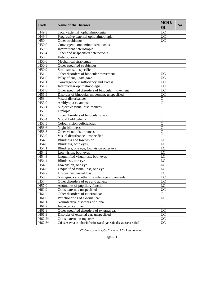| Code               | <b>Name of the Diseases</b>                                          | MCH&<br><b>SH</b> | No. |
|--------------------|----------------------------------------------------------------------|-------------------|-----|
| H <sub>49.3</sub>  | Total (external) ophthalmoplegia                                     | <b>UC</b>         |     |
| H49.4              | Progressive external ophthalmoplegia                                 | $\overline{UC}$   |     |
| H <sub>50</sub>    | Other strabismus                                                     | <b>UC</b>         |     |
| H50.0              | Convergent concomitant strabismus                                    |                   |     |
| H50.3              | Intermittent heterotropia                                            |                   |     |
| H50.4              | Other and unspecified heterotropia                                   |                   |     |
| H50.5              | Heterophoria                                                         |                   |     |
| H50.6              | Mechanical strabismus                                                |                   |     |
| H50.8              | Other specified strabismus                                           |                   |     |
| H50.9              | Strabismus, unspecified                                              |                   |     |
| H51                | Other disorders of binocular movement                                | <b>UC</b>         |     |
| H51.0              | Palsy of conjugate gaze                                              | $\overline{UC}$   |     |
| H51.1              | Convergence insufficiency and excess                                 | <b>UC</b>         |     |
| H51.2              | Internuclear ophthalmoplegia                                         | <b>UC</b>         |     |
| H51.8              | Other specified disorders of binocular movement                      | <b>UC</b>         |     |
| H51.9              | Disorder of binocular movement, unspecified                          | <b>UC</b>         |     |
| H <sub>53</sub>    | Visual disturbances                                                  | $\mathcal{C}$     |     |
| H53.0              | Amblyopia ex anopsia                                                 | $\mathsf{C}$      |     |
| H53.1              | Subjective visual disturbances                                       | $\overline{C}$    |     |
| H53.2              | Diplopia                                                             | $\overline{C}$    |     |
| H53.3              | Other disorders of binocular vision                                  | $\mathcal{C}$     |     |
| H53.4              | Visual field defects                                                 | $\mathcal{C}$     |     |
| H53.5              | Colour vision deficiencies                                           | $\mathcal{C}$     |     |
| H53.6              | Night blindness                                                      | $\overline{C}$    |     |
| H53.8              | Other visual disturbances                                            | $\mathbf C$       |     |
| H53.9              | Visual disturbance, unspecified                                      | $\mathbf C$       |     |
| H54                | Blindness and low vision                                             | LC                |     |
| H54.0              | Blindness, both eyes                                                 | LC                |     |
| H54.1              | Blindness, one eye, low vision other eye                             | $\overline{LC}$   |     |
| H54.2              | Low vision, both eyes                                                | LC                |     |
| H54.3              | Unqualified visual loss, both eyes                                   | LC                |     |
| H54.4              | Blindness, one eye                                                   | LC                |     |
| H54.5              | Low vision, one eye                                                  | $\overline{LC}$   |     |
| $H5\overline{4.6}$ | Unqualified visual loss, one eye                                     | LC                |     |
| H54.7              | Unspecified visual loss                                              | LC                |     |
| H <sub>55</sub>    | Nystagmus and other irregular eye movements                          | <b>UC</b>         |     |
| H <sub>57</sub>    | Other disorders of eve and adnexa                                    | <b>UC</b>         |     |
| H57.0              | Anomalies of pupillary function                                      | LC                |     |
| H <sub>60.9</sub>  | Otitis externa, unspecified                                          | <b>UC</b>         |     |
| H61                | Other disorders of external ear                                      | $\mathbf C$       |     |
| H61.0              | Perichondritis of external ear                                       | LC                |     |
| H61.1              | Noninfective disorders of pinna                                      | $\mathbf C$       |     |
| H61.2              | Impacted cerumen                                                     | $\overline{C}$    |     |
| H61.8              | Other specified disorders of external ear                            | <b>UC</b>         |     |
| H61.9              | Disorder of external ear, unspecified                                | <b>UC</b>         |     |
| H62.2*             | Otitis externa in mycoses                                            | <b>UC</b>         |     |
| H62.3*             | Otitis externa in other infectious and parasitic diseases classified | <b>UC</b>         |     |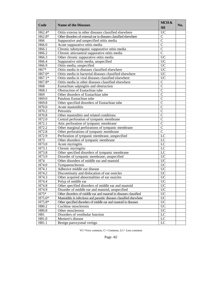| H62.4*<br>Otitis externa in other diseases classified elsewhere<br><b>UC</b><br>$\mathbf C$<br>H62.8*<br>Other disorders of external ear in diseases classified elsewhere<br>$\overline{C}$<br>H <sub>66</sub><br>Suppurative and unspecified otitis media<br>$\mathcal{C}$<br>H66.0<br>Acute suppurative otitis media<br>$\overline{C}$<br>Chronic tubotympanic suppurative otitis media<br>H66.1<br>$\mathcal{C}$<br>H66.2<br>Chronic atticoantral suppurative otitis media<br>H66.3<br><b>UC</b><br>Other chronic suppurative otitis media<br><b>UC</b><br>H66.4<br>Suppurative otitis media, unspecified<br><b>UC</b><br>H66.9<br>Otitis media, unspecified<br>Otitis media in diseases classified elsewhere<br><b>UC</b><br>H67*<br>$\overline{UC}$<br>H67.0*<br>Otitis media in bacterial diseases classified elsewhere<br>$\overline{UC}$<br>H67.1*<br>Otitis media in viral diseases classified elsewhere<br>H67.8*<br>Otitis media in other diseases classified elsewhere<br>$\mathsf{C}$<br>$\mathcal{C}$<br>H <sub>68</sub><br>Eustachian salpingitis and obstruction<br>$\overline{C}$<br>H68.1<br>Obstruction of Eustachian tube<br>Other disorders of Eustachian tube<br>$\mathbf C$<br>H <sub>69</sub><br>H69.0<br>Patulous Eustachian tube<br>$\mathsf{C}$<br>H69.8<br>Other specified disorders of Eustachian tube<br>$\mathcal{C}$<br>H70.0<br>$\mathcal{C}$<br>Acute mastoiditis<br>$\overline{C}$<br>H70.2<br>Petrositis<br>$\overline{C}$<br>H70.8<br>Other mastoiditis and related conditions<br>H72.0<br>$\mathcal{C}$<br>Central perforation of tympanic membrane<br>$\mathcal{C}$<br>H72.1<br>Attic perforation of tympanic membrane<br>$\overline{C}$<br>H72.2<br>Other marginal perforations of tympanic membrane<br>$\overline{C}$<br>H72.8<br>Other perforations of tympanic membrane<br>LC<br>H72.9<br>Perforation of tympanic membrane, unspecified<br>Other disorders of tympanic membrane<br>H73<br>LC<br>H73.0<br>Acute myringitis<br>LC<br>H73.1<br>$L\overline{C}$<br>Chronic myringitis<br>H73.8<br>Other specified disorders of tympanic membrane<br>LC<br><b>UC</b><br>H73.9<br>Disorder of tympanic membrane, unspecified<br>$\overline{UC}$<br>H74<br>Other disorders of middle ear and mastoid<br>$\overline{UC}$<br>H74.0<br>Tympanosclerosis<br>Adhesive middle ear disease<br><b>UC</b><br>H74.1<br><b>UC</b><br>H74.2<br>Discontinuity and dislocation of ear ossicles<br>H74.3<br><b>UC</b><br>Other acquired abnormalities of ear ossicles<br>H74.4<br><b>UC</b><br>Polyp of middle ear<br>Other specified disorders of middle ear and mastoid<br><b>UC</b><br>H74.8<br><b>UC</b><br>H74.9<br>Disorder of middle ear and mastoid, unspecified<br>$H75*$<br><b>UC</b><br>Other disorders of middle ear and mastoid in diseases classified<br><b>UC</b><br>H75.0*<br>Mastoiditis in infectious and parasitic diseases classified elsewhere<br>$\overline{UC}$<br>H75.8*<br>Other specified disorders of middle ear and mastoid in diseases<br><b>UC</b><br>H80.2<br>Cochlear otosclerosis<br><b>UC</b><br>H80.8<br>Other otosclerosis<br>$\overline{LC}$<br>H81<br>Disorders of vestibular function<br>LC<br>H81.0<br>Meniere's disease<br>H81.1<br>LC<br>Benign paroxysmal vertigo | Code | <b>Name of the Diseases</b> | MCH&<br><b>SH</b> | No. |
|-----------------------------------------------------------------------------------------------------------------------------------------------------------------------------------------------------------------------------------------------------------------------------------------------------------------------------------------------------------------------------------------------------------------------------------------------------------------------------------------------------------------------------------------------------------------------------------------------------------------------------------------------------------------------------------------------------------------------------------------------------------------------------------------------------------------------------------------------------------------------------------------------------------------------------------------------------------------------------------------------------------------------------------------------------------------------------------------------------------------------------------------------------------------------------------------------------------------------------------------------------------------------------------------------------------------------------------------------------------------------------------------------------------------------------------------------------------------------------------------------------------------------------------------------------------------------------------------------------------------------------------------------------------------------------------------------------------------------------------------------------------------------------------------------------------------------------------------------------------------------------------------------------------------------------------------------------------------------------------------------------------------------------------------------------------------------------------------------------------------------------------------------------------------------------------------------------------------------------------------------------------------------------------------------------------------------------------------------------------------------------------------------------------------------------------------------------------------------------------------------------------------------------------------------------------------------------------------------------------------------------------------------------------------------------------------------------------------------------------------------------------------------------------------------------------------------------------------------------------------------------------------------------------------------------------------------------------------------------------------------------------------------------------------------------------------------------------------------------------------------------------------------------------------------------------------------------------------------------------|------|-----------------------------|-------------------|-----|
|                                                                                                                                                                                                                                                                                                                                                                                                                                                                                                                                                                                                                                                                                                                                                                                                                                                                                                                                                                                                                                                                                                                                                                                                                                                                                                                                                                                                                                                                                                                                                                                                                                                                                                                                                                                                                                                                                                                                                                                                                                                                                                                                                                                                                                                                                                                                                                                                                                                                                                                                                                                                                                                                                                                                                                                                                                                                                                                                                                                                                                                                                                                                                                                                                                   |      |                             |                   |     |
|                                                                                                                                                                                                                                                                                                                                                                                                                                                                                                                                                                                                                                                                                                                                                                                                                                                                                                                                                                                                                                                                                                                                                                                                                                                                                                                                                                                                                                                                                                                                                                                                                                                                                                                                                                                                                                                                                                                                                                                                                                                                                                                                                                                                                                                                                                                                                                                                                                                                                                                                                                                                                                                                                                                                                                                                                                                                                                                                                                                                                                                                                                                                                                                                                                   |      |                             |                   |     |
|                                                                                                                                                                                                                                                                                                                                                                                                                                                                                                                                                                                                                                                                                                                                                                                                                                                                                                                                                                                                                                                                                                                                                                                                                                                                                                                                                                                                                                                                                                                                                                                                                                                                                                                                                                                                                                                                                                                                                                                                                                                                                                                                                                                                                                                                                                                                                                                                                                                                                                                                                                                                                                                                                                                                                                                                                                                                                                                                                                                                                                                                                                                                                                                                                                   |      |                             |                   |     |
|                                                                                                                                                                                                                                                                                                                                                                                                                                                                                                                                                                                                                                                                                                                                                                                                                                                                                                                                                                                                                                                                                                                                                                                                                                                                                                                                                                                                                                                                                                                                                                                                                                                                                                                                                                                                                                                                                                                                                                                                                                                                                                                                                                                                                                                                                                                                                                                                                                                                                                                                                                                                                                                                                                                                                                                                                                                                                                                                                                                                                                                                                                                                                                                                                                   |      |                             |                   |     |
|                                                                                                                                                                                                                                                                                                                                                                                                                                                                                                                                                                                                                                                                                                                                                                                                                                                                                                                                                                                                                                                                                                                                                                                                                                                                                                                                                                                                                                                                                                                                                                                                                                                                                                                                                                                                                                                                                                                                                                                                                                                                                                                                                                                                                                                                                                                                                                                                                                                                                                                                                                                                                                                                                                                                                                                                                                                                                                                                                                                                                                                                                                                                                                                                                                   |      |                             |                   |     |
|                                                                                                                                                                                                                                                                                                                                                                                                                                                                                                                                                                                                                                                                                                                                                                                                                                                                                                                                                                                                                                                                                                                                                                                                                                                                                                                                                                                                                                                                                                                                                                                                                                                                                                                                                                                                                                                                                                                                                                                                                                                                                                                                                                                                                                                                                                                                                                                                                                                                                                                                                                                                                                                                                                                                                                                                                                                                                                                                                                                                                                                                                                                                                                                                                                   |      |                             |                   |     |
|                                                                                                                                                                                                                                                                                                                                                                                                                                                                                                                                                                                                                                                                                                                                                                                                                                                                                                                                                                                                                                                                                                                                                                                                                                                                                                                                                                                                                                                                                                                                                                                                                                                                                                                                                                                                                                                                                                                                                                                                                                                                                                                                                                                                                                                                                                                                                                                                                                                                                                                                                                                                                                                                                                                                                                                                                                                                                                                                                                                                                                                                                                                                                                                                                                   |      |                             |                   |     |
|                                                                                                                                                                                                                                                                                                                                                                                                                                                                                                                                                                                                                                                                                                                                                                                                                                                                                                                                                                                                                                                                                                                                                                                                                                                                                                                                                                                                                                                                                                                                                                                                                                                                                                                                                                                                                                                                                                                                                                                                                                                                                                                                                                                                                                                                                                                                                                                                                                                                                                                                                                                                                                                                                                                                                                                                                                                                                                                                                                                                                                                                                                                                                                                                                                   |      |                             |                   |     |
|                                                                                                                                                                                                                                                                                                                                                                                                                                                                                                                                                                                                                                                                                                                                                                                                                                                                                                                                                                                                                                                                                                                                                                                                                                                                                                                                                                                                                                                                                                                                                                                                                                                                                                                                                                                                                                                                                                                                                                                                                                                                                                                                                                                                                                                                                                                                                                                                                                                                                                                                                                                                                                                                                                                                                                                                                                                                                                                                                                                                                                                                                                                                                                                                                                   |      |                             |                   |     |
|                                                                                                                                                                                                                                                                                                                                                                                                                                                                                                                                                                                                                                                                                                                                                                                                                                                                                                                                                                                                                                                                                                                                                                                                                                                                                                                                                                                                                                                                                                                                                                                                                                                                                                                                                                                                                                                                                                                                                                                                                                                                                                                                                                                                                                                                                                                                                                                                                                                                                                                                                                                                                                                                                                                                                                                                                                                                                                                                                                                                                                                                                                                                                                                                                                   |      |                             |                   |     |
|                                                                                                                                                                                                                                                                                                                                                                                                                                                                                                                                                                                                                                                                                                                                                                                                                                                                                                                                                                                                                                                                                                                                                                                                                                                                                                                                                                                                                                                                                                                                                                                                                                                                                                                                                                                                                                                                                                                                                                                                                                                                                                                                                                                                                                                                                                                                                                                                                                                                                                                                                                                                                                                                                                                                                                                                                                                                                                                                                                                                                                                                                                                                                                                                                                   |      |                             |                   |     |
|                                                                                                                                                                                                                                                                                                                                                                                                                                                                                                                                                                                                                                                                                                                                                                                                                                                                                                                                                                                                                                                                                                                                                                                                                                                                                                                                                                                                                                                                                                                                                                                                                                                                                                                                                                                                                                                                                                                                                                                                                                                                                                                                                                                                                                                                                                                                                                                                                                                                                                                                                                                                                                                                                                                                                                                                                                                                                                                                                                                                                                                                                                                                                                                                                                   |      |                             |                   |     |
|                                                                                                                                                                                                                                                                                                                                                                                                                                                                                                                                                                                                                                                                                                                                                                                                                                                                                                                                                                                                                                                                                                                                                                                                                                                                                                                                                                                                                                                                                                                                                                                                                                                                                                                                                                                                                                                                                                                                                                                                                                                                                                                                                                                                                                                                                                                                                                                                                                                                                                                                                                                                                                                                                                                                                                                                                                                                                                                                                                                                                                                                                                                                                                                                                                   |      |                             |                   |     |
|                                                                                                                                                                                                                                                                                                                                                                                                                                                                                                                                                                                                                                                                                                                                                                                                                                                                                                                                                                                                                                                                                                                                                                                                                                                                                                                                                                                                                                                                                                                                                                                                                                                                                                                                                                                                                                                                                                                                                                                                                                                                                                                                                                                                                                                                                                                                                                                                                                                                                                                                                                                                                                                                                                                                                                                                                                                                                                                                                                                                                                                                                                                                                                                                                                   |      |                             |                   |     |
|                                                                                                                                                                                                                                                                                                                                                                                                                                                                                                                                                                                                                                                                                                                                                                                                                                                                                                                                                                                                                                                                                                                                                                                                                                                                                                                                                                                                                                                                                                                                                                                                                                                                                                                                                                                                                                                                                                                                                                                                                                                                                                                                                                                                                                                                                                                                                                                                                                                                                                                                                                                                                                                                                                                                                                                                                                                                                                                                                                                                                                                                                                                                                                                                                                   |      |                             |                   |     |
|                                                                                                                                                                                                                                                                                                                                                                                                                                                                                                                                                                                                                                                                                                                                                                                                                                                                                                                                                                                                                                                                                                                                                                                                                                                                                                                                                                                                                                                                                                                                                                                                                                                                                                                                                                                                                                                                                                                                                                                                                                                                                                                                                                                                                                                                                                                                                                                                                                                                                                                                                                                                                                                                                                                                                                                                                                                                                                                                                                                                                                                                                                                                                                                                                                   |      |                             |                   |     |
|                                                                                                                                                                                                                                                                                                                                                                                                                                                                                                                                                                                                                                                                                                                                                                                                                                                                                                                                                                                                                                                                                                                                                                                                                                                                                                                                                                                                                                                                                                                                                                                                                                                                                                                                                                                                                                                                                                                                                                                                                                                                                                                                                                                                                                                                                                                                                                                                                                                                                                                                                                                                                                                                                                                                                                                                                                                                                                                                                                                                                                                                                                                                                                                                                                   |      |                             |                   |     |
|                                                                                                                                                                                                                                                                                                                                                                                                                                                                                                                                                                                                                                                                                                                                                                                                                                                                                                                                                                                                                                                                                                                                                                                                                                                                                                                                                                                                                                                                                                                                                                                                                                                                                                                                                                                                                                                                                                                                                                                                                                                                                                                                                                                                                                                                                                                                                                                                                                                                                                                                                                                                                                                                                                                                                                                                                                                                                                                                                                                                                                                                                                                                                                                                                                   |      |                             |                   |     |
|                                                                                                                                                                                                                                                                                                                                                                                                                                                                                                                                                                                                                                                                                                                                                                                                                                                                                                                                                                                                                                                                                                                                                                                                                                                                                                                                                                                                                                                                                                                                                                                                                                                                                                                                                                                                                                                                                                                                                                                                                                                                                                                                                                                                                                                                                                                                                                                                                                                                                                                                                                                                                                                                                                                                                                                                                                                                                                                                                                                                                                                                                                                                                                                                                                   |      |                             |                   |     |
|                                                                                                                                                                                                                                                                                                                                                                                                                                                                                                                                                                                                                                                                                                                                                                                                                                                                                                                                                                                                                                                                                                                                                                                                                                                                                                                                                                                                                                                                                                                                                                                                                                                                                                                                                                                                                                                                                                                                                                                                                                                                                                                                                                                                                                                                                                                                                                                                                                                                                                                                                                                                                                                                                                                                                                                                                                                                                                                                                                                                                                                                                                                                                                                                                                   |      |                             |                   |     |
|                                                                                                                                                                                                                                                                                                                                                                                                                                                                                                                                                                                                                                                                                                                                                                                                                                                                                                                                                                                                                                                                                                                                                                                                                                                                                                                                                                                                                                                                                                                                                                                                                                                                                                                                                                                                                                                                                                                                                                                                                                                                                                                                                                                                                                                                                                                                                                                                                                                                                                                                                                                                                                                                                                                                                                                                                                                                                                                                                                                                                                                                                                                                                                                                                                   |      |                             |                   |     |
|                                                                                                                                                                                                                                                                                                                                                                                                                                                                                                                                                                                                                                                                                                                                                                                                                                                                                                                                                                                                                                                                                                                                                                                                                                                                                                                                                                                                                                                                                                                                                                                                                                                                                                                                                                                                                                                                                                                                                                                                                                                                                                                                                                                                                                                                                                                                                                                                                                                                                                                                                                                                                                                                                                                                                                                                                                                                                                                                                                                                                                                                                                                                                                                                                                   |      |                             |                   |     |
|                                                                                                                                                                                                                                                                                                                                                                                                                                                                                                                                                                                                                                                                                                                                                                                                                                                                                                                                                                                                                                                                                                                                                                                                                                                                                                                                                                                                                                                                                                                                                                                                                                                                                                                                                                                                                                                                                                                                                                                                                                                                                                                                                                                                                                                                                                                                                                                                                                                                                                                                                                                                                                                                                                                                                                                                                                                                                                                                                                                                                                                                                                                                                                                                                                   |      |                             |                   |     |
|                                                                                                                                                                                                                                                                                                                                                                                                                                                                                                                                                                                                                                                                                                                                                                                                                                                                                                                                                                                                                                                                                                                                                                                                                                                                                                                                                                                                                                                                                                                                                                                                                                                                                                                                                                                                                                                                                                                                                                                                                                                                                                                                                                                                                                                                                                                                                                                                                                                                                                                                                                                                                                                                                                                                                                                                                                                                                                                                                                                                                                                                                                                                                                                                                                   |      |                             |                   |     |
|                                                                                                                                                                                                                                                                                                                                                                                                                                                                                                                                                                                                                                                                                                                                                                                                                                                                                                                                                                                                                                                                                                                                                                                                                                                                                                                                                                                                                                                                                                                                                                                                                                                                                                                                                                                                                                                                                                                                                                                                                                                                                                                                                                                                                                                                                                                                                                                                                                                                                                                                                                                                                                                                                                                                                                                                                                                                                                                                                                                                                                                                                                                                                                                                                                   |      |                             |                   |     |
|                                                                                                                                                                                                                                                                                                                                                                                                                                                                                                                                                                                                                                                                                                                                                                                                                                                                                                                                                                                                                                                                                                                                                                                                                                                                                                                                                                                                                                                                                                                                                                                                                                                                                                                                                                                                                                                                                                                                                                                                                                                                                                                                                                                                                                                                                                                                                                                                                                                                                                                                                                                                                                                                                                                                                                                                                                                                                                                                                                                                                                                                                                                                                                                                                                   |      |                             |                   |     |
|                                                                                                                                                                                                                                                                                                                                                                                                                                                                                                                                                                                                                                                                                                                                                                                                                                                                                                                                                                                                                                                                                                                                                                                                                                                                                                                                                                                                                                                                                                                                                                                                                                                                                                                                                                                                                                                                                                                                                                                                                                                                                                                                                                                                                                                                                                                                                                                                                                                                                                                                                                                                                                                                                                                                                                                                                                                                                                                                                                                                                                                                                                                                                                                                                                   |      |                             |                   |     |
|                                                                                                                                                                                                                                                                                                                                                                                                                                                                                                                                                                                                                                                                                                                                                                                                                                                                                                                                                                                                                                                                                                                                                                                                                                                                                                                                                                                                                                                                                                                                                                                                                                                                                                                                                                                                                                                                                                                                                                                                                                                                                                                                                                                                                                                                                                                                                                                                                                                                                                                                                                                                                                                                                                                                                                                                                                                                                                                                                                                                                                                                                                                                                                                                                                   |      |                             |                   |     |
|                                                                                                                                                                                                                                                                                                                                                                                                                                                                                                                                                                                                                                                                                                                                                                                                                                                                                                                                                                                                                                                                                                                                                                                                                                                                                                                                                                                                                                                                                                                                                                                                                                                                                                                                                                                                                                                                                                                                                                                                                                                                                                                                                                                                                                                                                                                                                                                                                                                                                                                                                                                                                                                                                                                                                                                                                                                                                                                                                                                                                                                                                                                                                                                                                                   |      |                             |                   |     |
|                                                                                                                                                                                                                                                                                                                                                                                                                                                                                                                                                                                                                                                                                                                                                                                                                                                                                                                                                                                                                                                                                                                                                                                                                                                                                                                                                                                                                                                                                                                                                                                                                                                                                                                                                                                                                                                                                                                                                                                                                                                                                                                                                                                                                                                                                                                                                                                                                                                                                                                                                                                                                                                                                                                                                                                                                                                                                                                                                                                                                                                                                                                                                                                                                                   |      |                             |                   |     |
|                                                                                                                                                                                                                                                                                                                                                                                                                                                                                                                                                                                                                                                                                                                                                                                                                                                                                                                                                                                                                                                                                                                                                                                                                                                                                                                                                                                                                                                                                                                                                                                                                                                                                                                                                                                                                                                                                                                                                                                                                                                                                                                                                                                                                                                                                                                                                                                                                                                                                                                                                                                                                                                                                                                                                                                                                                                                                                                                                                                                                                                                                                                                                                                                                                   |      |                             |                   |     |
|                                                                                                                                                                                                                                                                                                                                                                                                                                                                                                                                                                                                                                                                                                                                                                                                                                                                                                                                                                                                                                                                                                                                                                                                                                                                                                                                                                                                                                                                                                                                                                                                                                                                                                                                                                                                                                                                                                                                                                                                                                                                                                                                                                                                                                                                                                                                                                                                                                                                                                                                                                                                                                                                                                                                                                                                                                                                                                                                                                                                                                                                                                                                                                                                                                   |      |                             |                   |     |
|                                                                                                                                                                                                                                                                                                                                                                                                                                                                                                                                                                                                                                                                                                                                                                                                                                                                                                                                                                                                                                                                                                                                                                                                                                                                                                                                                                                                                                                                                                                                                                                                                                                                                                                                                                                                                                                                                                                                                                                                                                                                                                                                                                                                                                                                                                                                                                                                                                                                                                                                                                                                                                                                                                                                                                                                                                                                                                                                                                                                                                                                                                                                                                                                                                   |      |                             |                   |     |
|                                                                                                                                                                                                                                                                                                                                                                                                                                                                                                                                                                                                                                                                                                                                                                                                                                                                                                                                                                                                                                                                                                                                                                                                                                                                                                                                                                                                                                                                                                                                                                                                                                                                                                                                                                                                                                                                                                                                                                                                                                                                                                                                                                                                                                                                                                                                                                                                                                                                                                                                                                                                                                                                                                                                                                                                                                                                                                                                                                                                                                                                                                                                                                                                                                   |      |                             |                   |     |
|                                                                                                                                                                                                                                                                                                                                                                                                                                                                                                                                                                                                                                                                                                                                                                                                                                                                                                                                                                                                                                                                                                                                                                                                                                                                                                                                                                                                                                                                                                                                                                                                                                                                                                                                                                                                                                                                                                                                                                                                                                                                                                                                                                                                                                                                                                                                                                                                                                                                                                                                                                                                                                                                                                                                                                                                                                                                                                                                                                                                                                                                                                                                                                                                                                   |      |                             |                   |     |
|                                                                                                                                                                                                                                                                                                                                                                                                                                                                                                                                                                                                                                                                                                                                                                                                                                                                                                                                                                                                                                                                                                                                                                                                                                                                                                                                                                                                                                                                                                                                                                                                                                                                                                                                                                                                                                                                                                                                                                                                                                                                                                                                                                                                                                                                                                                                                                                                                                                                                                                                                                                                                                                                                                                                                                                                                                                                                                                                                                                                                                                                                                                                                                                                                                   |      |                             |                   |     |
|                                                                                                                                                                                                                                                                                                                                                                                                                                                                                                                                                                                                                                                                                                                                                                                                                                                                                                                                                                                                                                                                                                                                                                                                                                                                                                                                                                                                                                                                                                                                                                                                                                                                                                                                                                                                                                                                                                                                                                                                                                                                                                                                                                                                                                                                                                                                                                                                                                                                                                                                                                                                                                                                                                                                                                                                                                                                                                                                                                                                                                                                                                                                                                                                                                   |      |                             |                   |     |
|                                                                                                                                                                                                                                                                                                                                                                                                                                                                                                                                                                                                                                                                                                                                                                                                                                                                                                                                                                                                                                                                                                                                                                                                                                                                                                                                                                                                                                                                                                                                                                                                                                                                                                                                                                                                                                                                                                                                                                                                                                                                                                                                                                                                                                                                                                                                                                                                                                                                                                                                                                                                                                                                                                                                                                                                                                                                                                                                                                                                                                                                                                                                                                                                                                   |      |                             |                   |     |
|                                                                                                                                                                                                                                                                                                                                                                                                                                                                                                                                                                                                                                                                                                                                                                                                                                                                                                                                                                                                                                                                                                                                                                                                                                                                                                                                                                                                                                                                                                                                                                                                                                                                                                                                                                                                                                                                                                                                                                                                                                                                                                                                                                                                                                                                                                                                                                                                                                                                                                                                                                                                                                                                                                                                                                                                                                                                                                                                                                                                                                                                                                                                                                                                                                   |      |                             |                   |     |
|                                                                                                                                                                                                                                                                                                                                                                                                                                                                                                                                                                                                                                                                                                                                                                                                                                                                                                                                                                                                                                                                                                                                                                                                                                                                                                                                                                                                                                                                                                                                                                                                                                                                                                                                                                                                                                                                                                                                                                                                                                                                                                                                                                                                                                                                                                                                                                                                                                                                                                                                                                                                                                                                                                                                                                                                                                                                                                                                                                                                                                                                                                                                                                                                                                   |      |                             |                   |     |
|                                                                                                                                                                                                                                                                                                                                                                                                                                                                                                                                                                                                                                                                                                                                                                                                                                                                                                                                                                                                                                                                                                                                                                                                                                                                                                                                                                                                                                                                                                                                                                                                                                                                                                                                                                                                                                                                                                                                                                                                                                                                                                                                                                                                                                                                                                                                                                                                                                                                                                                                                                                                                                                                                                                                                                                                                                                                                                                                                                                                                                                                                                                                                                                                                                   |      |                             |                   |     |
|                                                                                                                                                                                                                                                                                                                                                                                                                                                                                                                                                                                                                                                                                                                                                                                                                                                                                                                                                                                                                                                                                                                                                                                                                                                                                                                                                                                                                                                                                                                                                                                                                                                                                                                                                                                                                                                                                                                                                                                                                                                                                                                                                                                                                                                                                                                                                                                                                                                                                                                                                                                                                                                                                                                                                                                                                                                                                                                                                                                                                                                                                                                                                                                                                                   |      |                             |                   |     |
|                                                                                                                                                                                                                                                                                                                                                                                                                                                                                                                                                                                                                                                                                                                                                                                                                                                                                                                                                                                                                                                                                                                                                                                                                                                                                                                                                                                                                                                                                                                                                                                                                                                                                                                                                                                                                                                                                                                                                                                                                                                                                                                                                                                                                                                                                                                                                                                                                                                                                                                                                                                                                                                                                                                                                                                                                                                                                                                                                                                                                                                                                                                                                                                                                                   |      |                             |                   |     |
|                                                                                                                                                                                                                                                                                                                                                                                                                                                                                                                                                                                                                                                                                                                                                                                                                                                                                                                                                                                                                                                                                                                                                                                                                                                                                                                                                                                                                                                                                                                                                                                                                                                                                                                                                                                                                                                                                                                                                                                                                                                                                                                                                                                                                                                                                                                                                                                                                                                                                                                                                                                                                                                                                                                                                                                                                                                                                                                                                                                                                                                                                                                                                                                                                                   |      |                             |                   |     |
|                                                                                                                                                                                                                                                                                                                                                                                                                                                                                                                                                                                                                                                                                                                                                                                                                                                                                                                                                                                                                                                                                                                                                                                                                                                                                                                                                                                                                                                                                                                                                                                                                                                                                                                                                                                                                                                                                                                                                                                                                                                                                                                                                                                                                                                                                                                                                                                                                                                                                                                                                                                                                                                                                                                                                                                                                                                                                                                                                                                                                                                                                                                                                                                                                                   |      |                             |                   |     |
|                                                                                                                                                                                                                                                                                                                                                                                                                                                                                                                                                                                                                                                                                                                                                                                                                                                                                                                                                                                                                                                                                                                                                                                                                                                                                                                                                                                                                                                                                                                                                                                                                                                                                                                                                                                                                                                                                                                                                                                                                                                                                                                                                                                                                                                                                                                                                                                                                                                                                                                                                                                                                                                                                                                                                                                                                                                                                                                                                                                                                                                                                                                                                                                                                                   |      |                             |                   |     |
|                                                                                                                                                                                                                                                                                                                                                                                                                                                                                                                                                                                                                                                                                                                                                                                                                                                                                                                                                                                                                                                                                                                                                                                                                                                                                                                                                                                                                                                                                                                                                                                                                                                                                                                                                                                                                                                                                                                                                                                                                                                                                                                                                                                                                                                                                                                                                                                                                                                                                                                                                                                                                                                                                                                                                                                                                                                                                                                                                                                                                                                                                                                                                                                                                                   |      |                             |                   |     |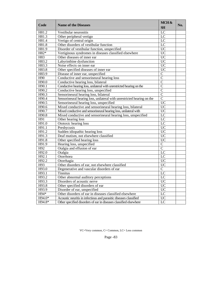| Code   | <b>Name of the Diseases</b>                                             | MCH&            | No. |
|--------|-------------------------------------------------------------------------|-----------------|-----|
|        |                                                                         | SH              |     |
| H81.2  | Vestibular neuronitis                                                   | $\overline{LC}$ |     |
| H81.3  | Other peripheral vertigo                                                | $\overline{LC}$ |     |
| H81.4  | Vertigo of central origin                                               | $\overline{LC}$ |     |
| H81.8  | Other disorders of vestibular function                                  | $\overline{LC}$ |     |
| H81.9  | Disorder of vestibular function, unspecified                            | $\overline{UC}$ |     |
| $H82*$ | Vertiginous syndromes in diseases classified elsewhere                  | $\overline{UC}$ |     |
| H83    | Other diseases of inner ear                                             | $\overline{UC}$ |     |
| H83.2  | Labyrinthine dysfunction                                                | $\overline{UC}$ |     |
| H83.3  | Noise effects on inner ear                                              | $\overline{UC}$ |     |
| H83.8  | Other specified diseases of inner ear                                   | $\overline{UC}$ |     |
| H83.9  | Disease of inner ear, unspecified                                       | $\overline{C}$  |     |
| H90    | Conductive and sensorineural hearing loss                               | $\overline{C}$  |     |
| H90.0  | Conductive hearing loss, bilateral                                      | $\overline{C}$  |     |
| H90.1  | Conductive hearing loss, unilateral with unrestricted hearing on the    | $\overline{C}$  |     |
| H90.2  | Conductive hearing loss, unspecified                                    | $\overline{C}$  |     |
| H90.3  | Sensorineural hearing loss, bilateral                                   | $\overline{C}$  |     |
| H90.4  | Sensorineural hearing loss, unilateral with unrestricted hearing on the | $\overline{C}$  |     |
| H90.5  | Sensorineural hearing loss, unspecified                                 | $\overline{UC}$ |     |
| H90.6  | Mixed conductive and sensorineural hearing loss, bilateral              | $\overline{UC}$ |     |
| H90.7  | Mixed conductive and sensorineural hearing loss, unilateral with        | $\overline{UC}$ |     |
| H90.8  | Mixed conductive and sensorineural hearing loss, unspecified            | $\overline{LC}$ |     |
| H91    | Other hearing loss                                                      | $\overline{LC}$ |     |
| H91.0  | Ototoxic hearing loss                                                   | $\overline{LC}$ |     |
| H91.1  | Presbycusis                                                             | $\overline{UC}$ |     |
| H91.2  | Sudden idiopathic hearing loss                                          | $\overline{UC}$ |     |
| H91.3  | Deaf mutism, not elsewhere classified                                   | $\overline{UC}$ |     |
| H91.8  | Other specified hearing loss                                            | $\overline{UC}$ |     |
| H91.9  | Hearing loss, unspecified                                               | $\overline{C}$  |     |
| H92    | Otalgia and effusion of ear                                             | $\overline{C}$  |     |
| H92.0  | Otalgia                                                                 | $\overline{LC}$ |     |
| H92.1  | Otorrhoea                                                               | $\overline{LC}$ |     |
| H92.2  | Otorrhagia                                                              | $\overline{UC}$ |     |
| H93    | Other disorders of ear, not elsewhere classified                        | $\overline{UC}$ |     |
| H93.0  | Degenerative and vascular disorders of ear                              | $\overline{C}$  |     |
| H93.1  | <b>Tinnitus</b>                                                         | LC              |     |
| H93.2  | Other abnormal auditory perceptions                                     | $\overline{LC}$ |     |
| H93.3  | Disorders of acoustic nerve                                             | $\overline{UC}$ |     |
| H93.8  | Other specified disorders of ear                                        | <b>UC</b>       |     |
| H93.9  | Disorder of ear, unspecified                                            | $\overline{UC}$ |     |
| H94*   | Other disorders of ear in diseases classified elsewhere                 | $\overline{LC}$ |     |
| H94.0* | Acoustic neuritis in infectious and parasitic diseases classified       | $\overline{UC}$ |     |
| H94.8* | Other specified disorders of ear in diseases classified elsewhere       | $\overline{LC}$ |     |